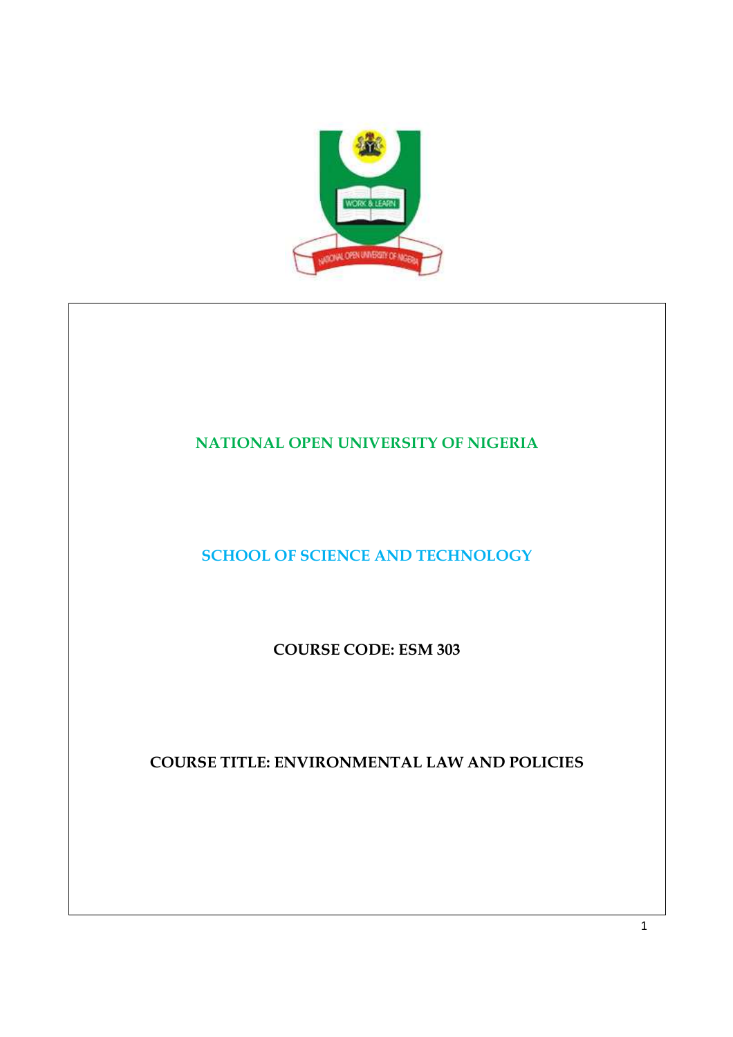

# **NATIONAL OPEN UNIVERSITY OF NIGERIA**

**SCHOOL OF SCIENCE AND TECHNOLOGY** 

**COURSE CODE: ESM 303** 

**COURSE TITLE: ENVIRONMENTAL LAW AND POLICIES**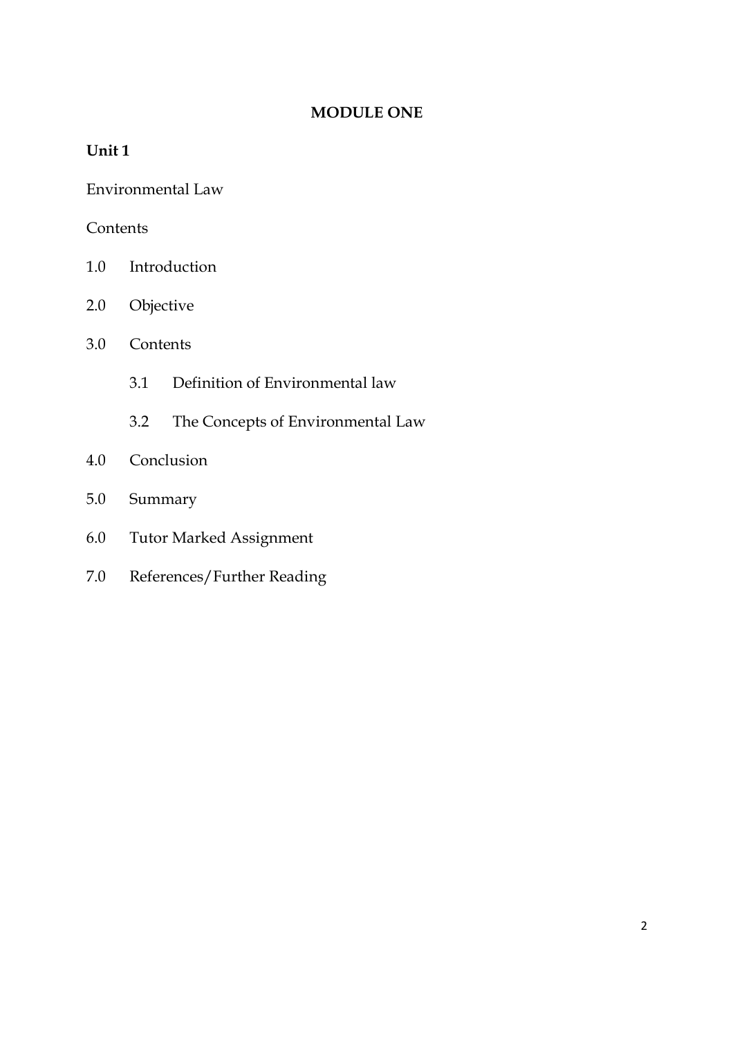## **MODULE ONE**

## **Unit 1**

Environmental Law

## **Contents**

- 1.0 Introduction
- 2.0 Objective
- 3.0 Contents
	- 3.1 Definition of Environmental law
	- 3.2 The Concepts of Environmental Law
- 4.0 Conclusion
- 5.0 Summary
- 6.0 Tutor Marked Assignment
- 7.0 References/Further Reading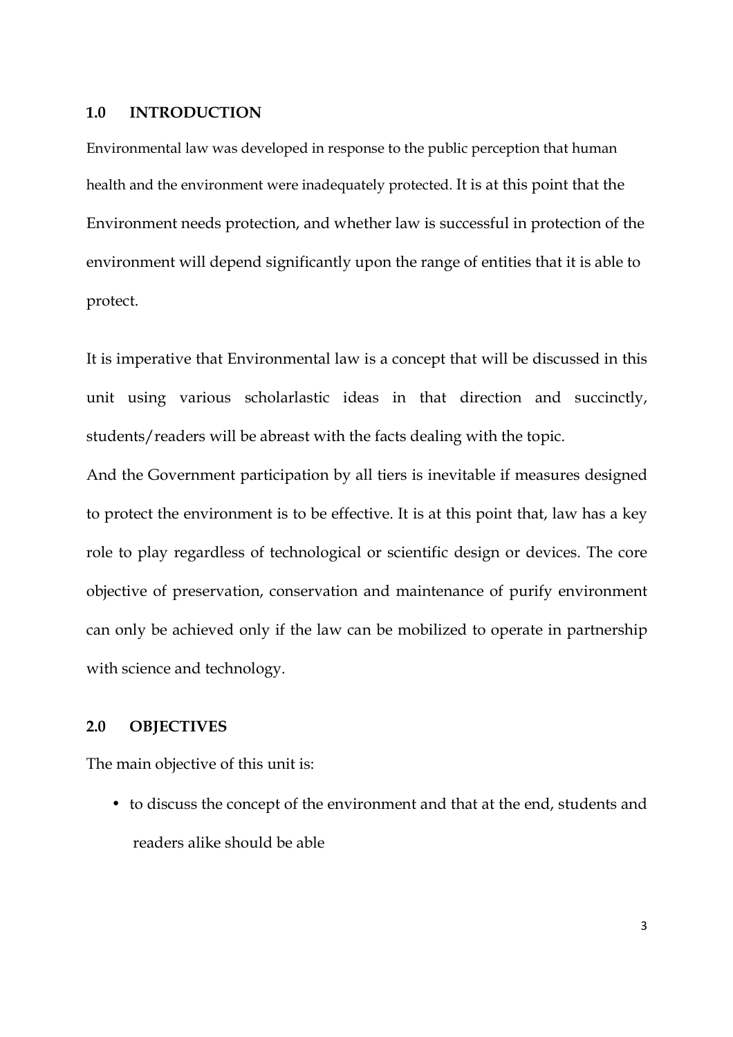#### **1.0 INTRODUCTION**

Environmental law was developed in response to the public perception that human health and the environment were inadequately protected. It is at this point that the Environment needs protection, and whether law is successful in protection of the environment will depend significantly upon the range of entities that it is able to protect.

It is imperative that Environmental law is a concept that will be discussed in this unit using various scholarlastic ideas in that direction and succinctly, students/readers will be abreast with the facts dealing with the topic.

And the Government participation by all tiers is inevitable if measures designed to protect the environment is to be effective. It is at this point that, law has a key role to play regardless of technological or scientific design or devices. The core objective of preservation, conservation and maintenance of purify environment can only be achieved only if the law can be mobilized to operate in partnership with science and technology.

### **2.0 OBJECTIVES**

The main objective of this unit is:

• to discuss the concept of the environment and that at the end, students and readers alike should be able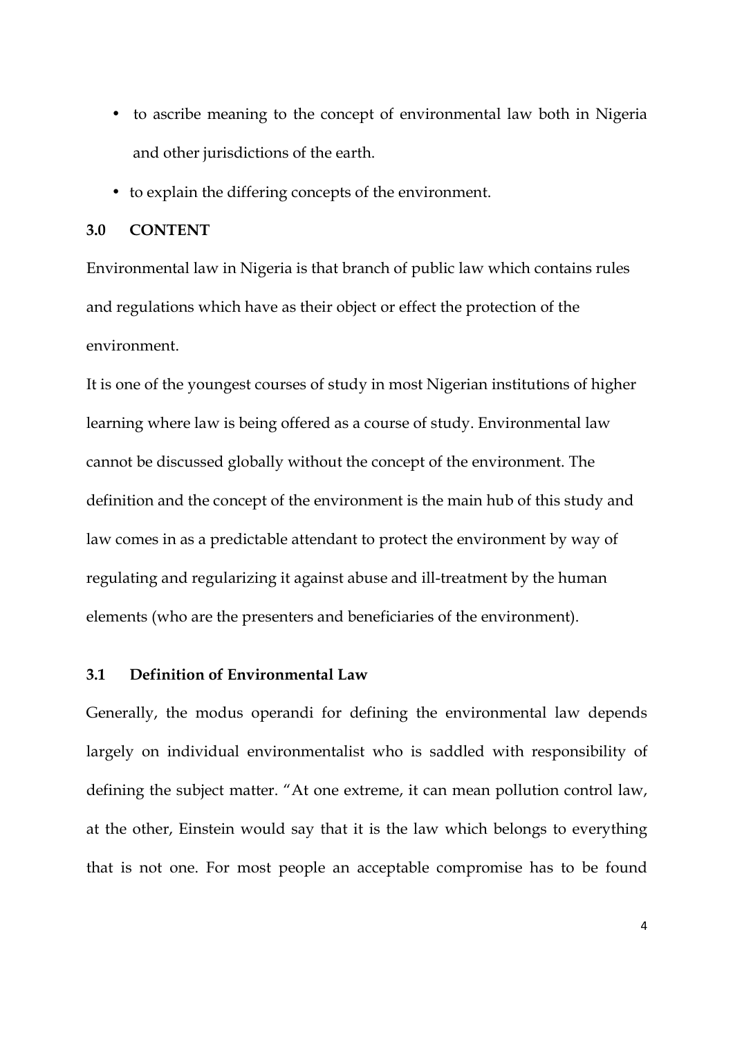- to ascribe meaning to the concept of environmental law both in Nigeria and other jurisdictions of the earth.
- to explain the differing concepts of the environment.

#### **3.0 CONTENT**

Environmental law in Nigeria is that branch of public law which contains rules and regulations which have as their object or effect the protection of the environment.

It is one of the youngest courses of study in most Nigerian institutions of higher learning where law is being offered as a course of study. Environmental law cannot be discussed globally without the concept of the environment. The definition and the concept of the environment is the main hub of this study and law comes in as a predictable attendant to protect the environment by way of regulating and regularizing it against abuse and ill-treatment by the human elements (who are the presenters and beneficiaries of the environment).

### **3.1 Definition of Environmental Law**

Generally, the modus operandi for defining the environmental law depends largely on individual environmentalist who is saddled with responsibility of defining the subject matter. "At one extreme, it can mean pollution control law, at the other, Einstein would say that it is the law which belongs to everything that is not one. For most people an acceptable compromise has to be found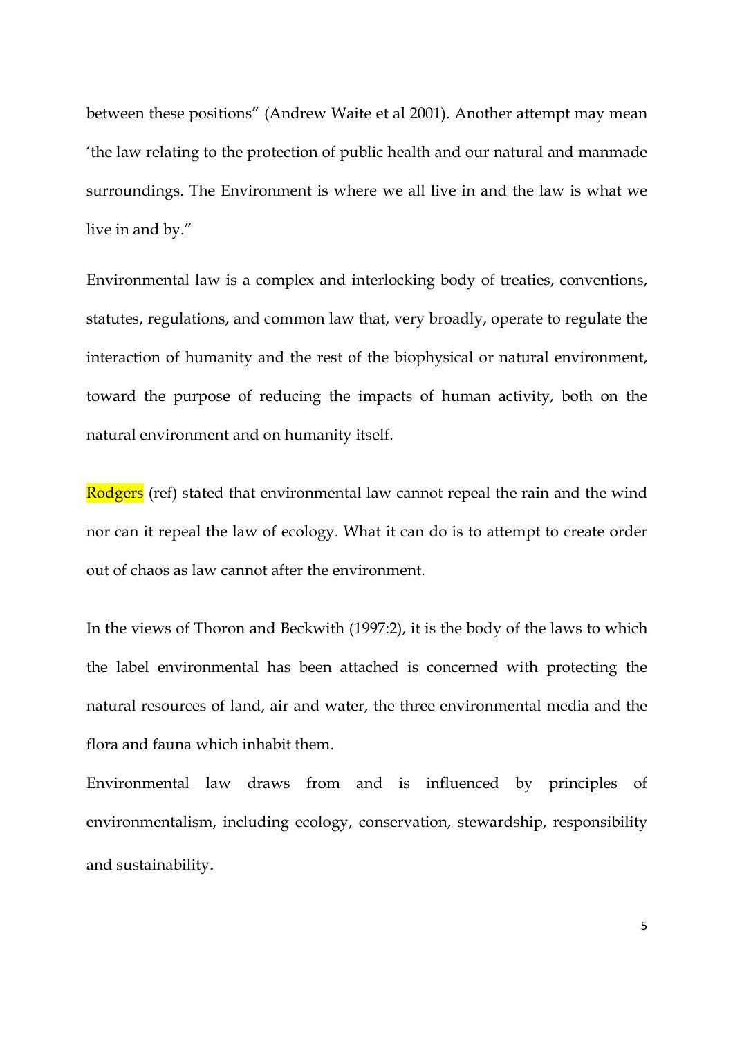between these positions" (Andrew Waite et al 2001). Another attempt may mean 'the law relating to the protection of public health and our natural and manmade surroundings. The Environment is where we all live in and the law is what we live in and by."

Environmental law is a complex and interlocking body of treaties, conventions, statutes, regulations, and common law that, very broadly, operate to regulate the interaction of humanity and the rest of the biophysical or natural environment, toward the purpose of reducing the impacts of human activity, both on the natural environment and on humanity itself.

Rodgers (ref) stated that environmental law cannot repeal the rain and the wind nor can it repeal the law of ecology. What it can do is to attempt to create order out of chaos as law cannot after the environment.

In the views of Thoron and Beckwith (1997:2), it is the body of the laws to which the label environmental has been attached is concerned with protecting the natural resources of land, air and water, the three environmental media and the flora and fauna which inhabit them.

Environmental law draws from and is influenced by principles of environmentalism, including ecology, conservation, stewardship, responsibility and sustainability.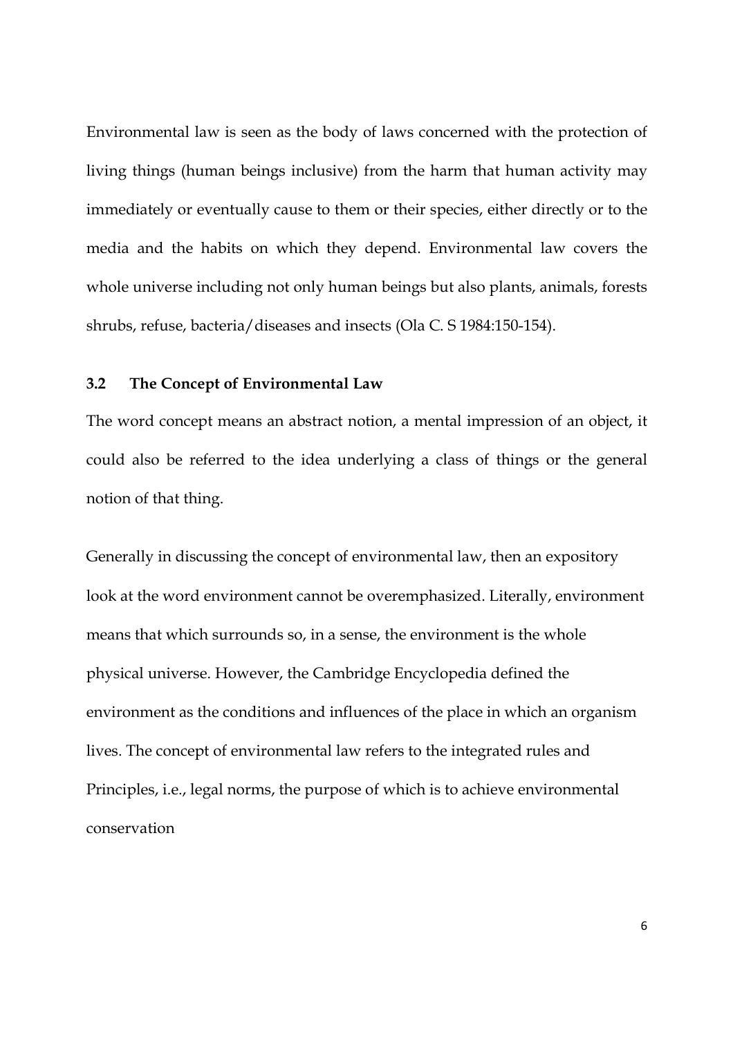Environmental law is seen as the body of laws concerned with the protection of living things (human beings inclusive) from the harm that human activity may immediately or eventually cause to them or their species, either directly or to the media and the habits on which they depend. Environmental law covers the whole universe including not only human beings but also plants, animals, forests shrubs, refuse, bacteria/diseases and insects (Ola C. S 1984:150-154).

#### **3.2 The Concept of Environmental Law**

The word concept means an abstract notion, a mental impression of an object, it could also be referred to the idea underlying a class of things or the general notion of that thing.

Generally in discussing the concept of environmental law, then an expository look at the word environment cannot be overemphasized. Literally, environment means that which surrounds so, in a sense, the environment is the whole physical universe. However, the Cambridge Encyclopedia defined the environment as the conditions and influences of the place in which an organism lives. The concept of environmental law refers to the integrated rules and Principles, i.e., legal norms, the purpose of which is to achieve environmental conservation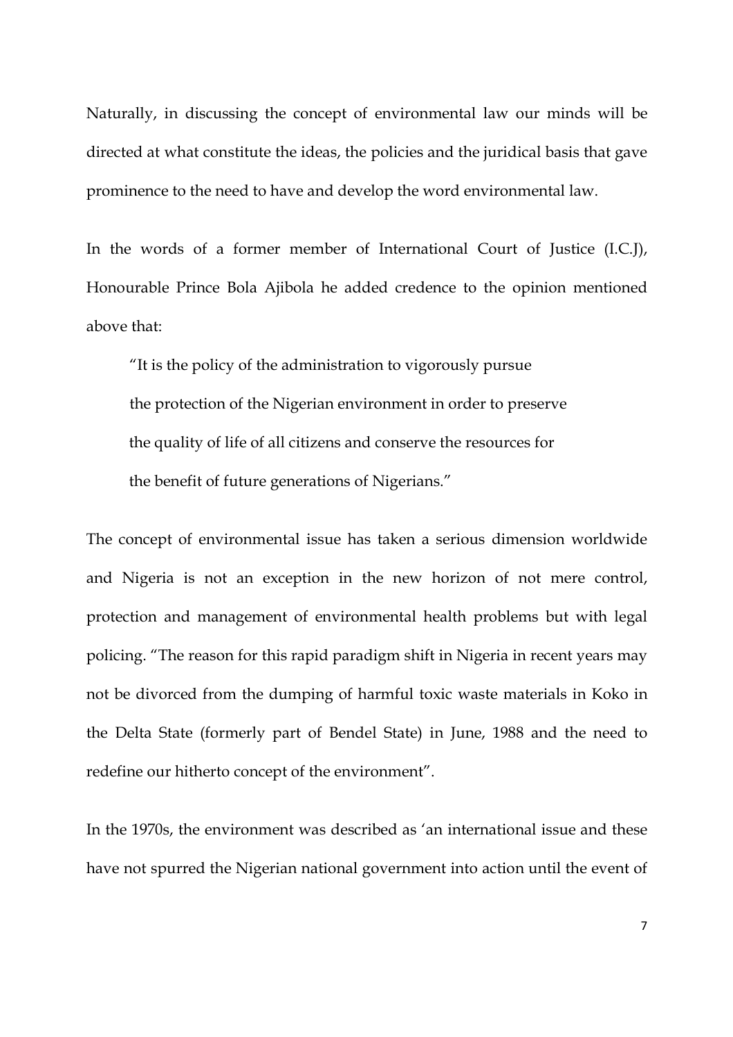Naturally, in discussing the concept of environmental law our minds will be directed at what constitute the ideas, the policies and the juridical basis that gave prominence to the need to have and develop the word environmental law.

In the words of a former member of International Court of Justice (I.C.J), Honourable Prince Bola Ajibola he added credence to the opinion mentioned above that:

"It is the policy of the administration to vigorously pursue the protection of the Nigerian environment in order to preserve the quality of life of all citizens and conserve the resources for the benefit of future generations of Nigerians."

The concept of environmental issue has taken a serious dimension worldwide and Nigeria is not an exception in the new horizon of not mere control, protection and management of environmental health problems but with legal policing. "The reason for this rapid paradigm shift in Nigeria in recent years may not be divorced from the dumping of harmful toxic waste materials in Koko in the Delta State (formerly part of Bendel State) in June, 1988 and the need to redefine our hitherto concept of the environment".

In the 1970s, the environment was described as 'an international issue and these have not spurred the Nigerian national government into action until the event of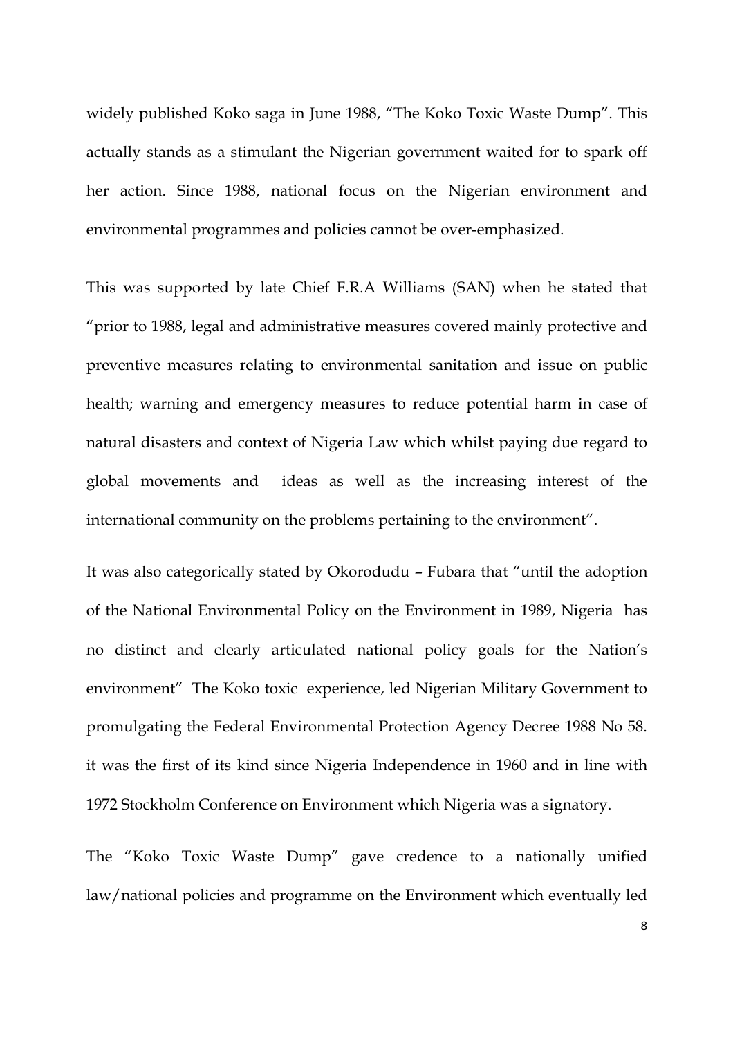widely published Koko saga in June 1988, "The Koko Toxic Waste Dump". This actually stands as a stimulant the Nigerian government waited for to spark off her action. Since 1988, national focus on the Nigerian environment and environmental programmes and policies cannot be over-emphasized.

This was supported by late Chief F.R.A Williams (SAN) when he stated that "prior to 1988, legal and administrative measures covered mainly protective and preventive measures relating to environmental sanitation and issue on public health; warning and emergency measures to reduce potential harm in case of natural disasters and context of Nigeria Law which whilst paying due regard to global movements and ideas as well as the increasing interest of the international community on the problems pertaining to the environment".

It was also categorically stated by Okorodudu – Fubara that "until the adoption of the National Environmental Policy on the Environment in 1989, Nigeria has no distinct and clearly articulated national policy goals for the Nation's environment" The Koko toxic experience, led Nigerian Military Government to promulgating the Federal Environmental Protection Agency Decree 1988 No 58. it was the first of its kind since Nigeria Independence in 1960 and in line with 1972 Stockholm Conference on Environment which Nigeria was a signatory.

The "Koko Toxic Waste Dump" gave credence to a nationally unified law/national policies and programme on the Environment which eventually led

8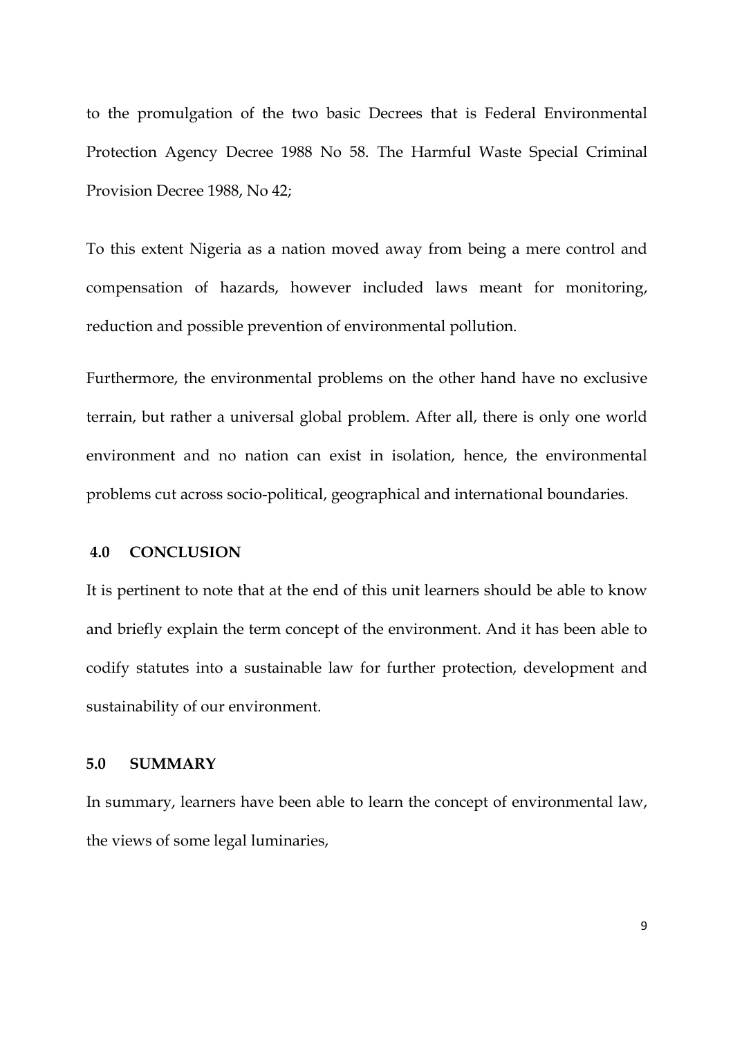to the promulgation of the two basic Decrees that is Federal Environmental Protection Agency Decree 1988 No 58. The Harmful Waste Special Criminal Provision Decree 1988, No 42;

To this extent Nigeria as a nation moved away from being a mere control and compensation of hazards, however included laws meant for monitoring, reduction and possible prevention of environmental pollution.

Furthermore, the environmental problems on the other hand have no exclusive terrain, but rather a universal global problem. After all, there is only one world environment and no nation can exist in isolation, hence, the environmental problems cut across socio-political, geographical and international boundaries.

### **4.0 CONCLUSION**

It is pertinent to note that at the end of this unit learners should be able to know and briefly explain the term concept of the environment. And it has been able to codify statutes into a sustainable law for further protection, development and sustainability of our environment.

## **5.0 SUMMARY**

In summary, learners have been able to learn the concept of environmental law, the views of some legal luminaries,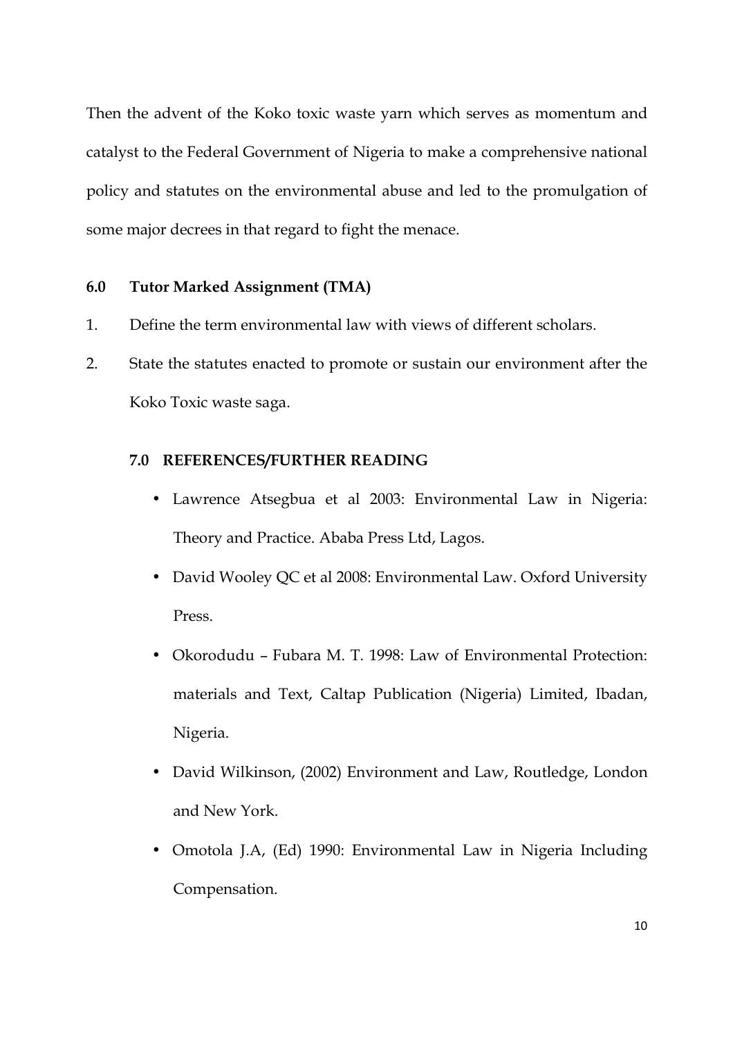Then the advent of the Koko toxic waste yarn which serves as momentum and catalyst to the Federal Government of Nigeria to make a comprehensive national policy and statutes on the environmental abuse and led to the promulgation of some major decrees in that regard to fight the menace.

## **6.0 Tutor Marked Assignment (TMA)**

- 1. Define the term environmental law with views of different scholars.
- 2. State the statutes enacted to promote or sustain our environment after the Koko Toxic waste saga.

## **7.0 REFERENCES/FURTHER READING**

- Lawrence Atsegbua et al 2003: Environmental Law in Nigeria: Theory and Practice. Ababa Press Ltd, Lagos.
- David Wooley QC et al 2008: Environmental Law. Oxford University Press.
- Okorodudu Fubara M. T. 1998: Law of Environmental Protection: materials and Text, Caltap Publication (Nigeria) Limited, Ibadan, Nigeria.
- David Wilkinson, (2002) Environment and Law, Routledge, London and New York.
- Omotola J.A, (Ed) 1990: Environmental Law in Nigeria Including Compensation.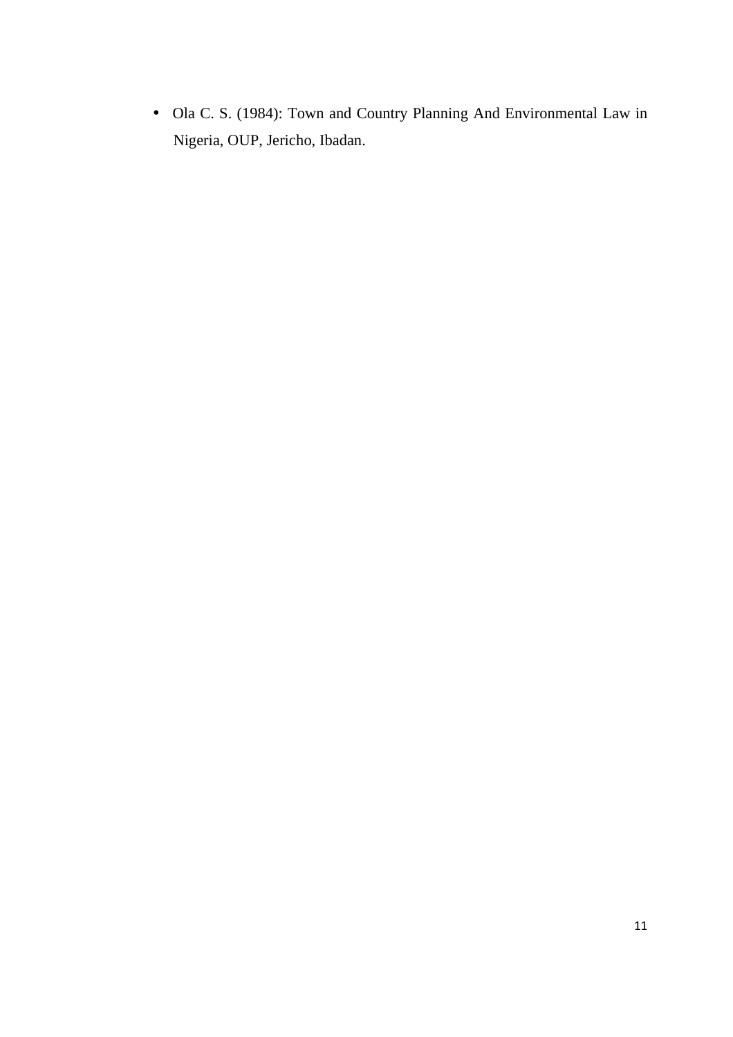• Ola C. S. (1984): Town and Country Planning And Environmental Law in Nigeria, OUP, Jericho, Ibadan.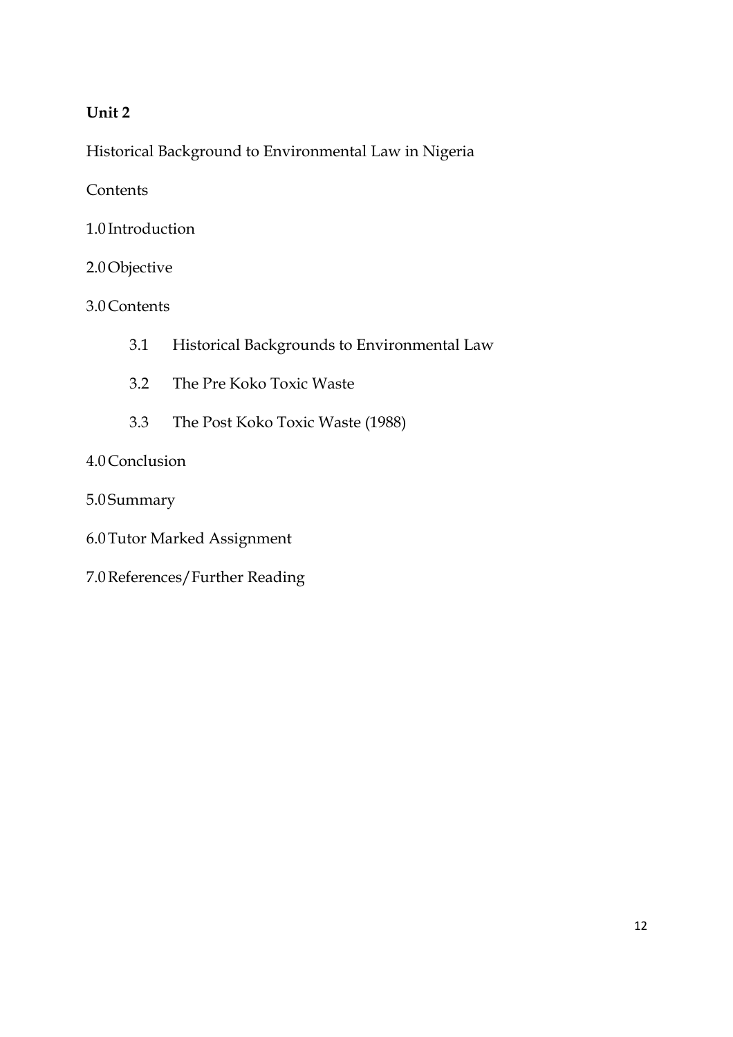## **Unit 2**

Historical Background to Environmental Law in Nigeria

**Contents** 

- 1.0 Introduction
- 2.0Objective

3.0Contents

- 3.1 Historical Backgrounds to Environmental Law
- 3.2 The Pre Koko Toxic Waste
- 3.3 The Post Koko Toxic Waste (1988)

## 4.0Conclusion

- 5.0 Summary
- 6.0Tutor Marked Assignment
- 7.0References/Further Reading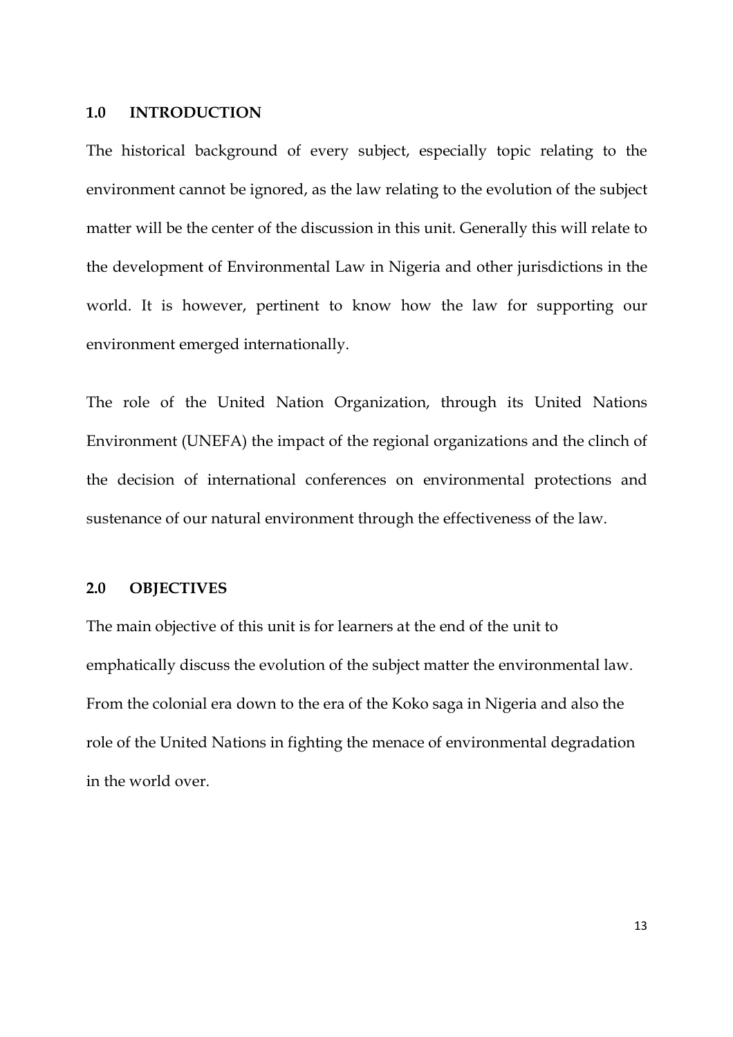#### **1.0 INTRODUCTION**

The historical background of every subject, especially topic relating to the environment cannot be ignored, as the law relating to the evolution of the subject matter will be the center of the discussion in this unit. Generally this will relate to the development of Environmental Law in Nigeria and other jurisdictions in the world. It is however, pertinent to know how the law for supporting our environment emerged internationally.

The role of the United Nation Organization, through its United Nations Environment (UNEFA) the impact of the regional organizations and the clinch of the decision of international conferences on environmental protections and sustenance of our natural environment through the effectiveness of the law.

### **2.0 OBJECTIVES**

The main objective of this unit is for learners at the end of the unit to emphatically discuss the evolution of the subject matter the environmental law. From the colonial era down to the era of the Koko saga in Nigeria and also the role of the United Nations in fighting the menace of environmental degradation in the world over.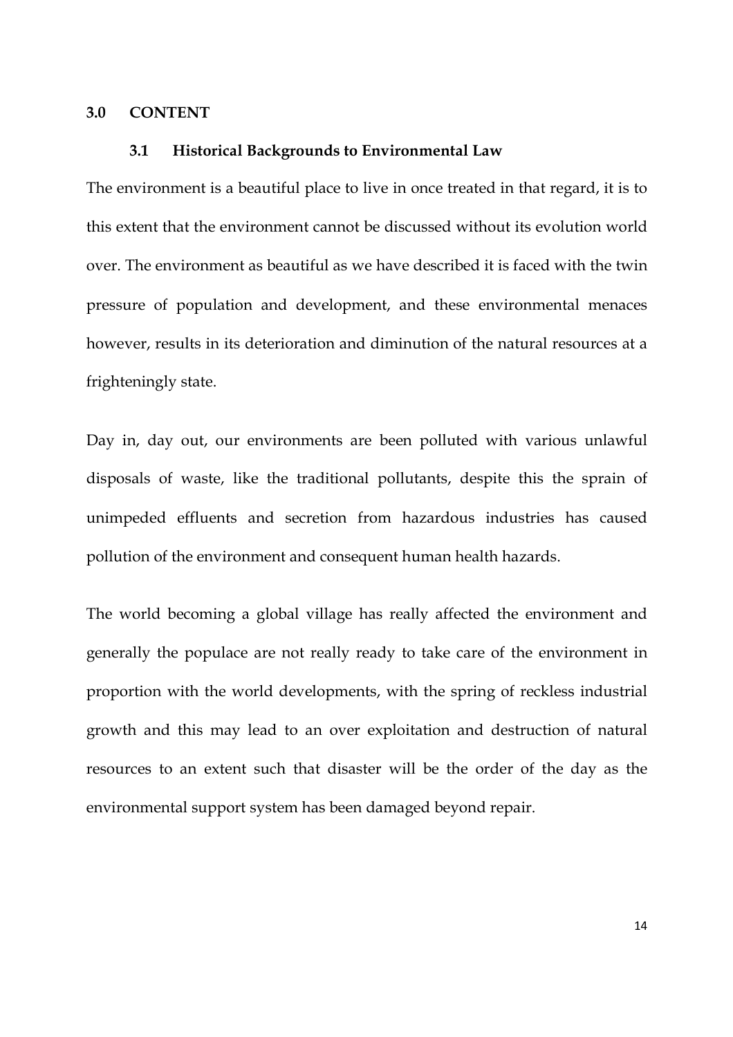#### **3.0 CONTENT**

#### **3.1 Historical Backgrounds to Environmental Law**

The environment is a beautiful place to live in once treated in that regard, it is to this extent that the environment cannot be discussed without its evolution world over. The environment as beautiful as we have described it is faced with the twin pressure of population and development, and these environmental menaces however, results in its deterioration and diminution of the natural resources at a frighteningly state.

Day in, day out, our environments are been polluted with various unlawful disposals of waste, like the traditional pollutants, despite this the sprain of unimpeded effluents and secretion from hazardous industries has caused pollution of the environment and consequent human health hazards.

The world becoming a global village has really affected the environment and generally the populace are not really ready to take care of the environment in proportion with the world developments, with the spring of reckless industrial growth and this may lead to an over exploitation and destruction of natural resources to an extent such that disaster will be the order of the day as the environmental support system has been damaged beyond repair.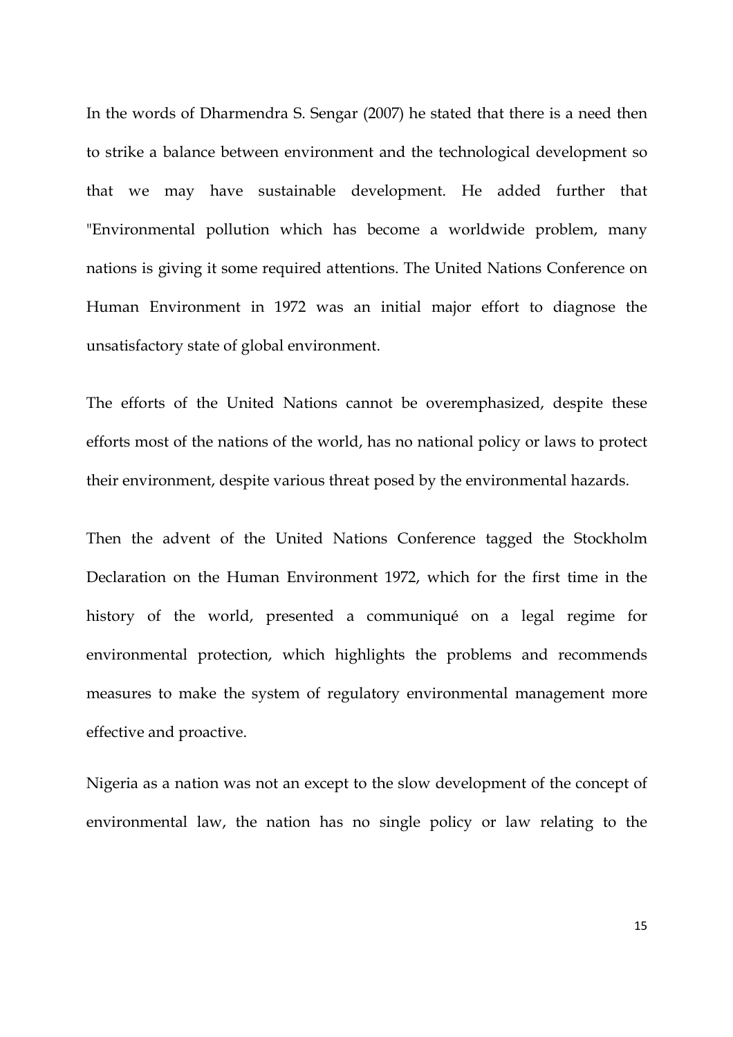In the words of Dharmendra S. Sengar (2007) he stated that there is a need then to strike a balance between environment and the technological development so that we may have sustainable development. He added further that "Environmental pollution which has become a worldwide problem, many nations is giving it some required attentions. The United Nations Conference on Human Environment in 1972 was an initial major effort to diagnose the unsatisfactory state of global environment.

The efforts of the United Nations cannot be overemphasized, despite these efforts most of the nations of the world, has no national policy or laws to protect their environment, despite various threat posed by the environmental hazards.

Then the advent of the United Nations Conference tagged the Stockholm Declaration on the Human Environment 1972, which for the first time in the history of the world, presented a communiqué on a legal regime for environmental protection, which highlights the problems and recommends measures to make the system of regulatory environmental management more effective and proactive.

Nigeria as a nation was not an except to the slow development of the concept of environmental law, the nation has no single policy or law relating to the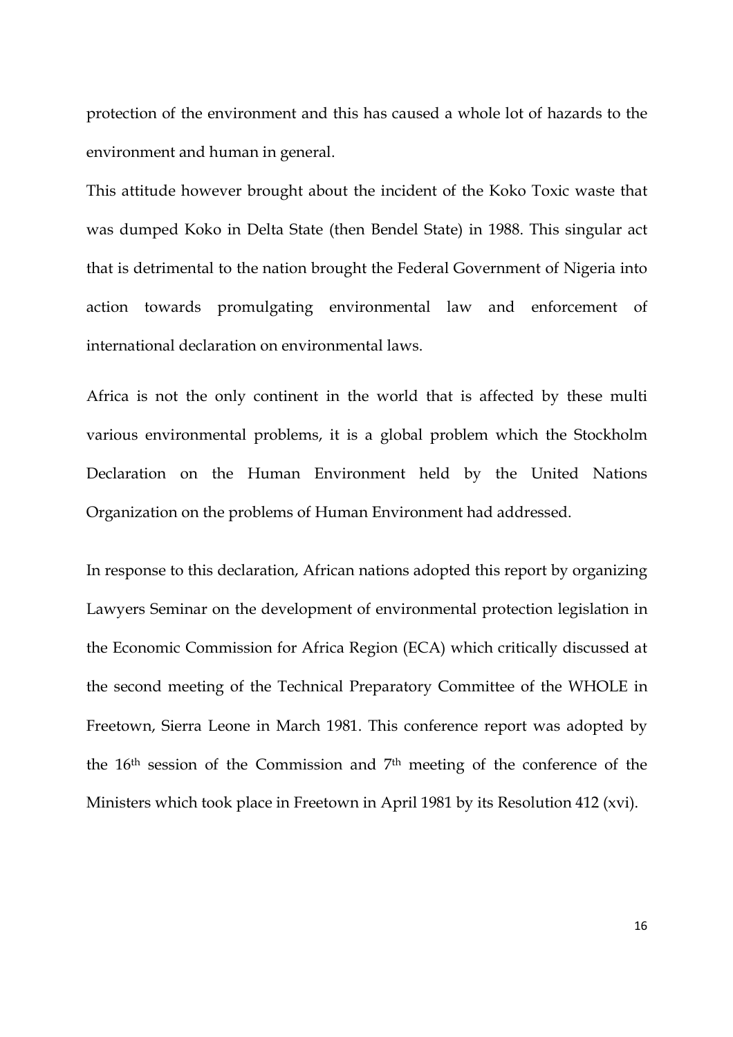protection of the environment and this has caused a whole lot of hazards to the environment and human in general.

This attitude however brought about the incident of the Koko Toxic waste that was dumped Koko in Delta State (then Bendel State) in 1988. This singular act that is detrimental to the nation brought the Federal Government of Nigeria into action towards promulgating environmental law and enforcement of international declaration on environmental laws.

Africa is not the only continent in the world that is affected by these multi various environmental problems, it is a global problem which the Stockholm Declaration on the Human Environment held by the United Nations Organization on the problems of Human Environment had addressed.

In response to this declaration, African nations adopted this report by organizing Lawyers Seminar on the development of environmental protection legislation in the Economic Commission for Africa Region (ECA) which critically discussed at the second meeting of the Technical Preparatory Committee of the WHOLE in Freetown, Sierra Leone in March 1981. This conference report was adopted by the 16th session of the Commission and 7th meeting of the conference of the Ministers which took place in Freetown in April 1981 by its Resolution 412 (xvi).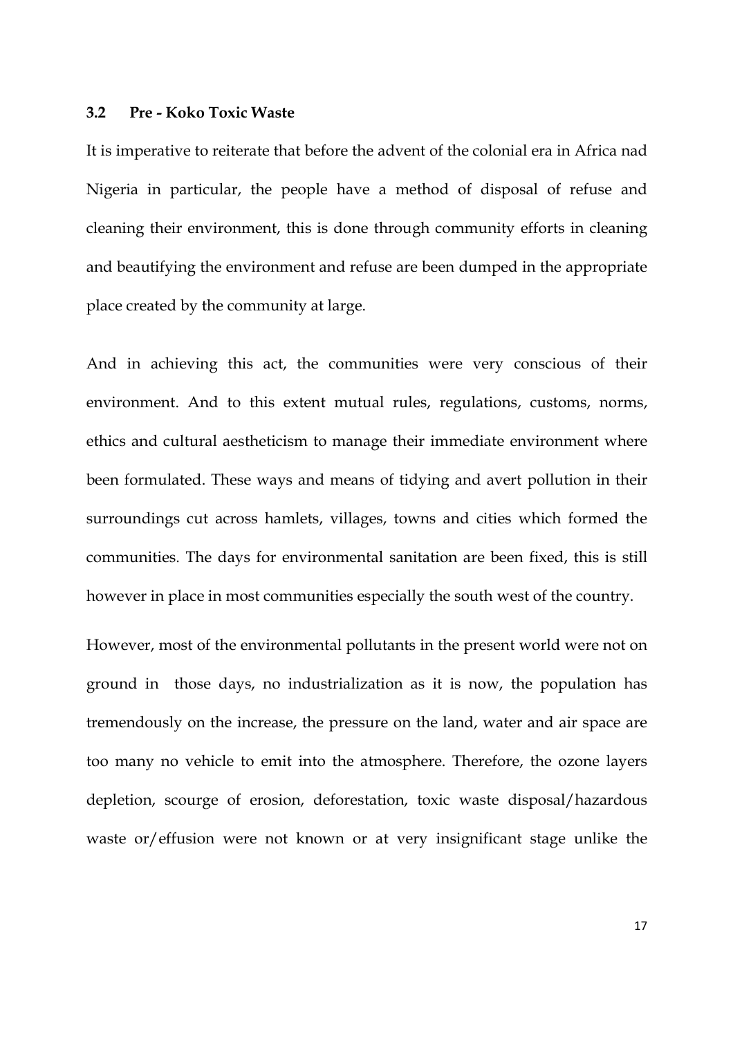#### **3.2 Pre - Koko Toxic Waste**

It is imperative to reiterate that before the advent of the colonial era in Africa nad Nigeria in particular, the people have a method of disposal of refuse and cleaning their environment, this is done through community efforts in cleaning and beautifying the environment and refuse are been dumped in the appropriate place created by the community at large.

And in achieving this act, the communities were very conscious of their environment. And to this extent mutual rules, regulations, customs, norms, ethics and cultural aestheticism to manage their immediate environment where been formulated. These ways and means of tidying and avert pollution in their surroundings cut across hamlets, villages, towns and cities which formed the communities. The days for environmental sanitation are been fixed, this is still however in place in most communities especially the south west of the country.

However, most of the environmental pollutants in the present world were not on ground in those days, no industrialization as it is now, the population has tremendously on the increase, the pressure on the land, water and air space are too many no vehicle to emit into the atmosphere. Therefore, the ozone layers depletion, scourge of erosion, deforestation, toxic waste disposal/hazardous waste or/effusion were not known or at very insignificant stage unlike the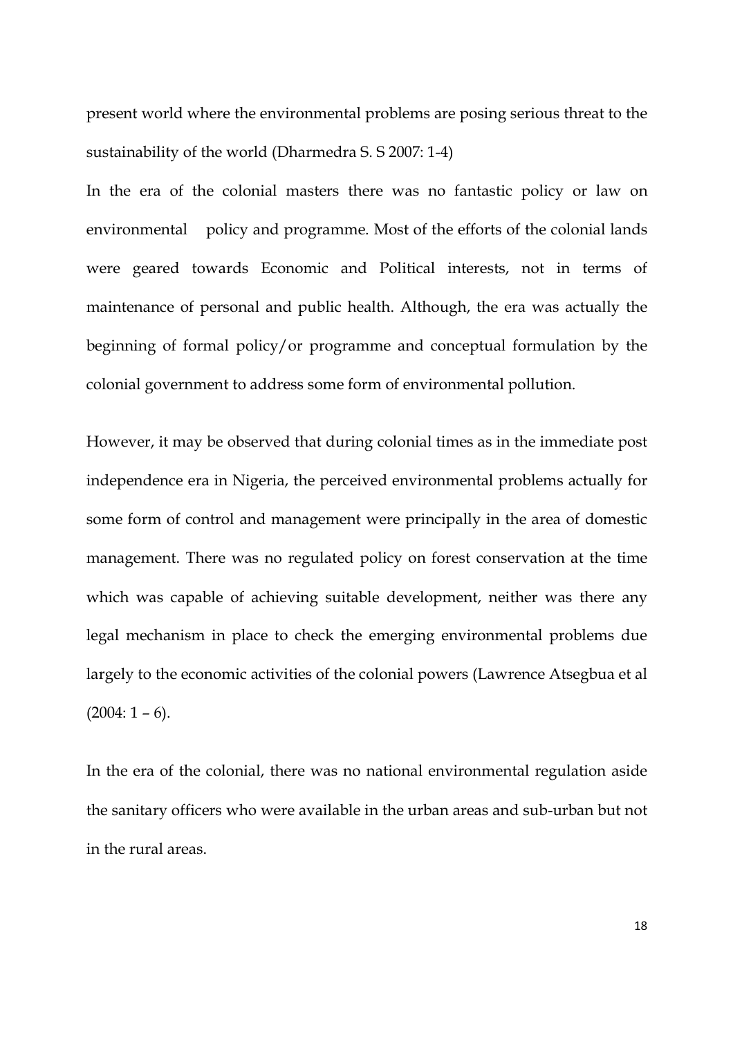present world where the environmental problems are posing serious threat to the sustainability of the world (Dharmedra S. S 2007: 1-4)

In the era of the colonial masters there was no fantastic policy or law on environmental policy and programme. Most of the efforts of the colonial lands were geared towards Economic and Political interests, not in terms of maintenance of personal and public health. Although, the era was actually the beginning of formal policy/or programme and conceptual formulation by the colonial government to address some form of environmental pollution.

However, it may be observed that during colonial times as in the immediate post independence era in Nigeria, the perceived environmental problems actually for some form of control and management were principally in the area of domestic management. There was no regulated policy on forest conservation at the time which was capable of achieving suitable development, neither was there any legal mechanism in place to check the emerging environmental problems due largely to the economic activities of the colonial powers (Lawrence Atsegbua et al  $(2004:1 - 6).$ 

In the era of the colonial, there was no national environmental regulation aside the sanitary officers who were available in the urban areas and sub-urban but not in the rural areas.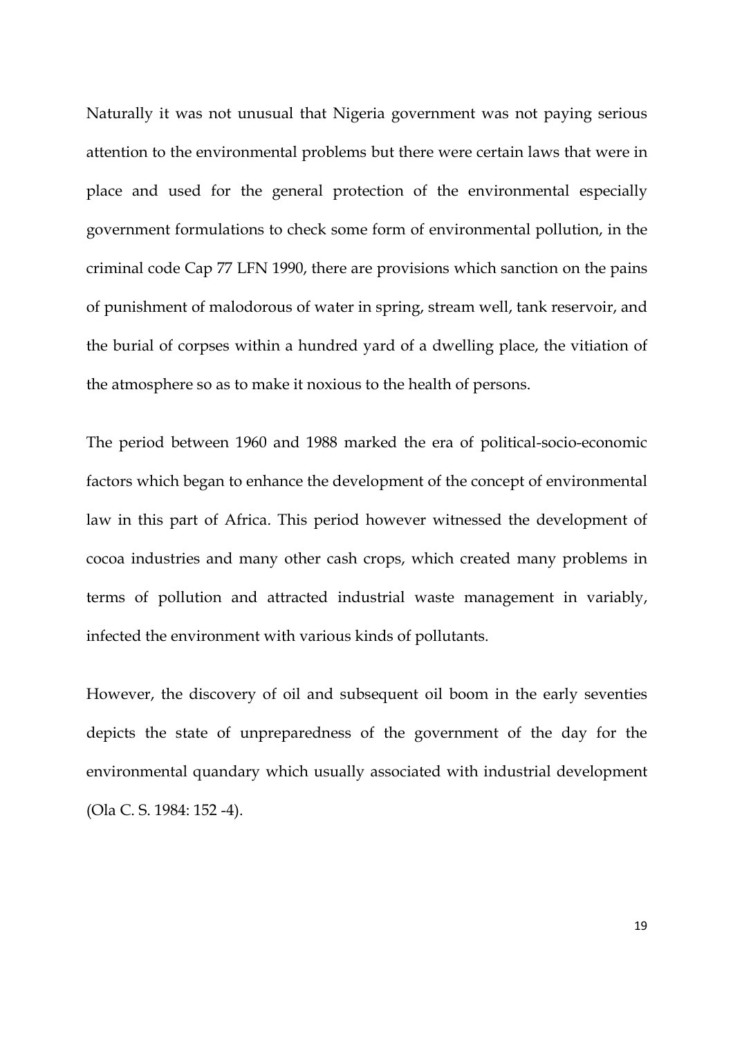Naturally it was not unusual that Nigeria government was not paying serious attention to the environmental problems but there were certain laws that were in place and used for the general protection of the environmental especially government formulations to check some form of environmental pollution, in the criminal code Cap 77 LFN 1990, there are provisions which sanction on the pains of punishment of malodorous of water in spring, stream well, tank reservoir, and the burial of corpses within a hundred yard of a dwelling place, the vitiation of the atmosphere so as to make it noxious to the health of persons.

The period between 1960 and 1988 marked the era of political-socio-economic factors which began to enhance the development of the concept of environmental law in this part of Africa. This period however witnessed the development of cocoa industries and many other cash crops, which created many problems in terms of pollution and attracted industrial waste management in variably, infected the environment with various kinds of pollutants.

However, the discovery of oil and subsequent oil boom in the early seventies depicts the state of unpreparedness of the government of the day for the environmental quandary which usually associated with industrial development (Ola C. S. 1984: 152 -4).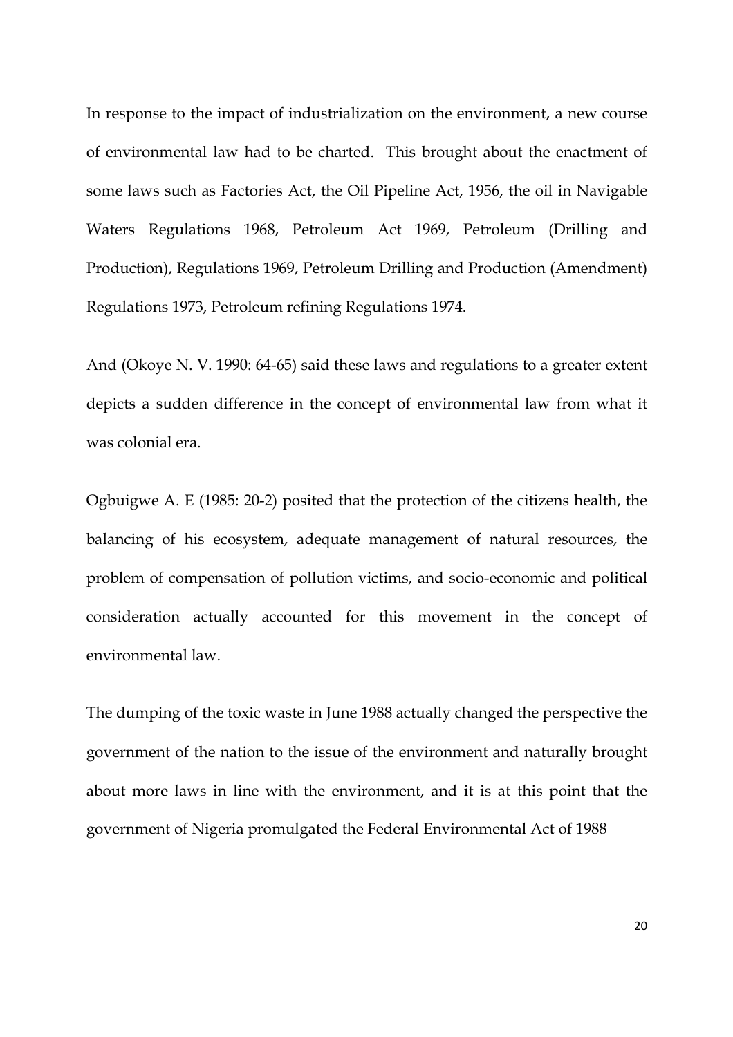In response to the impact of industrialization on the environment, a new course of environmental law had to be charted. This brought about the enactment of some laws such as Factories Act, the Oil Pipeline Act, 1956, the oil in Navigable Waters Regulations 1968, Petroleum Act 1969, Petroleum (Drilling and Production), Regulations 1969, Petroleum Drilling and Production (Amendment) Regulations 1973, Petroleum refining Regulations 1974.

And (Okoye N. V. 1990: 64-65) said these laws and regulations to a greater extent depicts a sudden difference in the concept of environmental law from what it was colonial era.

Ogbuigwe A. E (1985: 20-2) posited that the protection of the citizens health, the balancing of his ecosystem, adequate management of natural resources, the problem of compensation of pollution victims, and socio-economic and political consideration actually accounted for this movement in the concept of environmental law.

The dumping of the toxic waste in June 1988 actually changed the perspective the government of the nation to the issue of the environment and naturally brought about more laws in line with the environment, and it is at this point that the government of Nigeria promulgated the Federal Environmental Act of 1988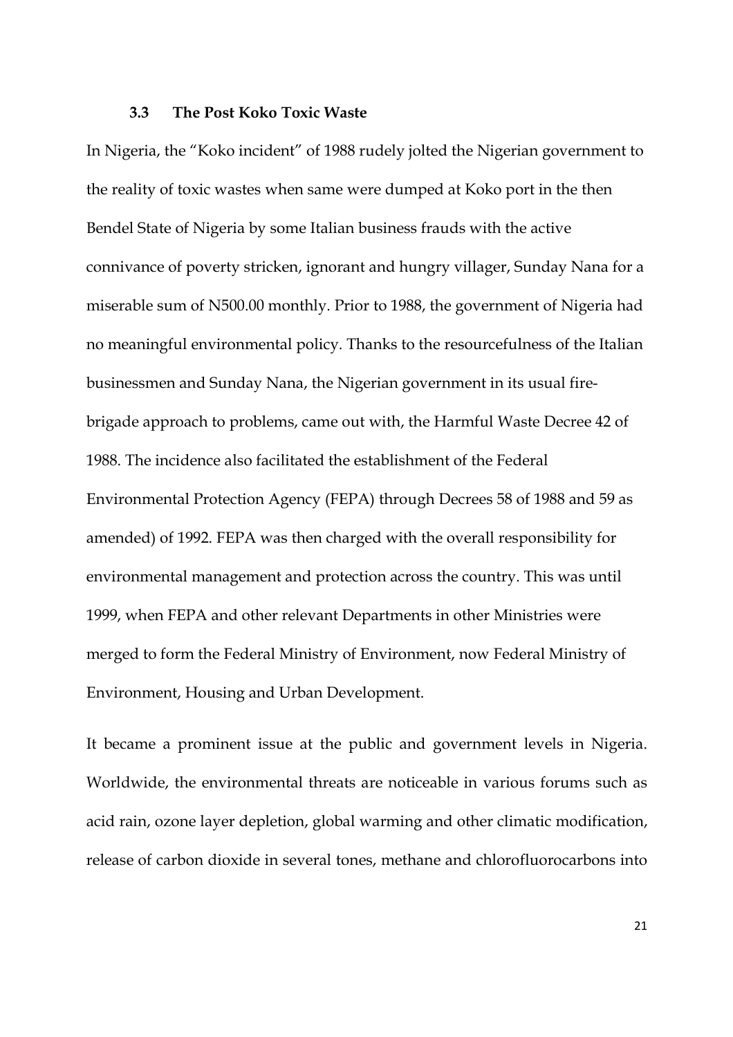#### **3.3 The Post Koko Toxic Waste**

In Nigeria, the "Koko incident" of 1988 rudely jolted the Nigerian government to the reality of toxic wastes when same were dumped at Koko port in the then Bendel State of Nigeria by some Italian business frauds with the active connivance of poverty stricken, ignorant and hungry villager, Sunday Nana for a miserable sum of N500.00 monthly. Prior to 1988, the government of Nigeria had no meaningful environmental policy. Thanks to the resourcefulness of the Italian businessmen and Sunday Nana, the Nigerian government in its usual firebrigade approach to problems, came out with, the Harmful Waste Decree 42 of 1988. The incidence also facilitated the establishment of the Federal Environmental Protection Agency (FEPA) through Decrees 58 of 1988 and 59 as amended) of 1992. FEPA was then charged with the overall responsibility for environmental management and protection across the country. This was until 1999, when FEPA and other relevant Departments in other Ministries were merged to form the Federal Ministry of Environment, now Federal Ministry of Environment, Housing and Urban Development.

It became a prominent issue at the public and government levels in Nigeria. Worldwide, the environmental threats are noticeable in various forums such as acid rain, ozone layer depletion, global warming and other climatic modification, release of carbon dioxide in several tones, methane and chlorofluorocarbons into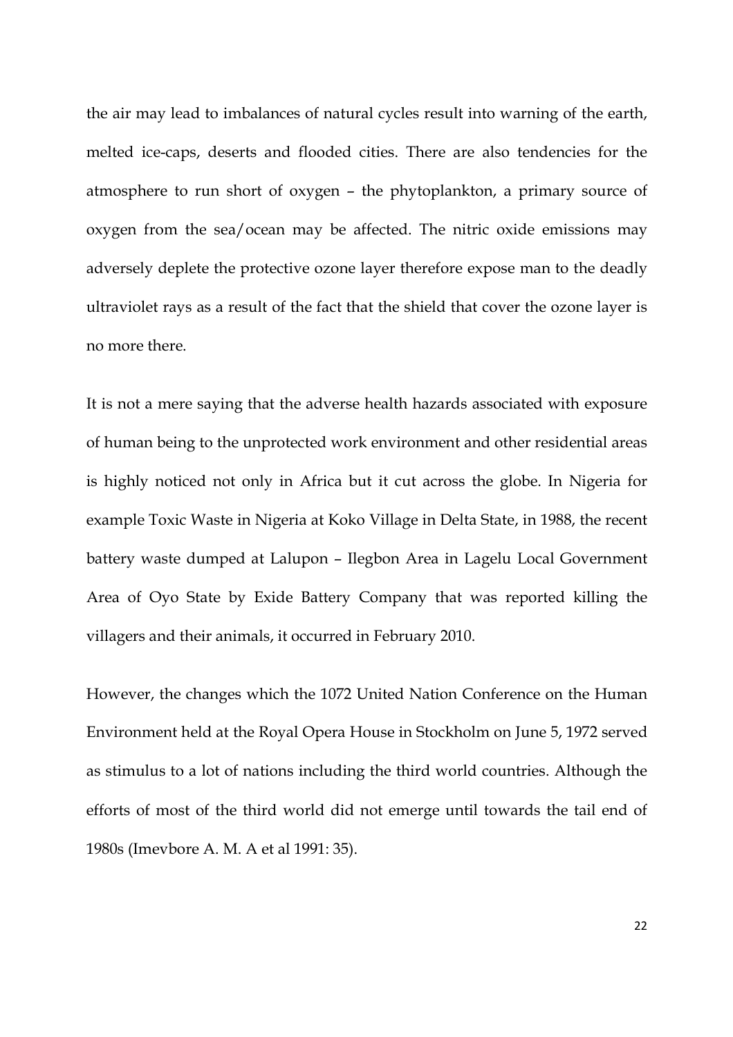the air may lead to imbalances of natural cycles result into warning of the earth, melted ice-caps, deserts and flooded cities. There are also tendencies for the atmosphere to run short of oxygen – the phytoplankton, a primary source of oxygen from the sea/ocean may be affected. The nitric oxide emissions may adversely deplete the protective ozone layer therefore expose man to the deadly ultraviolet rays as a result of the fact that the shield that cover the ozone layer is no more there.

It is not a mere saying that the adverse health hazards associated with exposure of human being to the unprotected work environment and other residential areas is highly noticed not only in Africa but it cut across the globe. In Nigeria for example Toxic Waste in Nigeria at Koko Village in Delta State, in 1988, the recent battery waste dumped at Lalupon – Ilegbon Area in Lagelu Local Government Area of Oyo State by Exide Battery Company that was reported killing the villagers and their animals, it occurred in February 2010.

However, the changes which the 1072 United Nation Conference on the Human Environment held at the Royal Opera House in Stockholm on June 5, 1972 served as stimulus to a lot of nations including the third world countries. Although the efforts of most of the third world did not emerge until towards the tail end of 1980s (Imevbore A. M. A et al 1991: 35).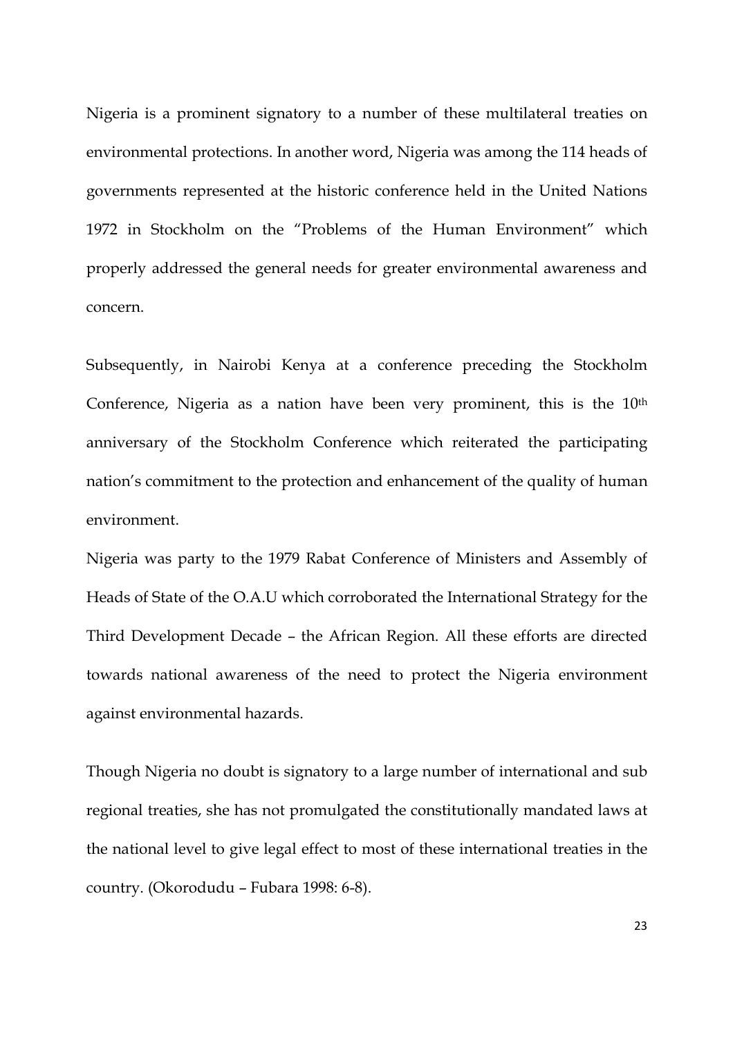Nigeria is a prominent signatory to a number of these multilateral treaties on environmental protections. In another word, Nigeria was among the 114 heads of governments represented at the historic conference held in the United Nations 1972 in Stockholm on the "Problems of the Human Environment" which properly addressed the general needs for greater environmental awareness and concern.

Subsequently, in Nairobi Kenya at a conference preceding the Stockholm Conference, Nigeria as a nation have been very prominent, this is the 10<sup>th</sup> anniversary of the Stockholm Conference which reiterated the participating nation's commitment to the protection and enhancement of the quality of human environment.

Nigeria was party to the 1979 Rabat Conference of Ministers and Assembly of Heads of State of the O.A.U which corroborated the International Strategy for the Third Development Decade – the African Region. All these efforts are directed towards national awareness of the need to protect the Nigeria environment against environmental hazards.

Though Nigeria no doubt is signatory to a large number of international and sub regional treaties, she has not promulgated the constitutionally mandated laws at the national level to give legal effect to most of these international treaties in the country. (Okorodudu – Fubara 1998: 6-8).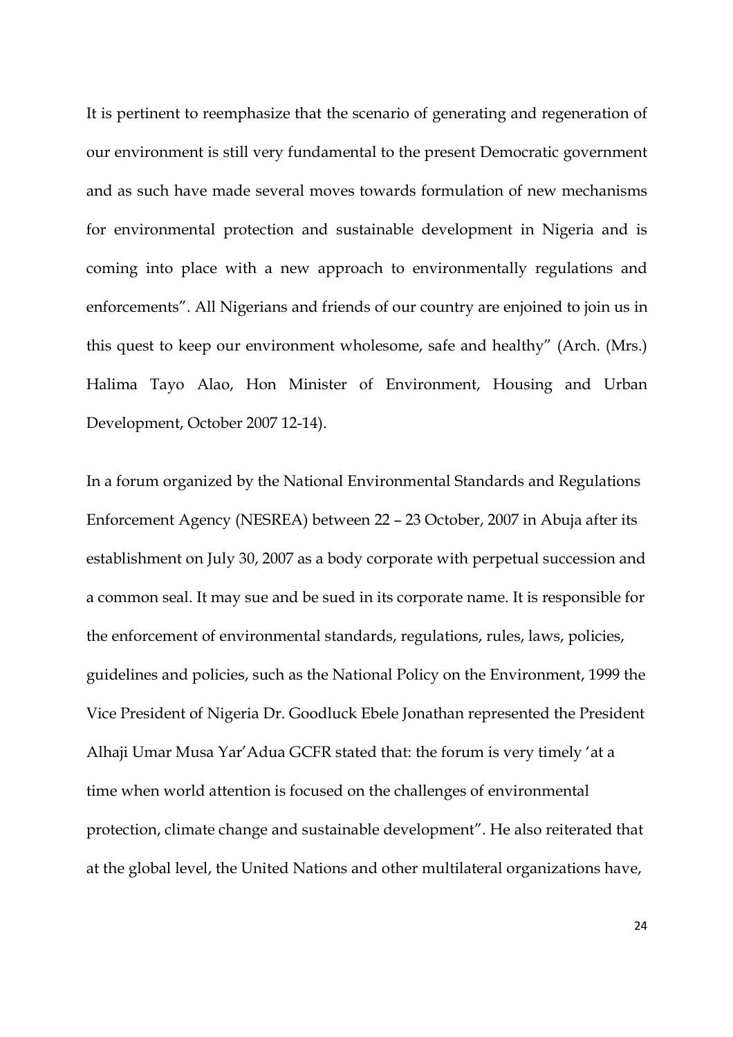It is pertinent to reemphasize that the scenario of generating and regeneration of our environment is still very fundamental to the present Democratic government and as such have made several moves towards formulation of new mechanisms for environmental protection and sustainable development in Nigeria and is coming into place with a new approach to environmentally regulations and enforcements". All Nigerians and friends of our country are enjoined to join us in this quest to keep our environment wholesome, safe and healthy" (Arch. (Mrs.) Halima Tayo Alao, Hon Minister of Environment, Housing and Urban Development, October 2007 12-14).

In a forum organized by the National Environmental Standards and Regulations Enforcement Agency (NESREA) between 22 – 23 October, 2007 in Abuja after its establishment on July 30, 2007 as a body corporate with perpetual succession and a common seal. It may sue and be sued in its corporate name. It is responsible for the enforcement of environmental standards, regulations, rules, laws, policies, guidelines and policies, such as the National Policy on the Environment, 1999 the Vice President of Nigeria Dr. Goodluck Ebele Jonathan represented the President Alhaji Umar Musa Yar'Adua GCFR stated that: the forum is very timely 'at a time when world attention is focused on the challenges of environmental protection, climate change and sustainable development". He also reiterated that at the global level, the United Nations and other multilateral organizations have,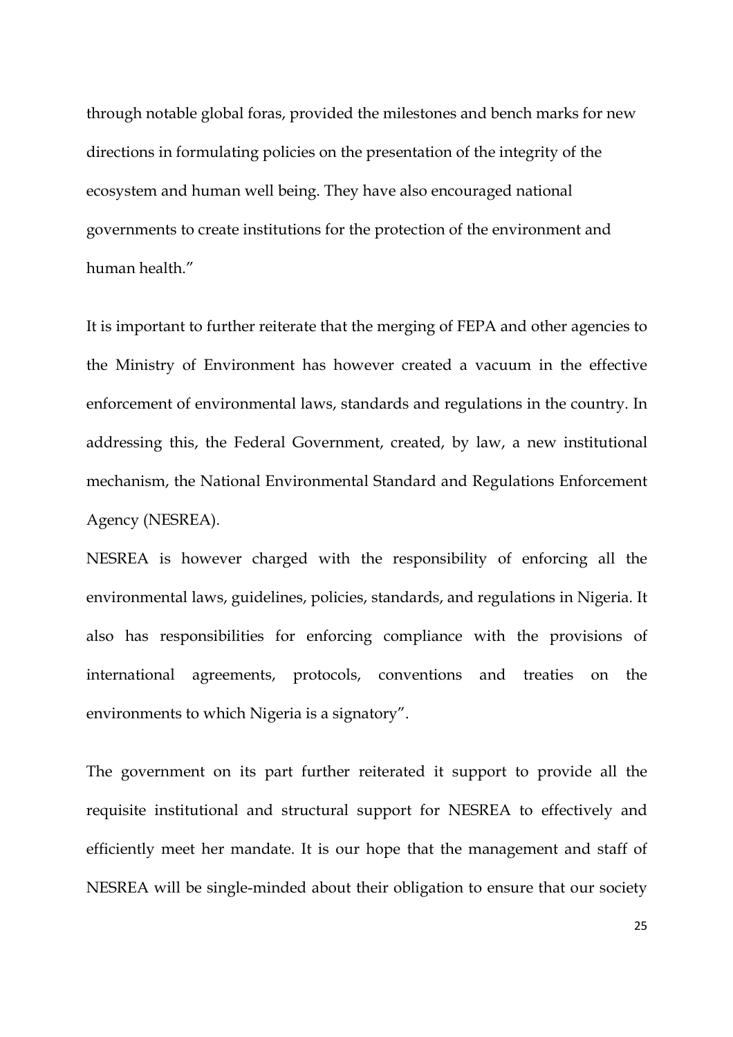through notable global foras, provided the milestones and bench marks for new directions in formulating policies on the presentation of the integrity of the ecosystem and human well being. They have also encouraged national governments to create institutions for the protection of the environment and human health."

It is important to further reiterate that the merging of FEPA and other agencies to the Ministry of Environment has however created a vacuum in the effective enforcement of environmental laws, standards and regulations in the country. In addressing this, the Federal Government, created, by law, a new institutional mechanism, the National Environmental Standard and Regulations Enforcement Agency (NESREA).

NESREA is however charged with the responsibility of enforcing all the environmental laws, guidelines, policies, standards, and regulations in Nigeria. It also has responsibilities for enforcing compliance with the provisions of international agreements, protocols, conventions and treaties on the environments to which Nigeria is a signatory".

The government on its part further reiterated it support to provide all the requisite institutional and structural support for NESREA to effectively and efficiently meet her mandate. It is our hope that the management and staff of NESREA will be single-minded about their obligation to ensure that our society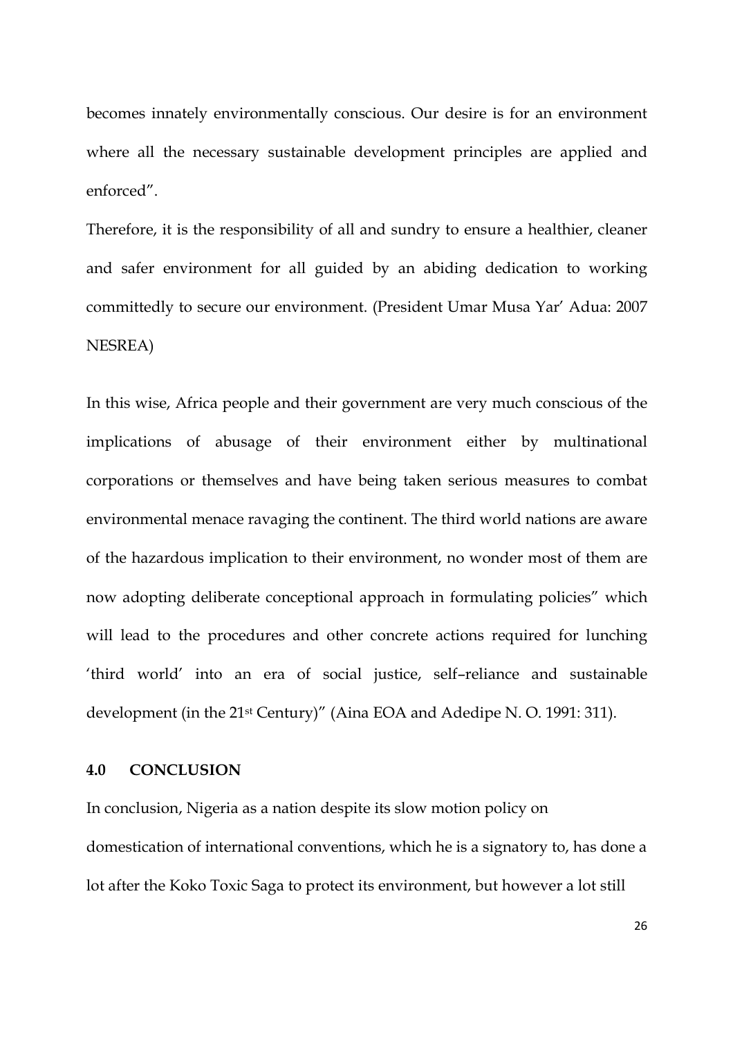becomes innately environmentally conscious. Our desire is for an environment where all the necessary sustainable development principles are applied and enforced".

Therefore, it is the responsibility of all and sundry to ensure a healthier, cleaner and safer environment for all guided by an abiding dedication to working committedly to secure our environment. (President Umar Musa Yar' Adua: 2007 NESREA)

In this wise, Africa people and their government are very much conscious of the implications of abusage of their environment either by multinational corporations or themselves and have being taken serious measures to combat environmental menace ravaging the continent. The third world nations are aware of the hazardous implication to their environment, no wonder most of them are now adopting deliberate conceptional approach in formulating policies" which will lead to the procedures and other concrete actions required for lunching 'third world' into an era of social justice, self–reliance and sustainable development (in the 21st Century)" (Aina EOA and Adedipe N. O. 1991: 311).

## **4.0 CONCLUSION**

In conclusion, Nigeria as a nation despite its slow motion policy on domestication of international conventions, which he is a signatory to, has done a lot after the Koko Toxic Saga to protect its environment, but however a lot still

26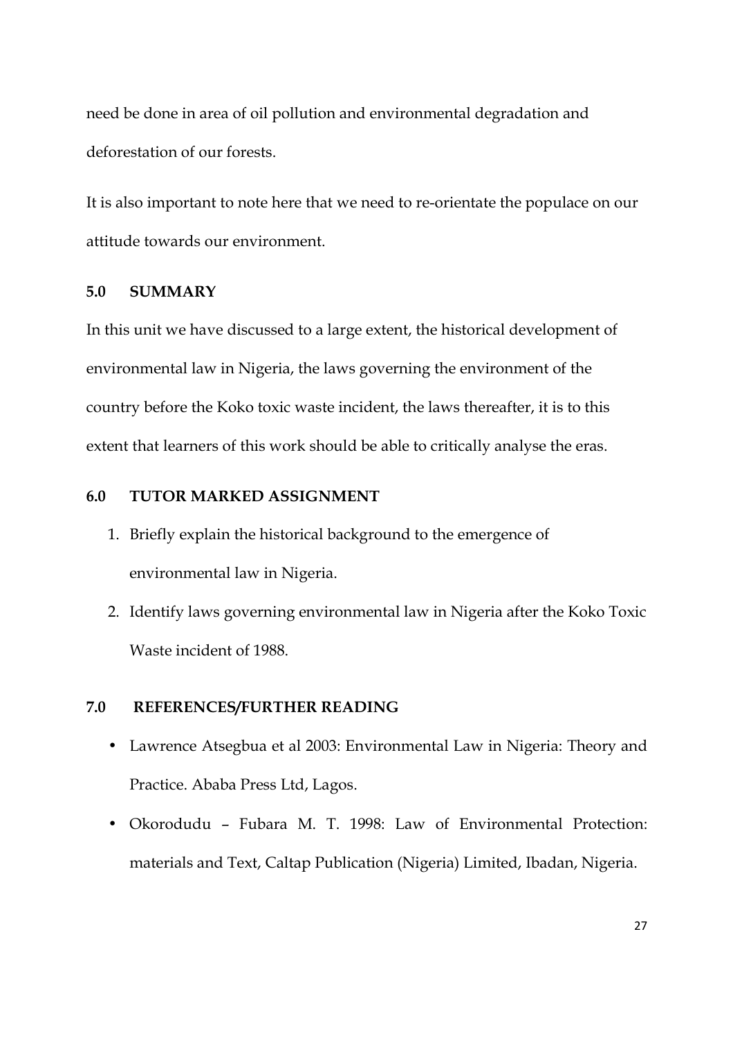need be done in area of oil pollution and environmental degradation and deforestation of our forests.

It is also important to note here that we need to re-orientate the populace on our attitude towards our environment.

### **5.0 SUMMARY**

In this unit we have discussed to a large extent, the historical development of environmental law in Nigeria, the laws governing the environment of the country before the Koko toxic waste incident, the laws thereafter, it is to this extent that learners of this work should be able to critically analyse the eras.

## **6.0 TUTOR MARKED ASSIGNMENT**

- 1. Briefly explain the historical background to the emergence of environmental law in Nigeria.
- 2. Identify laws governing environmental law in Nigeria after the Koko Toxic Waste incident of 1988.

## **7.0 REFERENCES/FURTHER READING**

- Lawrence Atsegbua et al 2003: Environmental Law in Nigeria: Theory and Practice. Ababa Press Ltd, Lagos.
- Okorodudu Fubara M. T. 1998: Law of Environmental Protection: materials and Text, Caltap Publication (Nigeria) Limited, Ibadan, Nigeria.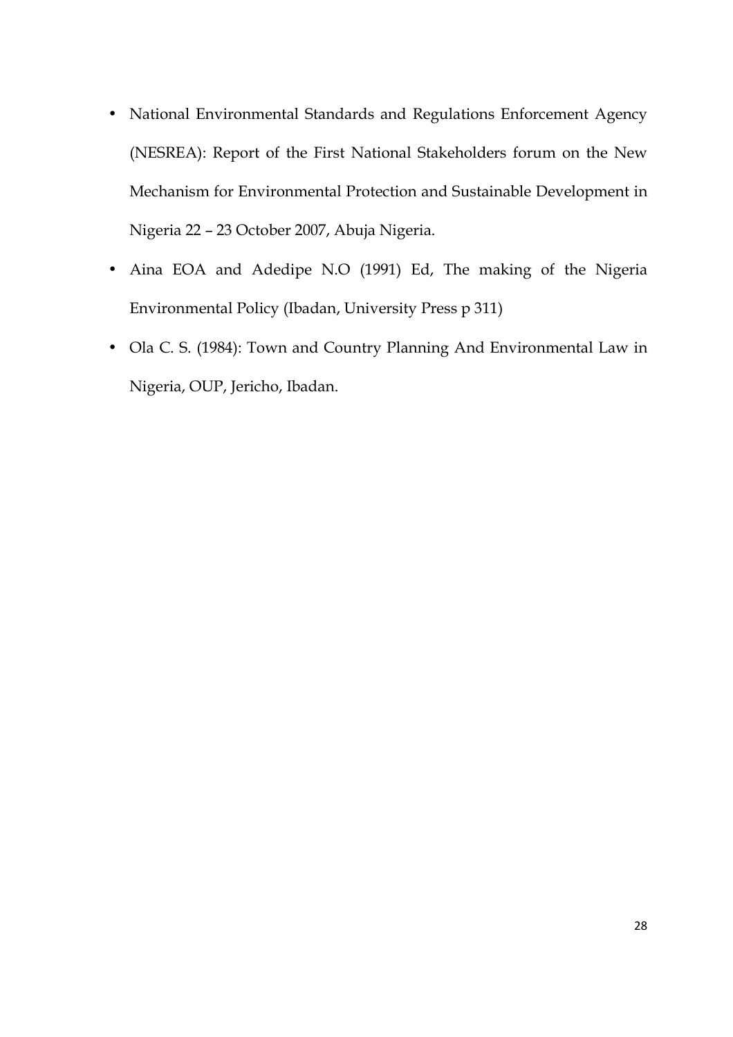- National Environmental Standards and Regulations Enforcement Agency (NESREA): Report of the First National Stakeholders forum on the New Mechanism for Environmental Protection and Sustainable Development in Nigeria 22 – 23 October 2007, Abuja Nigeria.
- Aina EOA and Adedipe N.O (1991) Ed, The making of the Nigeria Environmental Policy (Ibadan, University Press p 311)
- Ola C. S. (1984): Town and Country Planning And Environmental Law in Nigeria, OUP, Jericho, Ibadan.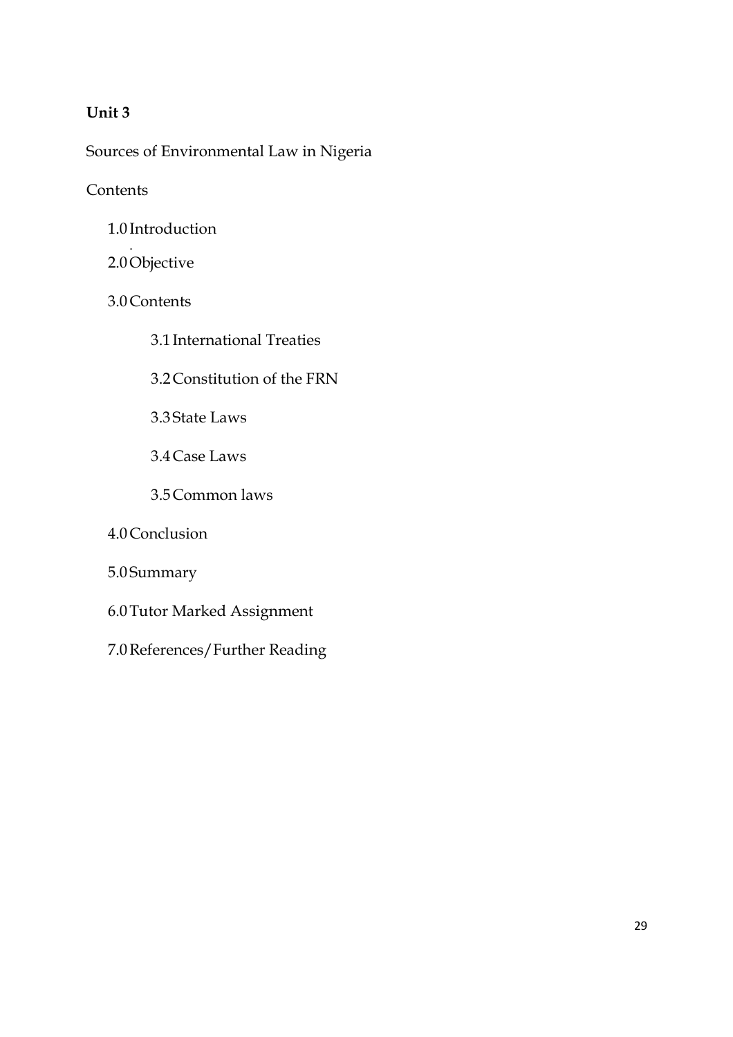## **Unit 3**

Sources of Environmental Law in Nigeria

## **Contents**

- 1.0 Introduction
- . 2.0Objective
- 3.0Contents
	- 3.1 International Treaties
	- 3.2Constitution of the FRN
	- 3.3 State Laws
	- 3.4Case Laws
	- 3.5Common laws
- 4.0Conclusion
- 5.0 Summary
- 6.0Tutor Marked Assignment
- 7.0References/Further Reading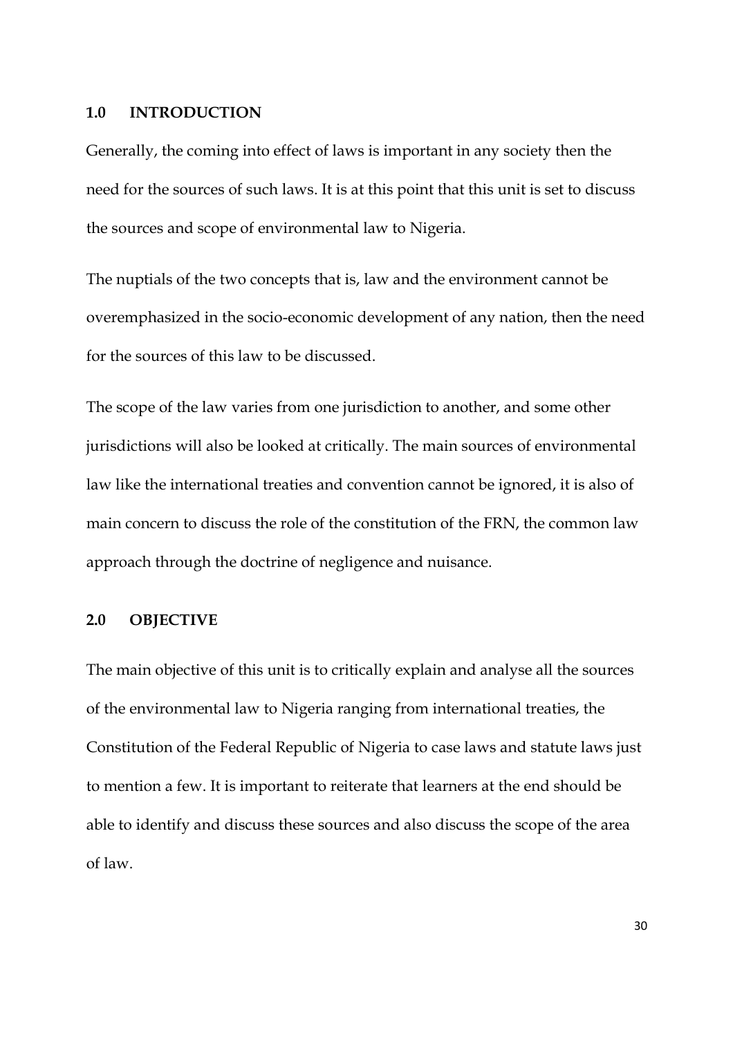#### **1.0 INTRODUCTION**

Generally, the coming into effect of laws is important in any society then the need for the sources of such laws. It is at this point that this unit is set to discuss the sources and scope of environmental law to Nigeria.

The nuptials of the two concepts that is, law and the environment cannot be overemphasized in the socio-economic development of any nation, then the need for the sources of this law to be discussed.

The scope of the law varies from one jurisdiction to another, and some other jurisdictions will also be looked at critically. The main sources of environmental law like the international treaties and convention cannot be ignored, it is also of main concern to discuss the role of the constitution of the FRN, the common law approach through the doctrine of negligence and nuisance.

#### **2.0 OBJECTIVE**

The main objective of this unit is to critically explain and analyse all the sources of the environmental law to Nigeria ranging from international treaties, the Constitution of the Federal Republic of Nigeria to case laws and statute laws just to mention a few. It is important to reiterate that learners at the end should be able to identify and discuss these sources and also discuss the scope of the area of law.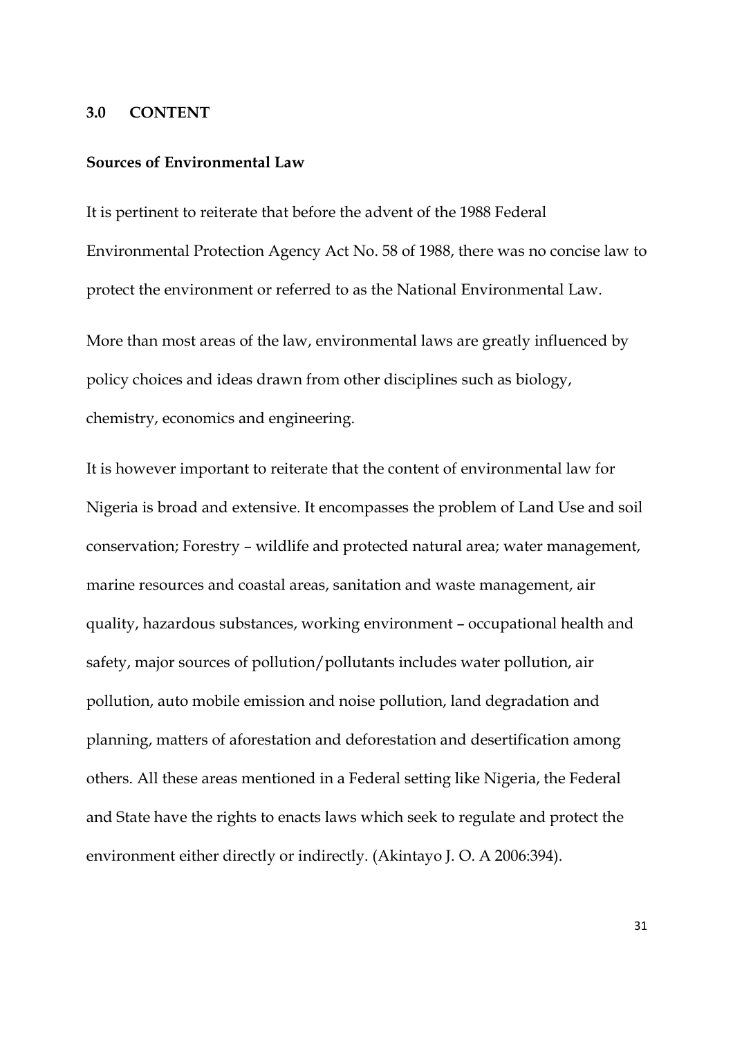#### **3.0 CONTENT**

### **Sources of Environmental Law**

It is pertinent to reiterate that before the advent of the 1988 Federal Environmental Protection Agency Act No. 58 of 1988, there was no concise law to protect the environment or referred to as the National Environmental Law.

More than most areas of the law, environmental laws are greatly influenced by policy choices and ideas drawn from other disciplines such as biology, chemistry, economics and engineering.

It is however important to reiterate that the content of environmental law for Nigeria is broad and extensive. It encompasses the problem of Land Use and soil conservation; Forestry – wildlife and protected natural area; water management, marine resources and coastal areas, sanitation and waste management, air quality, hazardous substances, working environment – occupational health and safety, major sources of pollution/pollutants includes water pollution, air pollution, auto mobile emission and noise pollution, land degradation and planning, matters of aforestation and deforestation and desertification among others. All these areas mentioned in a Federal setting like Nigeria, the Federal and State have the rights to enacts laws which seek to regulate and protect the environment either directly or indirectly. (Akintayo J. O. A 2006:394).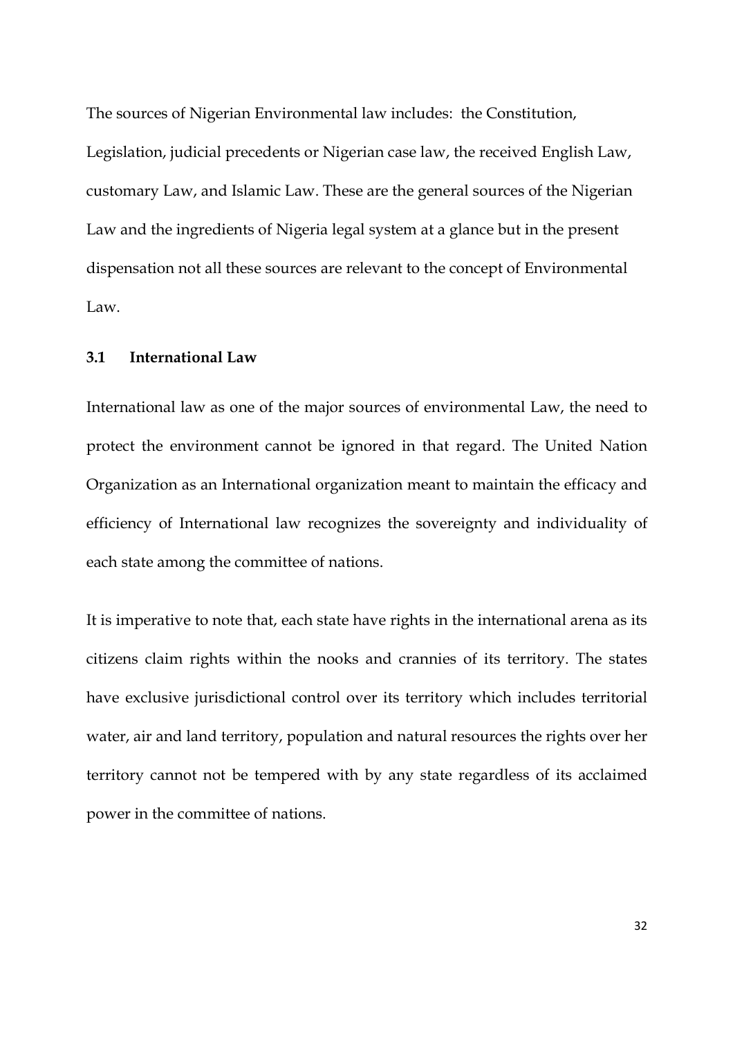The sources of Nigerian Environmental law includes: the Constitution, Legislation, judicial precedents or Nigerian case law, the received English Law, customary Law, and Islamic Law. These are the general sources of the Nigerian Law and the ingredients of Nigeria legal system at a glance but in the present dispensation not all these sources are relevant to the concept of Environmental Law.

#### **3.1 International Law**

International law as one of the major sources of environmental Law, the need to protect the environment cannot be ignored in that regard. The United Nation Organization as an International organization meant to maintain the efficacy and efficiency of International law recognizes the sovereignty and individuality of each state among the committee of nations.

It is imperative to note that, each state have rights in the international arena as its citizens claim rights within the nooks and crannies of its territory. The states have exclusive jurisdictional control over its territory which includes territorial water, air and land territory, population and natural resources the rights over her territory cannot not be tempered with by any state regardless of its acclaimed power in the committee of nations.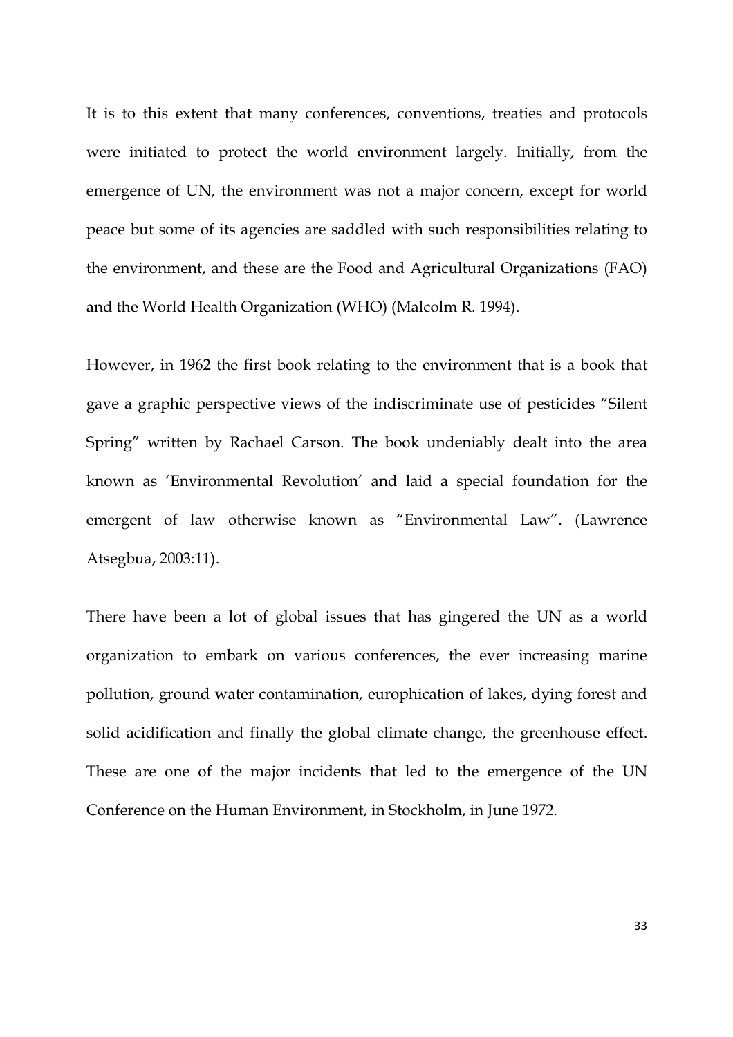It is to this extent that many conferences, conventions, treaties and protocols were initiated to protect the world environment largely. Initially, from the emergence of UN, the environment was not a major concern, except for world peace but some of its agencies are saddled with such responsibilities relating to the environment, and these are the Food and Agricultural Organizations (FAO) and the World Health Organization (WHO) (Malcolm R. 1994).

However, in 1962 the first book relating to the environment that is a book that gave a graphic perspective views of the indiscriminate use of pesticides "Silent Spring" written by Rachael Carson. The book undeniably dealt into the area known as 'Environmental Revolution' and laid a special foundation for the emergent of law otherwise known as "Environmental Law". (Lawrence Atsegbua, 2003:11).

There have been a lot of global issues that has gingered the UN as a world organization to embark on various conferences, the ever increasing marine pollution, ground water contamination, europhication of lakes, dying forest and solid acidification and finally the global climate change, the greenhouse effect. These are one of the major incidents that led to the emergence of the UN Conference on the Human Environment, in Stockholm, in June 1972.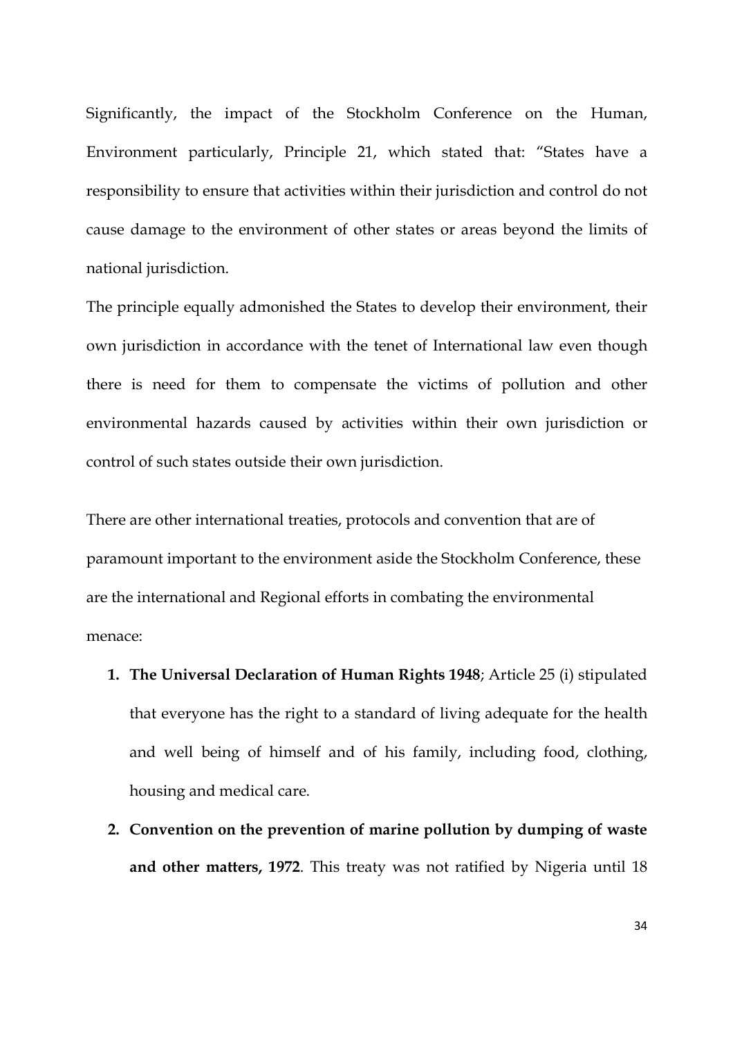Significantly, the impact of the Stockholm Conference on the Human, Environment particularly, Principle 21, which stated that: "States have a responsibility to ensure that activities within their jurisdiction and control do not cause damage to the environment of other states or areas beyond the limits of national jurisdiction.

The principle equally admonished the States to develop their environment, their own jurisdiction in accordance with the tenet of International law even though there is need for them to compensate the victims of pollution and other environmental hazards caused by activities within their own jurisdiction or control of such states outside their own jurisdiction.

There are other international treaties, protocols and convention that are of paramount important to the environment aside the Stockholm Conference, these are the international and Regional efforts in combating the environmental menace:

- **1. The Universal Declaration of Human Rights 1948**; Article 25 (i) stipulated that everyone has the right to a standard of living adequate for the health and well being of himself and of his family, including food, clothing, housing and medical care.
- **2. Convention on the prevention of marine pollution by dumping of waste and other matters, 1972**. This treaty was not ratified by Nigeria until 18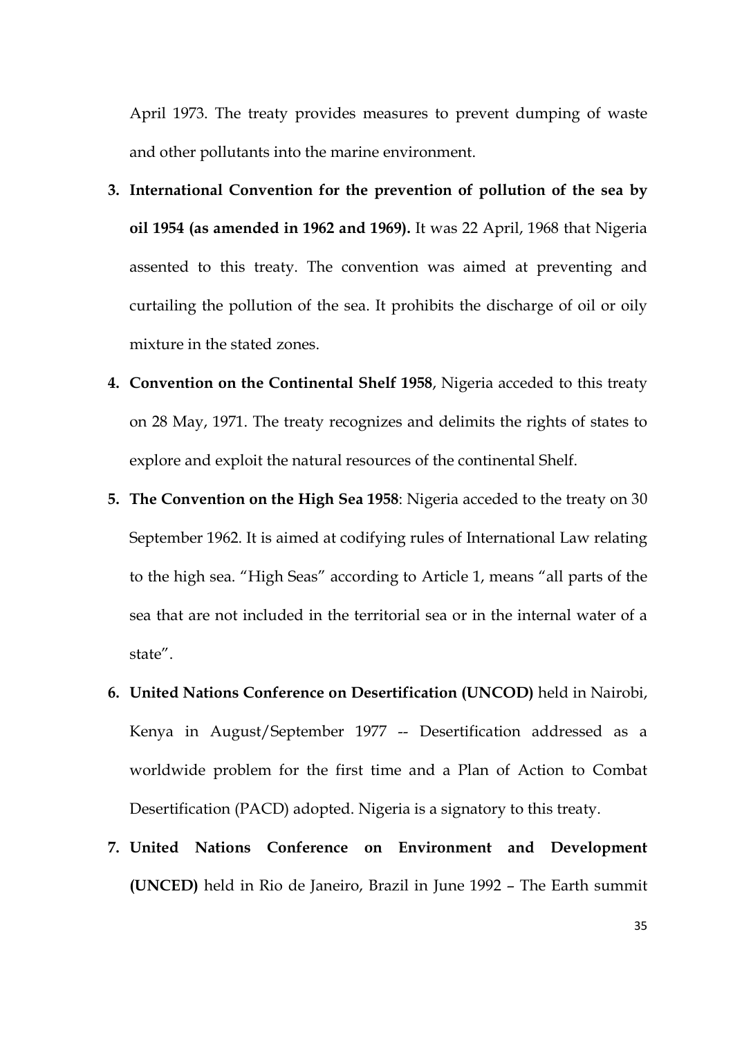April 1973. The treaty provides measures to prevent dumping of waste and other pollutants into the marine environment.

- **3. International Convention for the prevention of pollution of the sea by oil 1954 (as amended in 1962 and 1969).** It was 22 April, 1968 that Nigeria assented to this treaty. The convention was aimed at preventing and curtailing the pollution of the sea. It prohibits the discharge of oil or oily mixture in the stated zones.
- **4. Convention on the Continental Shelf 1958**, Nigeria acceded to this treaty on 28 May, 1971. The treaty recognizes and delimits the rights of states to explore and exploit the natural resources of the continental Shelf.
- **5. The Convention on the High Sea 1958**: Nigeria acceded to the treaty on 30 September 1962. It is aimed at codifying rules of International Law relating to the high sea. "High Seas" according to Article 1, means "all parts of the sea that are not included in the territorial sea or in the internal water of a state".
- **6. United Nations Conference on Desertification (UNCOD)** held in Nairobi, Kenya in August/September 1977 -- Desertification addressed as a worldwide problem for the first time and a Plan of Action to Combat Desertification (PACD) adopted. Nigeria is a signatory to this treaty.
- **7. United Nations Conference on Environment and Development (UNCED)** held in Rio de Janeiro, Brazil in June 1992 – The Earth summit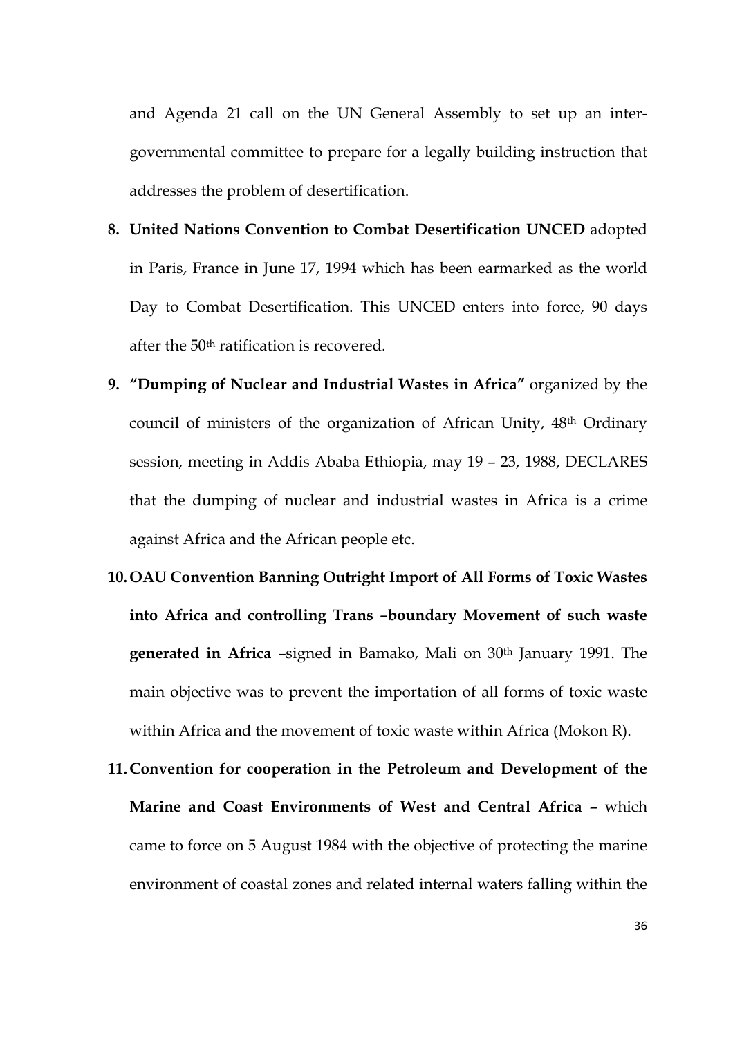and Agenda 21 call on the UN General Assembly to set up an intergovernmental committee to prepare for a legally building instruction that addresses the problem of desertification.

- **8. United Nations Convention to Combat Desertification UNCED** adopted in Paris, France in June 17, 1994 which has been earmarked as the world Day to Combat Desertification. This UNCED enters into force, 90 days after the 50th ratification is recovered.
- **9. "Dumping of Nuclear and Industrial Wastes in Africa"** organized by the council of ministers of the organization of African Unity, 48th Ordinary session, meeting in Addis Ababa Ethiopia, may 19 – 23, 1988, DECLARES that the dumping of nuclear and industrial wastes in Africa is a crime against Africa and the African people etc.
- **10. OAU Convention Banning Outright Import of All Forms of Toxic Wastes into Africa and controlling Trans –boundary Movement of such waste generated in Africa** –signed in Bamako, Mali on 30th January 1991. The main objective was to prevent the importation of all forms of toxic waste within Africa and the movement of toxic waste within Africa (Mokon R).
- **11.Convention for cooperation in the Petroleum and Development of the Marine and Coast Environments of West and Central Africa** – which came to force on 5 August 1984 with the objective of protecting the marine environment of coastal zones and related internal waters falling within the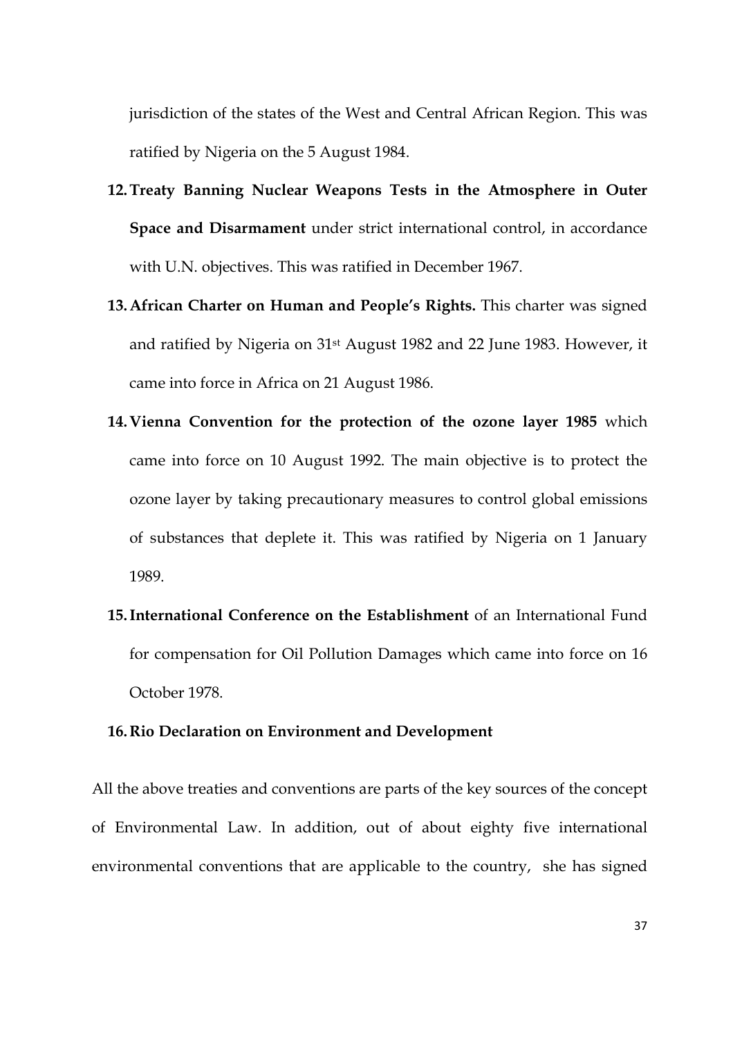jurisdiction of the states of the West and Central African Region. This was ratified by Nigeria on the 5 August 1984.

- **12.Treaty Banning Nuclear Weapons Tests in the Atmosphere in Outer Space and Disarmament** under strict international control, in accordance with U.N. objectives. This was ratified in December 1967.
- **13.African Charter on Human and People's Rights.** This charter was signed and ratified by Nigeria on 31st August 1982 and 22 June 1983. However, it came into force in Africa on 21 August 1986.
- **14.Vienna Convention for the protection of the ozone layer 1985** which came into force on 10 August 1992. The main objective is to protect the ozone layer by taking precautionary measures to control global emissions of substances that deplete it. This was ratified by Nigeria on 1 January 1989.
- **15.International Conference on the Establishment** of an International Fund for compensation for Oil Pollution Damages which came into force on 16 October 1978.

### **16.Rio Declaration on Environment and Development**

All the above treaties and conventions are parts of the key sources of the concept of Environmental Law. In addition, out of about eighty five international environmental conventions that are applicable to the country, she has signed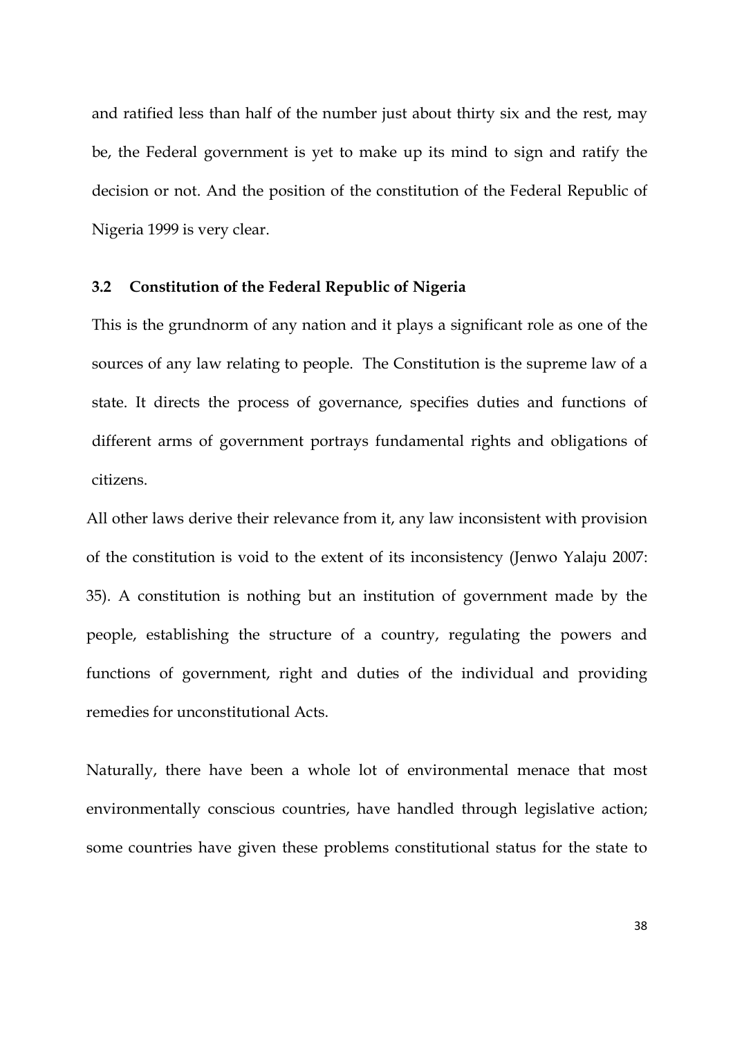and ratified less than half of the number just about thirty six and the rest, may be, the Federal government is yet to make up its mind to sign and ratify the decision or not. And the position of the constitution of the Federal Republic of Nigeria 1999 is very clear.

# **3.2 Constitution of the Federal Republic of Nigeria**

This is the grundnorm of any nation and it plays a significant role as one of the sources of any law relating to people. The Constitution is the supreme law of a state. It directs the process of governance, specifies duties and functions of different arms of government portrays fundamental rights and obligations of citizens.

All other laws derive their relevance from it, any law inconsistent with provision of the constitution is void to the extent of its inconsistency (Jenwo Yalaju 2007: 35). A constitution is nothing but an institution of government made by the people, establishing the structure of a country, regulating the powers and functions of government, right and duties of the individual and providing remedies for unconstitutional Acts.

Naturally, there have been a whole lot of environmental menace that most environmentally conscious countries, have handled through legislative action; some countries have given these problems constitutional status for the state to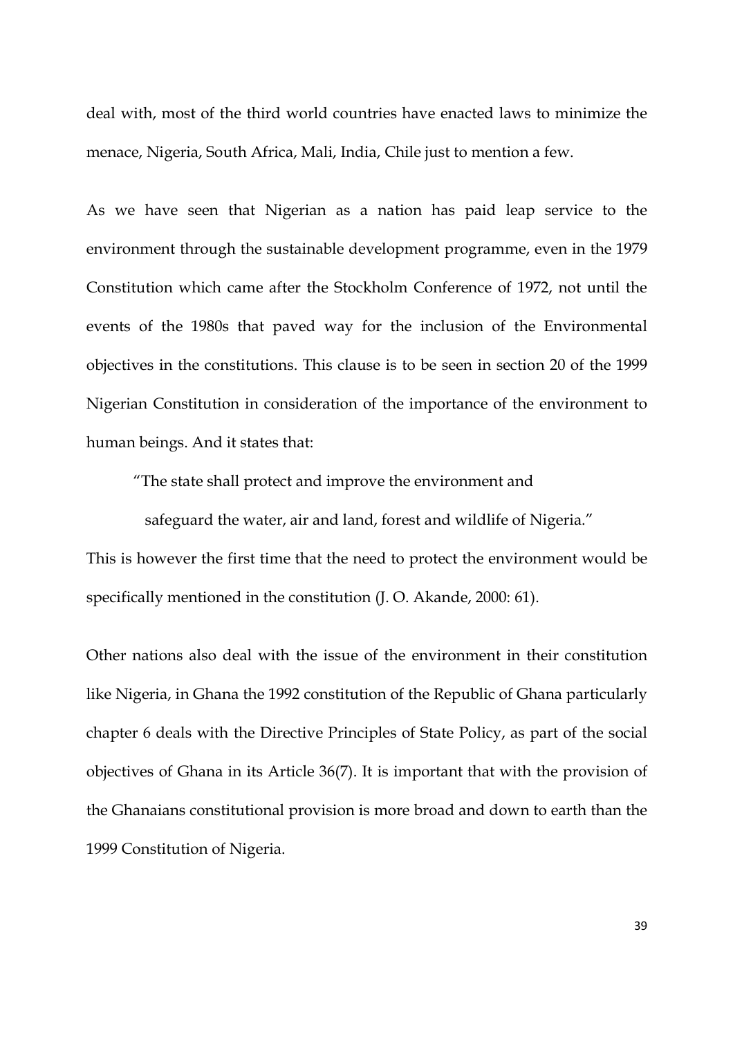deal with, most of the third world countries have enacted laws to minimize the menace, Nigeria, South Africa, Mali, India, Chile just to mention a few.

As we have seen that Nigerian as a nation has paid leap service to the environment through the sustainable development programme, even in the 1979 Constitution which came after the Stockholm Conference of 1972, not until the events of the 1980s that paved way for the inclusion of the Environmental objectives in the constitutions. This clause is to be seen in section 20 of the 1999 Nigerian Constitution in consideration of the importance of the environment to human beings. And it states that:

"The state shall protect and improve the environment and

 safeguard the water, air and land, forest and wildlife of Nigeria." This is however the first time that the need to protect the environment would be specifically mentioned in the constitution (J. O. Akande, 2000: 61).

Other nations also deal with the issue of the environment in their constitution like Nigeria, in Ghana the 1992 constitution of the Republic of Ghana particularly chapter 6 deals with the Directive Principles of State Policy, as part of the social objectives of Ghana in its Article 36(7). It is important that with the provision of the Ghanaians constitutional provision is more broad and down to earth than the 1999 Constitution of Nigeria.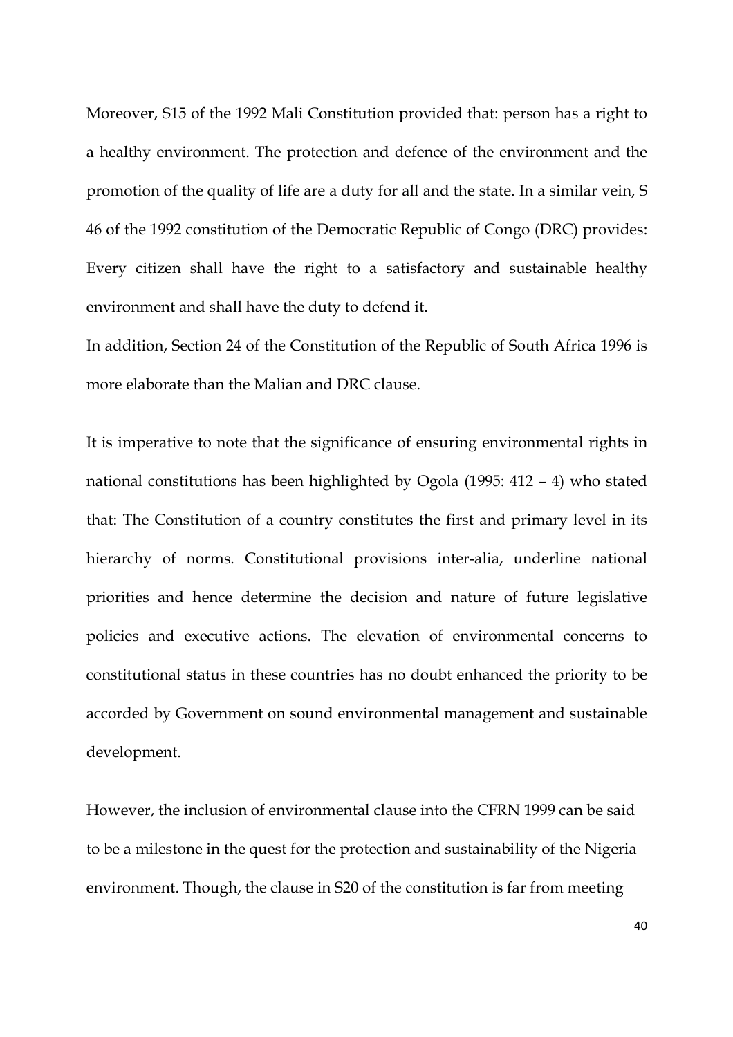Moreover, S15 of the 1992 Mali Constitution provided that: person has a right to a healthy environment. The protection and defence of the environment and the promotion of the quality of life are a duty for all and the state. In a similar vein, S 46 of the 1992 constitution of the Democratic Republic of Congo (DRC) provides: Every citizen shall have the right to a satisfactory and sustainable healthy environment and shall have the duty to defend it.

In addition, Section 24 of the Constitution of the Republic of South Africa 1996 is more elaborate than the Malian and DRC clause.

It is imperative to note that the significance of ensuring environmental rights in national constitutions has been highlighted by Ogola (1995: 412 – 4) who stated that: The Constitution of a country constitutes the first and primary level in its hierarchy of norms. Constitutional provisions inter-alia, underline national priorities and hence determine the decision and nature of future legislative policies and executive actions. The elevation of environmental concerns to constitutional status in these countries has no doubt enhanced the priority to be accorded by Government on sound environmental management and sustainable development.

However, the inclusion of environmental clause into the CFRN 1999 can be said to be a milestone in the quest for the protection and sustainability of the Nigeria environment. Though, the clause in S20 of the constitution is far from meeting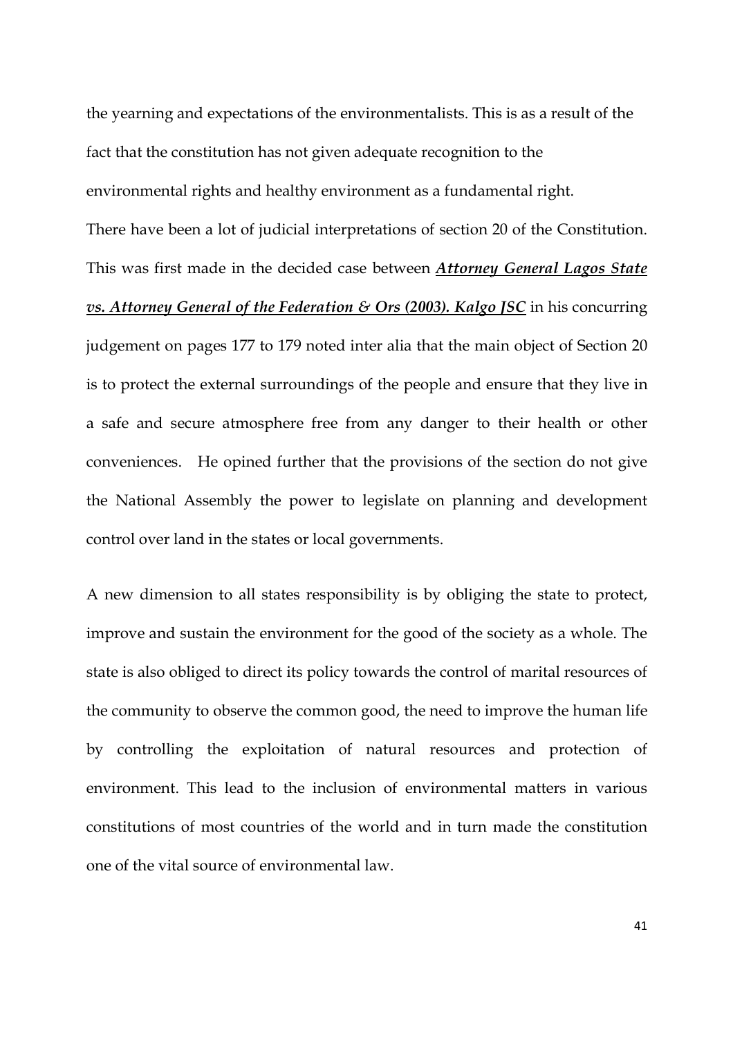the yearning and expectations of the environmentalists. This is as a result of the fact that the constitution has not given adequate recognition to the environmental rights and healthy environment as a fundamental right. There have been a lot of judicial interpretations of section 20 of the Constitution. This was first made in the decided case between *Attorney General Lagos State vs. Attorney General of the Federation & Ors (2003). Kalgo JSC* in his concurring judgement on pages 177 to 179 noted inter alia that the main object of Section 20 is to protect the external surroundings of the people and ensure that they live in a safe and secure atmosphere free from any danger to their health or other conveniences. He opined further that the provisions of the section do not give the National Assembly the power to legislate on planning and development control over land in the states or local governments.

A new dimension to all states responsibility is by obliging the state to protect, improve and sustain the environment for the good of the society as a whole. The state is also obliged to direct its policy towards the control of marital resources of the community to observe the common good, the need to improve the human life by controlling the exploitation of natural resources and protection of environment. This lead to the inclusion of environmental matters in various constitutions of most countries of the world and in turn made the constitution one of the vital source of environmental law.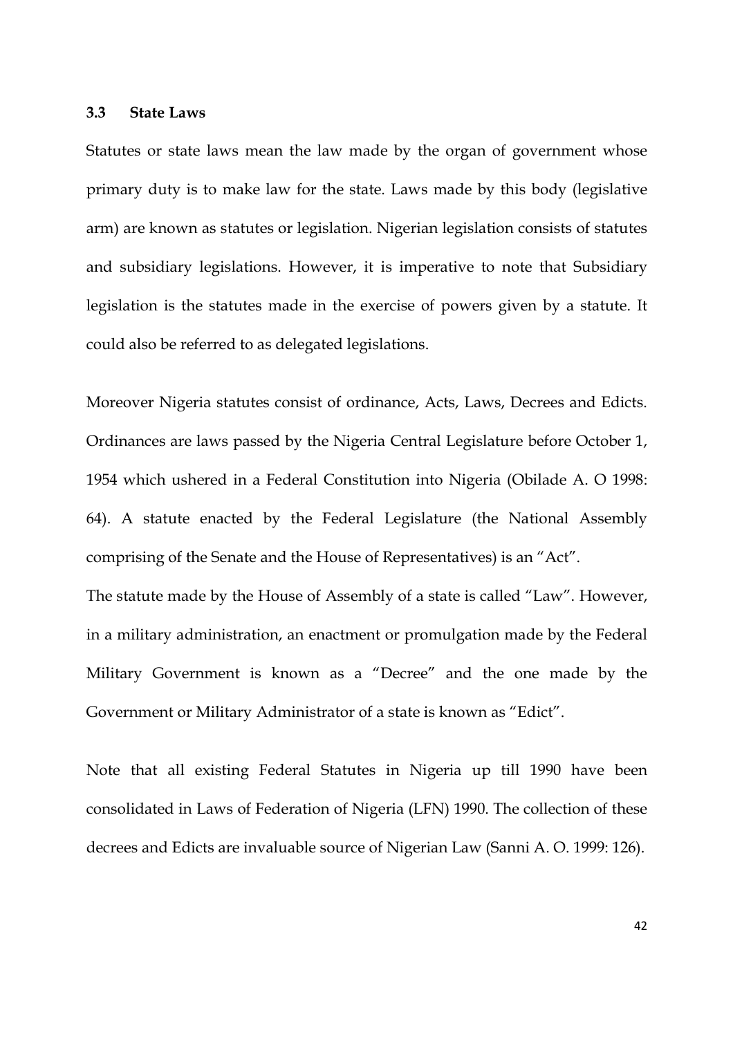#### **3.3 State Laws**

Statutes or state laws mean the law made by the organ of government whose primary duty is to make law for the state. Laws made by this body (legislative arm) are known as statutes or legislation. Nigerian legislation consists of statutes and subsidiary legislations. However, it is imperative to note that Subsidiary legislation is the statutes made in the exercise of powers given by a statute. It could also be referred to as delegated legislations.

Moreover Nigeria statutes consist of ordinance, Acts, Laws, Decrees and Edicts. Ordinances are laws passed by the Nigeria Central Legislature before October 1, 1954 which ushered in a Federal Constitution into Nigeria (Obilade A. O 1998: 64). A statute enacted by the Federal Legislature (the National Assembly comprising of the Senate and the House of Representatives) is an "Act". The statute made by the House of Assembly of a state is called "Law". However, in a military administration, an enactment or promulgation made by the Federal

Government or Military Administrator of a state is known as "Edict".

Note that all existing Federal Statutes in Nigeria up till 1990 have been consolidated in Laws of Federation of Nigeria (LFN) 1990. The collection of these decrees and Edicts are invaluable source of Nigerian Law (Sanni A. O. 1999: 126).

Military Government is known as a "Decree" and the one made by the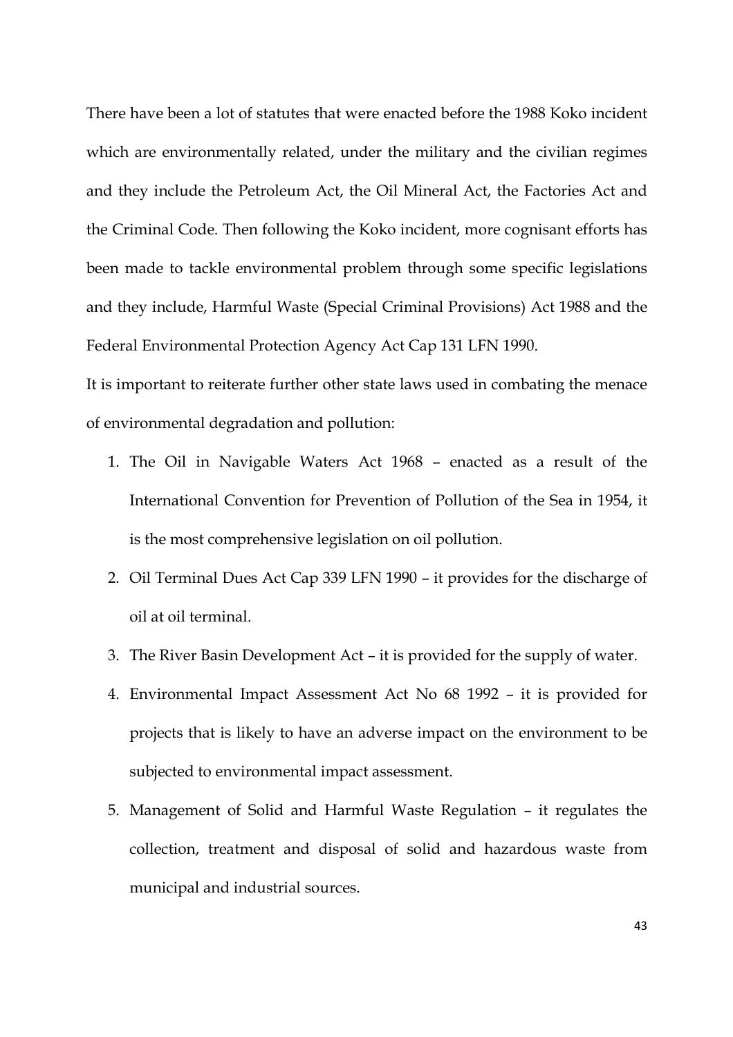There have been a lot of statutes that were enacted before the 1988 Koko incident which are environmentally related, under the military and the civilian regimes and they include the Petroleum Act, the Oil Mineral Act, the Factories Act and the Criminal Code. Then following the Koko incident, more cognisant efforts has been made to tackle environmental problem through some specific legislations and they include, Harmful Waste (Special Criminal Provisions) Act 1988 and the Federal Environmental Protection Agency Act Cap 131 LFN 1990.

It is important to reiterate further other state laws used in combating the menace of environmental degradation and pollution:

- 1. The Oil in Navigable Waters Act 1968 enacted as a result of the International Convention for Prevention of Pollution of the Sea in 1954, it is the most comprehensive legislation on oil pollution.
- 2. Oil Terminal Dues Act Cap 339 LFN 1990 it provides for the discharge of oil at oil terminal.
- 3. The River Basin Development Act it is provided for the supply of water.
- 4. Environmental Impact Assessment Act No 68 1992 it is provided for projects that is likely to have an adverse impact on the environment to be subjected to environmental impact assessment.
- 5. Management of Solid and Harmful Waste Regulation it regulates the collection, treatment and disposal of solid and hazardous waste from municipal and industrial sources.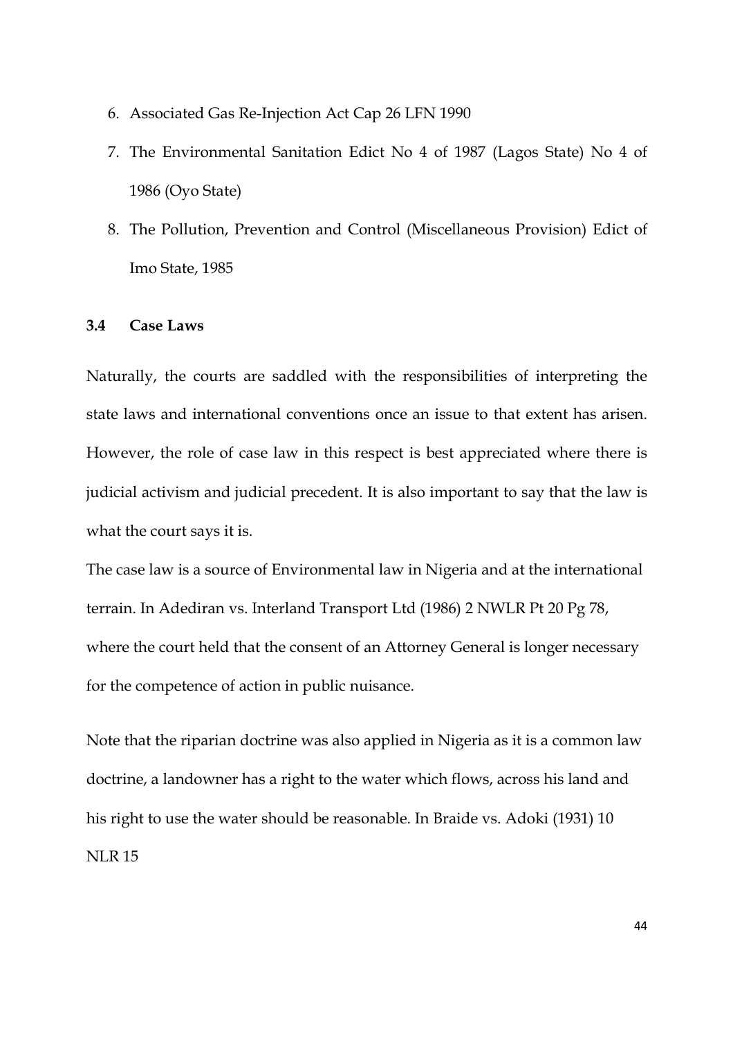- 6. Associated Gas Re-Injection Act Cap 26 LFN 1990
- 7. The Environmental Sanitation Edict No 4 of 1987 (Lagos State) No 4 of 1986 (Oyo State)
- 8. The Pollution, Prevention and Control (Miscellaneous Provision) Edict of Imo State, 1985

### **3.4 Case Laws**

Naturally, the courts are saddled with the responsibilities of interpreting the state laws and international conventions once an issue to that extent has arisen. However, the role of case law in this respect is best appreciated where there is judicial activism and judicial precedent. It is also important to say that the law is what the court says it is.

The case law is a source of Environmental law in Nigeria and at the international terrain. In Adediran vs. Interland Transport Ltd (1986) 2 NWLR Pt 20 Pg 78, where the court held that the consent of an Attorney General is longer necessary for the competence of action in public nuisance.

Note that the riparian doctrine was also applied in Nigeria as it is a common law doctrine, a landowner has a right to the water which flows, across his land and his right to use the water should be reasonable. In Braide vs. Adoki (1931) 10 NLR 15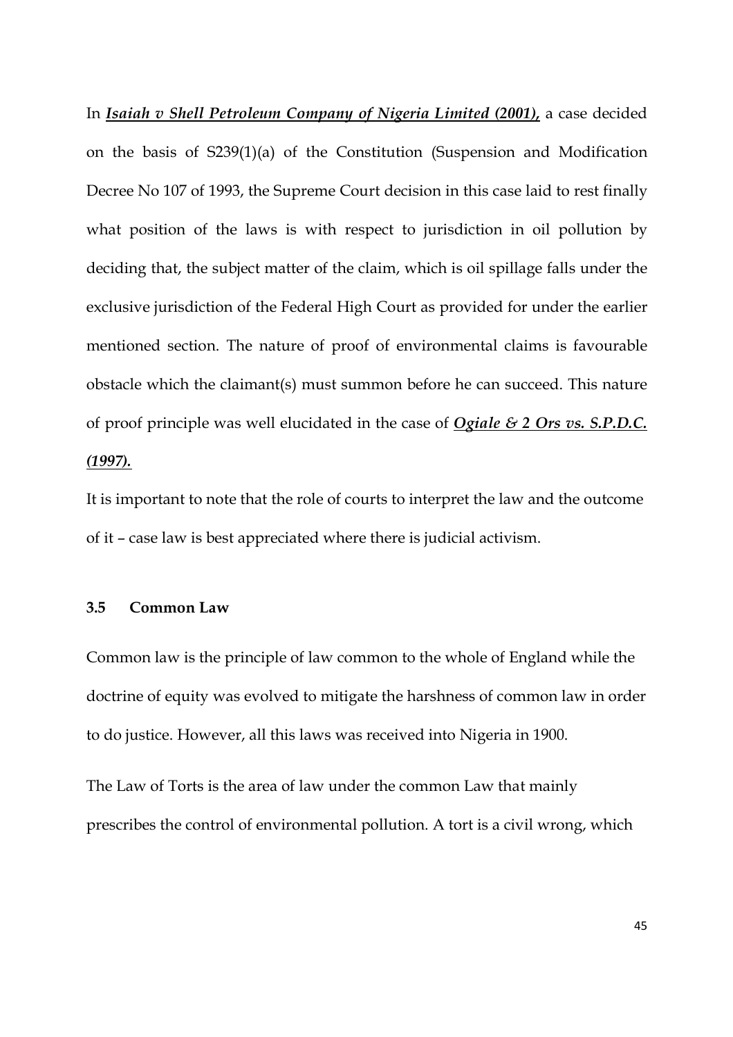In *Isaiah v Shell Petroleum Company of Nigeria Limited (2001),* a case decided on the basis of S239(1)(a) of the Constitution (Suspension and Modification Decree No 107 of 1993, the Supreme Court decision in this case laid to rest finally what position of the laws is with respect to jurisdiction in oil pollution by deciding that, the subject matter of the claim, which is oil spillage falls under the exclusive jurisdiction of the Federal High Court as provided for under the earlier mentioned section. The nature of proof of environmental claims is favourable obstacle which the claimant(s) must summon before he can succeed. This nature of proof principle was well elucidated in the case of *Ogiale & 2 Ors vs. S.P.D.C. (1997).*

It is important to note that the role of courts to interpret the law and the outcome of it – case law is best appreciated where there is judicial activism.

## **3.5 Common Law**

Common law is the principle of law common to the whole of England while the doctrine of equity was evolved to mitigate the harshness of common law in order to do justice. However, all this laws was received into Nigeria in 1900.

The Law of Torts is the area of law under the common Law that mainly prescribes the control of environmental pollution. A tort is a civil wrong, which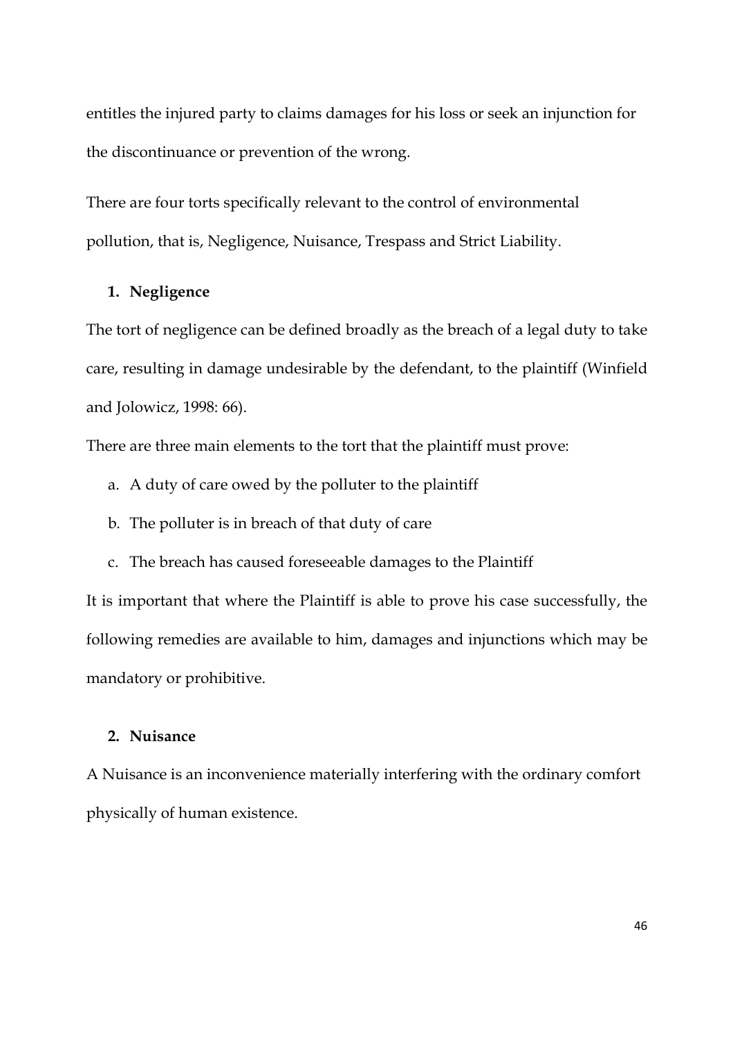entitles the injured party to claims damages for his loss or seek an injunction for the discontinuance or prevention of the wrong.

There are four torts specifically relevant to the control of environmental pollution, that is, Negligence, Nuisance, Trespass and Strict Liability.

## **1. Negligence**

The tort of negligence can be defined broadly as the breach of a legal duty to take care, resulting in damage undesirable by the defendant, to the plaintiff (Winfield and Jolowicz, 1998: 66).

There are three main elements to the tort that the plaintiff must prove:

- a. A duty of care owed by the polluter to the plaintiff
- b. The polluter is in breach of that duty of care
- c. The breach has caused foreseeable damages to the Plaintiff

It is important that where the Plaintiff is able to prove his case successfully, the following remedies are available to him, damages and injunctions which may be mandatory or prohibitive.

# **2. Nuisance**

A Nuisance is an inconvenience materially interfering with the ordinary comfort physically of human existence.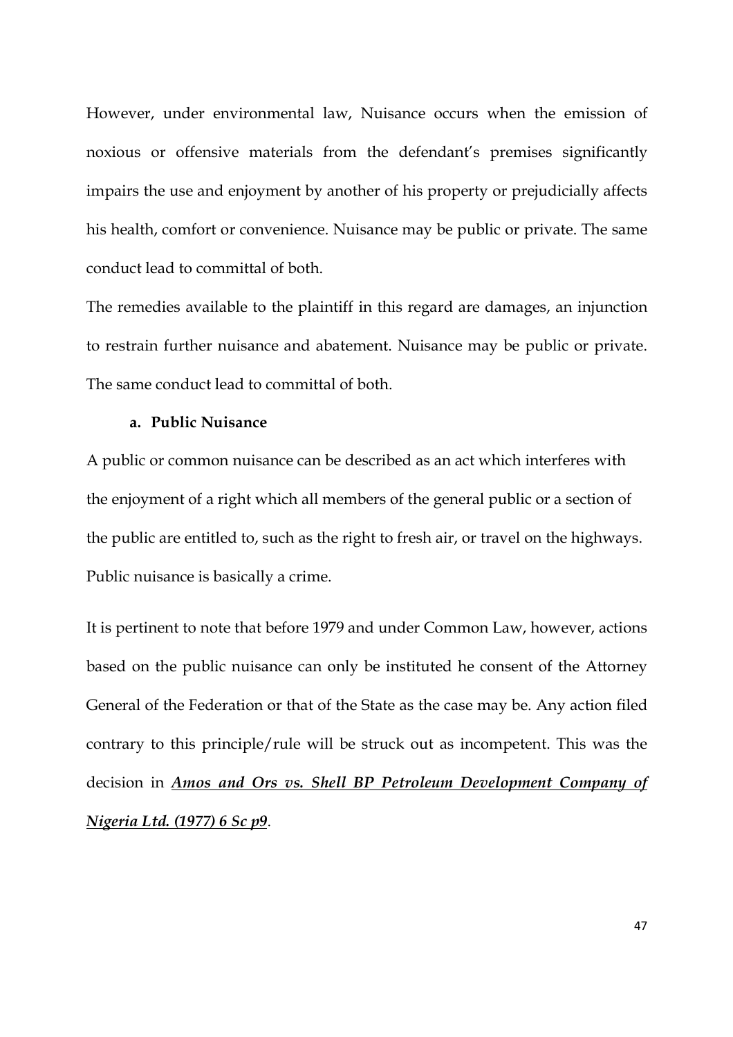However, under environmental law, Nuisance occurs when the emission of noxious or offensive materials from the defendant's premises significantly impairs the use and enjoyment by another of his property or prejudicially affects his health, comfort or convenience. Nuisance may be public or private. The same conduct lead to committal of both.

The remedies available to the plaintiff in this regard are damages, an injunction to restrain further nuisance and abatement. Nuisance may be public or private. The same conduct lead to committal of both.

## **a. Public Nuisance**

A public or common nuisance can be described as an act which interferes with the enjoyment of a right which all members of the general public or a section of the public are entitled to, such as the right to fresh air, or travel on the highways. Public nuisance is basically a crime.

It is pertinent to note that before 1979 and under Common Law, however, actions based on the public nuisance can only be instituted he consent of the Attorney General of the Federation or that of the State as the case may be. Any action filed contrary to this principle/rule will be struck out as incompetent. This was the decision in *Amos and Ors vs. Shell BP Petroleum Development Company of Nigeria Ltd. (1977) 6 Sc p9*.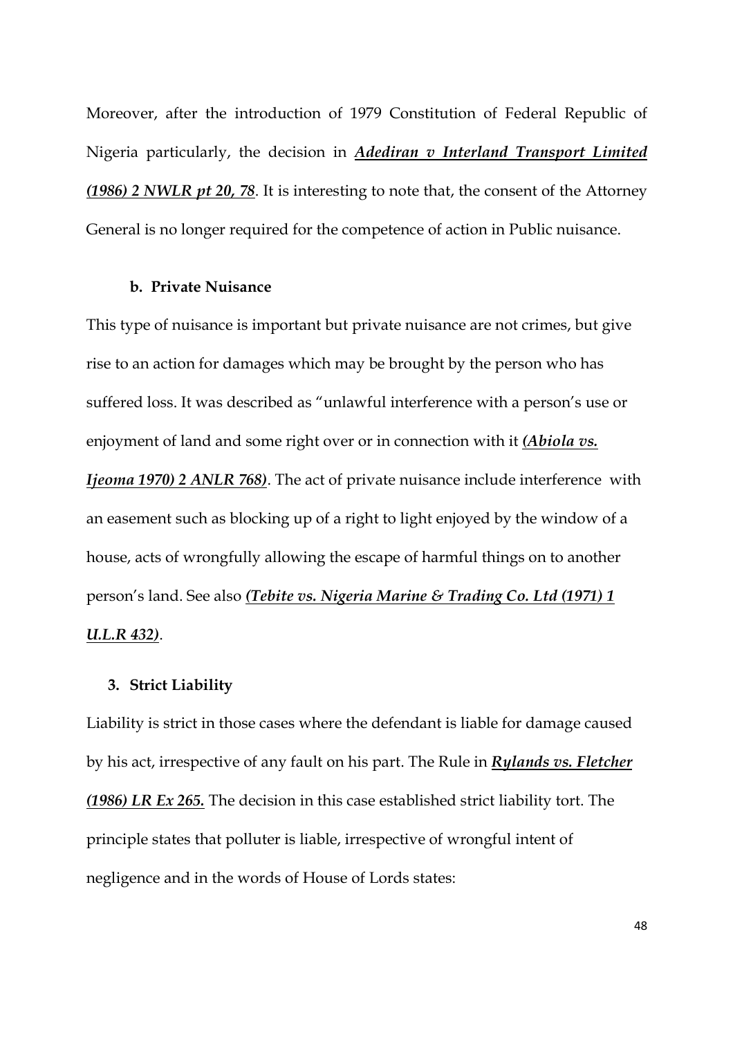Moreover, after the introduction of 1979 Constitution of Federal Republic of Nigeria particularly, the decision in *Adediran v Interland Transport Limited (1986) 2 NWLR pt 20, 78*. It is interesting to note that, the consent of the Attorney General is no longer required for the competence of action in Public nuisance.

### **b. Private Nuisance**

This type of nuisance is important but private nuisance are not crimes, but give rise to an action for damages which may be brought by the person who has suffered loss. It was described as "unlawful interference with a person's use or enjoyment of land and some right over or in connection with it *(Abiola vs. Ijeoma 1970) 2 ANLR 768)*. The act of private nuisance include interference with an easement such as blocking up of a right to light enjoyed by the window of a house, acts of wrongfully allowing the escape of harmful things on to another person's land. See also *(Tebite vs. Nigeria Marine & Trading Co. Ltd (1971) 1 U.L.R 432)*.

### **3. Strict Liability**

Liability is strict in those cases where the defendant is liable for damage caused by his act, irrespective of any fault on his part. The Rule in *Rylands vs. Fletcher (1986) LR Ex 265.* The decision in this case established strict liability tort. The principle states that polluter is liable, irrespective of wrongful intent of negligence and in the words of House of Lords states: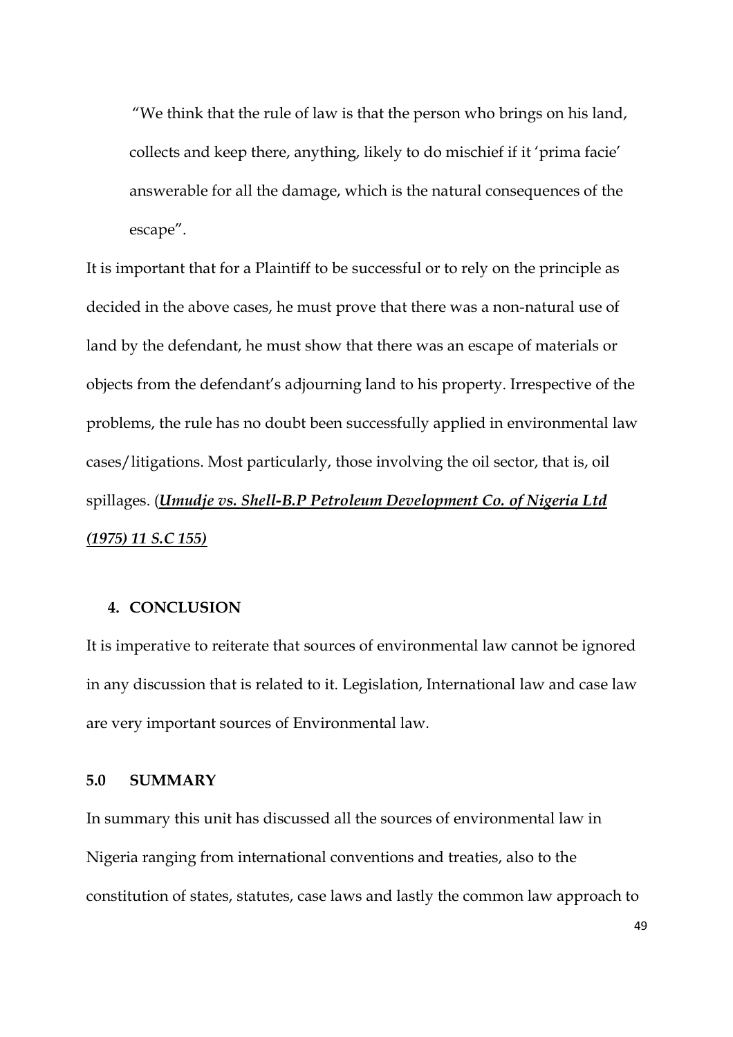"We think that the rule of law is that the person who brings on his land, collects and keep there, anything, likely to do mischief if it 'prima facie' answerable for all the damage, which is the natural consequences of the escape".

It is important that for a Plaintiff to be successful or to rely on the principle as decided in the above cases, he must prove that there was a non-natural use of land by the defendant, he must show that there was an escape of materials or objects from the defendant's adjourning land to his property. Irrespective of the problems, the rule has no doubt been successfully applied in environmental law cases/litigations. Most particularly, those involving the oil sector, that is, oil spillages. (*Umudje vs. Shell-B.P Petroleum Development Co. of Nigeria Ltd (1975) 11 S.C 155)*

# **4. CONCLUSION**

It is imperative to reiterate that sources of environmental law cannot be ignored in any discussion that is related to it. Legislation, International law and case law are very important sources of Environmental law.

## **5.0 SUMMARY**

In summary this unit has discussed all the sources of environmental law in Nigeria ranging from international conventions and treaties, also to the constitution of states, statutes, case laws and lastly the common law approach to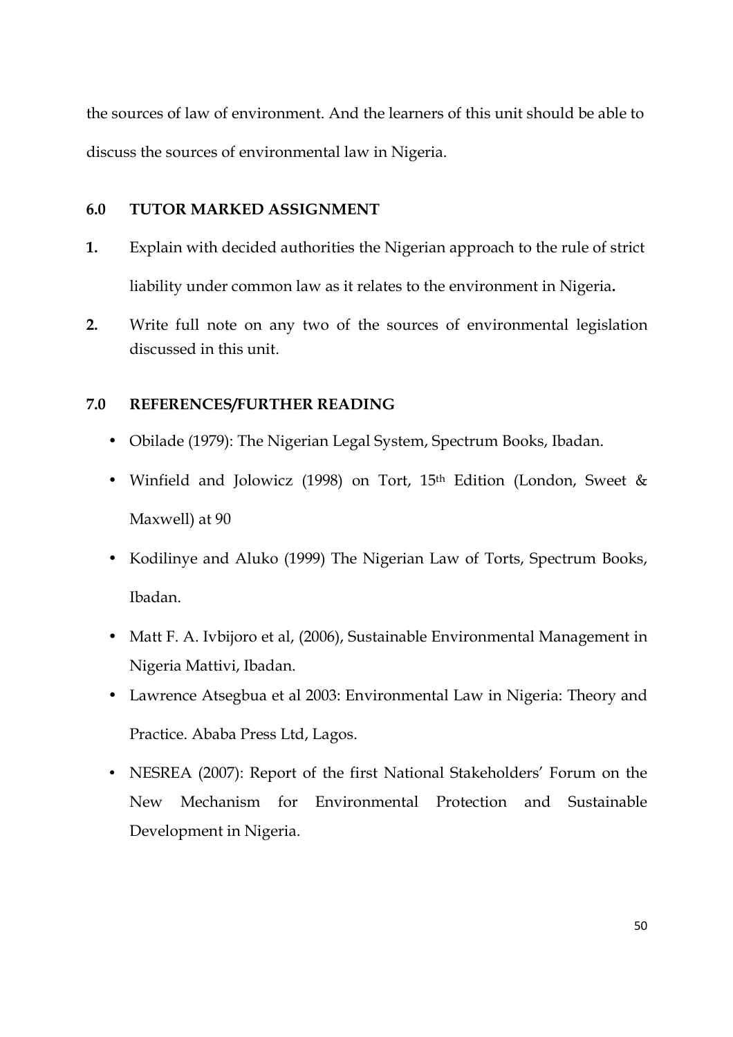the sources of law of environment. And the learners of this unit should be able to discuss the sources of environmental law in Nigeria.

# **6.0 TUTOR MARKED ASSIGNMENT**

- **1.** Explain with decided authorities the Nigerian approach to the rule of strict liability under common law as it relates to the environment in Nigeria**.**
- **2.** Write full note on any two of the sources of environmental legislation discussed in this unit.

# **7.0 REFERENCES/FURTHER READING**

- Obilade (1979): The Nigerian Legal System, Spectrum Books, Ibadan.
- Winfield and Jolowicz (1998) on Tort, 15th Edition (London, Sweet & Maxwell) at 90
- Kodilinye and Aluko (1999) The Nigerian Law of Torts, Spectrum Books, Ibadan.
- Matt F. A. Ivbijoro et al, (2006), Sustainable Environmental Management in Nigeria Mattivi, Ibadan.
- Lawrence Atsegbua et al 2003: Environmental Law in Nigeria: Theory and Practice. Ababa Press Ltd, Lagos.
- NESREA (2007): Report of the first National Stakeholders' Forum on the New Mechanism for Environmental Protection and Sustainable Development in Nigeria.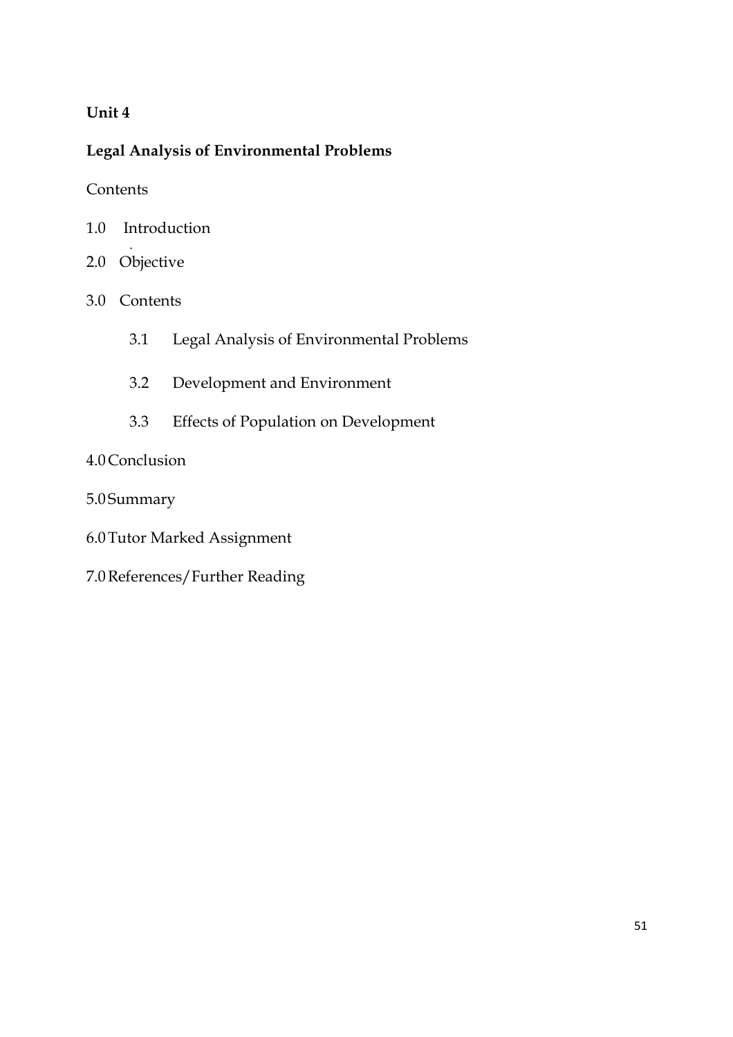# **Unit 4**

# **Legal Analysis of Environmental Problems**

**Contents** 

- 1.0 Introduction
- . 2.0 Objective
- 3.0 Contents
	- 3.1 Legal Analysis of Environmental Problems
	- 3.2 Development and Environment
	- 3.3 Effects of Population on Development

# 4.0Conclusion

- 5.0 Summary
- 6.0Tutor Marked Assignment
- 7.0References/Further Reading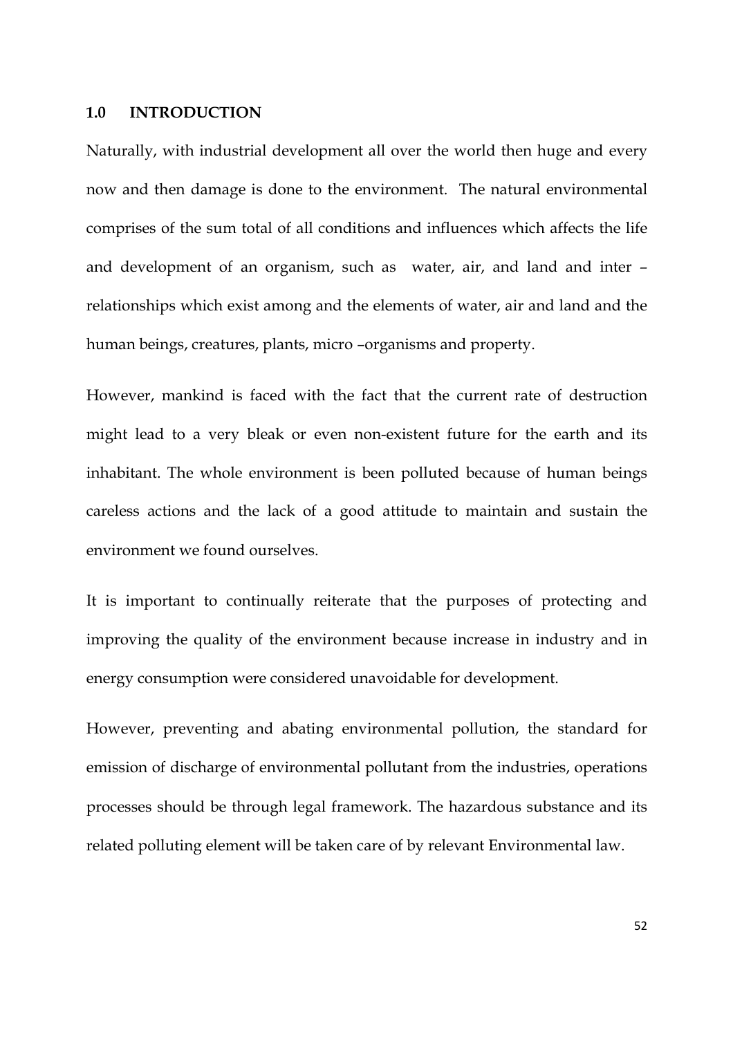### **1.0 INTRODUCTION**

Naturally, with industrial development all over the world then huge and every now and then damage is done to the environment. The natural environmental comprises of the sum total of all conditions and influences which affects the life and development of an organism, such as water, air, and land and inter – relationships which exist among and the elements of water, air and land and the human beings, creatures, plants, micro –organisms and property.

However, mankind is faced with the fact that the current rate of destruction might lead to a very bleak or even non-existent future for the earth and its inhabitant. The whole environment is been polluted because of human beings careless actions and the lack of a good attitude to maintain and sustain the environment we found ourselves.

It is important to continually reiterate that the purposes of protecting and improving the quality of the environment because increase in industry and in energy consumption were considered unavoidable for development.

However, preventing and abating environmental pollution, the standard for emission of discharge of environmental pollutant from the industries, operations processes should be through legal framework. The hazardous substance and its related polluting element will be taken care of by relevant Environmental law.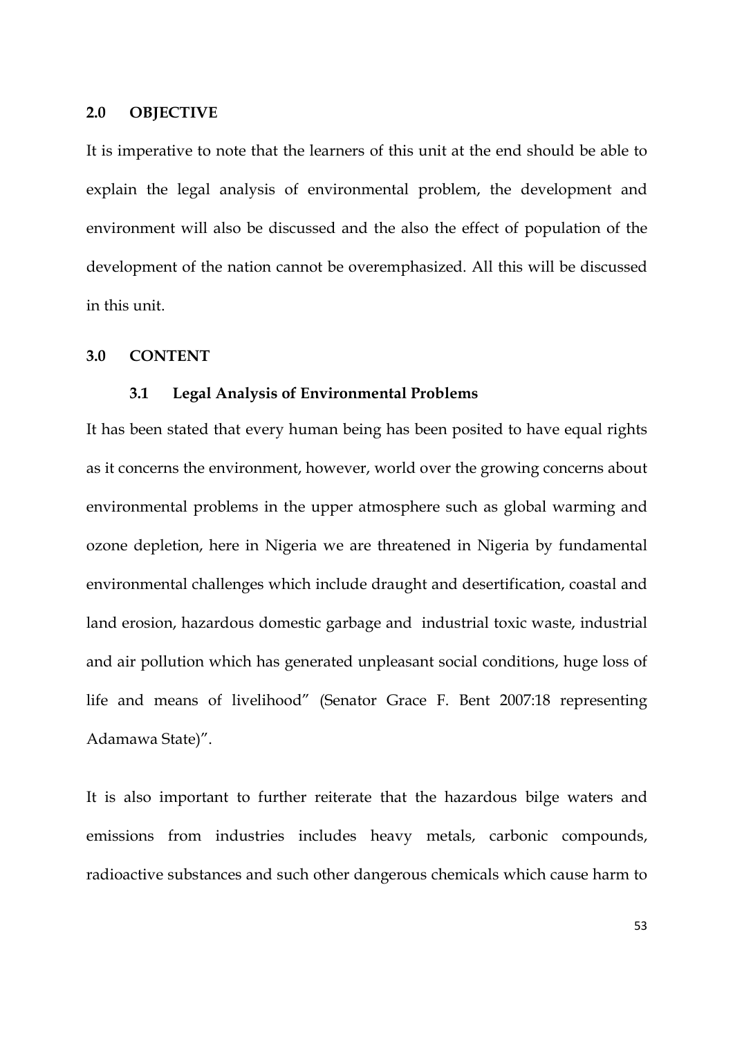### **2.0 OBJECTIVE**

It is imperative to note that the learners of this unit at the end should be able to explain the legal analysis of environmental problem, the development and environment will also be discussed and the also the effect of population of the development of the nation cannot be overemphasized. All this will be discussed in this unit.

#### **3.0 CONTENT**

#### **3.1 Legal Analysis of Environmental Problems**

It has been stated that every human being has been posited to have equal rights as it concerns the environment, however, world over the growing concerns about environmental problems in the upper atmosphere such as global warming and ozone depletion, here in Nigeria we are threatened in Nigeria by fundamental environmental challenges which include draught and desertification, coastal and land erosion, hazardous domestic garbage and industrial toxic waste, industrial and air pollution which has generated unpleasant social conditions, huge loss of life and means of livelihood" (Senator Grace F. Bent 2007:18 representing Adamawa State)".

It is also important to further reiterate that the hazardous bilge waters and emissions from industries includes heavy metals, carbonic compounds, radioactive substances and such other dangerous chemicals which cause harm to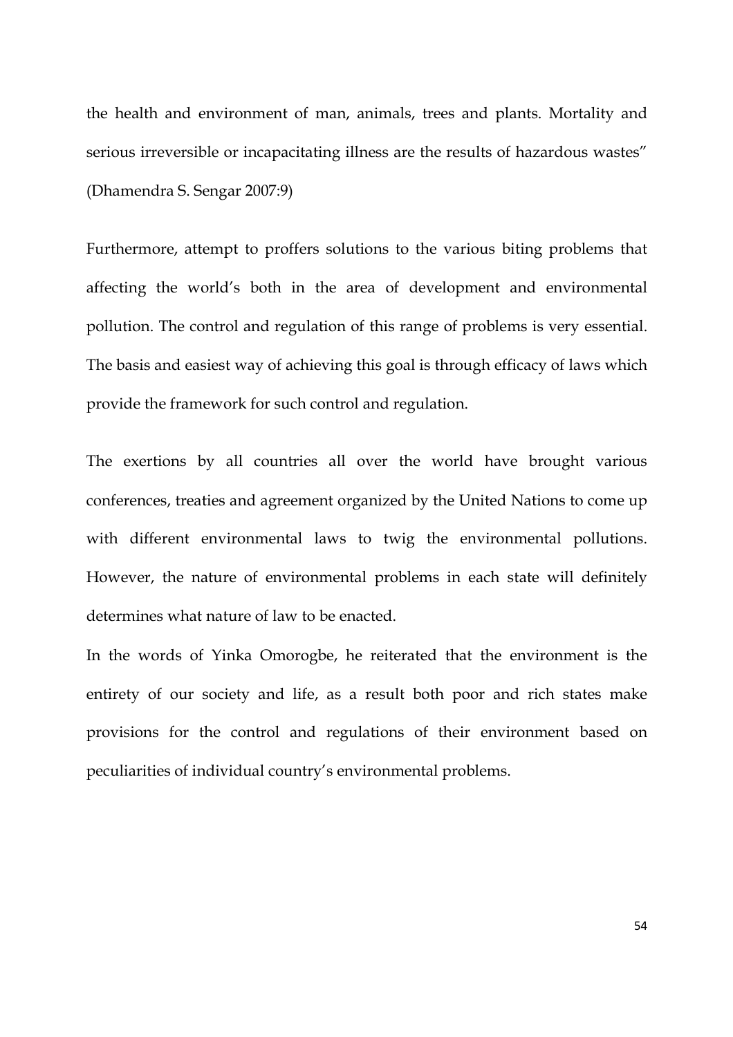the health and environment of man, animals, trees and plants. Mortality and serious irreversible or incapacitating illness are the results of hazardous wastes" (Dhamendra S. Sengar 2007:9)

Furthermore, attempt to proffers solutions to the various biting problems that affecting the world's both in the area of development and environmental pollution. The control and regulation of this range of problems is very essential. The basis and easiest way of achieving this goal is through efficacy of laws which provide the framework for such control and regulation.

The exertions by all countries all over the world have brought various conferences, treaties and agreement organized by the United Nations to come up with different environmental laws to twig the environmental pollutions. However, the nature of environmental problems in each state will definitely determines what nature of law to be enacted.

In the words of Yinka Omorogbe, he reiterated that the environment is the entirety of our society and life, as a result both poor and rich states make provisions for the control and regulations of their environment based on peculiarities of individual country's environmental problems.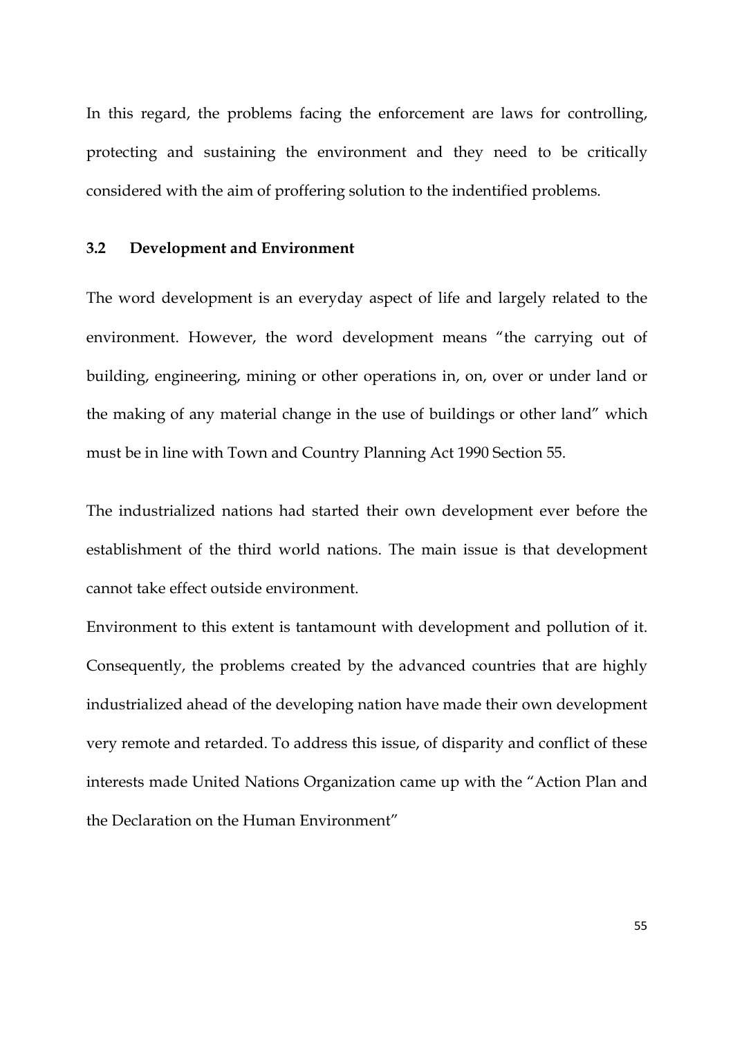In this regard, the problems facing the enforcement are laws for controlling, protecting and sustaining the environment and they need to be critically considered with the aim of proffering solution to the indentified problems.

### **3.2 Development and Environment**

The word development is an everyday aspect of life and largely related to the environment. However, the word development means "the carrying out of building, engineering, mining or other operations in, on, over or under land or the making of any material change in the use of buildings or other land" which must be in line with Town and Country Planning Act 1990 Section 55.

The industrialized nations had started their own development ever before the establishment of the third world nations. The main issue is that development cannot take effect outside environment.

Environment to this extent is tantamount with development and pollution of it. Consequently, the problems created by the advanced countries that are highly industrialized ahead of the developing nation have made their own development very remote and retarded. To address this issue, of disparity and conflict of these interests made United Nations Organization came up with the "Action Plan and the Declaration on the Human Environment"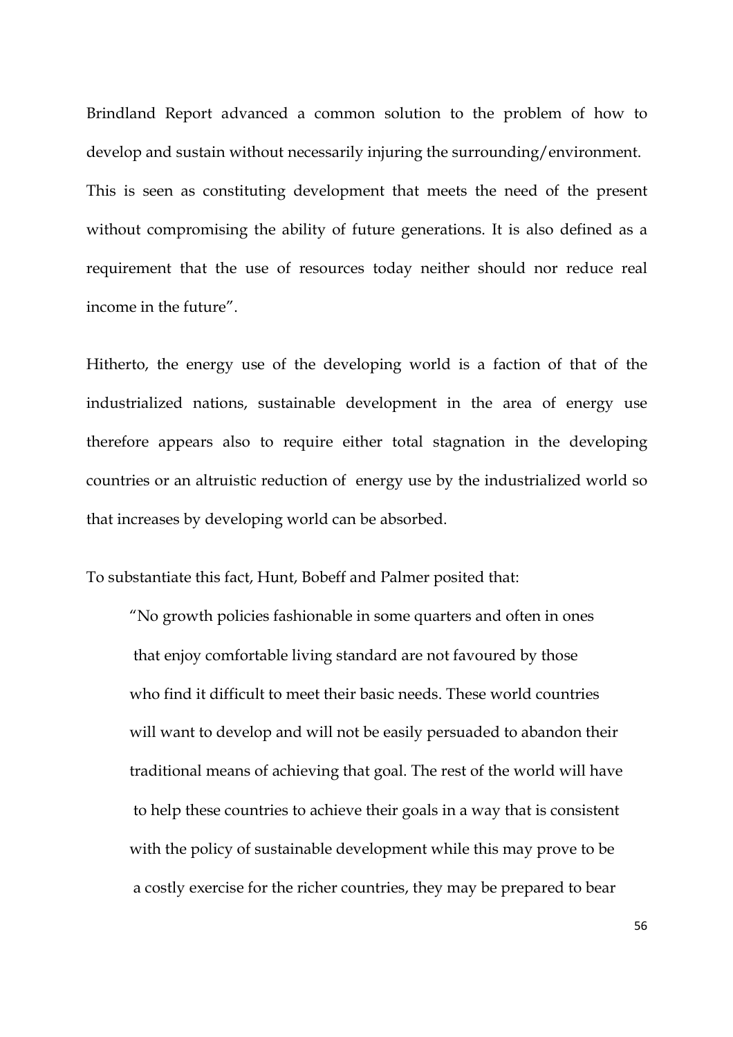Brindland Report advanced a common solution to the problem of how to develop and sustain without necessarily injuring the surrounding/environment. This is seen as constituting development that meets the need of the present without compromising the ability of future generations. It is also defined as a requirement that the use of resources today neither should nor reduce real income in the future".

Hitherto, the energy use of the developing world is a faction of that of the industrialized nations, sustainable development in the area of energy use therefore appears also to require either total stagnation in the developing countries or an altruistic reduction of energy use by the industrialized world so that increases by developing world can be absorbed.

To substantiate this fact, Hunt, Bobeff and Palmer posited that:

"No growth policies fashionable in some quarters and often in ones that enjoy comfortable living standard are not favoured by those who find it difficult to meet their basic needs. These world countries will want to develop and will not be easily persuaded to abandon their traditional means of achieving that goal. The rest of the world will have to help these countries to achieve their goals in a way that is consistent with the policy of sustainable development while this may prove to be a costly exercise for the richer countries, they may be prepared to bear

56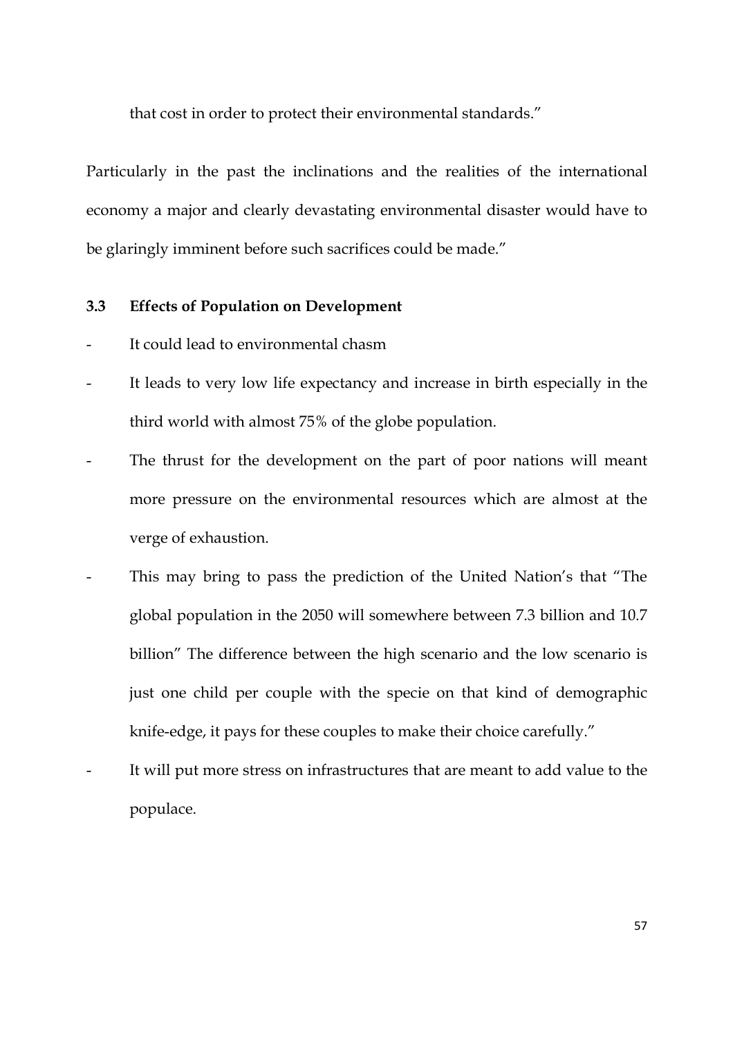that cost in order to protect their environmental standards."

Particularly in the past the inclinations and the realities of the international economy a major and clearly devastating environmental disaster would have to be glaringly imminent before such sacrifices could be made."

# **3.3 Effects of Population on Development**

- It could lead to environmental chasm
- It leads to very low life expectancy and increase in birth especially in the third world with almost 75% of the globe population.
- The thrust for the development on the part of poor nations will meant more pressure on the environmental resources which are almost at the verge of exhaustion.
- This may bring to pass the prediction of the United Nation's that "The global population in the 2050 will somewhere between 7.3 billion and 10.7 billion" The difference between the high scenario and the low scenario is just one child per couple with the specie on that kind of demographic knife-edge, it pays for these couples to make their choice carefully."
- It will put more stress on infrastructures that are meant to add value to the populace.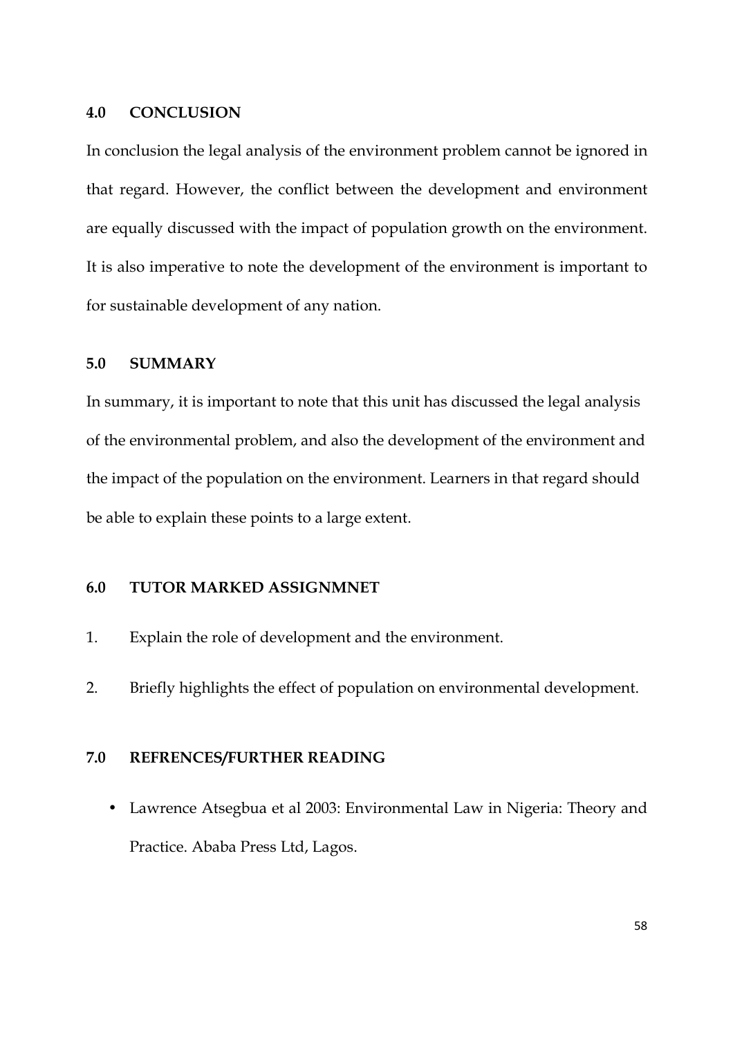### **4.0 CONCLUSION**

In conclusion the legal analysis of the environment problem cannot be ignored in that regard. However, the conflict between the development and environment are equally discussed with the impact of population growth on the environment. It is also imperative to note the development of the environment is important to for sustainable development of any nation.

# **5.0 SUMMARY**

In summary, it is important to note that this unit has discussed the legal analysis of the environmental problem, and also the development of the environment and the impact of the population on the environment. Learners in that regard should be able to explain these points to a large extent.

# **6.0 TUTOR MARKED ASSIGNMNET**

- 1. Explain the role of development and the environment.
- 2. Briefly highlights the effect of population on environmental development.

# **7.0 REFRENCES/FURTHER READING**

• Lawrence Atsegbua et al 2003: Environmental Law in Nigeria: Theory and Practice. Ababa Press Ltd, Lagos.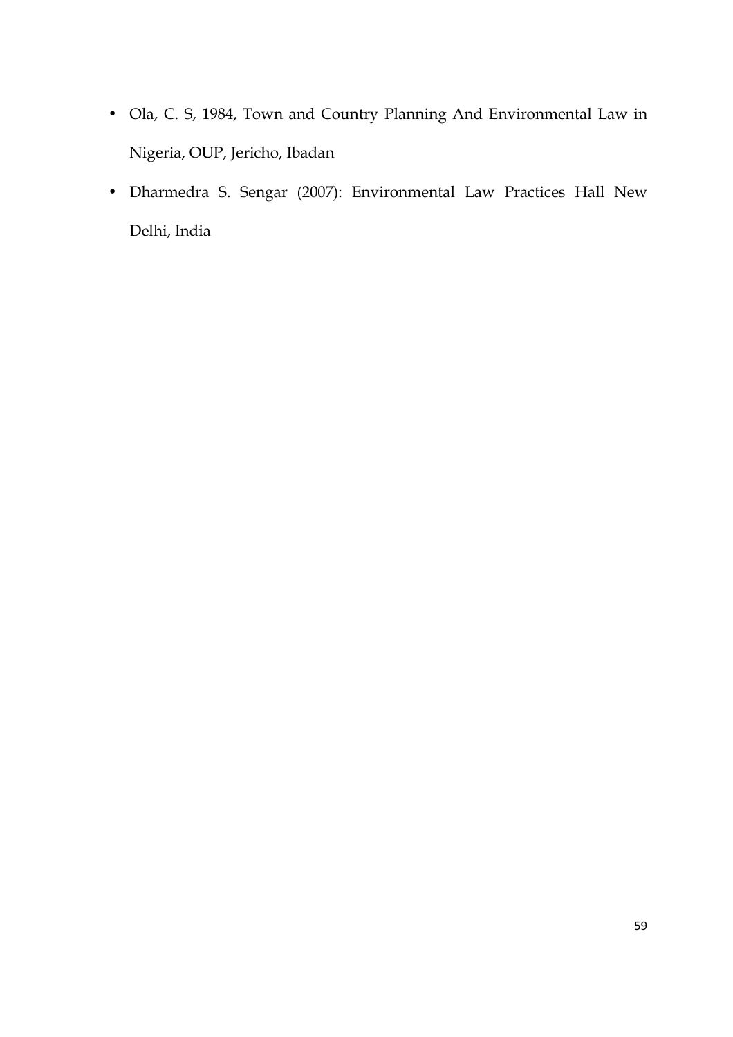- Ola, C. S, 1984, Town and Country Planning And Environmental Law in Nigeria, OUP, Jericho, Ibadan
- Dharmedra S. Sengar (2007): Environmental Law Practices Hall New Delhi, India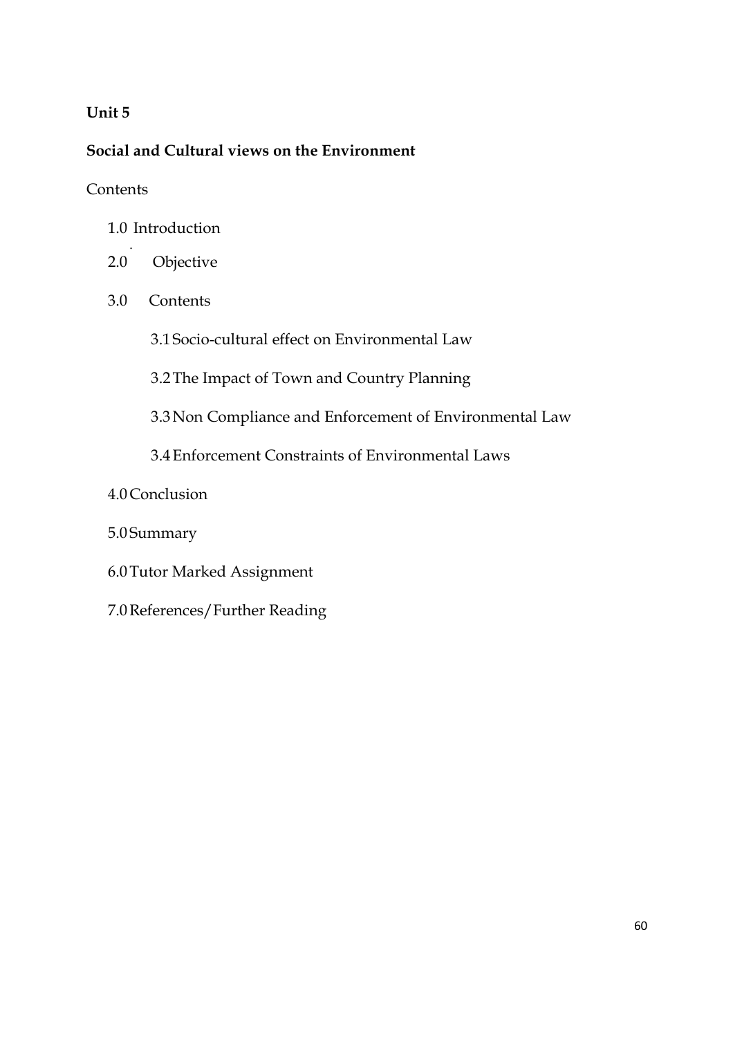# **Unit 5**

# **Social and Cultural views on the Environment**

# **Contents**

- 1.0 Introduction
- . 2.0 Objective
- 3.0 Contents

3.1 Socio-cultural effect on Environmental Law

3.2The Impact of Town and Country Planning

3.3Non Compliance and Enforcement of Environmental Law

3.4Enforcement Constraints of Environmental Laws

- 4.0Conclusion
- 5.0 Summary
- 6.0Tutor Marked Assignment
- 7.0References/Further Reading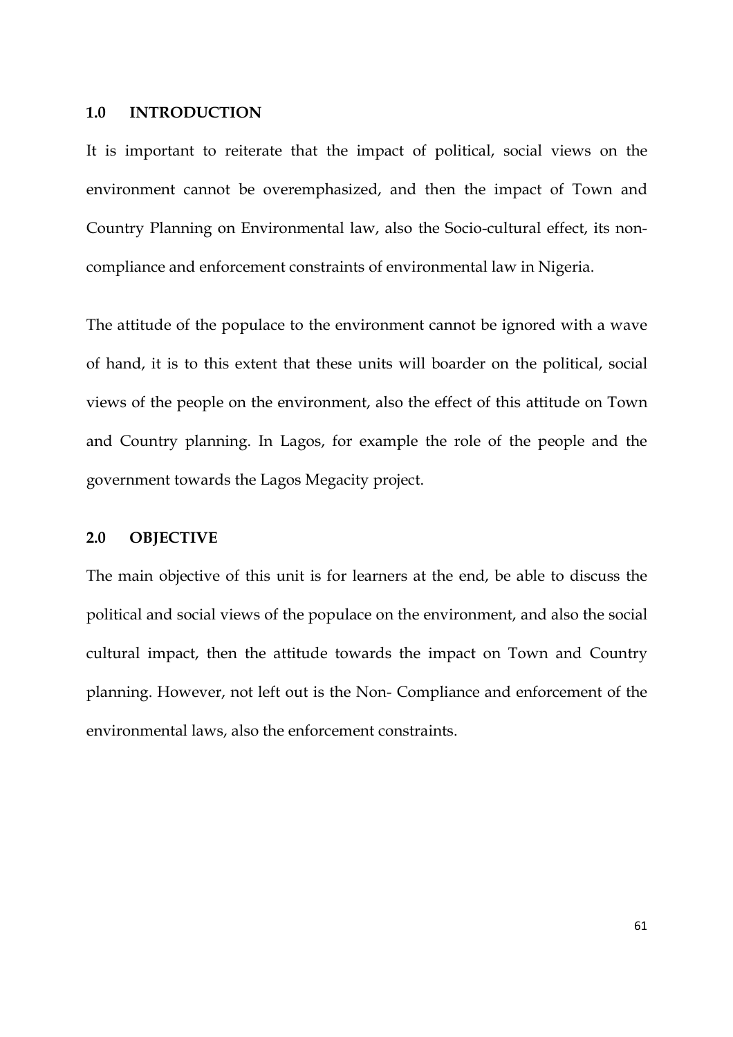### **1.0 INTRODUCTION**

It is important to reiterate that the impact of political, social views on the environment cannot be overemphasized, and then the impact of Town and Country Planning on Environmental law, also the Socio-cultural effect, its noncompliance and enforcement constraints of environmental law in Nigeria.

The attitude of the populace to the environment cannot be ignored with a wave of hand, it is to this extent that these units will boarder on the political, social views of the people on the environment, also the effect of this attitude on Town and Country planning. In Lagos, for example the role of the people and the government towards the Lagos Megacity project.

# **2.0 OBJECTIVE**

The main objective of this unit is for learners at the end, be able to discuss the political and social views of the populace on the environment, and also the social cultural impact, then the attitude towards the impact on Town and Country planning. However, not left out is the Non- Compliance and enforcement of the environmental laws, also the enforcement constraints.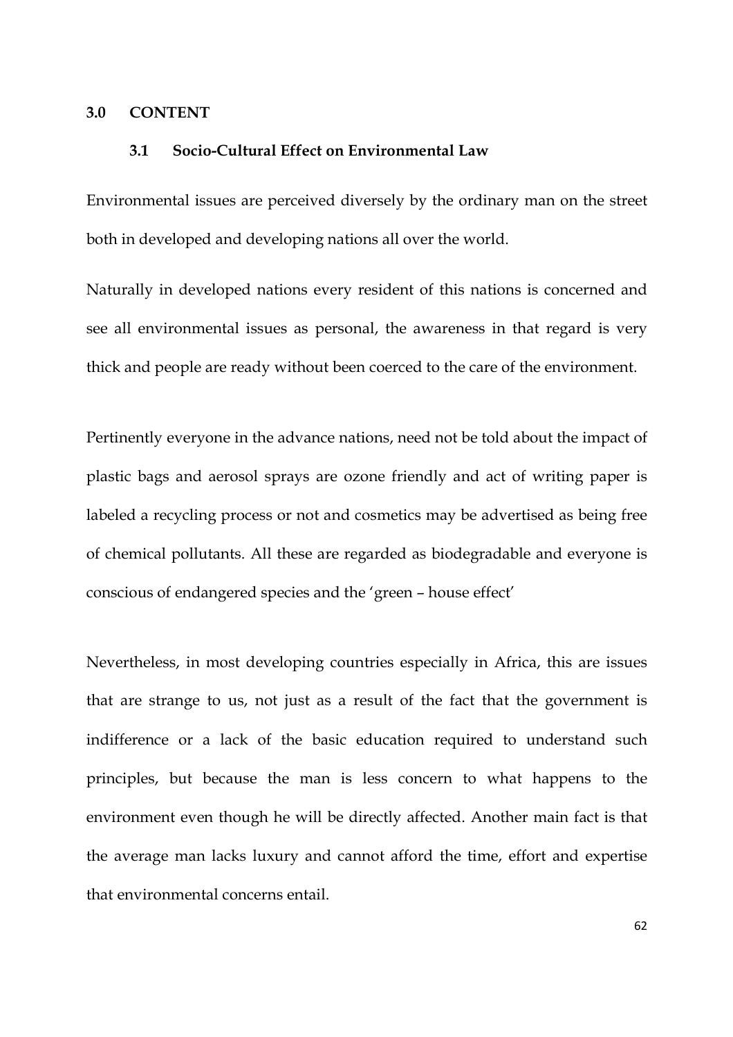### **3.0 CONTENT**

## **3.1 Socio-Cultural Effect on Environmental Law**

Environmental issues are perceived diversely by the ordinary man on the street both in developed and developing nations all over the world.

Naturally in developed nations every resident of this nations is concerned and see all environmental issues as personal, the awareness in that regard is very thick and people are ready without been coerced to the care of the environment.

Pertinently everyone in the advance nations, need not be told about the impact of plastic bags and aerosol sprays are ozone friendly and act of writing paper is labeled a recycling process or not and cosmetics may be advertised as being free of chemical pollutants. All these are regarded as biodegradable and everyone is conscious of endangered species and the 'green – house effect'

Nevertheless, in most developing countries especially in Africa, this are issues that are strange to us, not just as a result of the fact that the government is indifference or a lack of the basic education required to understand such principles, but because the man is less concern to what happens to the environment even though he will be directly affected. Another main fact is that the average man lacks luxury and cannot afford the time, effort and expertise that environmental concerns entail.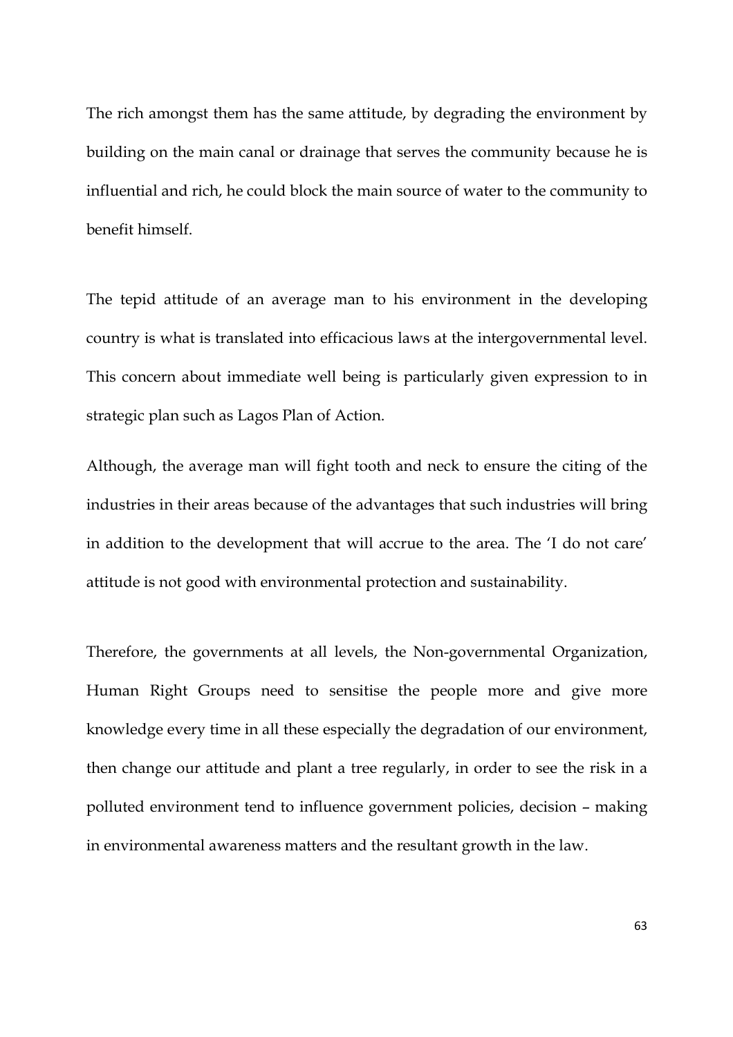The rich amongst them has the same attitude, by degrading the environment by building on the main canal or drainage that serves the community because he is influential and rich, he could block the main source of water to the community to benefit himself.

The tepid attitude of an average man to his environment in the developing country is what is translated into efficacious laws at the intergovernmental level. This concern about immediate well being is particularly given expression to in strategic plan such as Lagos Plan of Action.

Although, the average man will fight tooth and neck to ensure the citing of the industries in their areas because of the advantages that such industries will bring in addition to the development that will accrue to the area. The 'I do not care' attitude is not good with environmental protection and sustainability.

Therefore, the governments at all levels, the Non-governmental Organization, Human Right Groups need to sensitise the people more and give more knowledge every time in all these especially the degradation of our environment, then change our attitude and plant a tree regularly, in order to see the risk in a polluted environment tend to influence government policies, decision – making in environmental awareness matters and the resultant growth in the law.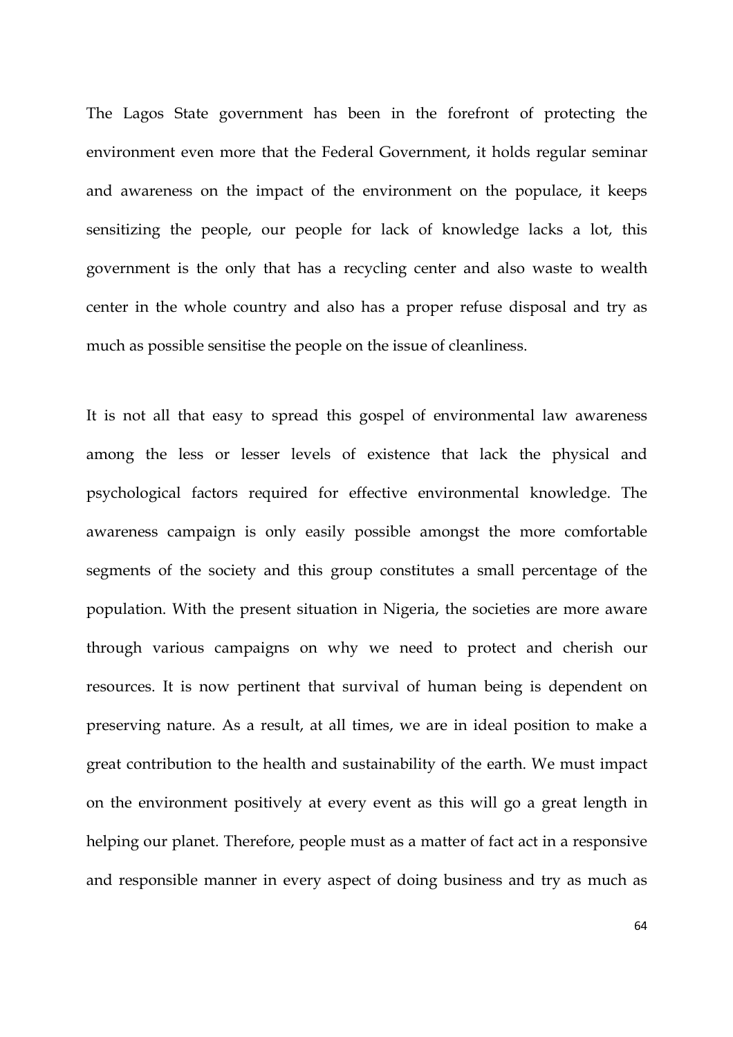The Lagos State government has been in the forefront of protecting the environment even more that the Federal Government, it holds regular seminar and awareness on the impact of the environment on the populace, it keeps sensitizing the people, our people for lack of knowledge lacks a lot, this government is the only that has a recycling center and also waste to wealth center in the whole country and also has a proper refuse disposal and try as much as possible sensitise the people on the issue of cleanliness.

It is not all that easy to spread this gospel of environmental law awareness among the less or lesser levels of existence that lack the physical and psychological factors required for effective environmental knowledge. The awareness campaign is only easily possible amongst the more comfortable segments of the society and this group constitutes a small percentage of the population. With the present situation in Nigeria, the societies are more aware through various campaigns on why we need to protect and cherish our resources. It is now pertinent that survival of human being is dependent on preserving nature. As a result, at all times, we are in ideal position to make a great contribution to the health and sustainability of the earth. We must impact on the environment positively at every event as this will go a great length in helping our planet. Therefore, people must as a matter of fact act in a responsive and responsible manner in every aspect of doing business and try as much as

64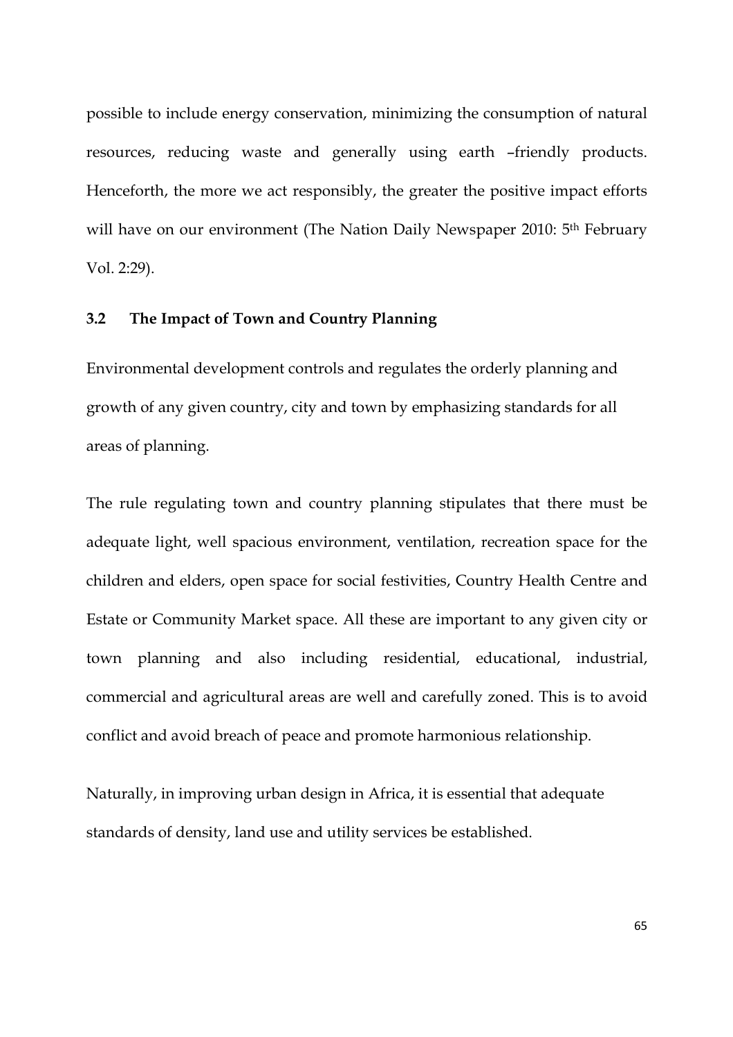possible to include energy conservation, minimizing the consumption of natural resources, reducing waste and generally using earth –friendly products. Henceforth, the more we act responsibly, the greater the positive impact efforts will have on our environment (The Nation Daily Newspaper 2010: 5<sup>th</sup> February Vol. 2:29).

# **3.2 The Impact of Town and Country Planning**

Environmental development controls and regulates the orderly planning and growth of any given country, city and town by emphasizing standards for all areas of planning.

The rule regulating town and country planning stipulates that there must be adequate light, well spacious environment, ventilation, recreation space for the children and elders, open space for social festivities, Country Health Centre and Estate or Community Market space. All these are important to any given city or town planning and also including residential, educational, industrial, commercial and agricultural areas are well and carefully zoned. This is to avoid conflict and avoid breach of peace and promote harmonious relationship.

Naturally, in improving urban design in Africa, it is essential that adequate standards of density, land use and utility services be established.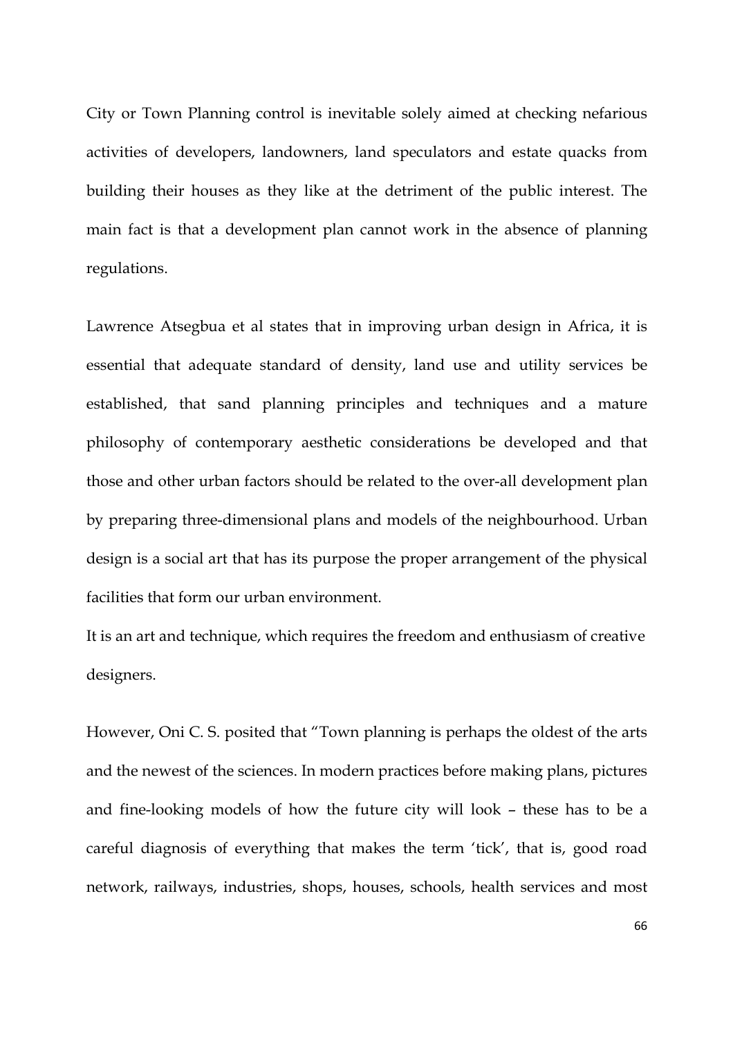City or Town Planning control is inevitable solely aimed at checking nefarious activities of developers, landowners, land speculators and estate quacks from building their houses as they like at the detriment of the public interest. The main fact is that a development plan cannot work in the absence of planning regulations.

Lawrence Atsegbua et al states that in improving urban design in Africa, it is essential that adequate standard of density, land use and utility services be established, that sand planning principles and techniques and a mature philosophy of contemporary aesthetic considerations be developed and that those and other urban factors should be related to the over-all development plan by preparing three-dimensional plans and models of the neighbourhood. Urban design is a social art that has its purpose the proper arrangement of the physical facilities that form our urban environment.

It is an art and technique, which requires the freedom and enthusiasm of creative designers.

However, Oni C. S. posited that "Town planning is perhaps the oldest of the arts and the newest of the sciences. In modern practices before making plans, pictures and fine-looking models of how the future city will look – these has to be a careful diagnosis of everything that makes the term 'tick', that is, good road network, railways, industries, shops, houses, schools, health services and most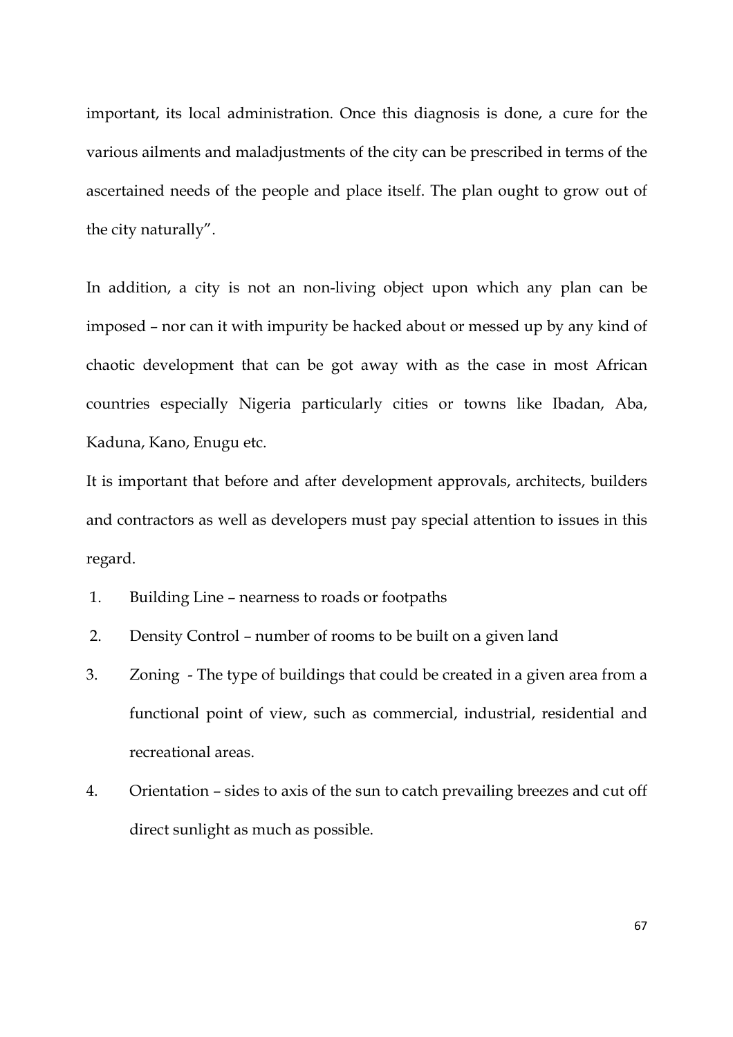important, its local administration. Once this diagnosis is done, a cure for the various ailments and maladjustments of the city can be prescribed in terms of the ascertained needs of the people and place itself. The plan ought to grow out of the city naturally".

In addition, a city is not an non-living object upon which any plan can be imposed – nor can it with impurity be hacked about or messed up by any kind of chaotic development that can be got away with as the case in most African countries especially Nigeria particularly cities or towns like Ibadan, Aba, Kaduna, Kano, Enugu etc.

It is important that before and after development approvals, architects, builders and contractors as well as developers must pay special attention to issues in this regard.

- 1. Building Line nearness to roads or footpaths
- 2. Density Control number of rooms to be built on a given land
- 3. Zoning The type of buildings that could be created in a given area from a functional point of view, such as commercial, industrial, residential and recreational areas.
- 4. Orientation sides to axis of the sun to catch prevailing breezes and cut off direct sunlight as much as possible.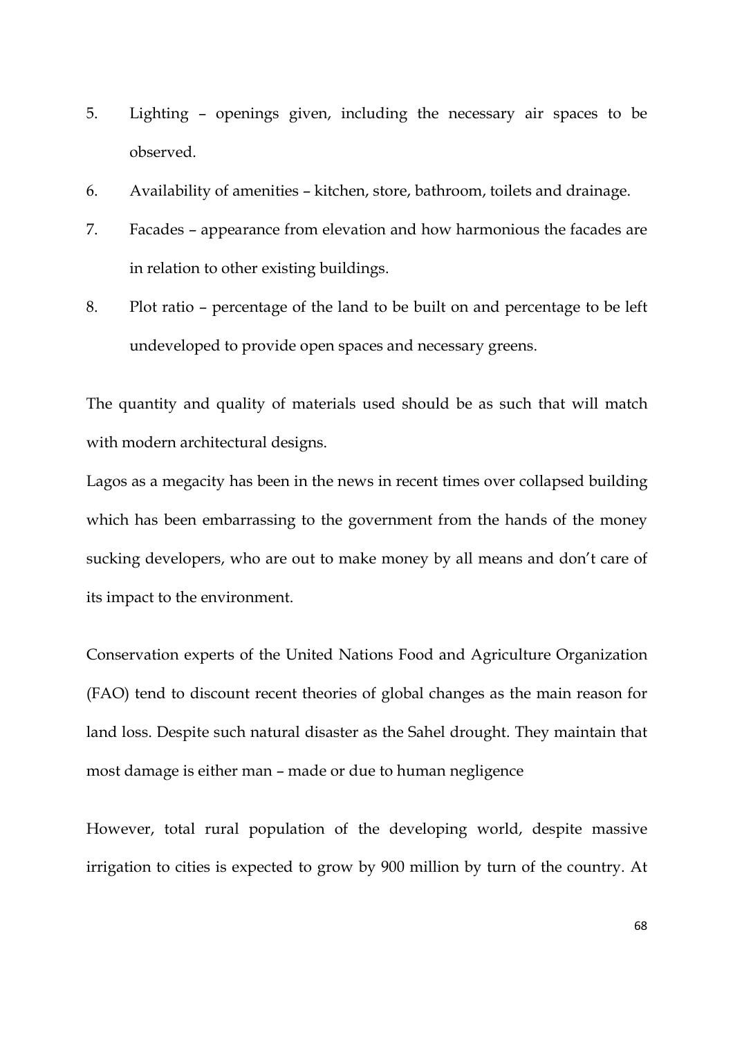- 5. Lighting openings given, including the necessary air spaces to be observed.
- 6. Availability of amenities kitchen, store, bathroom, toilets and drainage.
- 7. Facades appearance from elevation and how harmonious the facades are in relation to other existing buildings.
- 8. Plot ratio percentage of the land to be built on and percentage to be left undeveloped to provide open spaces and necessary greens.

The quantity and quality of materials used should be as such that will match with modern architectural designs.

Lagos as a megacity has been in the news in recent times over collapsed building which has been embarrassing to the government from the hands of the money sucking developers, who are out to make money by all means and don't care of its impact to the environment.

Conservation experts of the United Nations Food and Agriculture Organization (FAO) tend to discount recent theories of global changes as the main reason for land loss. Despite such natural disaster as the Sahel drought. They maintain that most damage is either man – made or due to human negligence

However, total rural population of the developing world, despite massive irrigation to cities is expected to grow by 900 million by turn of the country. At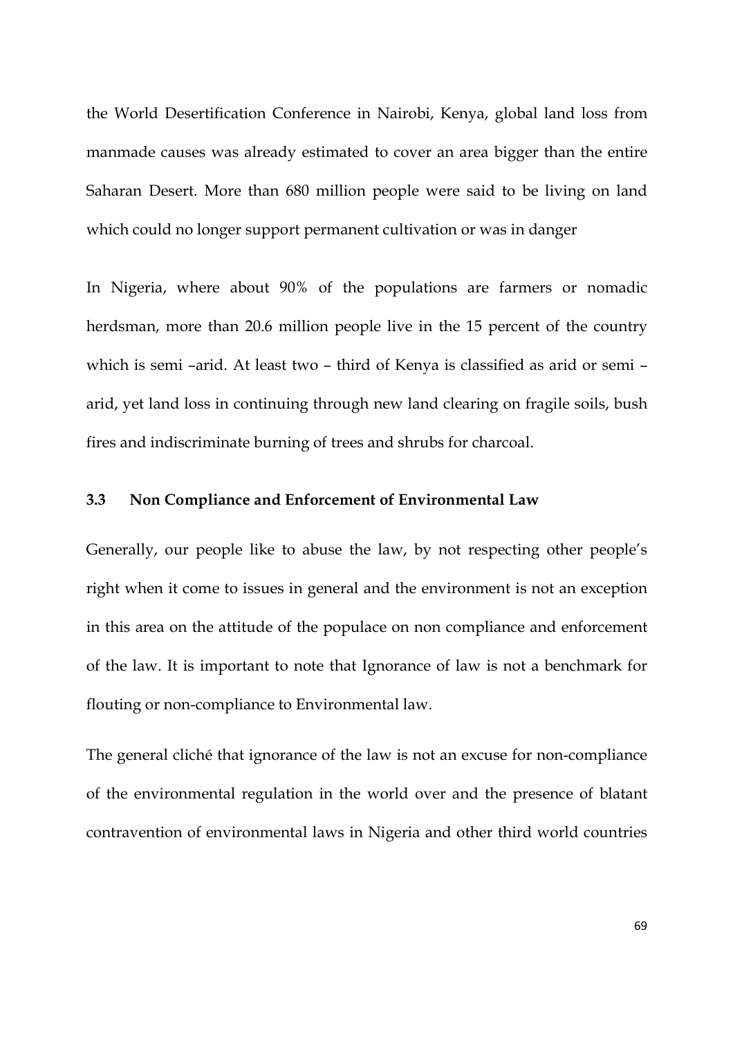the World Desertification Conference in Nairobi, Kenya, global land loss from manmade causes was already estimated to cover an area bigger than the entire Saharan Desert. More than 680 million people were said to be living on land which could no longer support permanent cultivation or was in danger

In Nigeria, where about 90% of the populations are farmers or nomadic herdsman, more than 20.6 million people live in the 15 percent of the country which is semi –arid. At least two – third of Kenya is classified as arid or semi – arid, yet land loss in continuing through new land clearing on fragile soils, bush fires and indiscriminate burning of trees and shrubs for charcoal.

### **3.3 Non Compliance and Enforcement of Environmental Law**

Generally, our people like to abuse the law, by not respecting other people's right when it come to issues in general and the environment is not an exception in this area on the attitude of the populace on non compliance and enforcement of the law. It is important to note that Ignorance of law is not a benchmark for flouting or non-compliance to Environmental law.

The general cliché that ignorance of the law is not an excuse for non-compliance of the environmental regulation in the world over and the presence of blatant contravention of environmental laws in Nigeria and other third world countries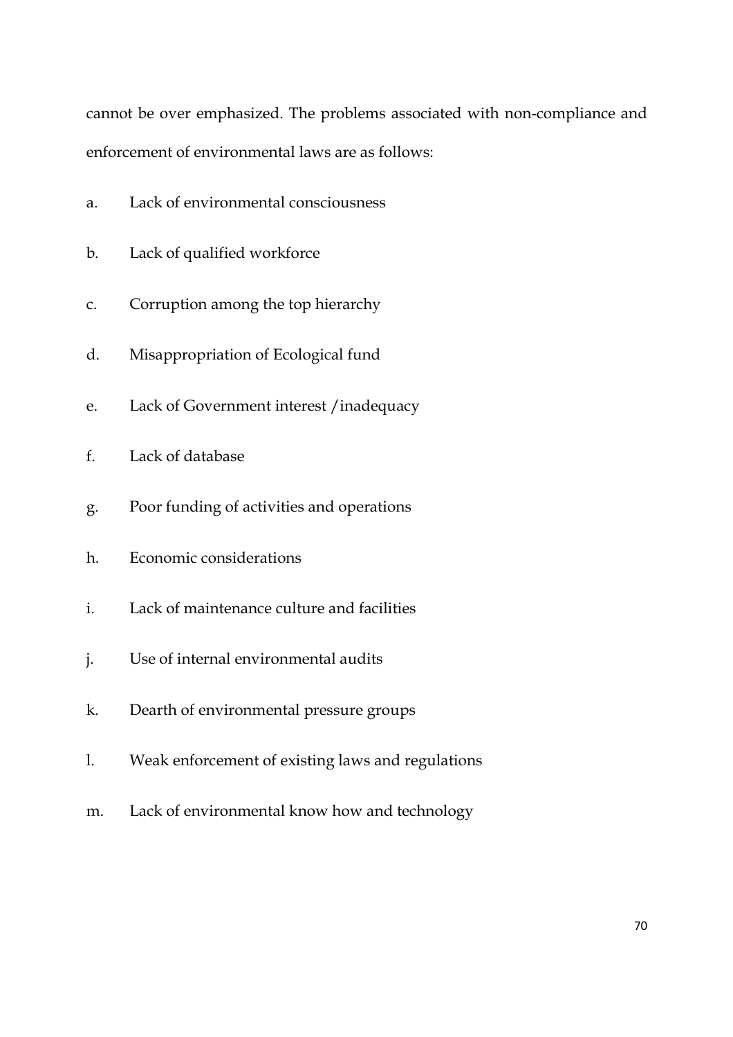cannot be over emphasized. The problems associated with non-compliance and enforcement of environmental laws are as follows:

- a. Lack of environmental consciousness
- b. Lack of qualified workforce
- c. Corruption among the top hierarchy
- d. Misappropriation of Ecological fund
- e. Lack of Government interest /inadequacy
- f. Lack of database
- g. Poor funding of activities and operations
- h. Economic considerations
- i. Lack of maintenance culture and facilities
- j. Use of internal environmental audits
- k. Dearth of environmental pressure groups
- l. Weak enforcement of existing laws and regulations
- m. Lack of environmental know how and technology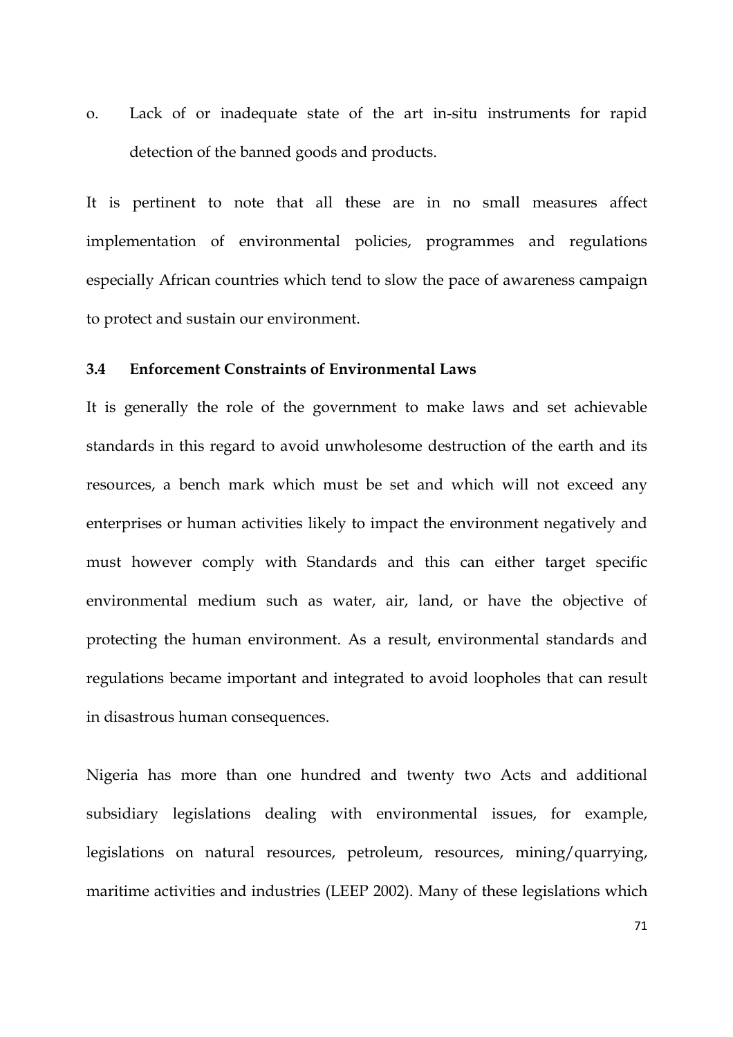o. Lack of or inadequate state of the art in-situ instruments for rapid detection of the banned goods and products.

It is pertinent to note that all these are in no small measures affect implementation of environmental policies, programmes and regulations especially African countries which tend to slow the pace of awareness campaign to protect and sustain our environment.

## **3.4 Enforcement Constraints of Environmental Laws**

It is generally the role of the government to make laws and set achievable standards in this regard to avoid unwholesome destruction of the earth and its resources, a bench mark which must be set and which will not exceed any enterprises or human activities likely to impact the environment negatively and must however comply with Standards and this can either target specific environmental medium such as water, air, land, or have the objective of protecting the human environment. As a result, environmental standards and regulations became important and integrated to avoid loopholes that can result in disastrous human consequences.

Nigeria has more than one hundred and twenty two Acts and additional subsidiary legislations dealing with environmental issues, for example, legislations on natural resources, petroleum, resources, mining/quarrying, maritime activities and industries (LEEP 2002). Many of these legislations which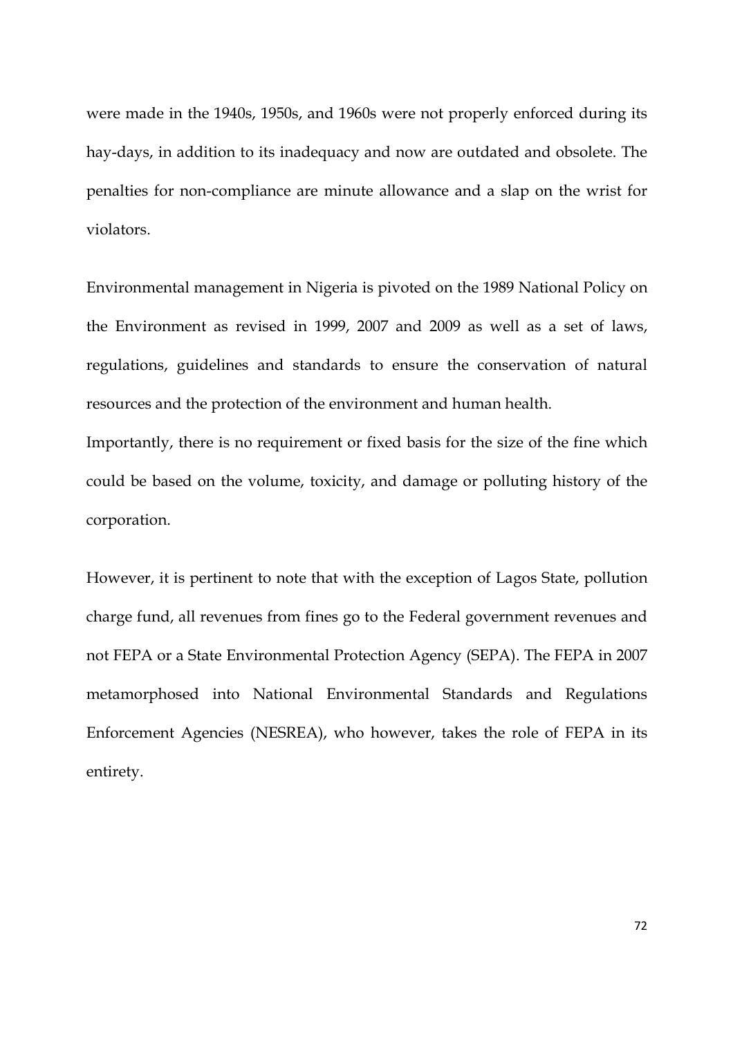were made in the 1940s, 1950s, and 1960s were not properly enforced during its hay-days, in addition to its inadequacy and now are outdated and obsolete. The penalties for non-compliance are minute allowance and a slap on the wrist for violators.

Environmental management in Nigeria is pivoted on the 1989 National Policy on the Environment as revised in 1999, 2007 and 2009 as well as a set of laws, regulations, guidelines and standards to ensure the conservation of natural resources and the protection of the environment and human health.

Importantly, there is no requirement or fixed basis for the size of the fine which could be based on the volume, toxicity, and damage or polluting history of the corporation.

However, it is pertinent to note that with the exception of Lagos State, pollution charge fund, all revenues from fines go to the Federal government revenues and not FEPA or a State Environmental Protection Agency (SEPA). The FEPA in 2007 metamorphosed into National Environmental Standards and Regulations Enforcement Agencies (NESREA), who however, takes the role of FEPA in its entirety.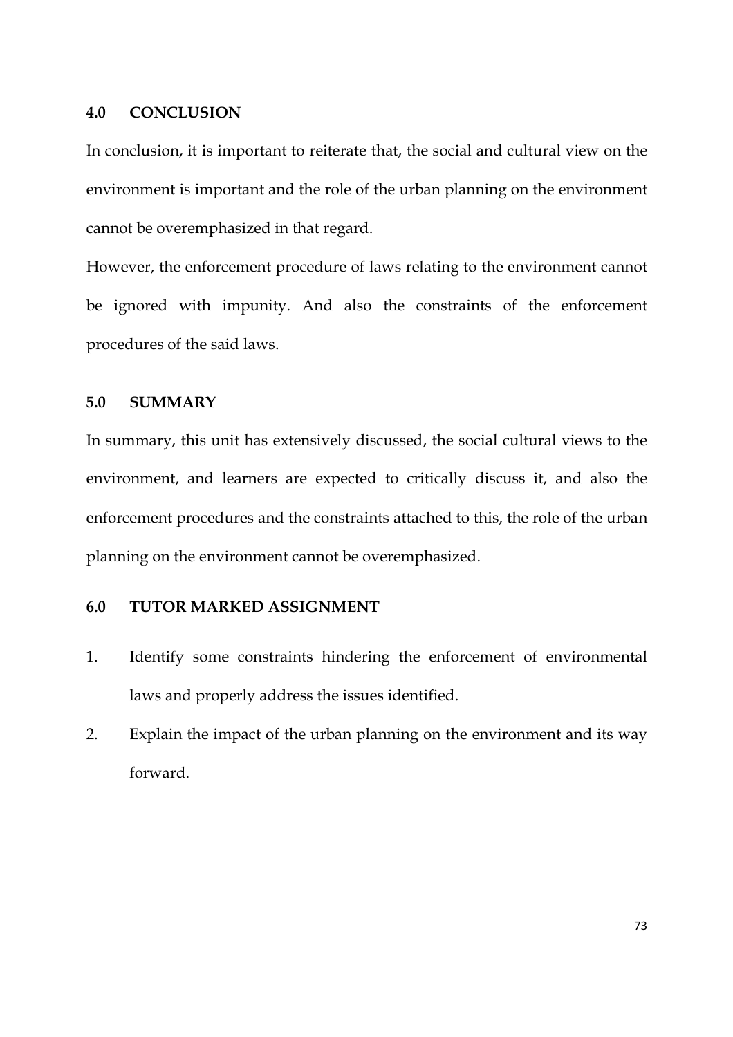### **4.0 CONCLUSION**

In conclusion, it is important to reiterate that, the social and cultural view on the environment is important and the role of the urban planning on the environment cannot be overemphasized in that regard.

However, the enforcement procedure of laws relating to the environment cannot be ignored with impunity. And also the constraints of the enforcement procedures of the said laws.

## **5.0 SUMMARY**

In summary, this unit has extensively discussed, the social cultural views to the environment, and learners are expected to critically discuss it, and also the enforcement procedures and the constraints attached to this, the role of the urban planning on the environment cannot be overemphasized.

## **6.0 TUTOR MARKED ASSIGNMENT**

- 1. Identify some constraints hindering the enforcement of environmental laws and properly address the issues identified.
- 2. Explain the impact of the urban planning on the environment and its way forward.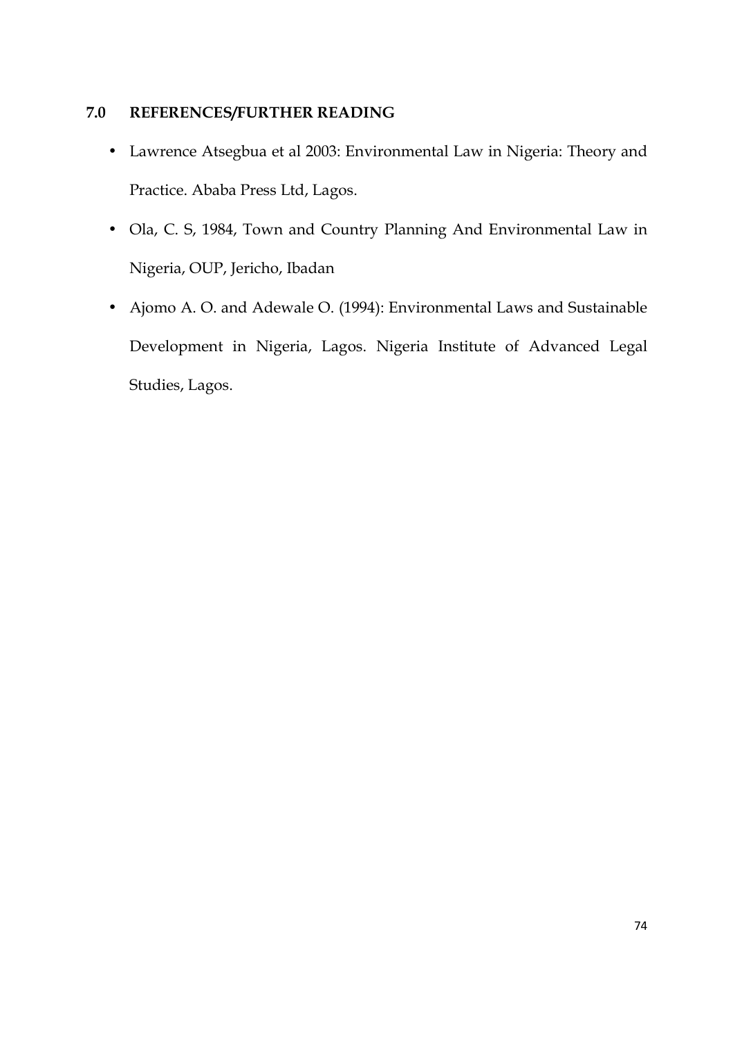## **7.0 REFERENCES/FURTHER READING**

- Lawrence Atsegbua et al 2003: Environmental Law in Nigeria: Theory and Practice. Ababa Press Ltd, Lagos.
- Ola, C. S, 1984, Town and Country Planning And Environmental Law in Nigeria, OUP, Jericho, Ibadan
- Ajomo A. O. and Adewale O. (1994): Environmental Laws and Sustainable Development in Nigeria, Lagos. Nigeria Institute of Advanced Legal Studies, Lagos.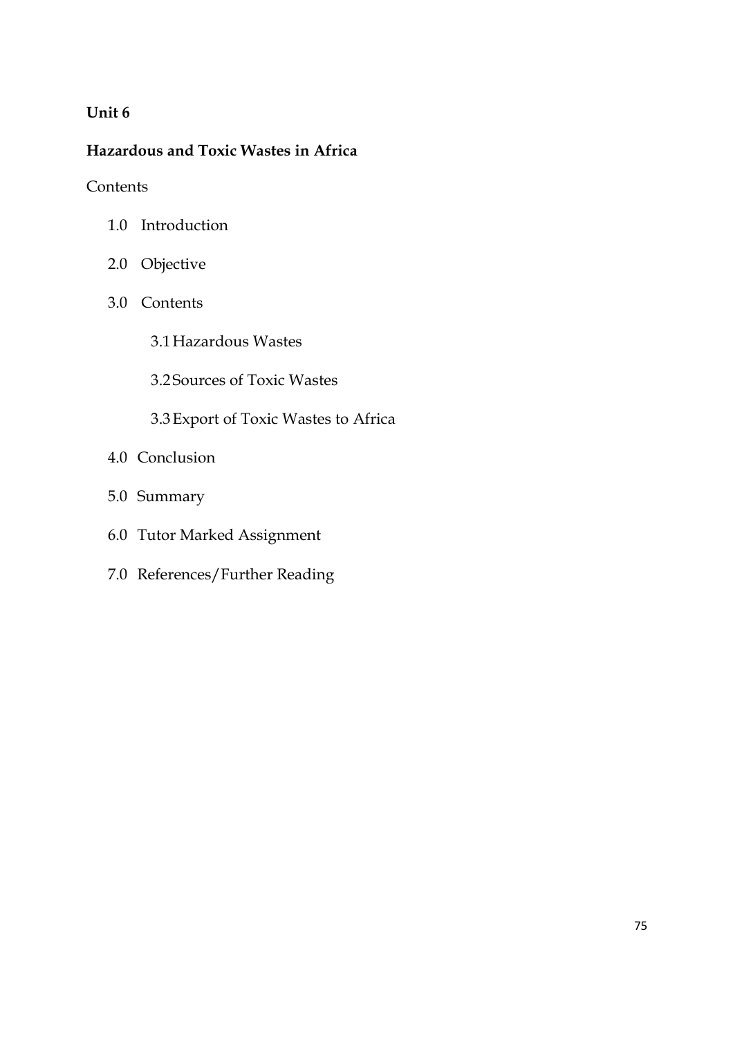# **Unit 6**

# **Hazardous and Toxic Wastes in Africa**

**Contents** 

- 1.0 Introduction
- 2.0 Objective
- 3.0 Contents
	- 3.1Hazardous Wastes
	- 3.2 Sources of Toxic Wastes
	- 3.3Export of Toxic Wastes to Africa
- 4.0 Conclusion
- 5.0 Summary
- 6.0 Tutor Marked Assignment
- 7.0 References/Further Reading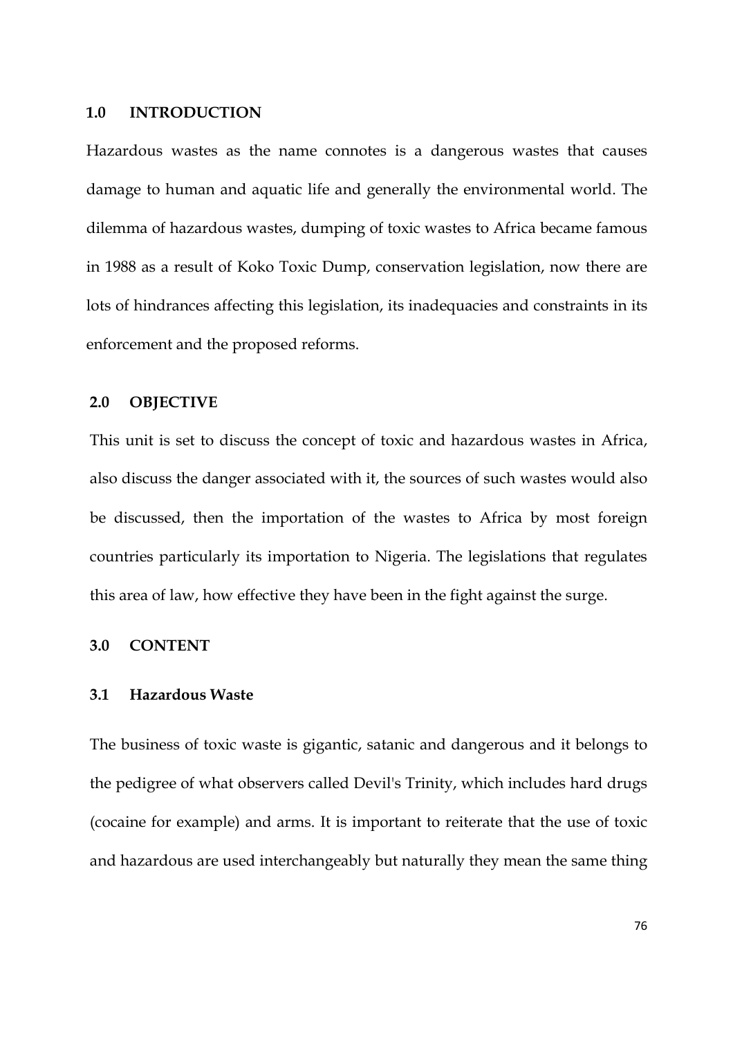#### **1.0 INTRODUCTION**

Hazardous wastes as the name connotes is a dangerous wastes that causes damage to human and aquatic life and generally the environmental world. The dilemma of hazardous wastes, dumping of toxic wastes to Africa became famous in 1988 as a result of Koko Toxic Dump, conservation legislation, now there are lots of hindrances affecting this legislation, its inadequacies and constraints in its enforcement and the proposed reforms.

### **2.0 OBJECTIVE**

This unit is set to discuss the concept of toxic and hazardous wastes in Africa, also discuss the danger associated with it, the sources of such wastes would also be discussed, then the importation of the wastes to Africa by most foreign countries particularly its importation to Nigeria. The legislations that regulates this area of law, how effective they have been in the fight against the surge.

## **3.0 CONTENT**

### **3.1 Hazardous Waste**

The business of toxic waste is gigantic, satanic and dangerous and it belongs to the pedigree of what observers called Devil's Trinity, which includes hard drugs (cocaine for example) and arms. It is important to reiterate that the use of toxic and hazardous are used interchangeably but naturally they mean the same thing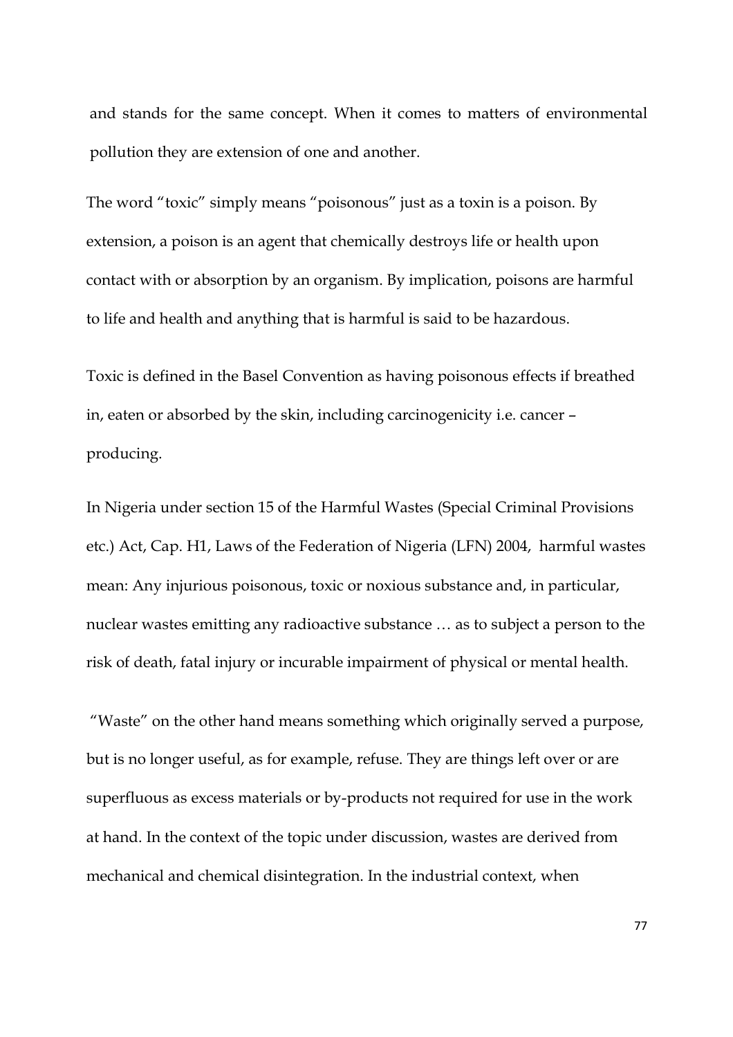and stands for the same concept. When it comes to matters of environmental pollution they are extension of one and another.

The word "toxic" simply means "poisonous" just as a toxin is a poison. By extension, a poison is an agent that chemically destroys life or health upon contact with or absorption by an organism. By implication, poisons are harmful to life and health and anything that is harmful is said to be hazardous.

Toxic is defined in the Basel Convention as having poisonous effects if breathed in, eaten or absorbed by the skin, including carcinogenicity i.e. cancer – producing.

In Nigeria under section 15 of the Harmful Wastes (Special Criminal Provisions etc.) Act, Cap. H1, Laws of the Federation of Nigeria (LFN) 2004, harmful wastes mean: Any injurious poisonous, toxic or noxious substance and, in particular, nuclear wastes emitting any radioactive substance … as to subject a person to the risk of death, fatal injury or incurable impairment of physical or mental health.

 "Waste" on the other hand means something which originally served a purpose, but is no longer useful, as for example, refuse. They are things left over or are superfluous as excess materials or by-products not required for use in the work at hand. In the context of the topic under discussion, wastes are derived from mechanical and chemical disintegration. In the industrial context, when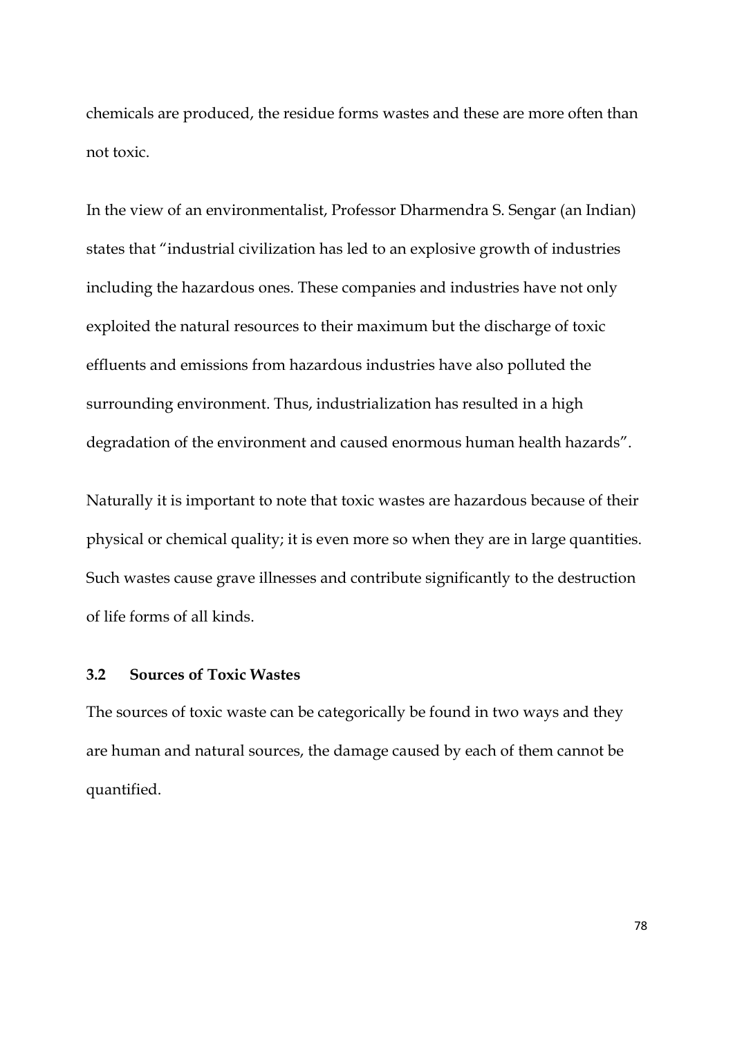chemicals are produced, the residue forms wastes and these are more often than not toxic.

In the view of an environmentalist, Professor Dharmendra S. Sengar (an Indian) states that "industrial civilization has led to an explosive growth of industries including the hazardous ones. These companies and industries have not only exploited the natural resources to their maximum but the discharge of toxic effluents and emissions from hazardous industries have also polluted the surrounding environment. Thus, industrialization has resulted in a high degradation of the environment and caused enormous human health hazards".

Naturally it is important to note that toxic wastes are hazardous because of their physical or chemical quality; it is even more so when they are in large quantities. Such wastes cause grave illnesses and contribute significantly to the destruction of life forms of all kinds.

# **3.2 Sources of Toxic Wastes**

The sources of toxic waste can be categorically be found in two ways and they are human and natural sources, the damage caused by each of them cannot be quantified.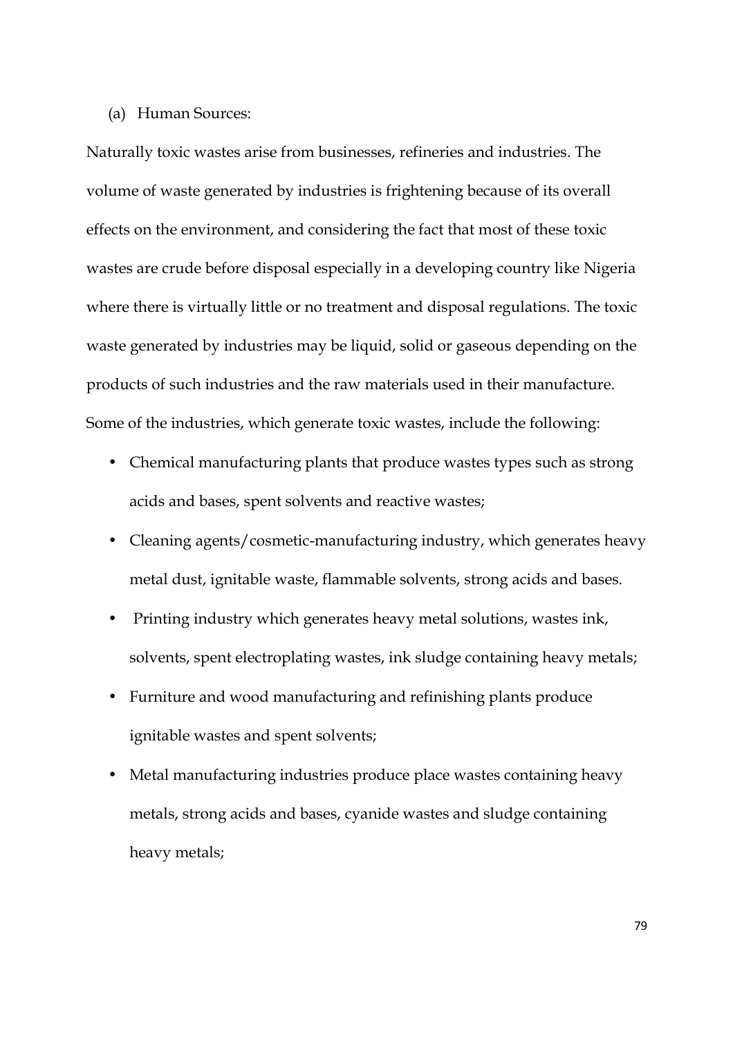## (a) Human Sources:

Naturally toxic wastes arise from businesses, refineries and industries. The volume of waste generated by industries is frightening because of its overall effects on the environment, and considering the fact that most of these toxic wastes are crude before disposal especially in a developing country like Nigeria where there is virtually little or no treatment and disposal regulations. The toxic waste generated by industries may be liquid, solid or gaseous depending on the products of such industries and the raw materials used in their manufacture. Some of the industries, which generate toxic wastes, include the following:

- Chemical manufacturing plants that produce wastes types such as strong acids and bases, spent solvents and reactive wastes;
- Cleaning agents/cosmetic-manufacturing industry, which generates heavy metal dust, ignitable waste, flammable solvents, strong acids and bases.
- Printing industry which generates heavy metal solutions, wastes ink, solvents, spent electroplating wastes, ink sludge containing heavy metals;
- Furniture and wood manufacturing and refinishing plants produce ignitable wastes and spent solvents;
- Metal manufacturing industries produce place wastes containing heavy metals, strong acids and bases, cyanide wastes and sludge containing heavy metals;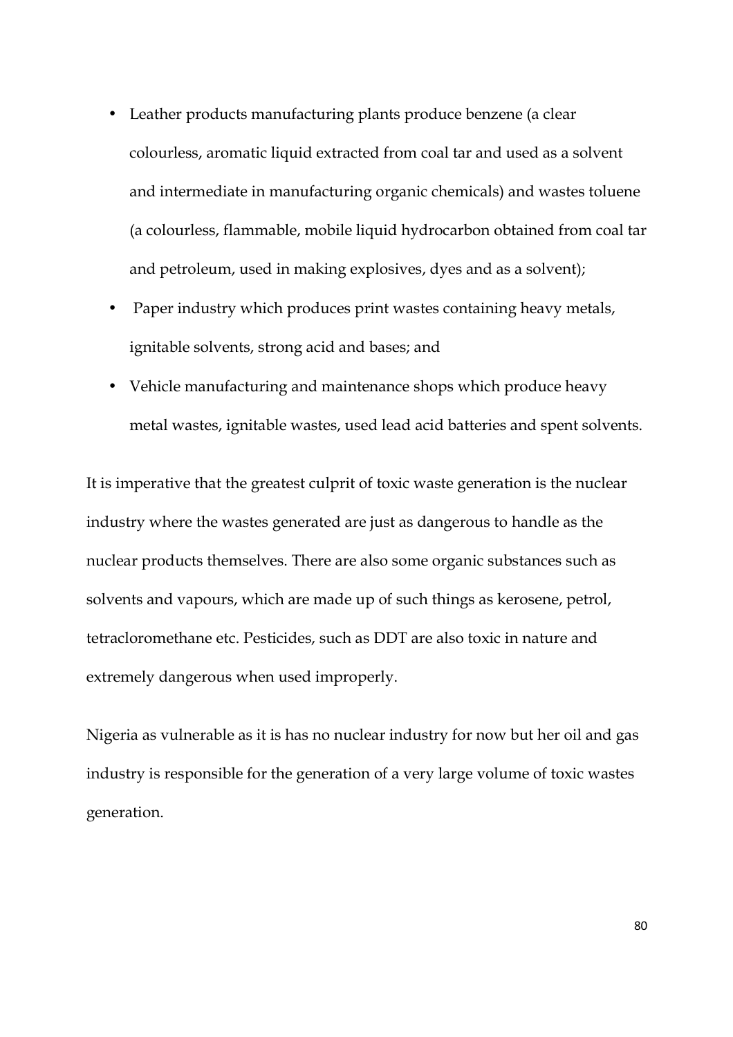- Leather products manufacturing plants produce benzene (a clear colourless, aromatic liquid extracted from coal tar and used as a solvent and intermediate in manufacturing organic chemicals) and wastes toluene (a colourless, flammable, mobile liquid hydrocarbon obtained from coal tar and petroleum, used in making explosives, dyes and as a solvent);
- Paper industry which produces print wastes containing heavy metals, ignitable solvents, strong acid and bases; and
- Vehicle manufacturing and maintenance shops which produce heavy metal wastes, ignitable wastes, used lead acid batteries and spent solvents.

It is imperative that the greatest culprit of toxic waste generation is the nuclear industry where the wastes generated are just as dangerous to handle as the nuclear products themselves. There are also some organic substances such as solvents and vapours, which are made up of such things as kerosene, petrol, tetracloromethane etc. Pesticides, such as DDT are also toxic in nature and extremely dangerous when used improperly.

Nigeria as vulnerable as it is has no nuclear industry for now but her oil and gas industry is responsible for the generation of a very large volume of toxic wastes generation.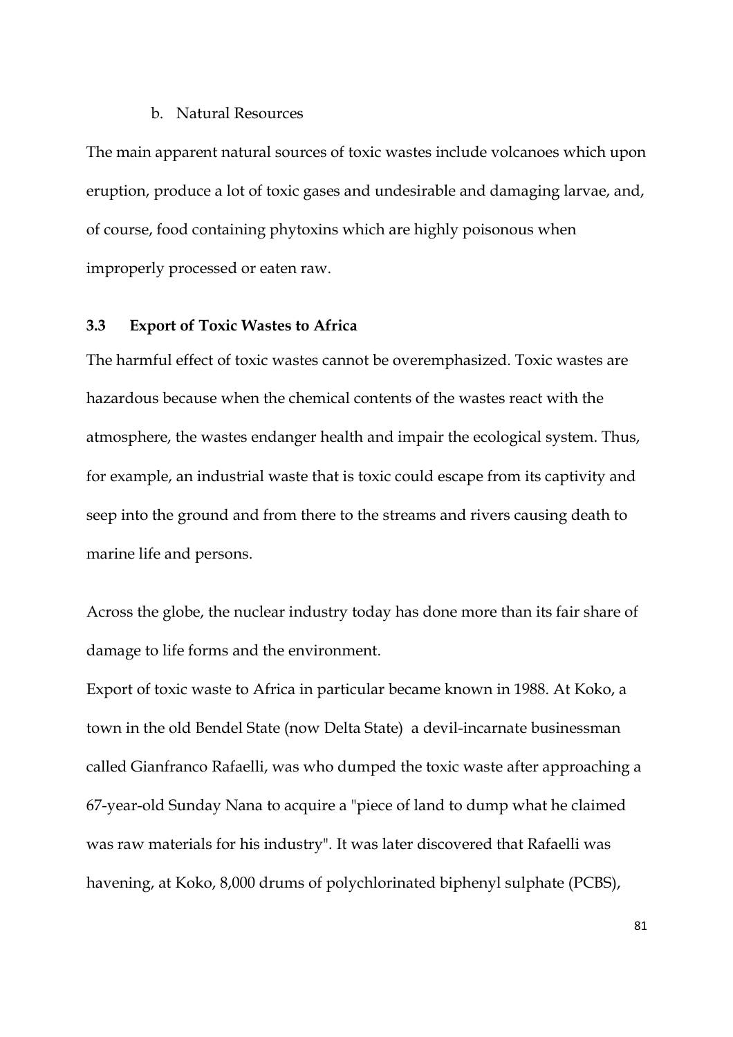### b. Natural Resources

The main apparent natural sources of toxic wastes include volcanoes which upon eruption, produce a lot of toxic gases and undesirable and damaging larvae, and, of course, food containing phytoxins which are highly poisonous when improperly processed or eaten raw.

## **3.3 Export of Toxic Wastes to Africa**

The harmful effect of toxic wastes cannot be overemphasized. Toxic wastes are hazardous because when the chemical contents of the wastes react with the atmosphere, the wastes endanger health and impair the ecological system. Thus, for example, an industrial waste that is toxic could escape from its captivity and seep into the ground and from there to the streams and rivers causing death to marine life and persons.

Across the globe, the nuclear industry today has done more than its fair share of damage to life forms and the environment.

Export of toxic waste to Africa in particular became known in 1988. At Koko, a town in the old Bendel State (now Delta State) a devil-incarnate businessman called Gianfranco Rafaelli, was who dumped the toxic waste after approaching a 67-year-old Sunday Nana to acquire a "piece of land to dump what he claimed was raw materials for his industry". It was later discovered that Rafaelli was havening, at Koko, 8,000 drums of polychlorinated biphenyl sulphate (PCBS),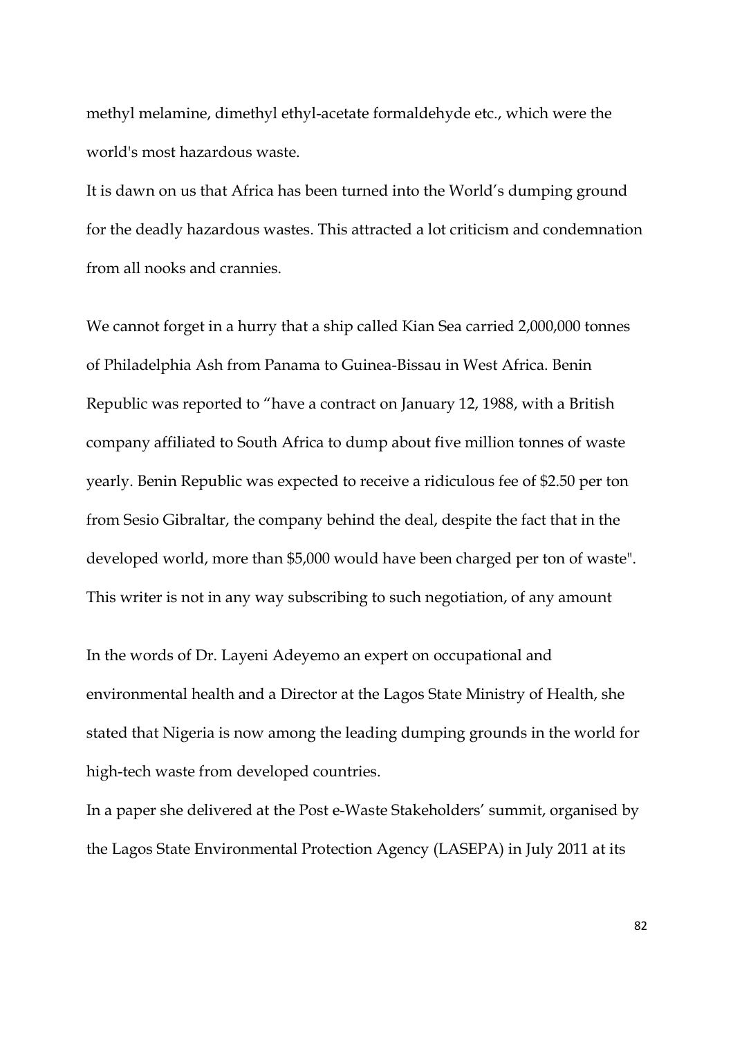methyl melamine, dimethyl ethyl-acetate formaldehyde etc., which were the world's most hazardous waste.

It is dawn on us that Africa has been turned into the World's dumping ground for the deadly hazardous wastes. This attracted a lot criticism and condemnation from all nooks and crannies.

We cannot forget in a hurry that a ship called Kian Sea carried 2,000,000 tonnes of Philadelphia Ash from Panama to Guinea-Bissau in West Africa. Benin Republic was reported to "have a contract on January 12, 1988, with a British company affiliated to South Africa to dump about five million tonnes of waste yearly. Benin Republic was expected to receive a ridiculous fee of \$2.50 per ton from Sesio Gibraltar, the company behind the deal, despite the fact that in the developed world, more than \$5,000 would have been charged per ton of waste". This writer is not in any way subscribing to such negotiation, of any amount

In the words of Dr. Layeni Adeyemo an expert on occupational and environmental health and a Director at the Lagos State Ministry of Health, she stated that Nigeria is now among the leading dumping grounds in the world for high-tech waste from developed countries.

In a paper she delivered at the Post e-Waste Stakeholders' summit, organised by the Lagos State Environmental Protection Agency (LASEPA) in July 2011 at its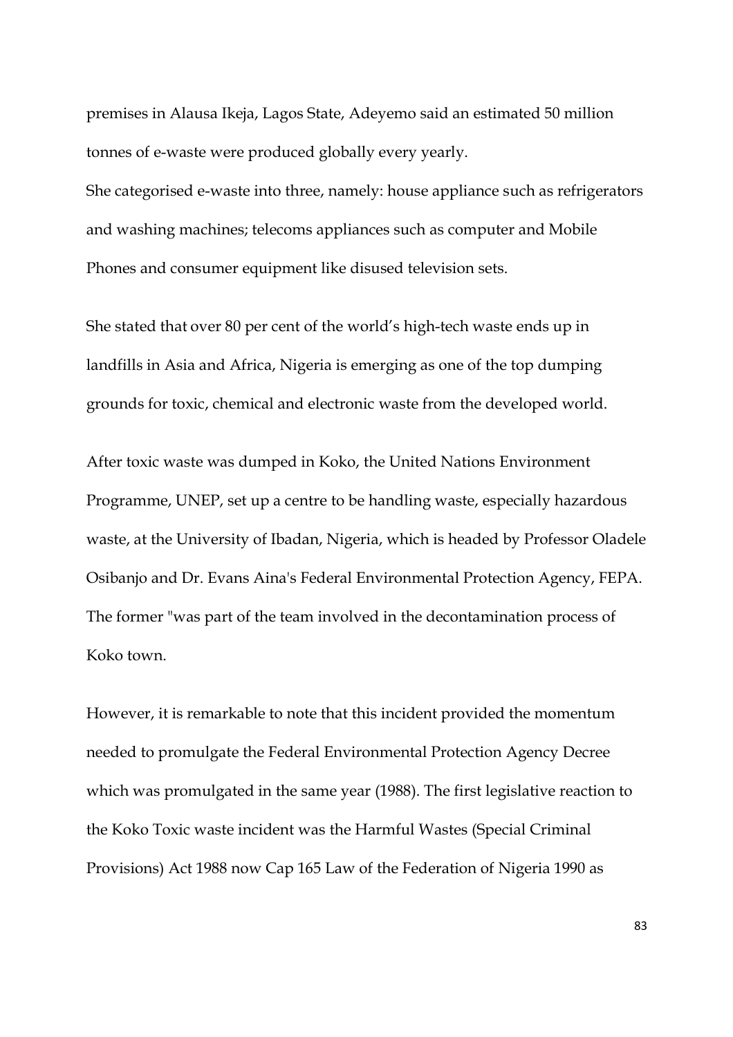premises in Alausa Ikeja, Lagos State, Adeyemo said an estimated 50 million tonnes of e-waste were produced globally every yearly.

She categorised e-waste into three, namely: house appliance such as refrigerators and washing machines; telecoms appliances such as computer and Mobile Phones and consumer equipment like disused television sets.

She stated that over 80 per cent of the world's high-tech waste ends up in landfills in Asia and Africa, Nigeria is emerging as one of the top dumping grounds for toxic, chemical and electronic waste from the developed world.

After toxic waste was dumped in Koko, the United Nations Environment Programme, UNEP, set up a centre to be handling waste, especially hazardous waste, at the University of Ibadan, Nigeria, which is headed by Professor Oladele Osibanjo and Dr. Evans Aina's Federal Environmental Protection Agency, FEPA. The former "was part of the team involved in the decontamination process of Koko town.

However, it is remarkable to note that this incident provided the momentum needed to promulgate the Federal Environmental Protection Agency Decree which was promulgated in the same year (1988). The first legislative reaction to the Koko Toxic waste incident was the Harmful Wastes (Special Criminal Provisions) Act 1988 now Cap 165 Law of the Federation of Nigeria 1990 as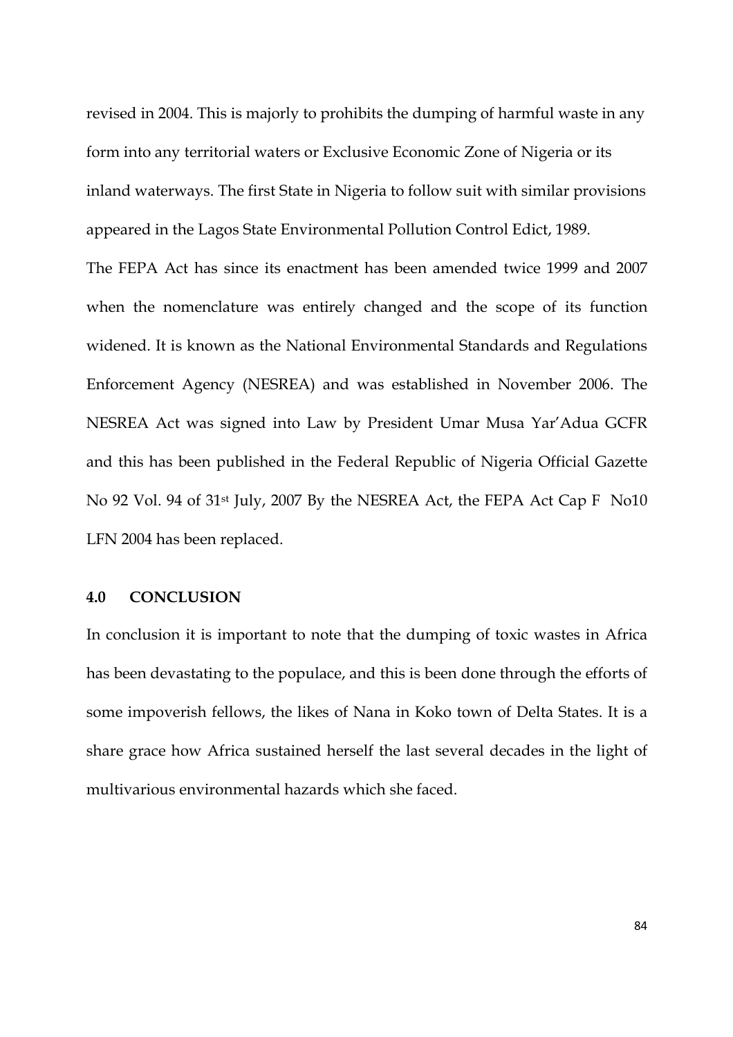revised in 2004. This is majorly to prohibits the dumping of harmful waste in any form into any territorial waters or Exclusive Economic Zone of Nigeria or its inland waterways. The first State in Nigeria to follow suit with similar provisions appeared in the Lagos State Environmental Pollution Control Edict, 1989.

The FEPA Act has since its enactment has been amended twice 1999 and 2007 when the nomenclature was entirely changed and the scope of its function widened. It is known as the National Environmental Standards and Regulations Enforcement Agency (NESREA) and was established in November 2006. The NESREA Act was signed into Law by President Umar Musa Yar'Adua GCFR and this has been published in the Federal Republic of Nigeria Official Gazette No 92 Vol. 94 of 31st July, 2007 By the NESREA Act, the FEPA Act Cap F No10 LFN 2004 has been replaced.

## **4.0 CONCLUSION**

In conclusion it is important to note that the dumping of toxic wastes in Africa has been devastating to the populace, and this is been done through the efforts of some impoverish fellows, the likes of Nana in Koko town of Delta States. It is a share grace how Africa sustained herself the last several decades in the light of multivarious environmental hazards which she faced.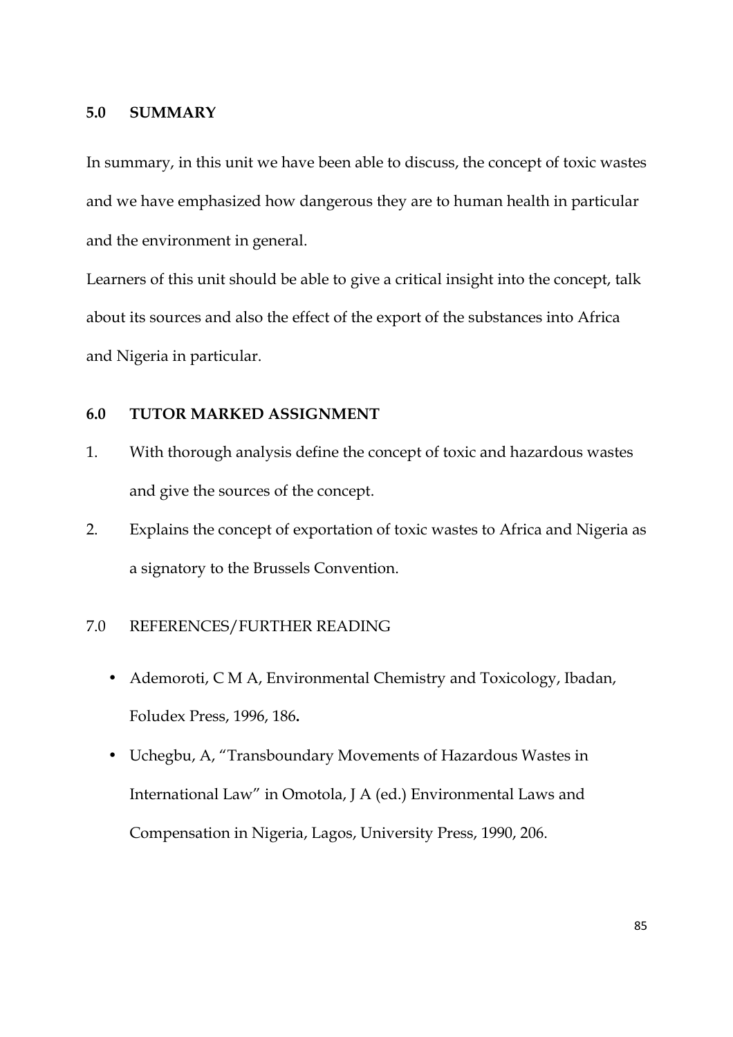### **5.0 SUMMARY**

In summary, in this unit we have been able to discuss, the concept of toxic wastes and we have emphasized how dangerous they are to human health in particular and the environment in general.

Learners of this unit should be able to give a critical insight into the concept, talk about its sources and also the effect of the export of the substances into Africa and Nigeria in particular.

## **6.0 TUTOR MARKED ASSIGNMENT**

- 1. With thorough analysis define the concept of toxic and hazardous wastes and give the sources of the concept.
- 2. Explains the concept of exportation of toxic wastes to Africa and Nigeria as a signatory to the Brussels Convention.

## 7.0 REFERENCES/FURTHER READING

- Ademoroti, C M A, Environmental Chemistry and Toxicology, Ibadan, Foludex Press, 1996, 186**.**
- Uchegbu, A, "Transboundary Movements of Hazardous Wastes in International Law" in Omotola, J A (ed.) Environmental Laws and Compensation in Nigeria, Lagos, University Press, 1990, 206.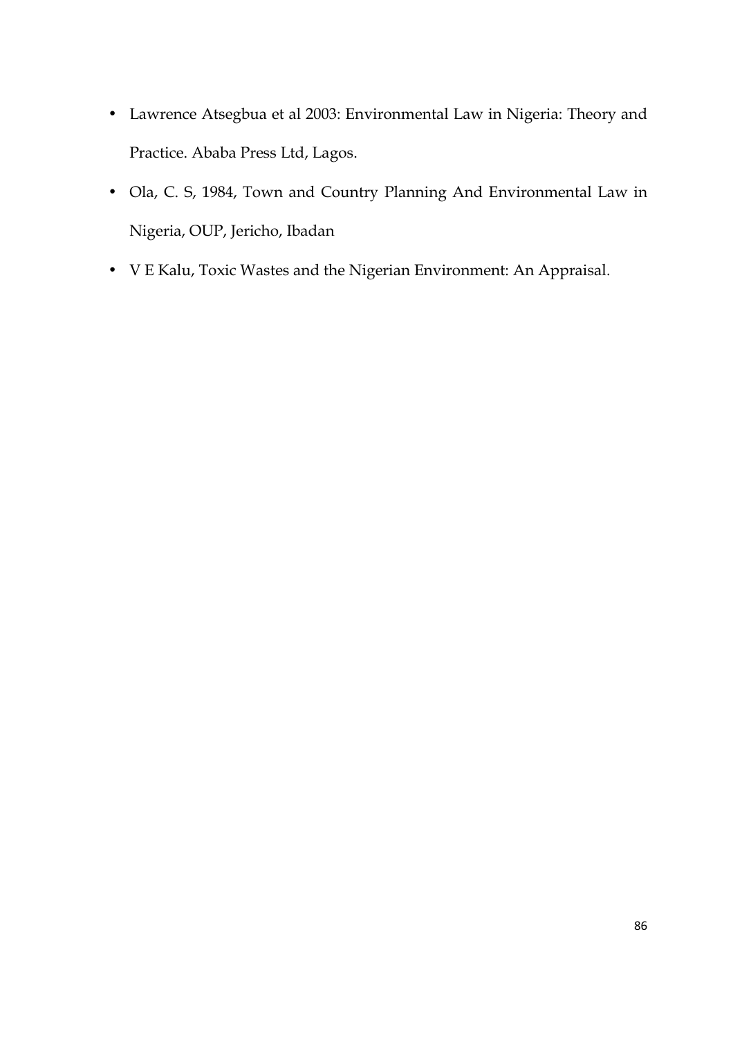- Lawrence Atsegbua et al 2003: Environmental Law in Nigeria: Theory and Practice. Ababa Press Ltd, Lagos.
- Ola, C. S, 1984, Town and Country Planning And Environmental Law in Nigeria, OUP, Jericho, Ibadan
- V E Kalu, Toxic Wastes and the Nigerian Environment: An Appraisal.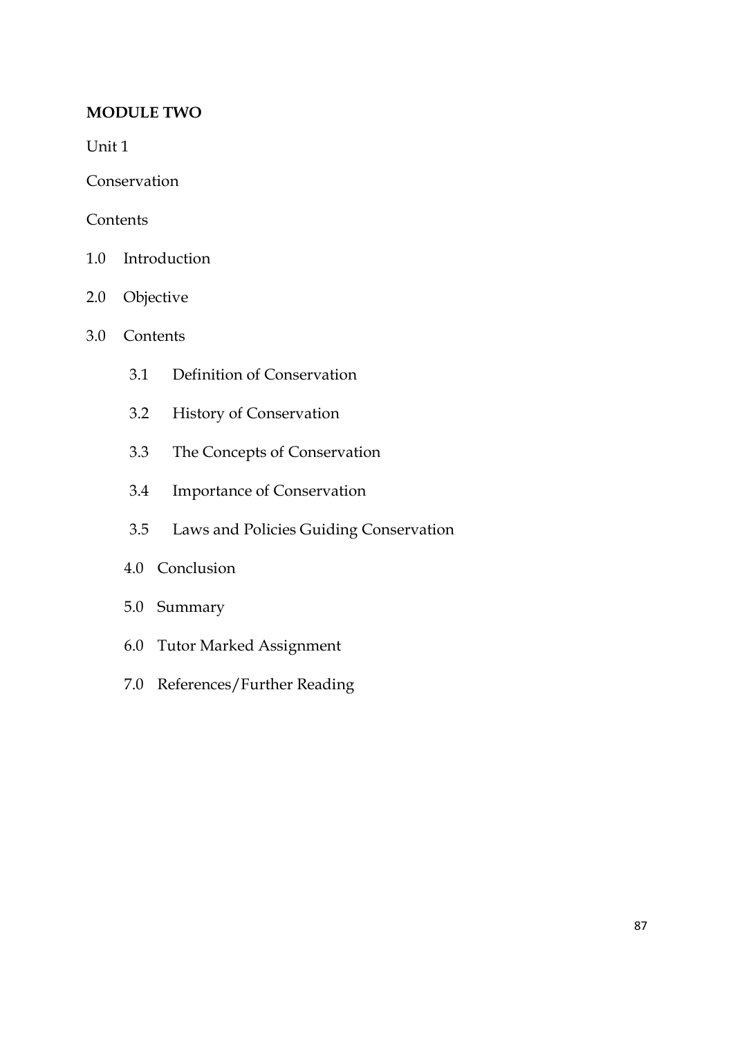# **MODULE TWO**

Unit 1

Conservation

## **Contents**

- 1.0 Introduction
- 2.0 Objective
- 3.0 Contents
	- 3.1 Definition of Conservation
	- 3.2 History of Conservation
	- 3.3 The Concepts of Conservation
	- 3.4 Importance of Conservation
	- 3.5 Laws and Policies Guiding Conservation
	- 4.0 Conclusion
	- 5.0 Summary
	- 6.0 Tutor Marked Assignment
	- 7.0 References/Further Reading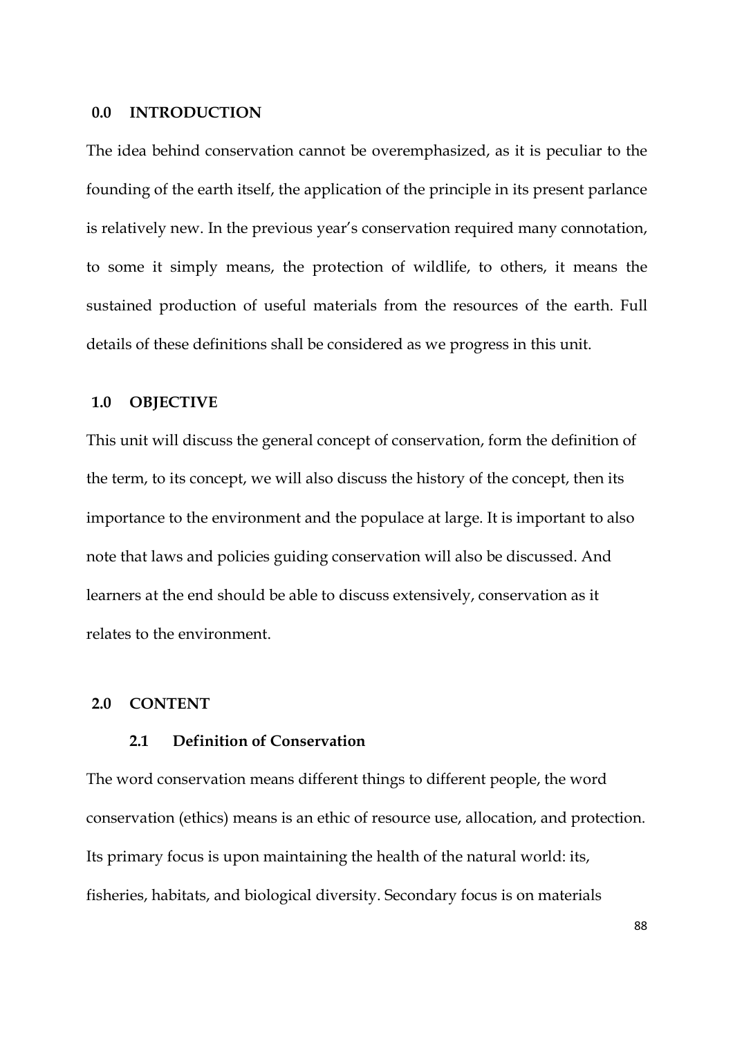### **0.0 INTRODUCTION**

The idea behind conservation cannot be overemphasized, as it is peculiar to the founding of the earth itself, the application of the principle in its present parlance is relatively new. In the previous year's conservation required many connotation, to some it simply means, the protection of wildlife, to others, it means the sustained production of useful materials from the resources of the earth. Full details of these definitions shall be considered as we progress in this unit.

### **1.0 OBJECTIVE**

This unit will discuss the general concept of conservation, form the definition of the term, to its concept, we will also discuss the history of the concept, then its importance to the environment and the populace at large. It is important to also note that laws and policies guiding conservation will also be discussed. And learners at the end should be able to discuss extensively, conservation as it relates to the environment.

### **2.0 CONTENT**

### **2.1 Definition of Conservation**

The word conservation means different things to different people, the word conservation (ethics) means is an ethic of resource use, allocation, and protection. Its primary focus is upon maintaining the health of the natural world: its, fisheries, habitats, and biological diversity. Secondary focus is on materials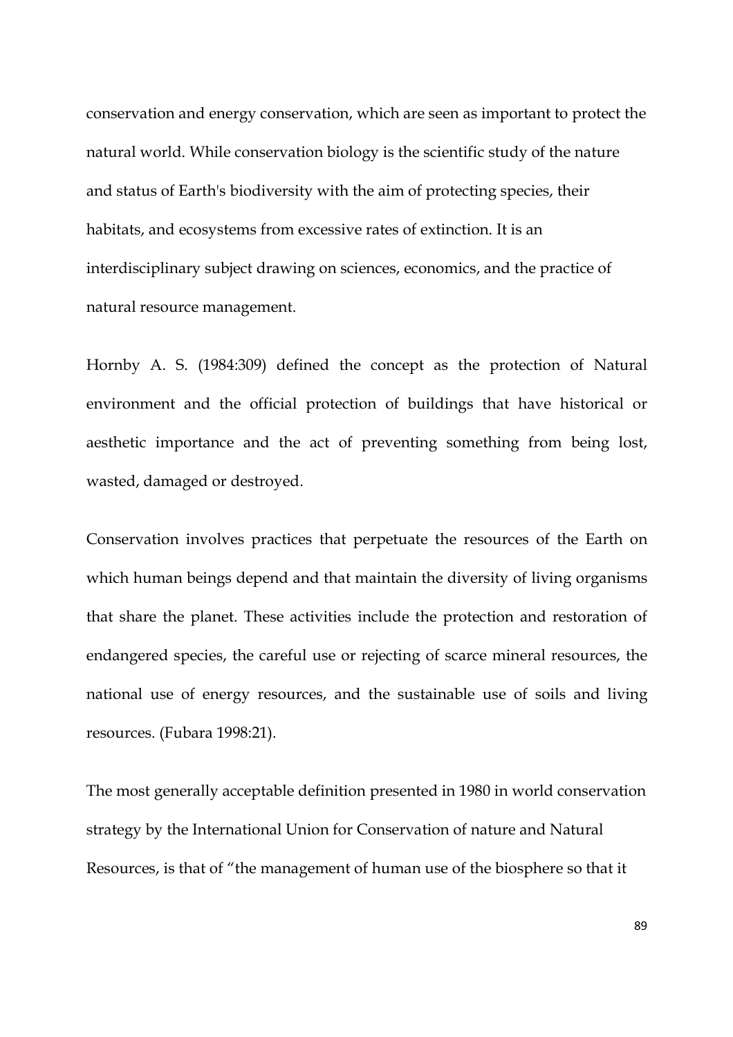conservation and energy conservation, which are seen as important to protect the natural world. While conservation biology is the scientific study of the nature and status of Earth's biodiversity with the aim of protecting species, their habitats, and ecosystems from excessive rates of extinction. It is an interdisciplinary subject drawing on sciences, economics, and the practice of natural resource management.

Hornby A. S. (1984:309) defined the concept as the protection of Natural environment and the official protection of buildings that have historical or aesthetic importance and the act of preventing something from being lost, wasted, damaged or destroyed.

Conservation involves practices that perpetuate the resources of the Earth on which human beings depend and that maintain the diversity of living organisms that share the planet. These activities include the protection and restoration of endangered species, the careful use or rejecting of scarce mineral resources, the national use of energy resources, and the sustainable use of soils and living resources. (Fubara 1998:21).

The most generally acceptable definition presented in 1980 in world conservation strategy by the International Union for Conservation of nature and Natural Resources, is that of "the management of human use of the biosphere so that it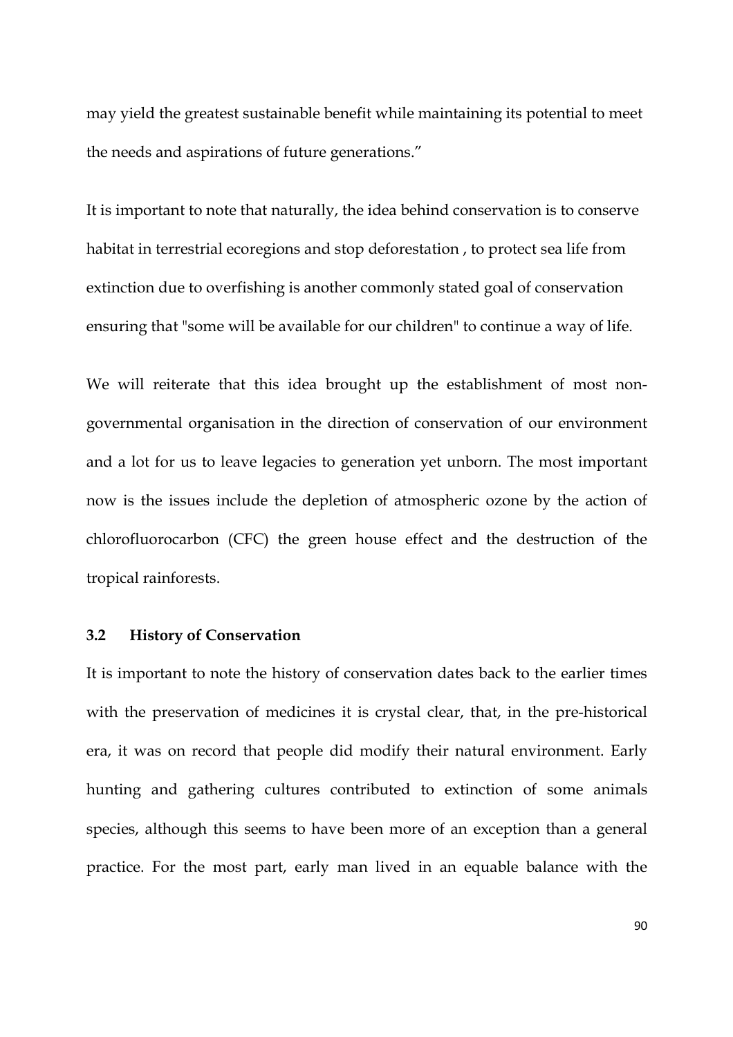may yield the greatest sustainable benefit while maintaining its potential to meet the needs and aspirations of future generations."

It is important to note that naturally, the idea behind conservation is to conserve habitat in terrestrial ecoregions and stop deforestation , to protect sea life from extinction due to overfishing is another commonly stated goal of conservation ensuring that "some will be available for our children" to continue a way of life.

We will reiterate that this idea brought up the establishment of most nongovernmental organisation in the direction of conservation of our environment and a lot for us to leave legacies to generation yet unborn. The most important now is the issues include the depletion of atmospheric ozone by the action of chlorofluorocarbon (CFC) the green house effect and the destruction of the tropical rainforests.

## **3.2 History of Conservation**

It is important to note the history of conservation dates back to the earlier times with the preservation of medicines it is crystal clear, that, in the pre-historical era, it was on record that people did modify their natural environment. Early hunting and gathering cultures contributed to extinction of some animals species, although this seems to have been more of an exception than a general practice. For the most part, early man lived in an equable balance with the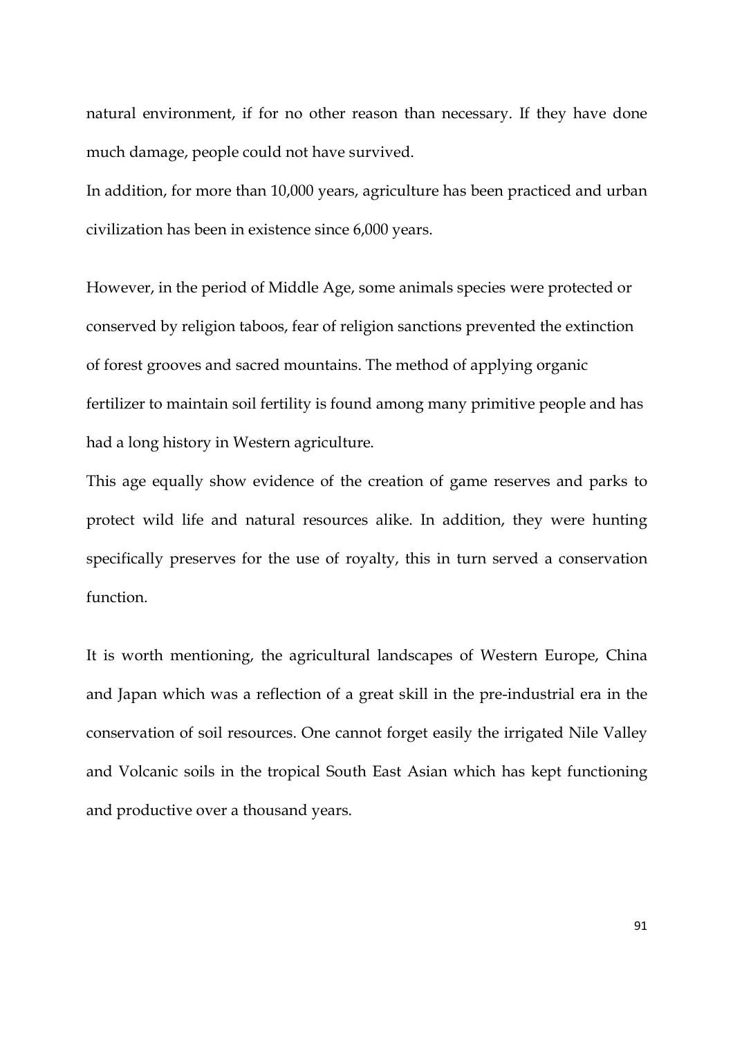natural environment, if for no other reason than necessary. If they have done much damage, people could not have survived.

In addition, for more than 10,000 years, agriculture has been practiced and urban civilization has been in existence since 6,000 years.

However, in the period of Middle Age, some animals species were protected or conserved by religion taboos, fear of religion sanctions prevented the extinction of forest grooves and sacred mountains. The method of applying organic fertilizer to maintain soil fertility is found among many primitive people and has had a long history in Western agriculture.

This age equally show evidence of the creation of game reserves and parks to protect wild life and natural resources alike. In addition, they were hunting specifically preserves for the use of royalty, this in turn served a conservation function.

It is worth mentioning, the agricultural landscapes of Western Europe, China and Japan which was a reflection of a great skill in the pre-industrial era in the conservation of soil resources. One cannot forget easily the irrigated Nile Valley and Volcanic soils in the tropical South East Asian which has kept functioning and productive over a thousand years.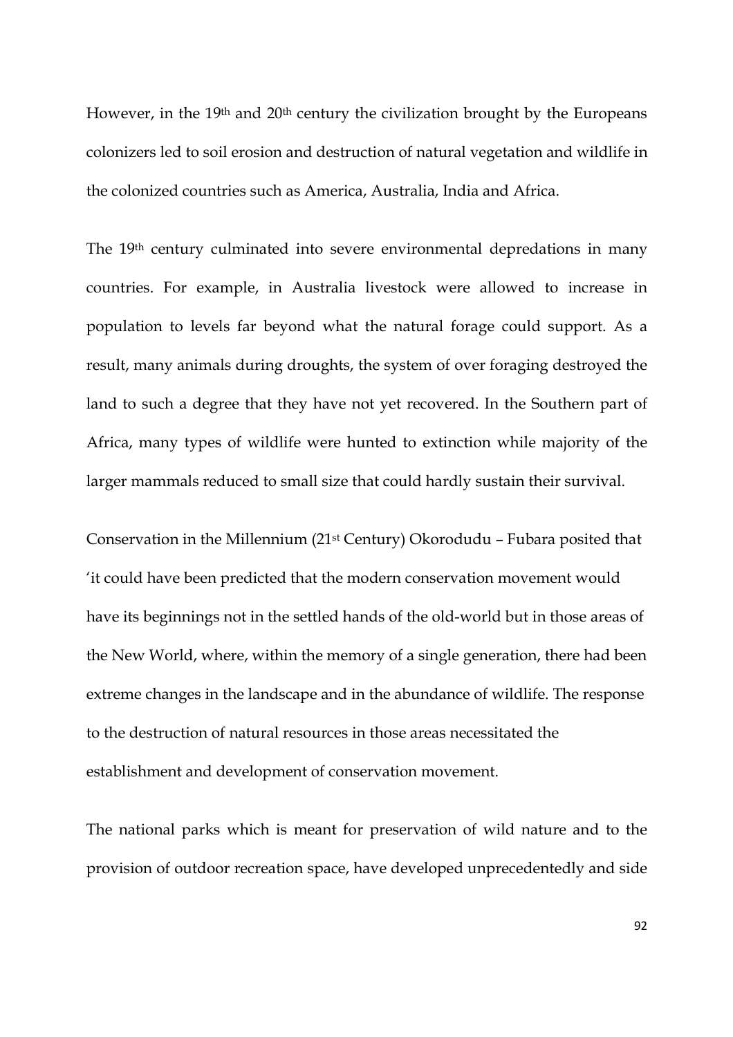However, in the 19th and 20th century the civilization brought by the Europeans colonizers led to soil erosion and destruction of natural vegetation and wildlife in the colonized countries such as America, Australia, India and Africa.

The 19th century culminated into severe environmental depredations in many countries. For example, in Australia livestock were allowed to increase in population to levels far beyond what the natural forage could support. As a result, many animals during droughts, the system of over foraging destroyed the land to such a degree that they have not yet recovered. In the Southern part of Africa, many types of wildlife were hunted to extinction while majority of the larger mammals reduced to small size that could hardly sustain their survival.

Conservation in the Millennium (21st Century) Okorodudu – Fubara posited that 'it could have been predicted that the modern conservation movement would have its beginnings not in the settled hands of the old-world but in those areas of the New World, where, within the memory of a single generation, there had been extreme changes in the landscape and in the abundance of wildlife. The response to the destruction of natural resources in those areas necessitated the establishment and development of conservation movement.

The national parks which is meant for preservation of wild nature and to the provision of outdoor recreation space, have developed unprecedentedly and side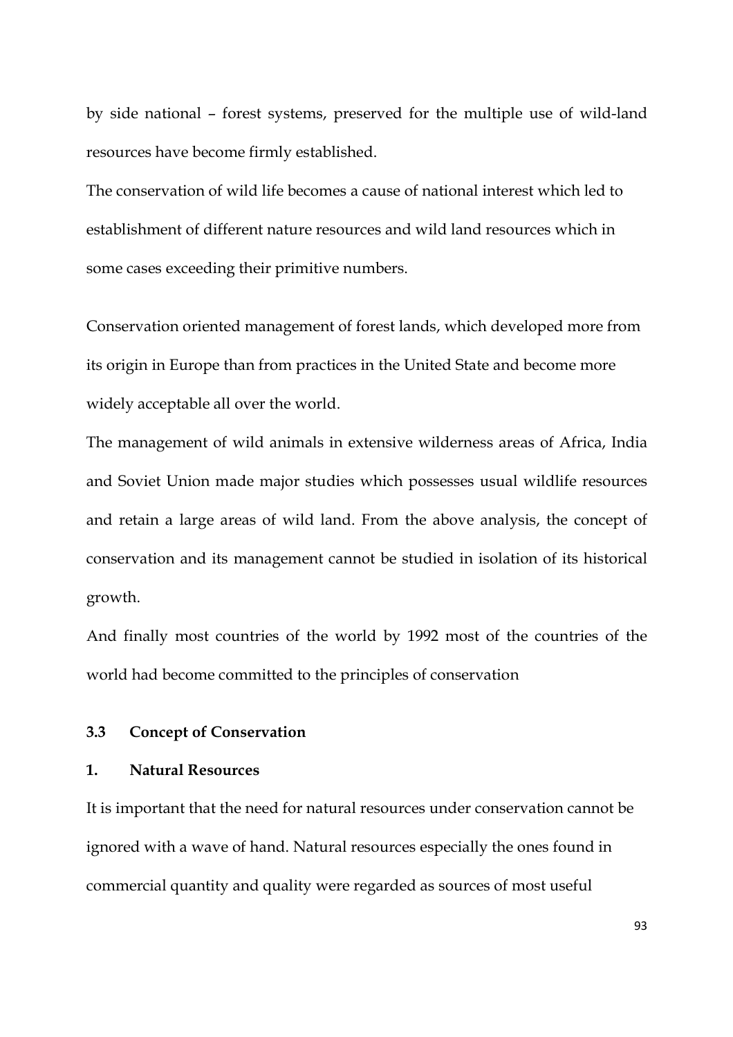by side national – forest systems, preserved for the multiple use of wild-land resources have become firmly established.

The conservation of wild life becomes a cause of national interest which led to establishment of different nature resources and wild land resources which in some cases exceeding their primitive numbers.

Conservation oriented management of forest lands, which developed more from its origin in Europe than from practices in the United State and become more widely acceptable all over the world.

The management of wild animals in extensive wilderness areas of Africa, India and Soviet Union made major studies which possesses usual wildlife resources and retain a large areas of wild land. From the above analysis, the concept of conservation and its management cannot be studied in isolation of its historical growth.

And finally most countries of the world by 1992 most of the countries of the world had become committed to the principles of conservation

## **3.3 Concept of Conservation**

## **1. Natural Resources**

It is important that the need for natural resources under conservation cannot be ignored with a wave of hand. Natural resources especially the ones found in commercial quantity and quality were regarded as sources of most useful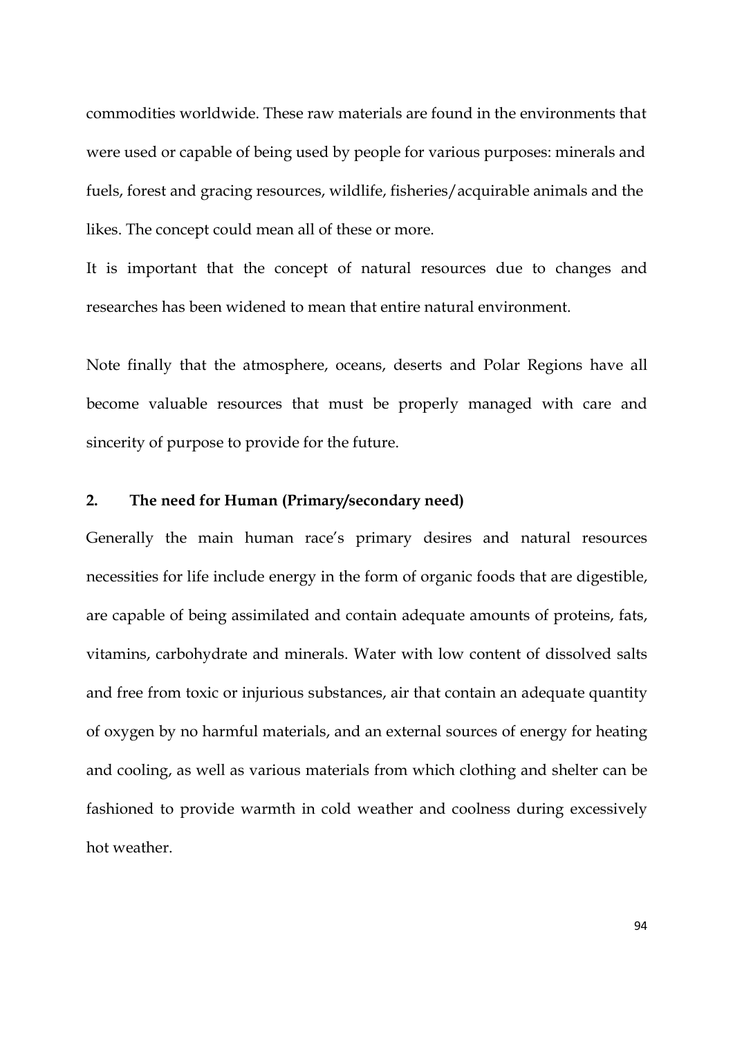commodities worldwide. These raw materials are found in the environments that were used or capable of being used by people for various purposes: minerals and fuels, forest and gracing resources, wildlife, fisheries/acquirable animals and the likes. The concept could mean all of these or more.

It is important that the concept of natural resources due to changes and researches has been widened to mean that entire natural environment.

Note finally that the atmosphere, oceans, deserts and Polar Regions have all become valuable resources that must be properly managed with care and sincerity of purpose to provide for the future.

## **2. The need for Human (Primary/secondary need)**

Generally the main human race's primary desires and natural resources necessities for life include energy in the form of organic foods that are digestible, are capable of being assimilated and contain adequate amounts of proteins, fats, vitamins, carbohydrate and minerals. Water with low content of dissolved salts and free from toxic or injurious substances, air that contain an adequate quantity of oxygen by no harmful materials, and an external sources of energy for heating and cooling, as well as various materials from which clothing and shelter can be fashioned to provide warmth in cold weather and coolness during excessively hot weather.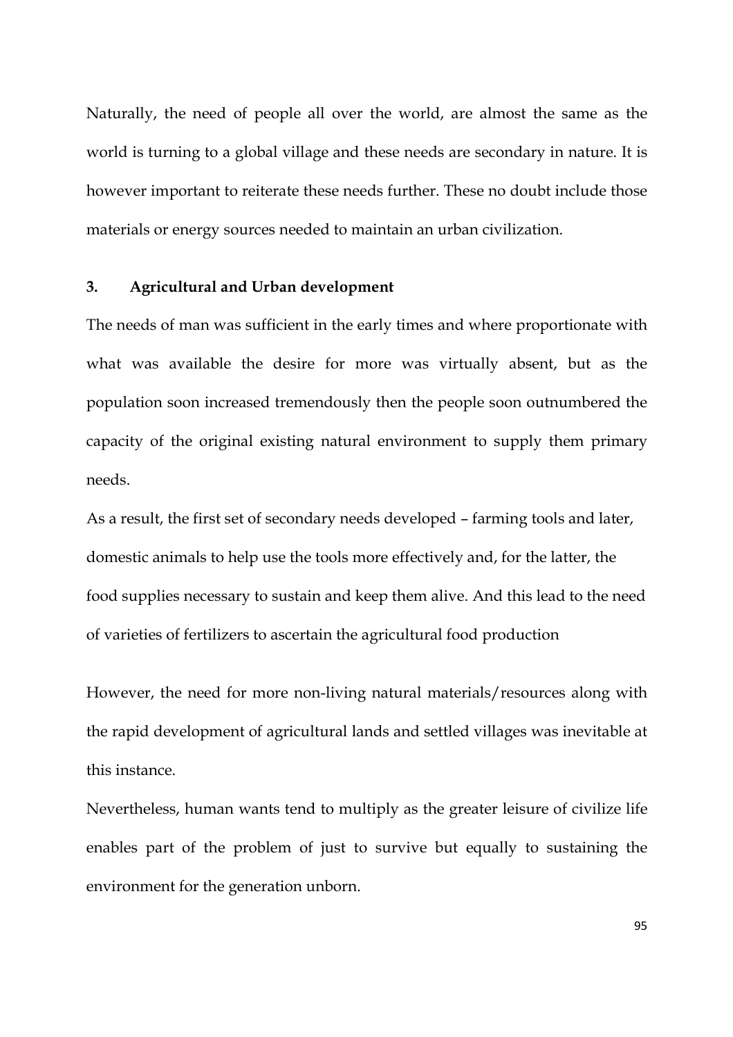Naturally, the need of people all over the world, are almost the same as the world is turning to a global village and these needs are secondary in nature. It is however important to reiterate these needs further. These no doubt include those materials or energy sources needed to maintain an urban civilization.

### **3. Agricultural and Urban development**

The needs of man was sufficient in the early times and where proportionate with what was available the desire for more was virtually absent, but as the population soon increased tremendously then the people soon outnumbered the capacity of the original existing natural environment to supply them primary needs.

As a result, the first set of secondary needs developed – farming tools and later, domestic animals to help use the tools more effectively and, for the latter, the food supplies necessary to sustain and keep them alive. And this lead to the need of varieties of fertilizers to ascertain the agricultural food production

However, the need for more non-living natural materials/resources along with the rapid development of agricultural lands and settled villages was inevitable at this instance.

Nevertheless, human wants tend to multiply as the greater leisure of civilize life enables part of the problem of just to survive but equally to sustaining the environment for the generation unborn.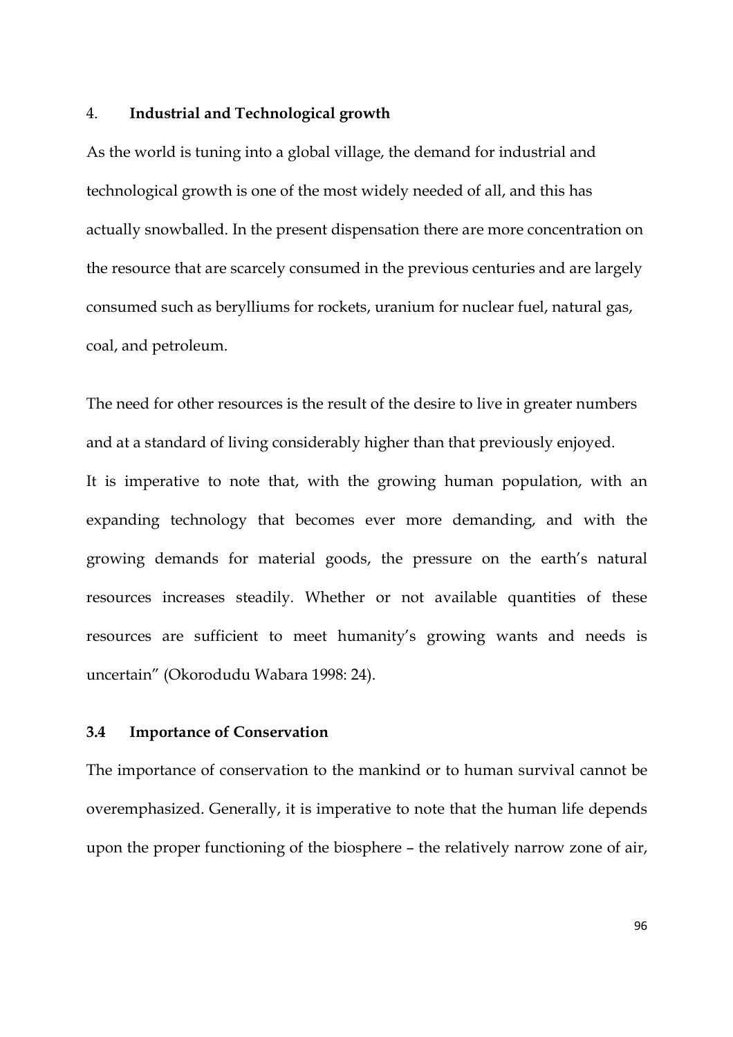#### 4. **Industrial and Technological growth**

As the world is tuning into a global village, the demand for industrial and technological growth is one of the most widely needed of all, and this has actually snowballed. In the present dispensation there are more concentration on the resource that are scarcely consumed in the previous centuries and are largely consumed such as berylliums for rockets, uranium for nuclear fuel, natural gas, coal, and petroleum.

The need for other resources is the result of the desire to live in greater numbers and at a standard of living considerably higher than that previously enjoyed. It is imperative to note that, with the growing human population, with an expanding technology that becomes ever more demanding, and with the growing demands for material goods, the pressure on the earth's natural resources increases steadily. Whether or not available quantities of these resources are sufficient to meet humanity's growing wants and needs is uncertain" (Okorodudu Wabara 1998: 24).

#### **3.4 Importance of Conservation**

The importance of conservation to the mankind or to human survival cannot be overemphasized. Generally, it is imperative to note that the human life depends upon the proper functioning of the biosphere – the relatively narrow zone of air,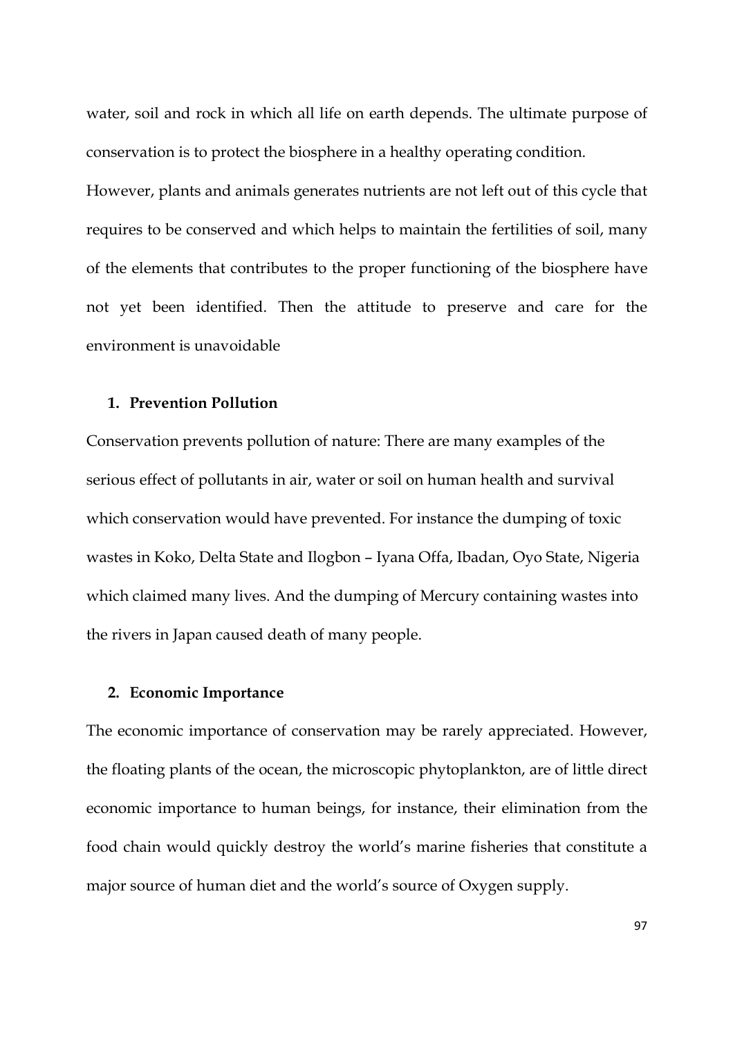water, soil and rock in which all life on earth depends. The ultimate purpose of conservation is to protect the biosphere in a healthy operating condition.

However, plants and animals generates nutrients are not left out of this cycle that requires to be conserved and which helps to maintain the fertilities of soil, many of the elements that contributes to the proper functioning of the biosphere have not yet been identified. Then the attitude to preserve and care for the environment is unavoidable

## **1. Prevention Pollution**

Conservation prevents pollution of nature: There are many examples of the serious effect of pollutants in air, water or soil on human health and survival which conservation would have prevented. For instance the dumping of toxic wastes in Koko, Delta State and Ilogbon – Iyana Offa, Ibadan, Oyo State, Nigeria which claimed many lives. And the dumping of Mercury containing wastes into the rivers in Japan caused death of many people.

### **2. Economic Importance**

The economic importance of conservation may be rarely appreciated. However, the floating plants of the ocean, the microscopic phytoplankton, are of little direct economic importance to human beings, for instance, their elimination from the food chain would quickly destroy the world's marine fisheries that constitute a major source of human diet and the world's source of Oxygen supply.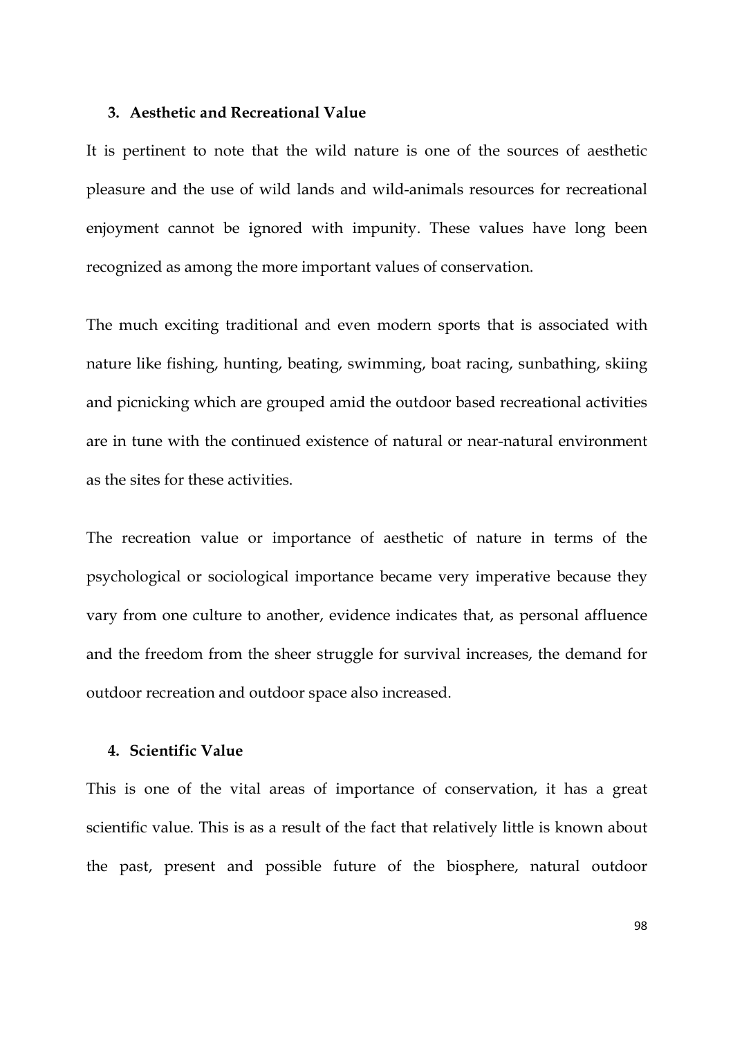### **3. Aesthetic and Recreational Value**

It is pertinent to note that the wild nature is one of the sources of aesthetic pleasure and the use of wild lands and wild-animals resources for recreational enjoyment cannot be ignored with impunity. These values have long been recognized as among the more important values of conservation.

The much exciting traditional and even modern sports that is associated with nature like fishing, hunting, beating, swimming, boat racing, sunbathing, skiing and picnicking which are grouped amid the outdoor based recreational activities are in tune with the continued existence of natural or near-natural environment as the sites for these activities.

The recreation value or importance of aesthetic of nature in terms of the psychological or sociological importance became very imperative because they vary from one culture to another, evidence indicates that, as personal affluence and the freedom from the sheer struggle for survival increases, the demand for outdoor recreation and outdoor space also increased.

## **4. Scientific Value**

This is one of the vital areas of importance of conservation, it has a great scientific value. This is as a result of the fact that relatively little is known about the past, present and possible future of the biosphere, natural outdoor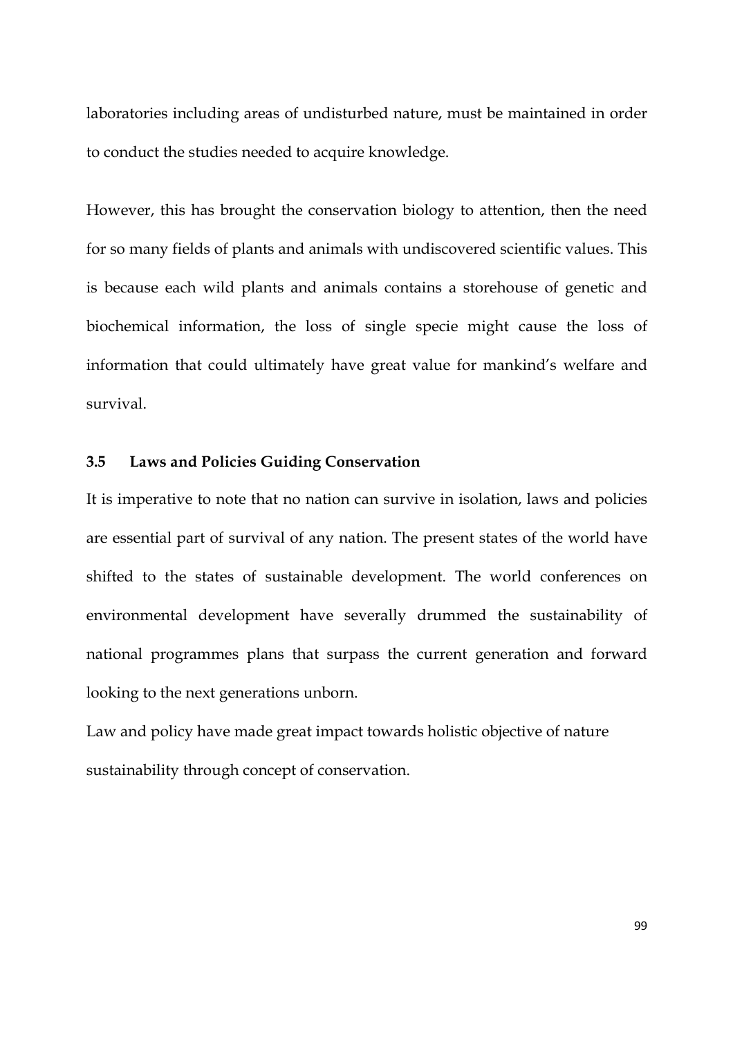laboratories including areas of undisturbed nature, must be maintained in order to conduct the studies needed to acquire knowledge.

However, this has brought the conservation biology to attention, then the need for so many fields of plants and animals with undiscovered scientific values. This is because each wild plants and animals contains a storehouse of genetic and biochemical information, the loss of single specie might cause the loss of information that could ultimately have great value for mankind's welfare and survival.

## **3.5 Laws and Policies Guiding Conservation**

It is imperative to note that no nation can survive in isolation, laws and policies are essential part of survival of any nation. The present states of the world have shifted to the states of sustainable development. The world conferences on environmental development have severally drummed the sustainability of national programmes plans that surpass the current generation and forward looking to the next generations unborn.

Law and policy have made great impact towards holistic objective of nature sustainability through concept of conservation.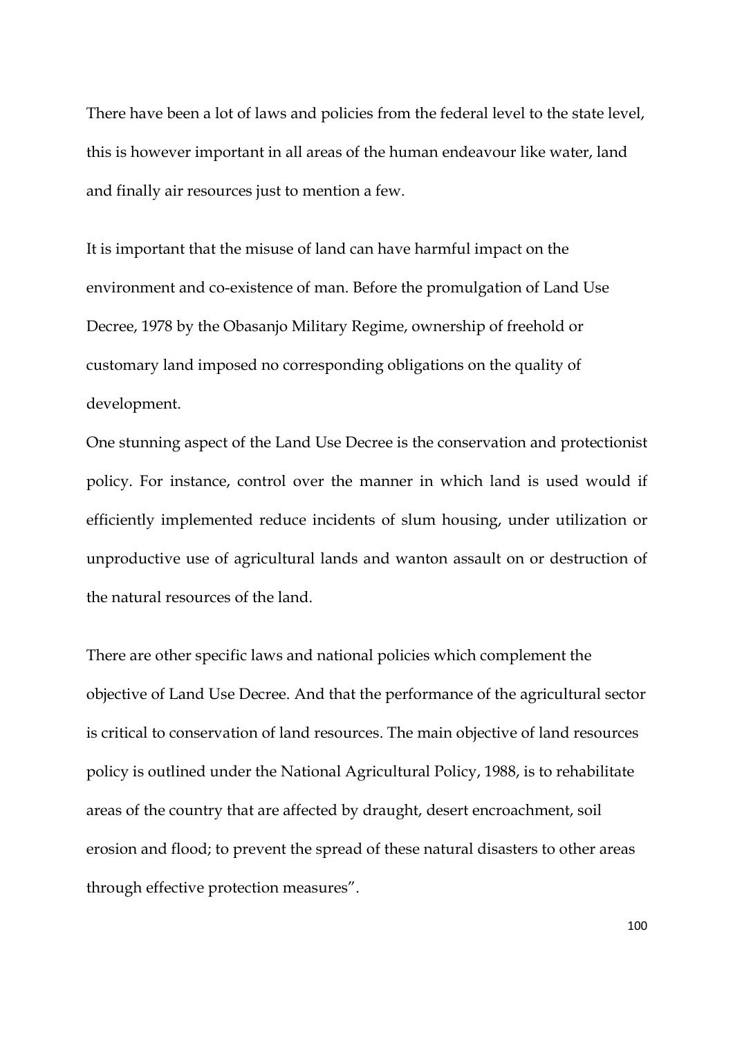There have been a lot of laws and policies from the federal level to the state level, this is however important in all areas of the human endeavour like water, land and finally air resources just to mention a few.

It is important that the misuse of land can have harmful impact on the environment and co-existence of man. Before the promulgation of Land Use Decree, 1978 by the Obasanjo Military Regime, ownership of freehold or customary land imposed no corresponding obligations on the quality of development.

One stunning aspect of the Land Use Decree is the conservation and protectionist policy. For instance, control over the manner in which land is used would if efficiently implemented reduce incidents of slum housing, under utilization or unproductive use of agricultural lands and wanton assault on or destruction of the natural resources of the land.

There are other specific laws and national policies which complement the objective of Land Use Decree. And that the performance of the agricultural sector is critical to conservation of land resources. The main objective of land resources policy is outlined under the National Agricultural Policy, 1988, is to rehabilitate areas of the country that are affected by draught, desert encroachment, soil erosion and flood; to prevent the spread of these natural disasters to other areas through effective protection measures".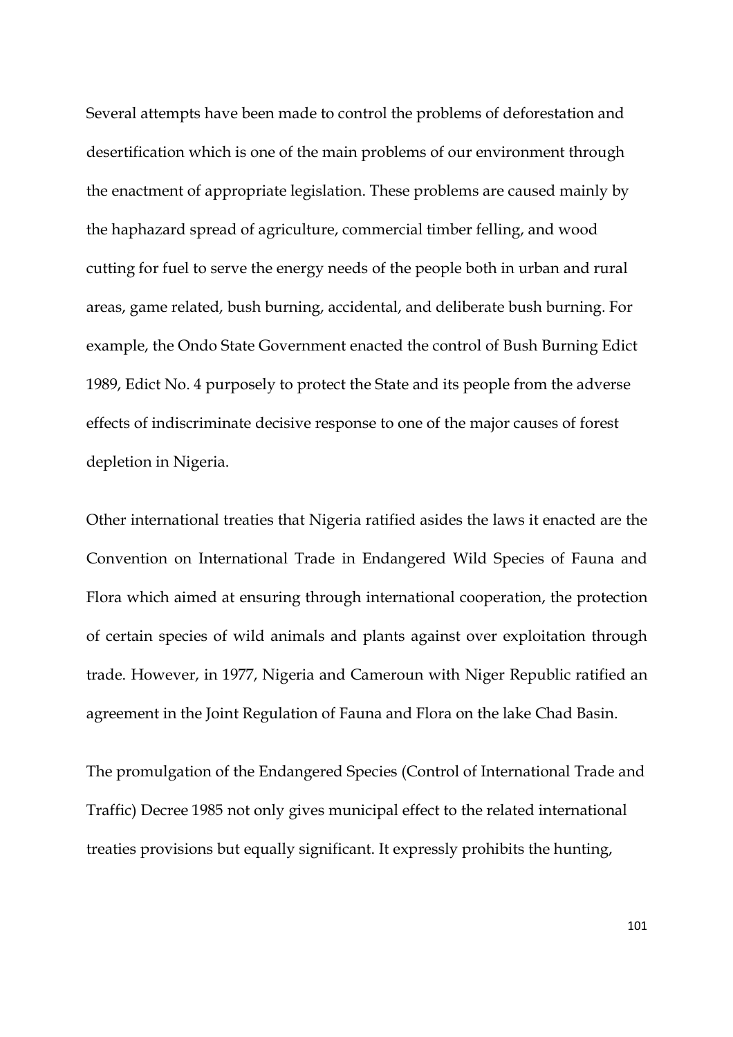Several attempts have been made to control the problems of deforestation and desertification which is one of the main problems of our environment through the enactment of appropriate legislation. These problems are caused mainly by the haphazard spread of agriculture, commercial timber felling, and wood cutting for fuel to serve the energy needs of the people both in urban and rural areas, game related, bush burning, accidental, and deliberate bush burning. For example, the Ondo State Government enacted the control of Bush Burning Edict 1989, Edict No. 4 purposely to protect the State and its people from the adverse effects of indiscriminate decisive response to one of the major causes of forest depletion in Nigeria.

Other international treaties that Nigeria ratified asides the laws it enacted are the Convention on International Trade in Endangered Wild Species of Fauna and Flora which aimed at ensuring through international cooperation, the protection of certain species of wild animals and plants against over exploitation through trade. However, in 1977, Nigeria and Cameroun with Niger Republic ratified an agreement in the Joint Regulation of Fauna and Flora on the lake Chad Basin.

The promulgation of the Endangered Species (Control of International Trade and Traffic) Decree 1985 not only gives municipal effect to the related international treaties provisions but equally significant. It expressly prohibits the hunting,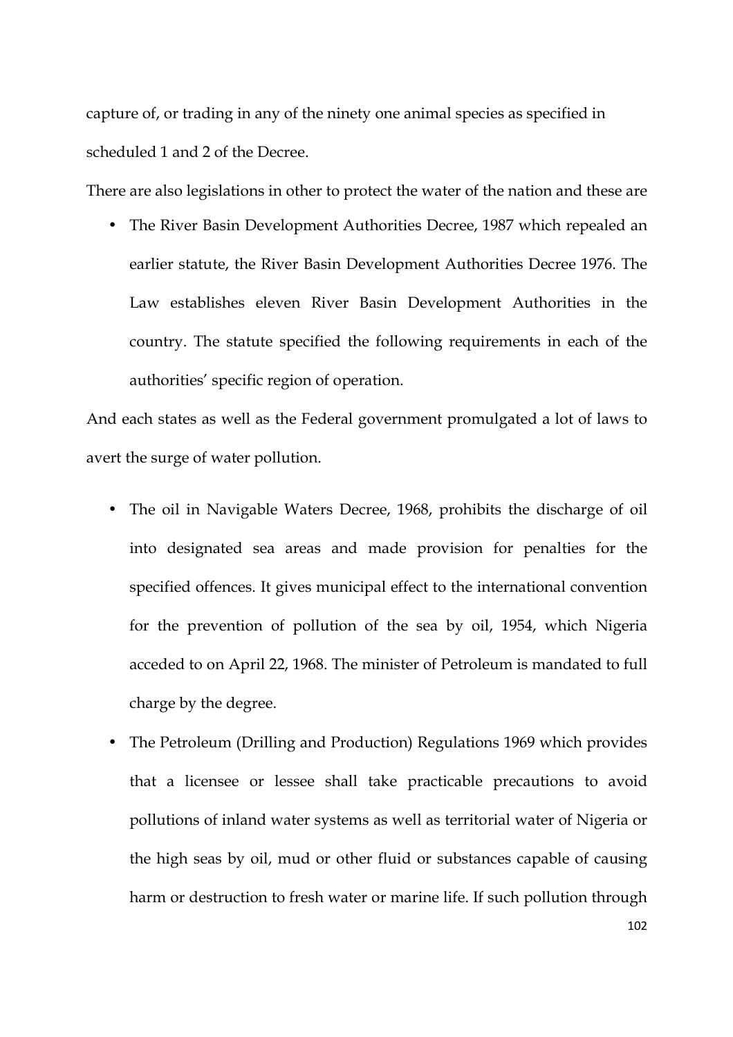capture of, or trading in any of the ninety one animal species as specified in scheduled 1 and 2 of the Decree.

There are also legislations in other to protect the water of the nation and these are

• The River Basin Development Authorities Decree, 1987 which repealed an earlier statute, the River Basin Development Authorities Decree 1976. The Law establishes eleven River Basin Development Authorities in the country. The statute specified the following requirements in each of the authorities' specific region of operation.

And each states as well as the Federal government promulgated a lot of laws to avert the surge of water pollution.

- The oil in Navigable Waters Decree, 1968, prohibits the discharge of oil into designated sea areas and made provision for penalties for the specified offences. It gives municipal effect to the international convention for the prevention of pollution of the sea by oil, 1954, which Nigeria acceded to on April 22, 1968. The minister of Petroleum is mandated to full charge by the degree.
- The Petroleum (Drilling and Production) Regulations 1969 which provides that a licensee or lessee shall take practicable precautions to avoid pollutions of inland water systems as well as territorial water of Nigeria or the high seas by oil, mud or other fluid or substances capable of causing harm or destruction to fresh water or marine life. If such pollution through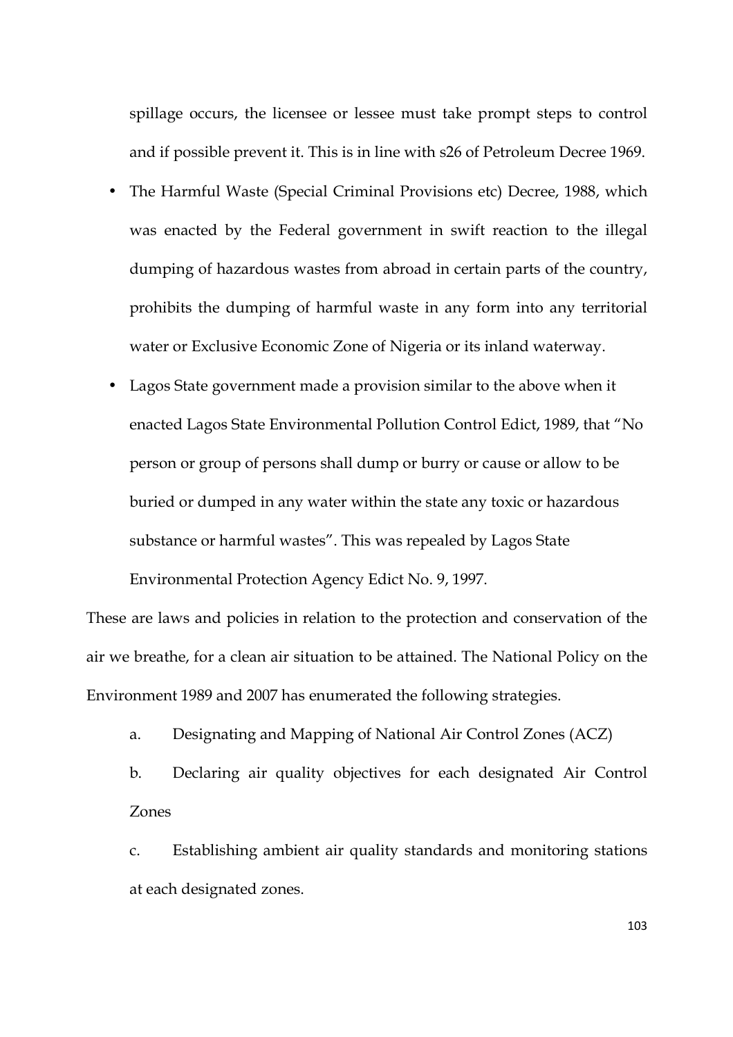spillage occurs, the licensee or lessee must take prompt steps to control and if possible prevent it. This is in line with s26 of Petroleum Decree 1969.

- The Harmful Waste (Special Criminal Provisions etc) Decree, 1988, which was enacted by the Federal government in swift reaction to the illegal dumping of hazardous wastes from abroad in certain parts of the country, prohibits the dumping of harmful waste in any form into any territorial water or Exclusive Economic Zone of Nigeria or its inland waterway.
- Lagos State government made a provision similar to the above when it enacted Lagos State Environmental Pollution Control Edict, 1989, that "No person or group of persons shall dump or burry or cause or allow to be buried or dumped in any water within the state any toxic or hazardous substance or harmful wastes". This was repealed by Lagos State Environmental Protection Agency Edict No. 9, 1997.

These are laws and policies in relation to the protection and conservation of the air we breathe, for a clean air situation to be attained. The National Policy on the Environment 1989 and 2007 has enumerated the following strategies.

a. Designating and Mapping of National Air Control Zones (ACZ)

b. Declaring air quality objectives for each designated Air Control Zones

c. Establishing ambient air quality standards and monitoring stations at each designated zones.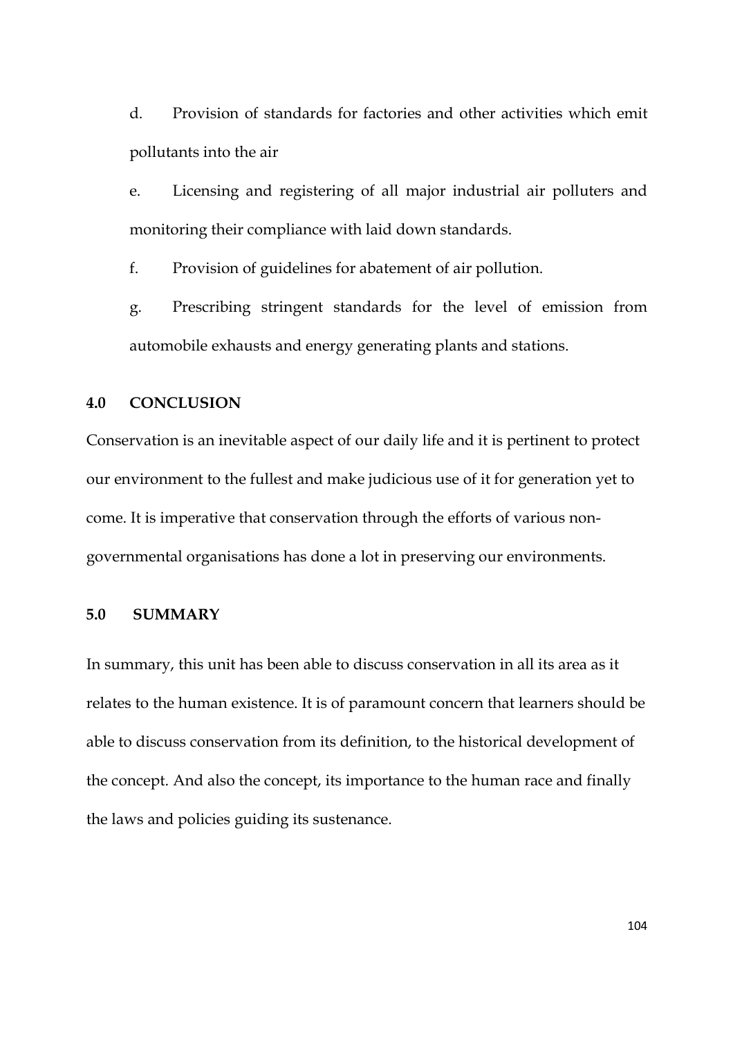d. Provision of standards for factories and other activities which emit pollutants into the air

e. Licensing and registering of all major industrial air polluters and monitoring their compliance with laid down standards.

f. Provision of guidelines for abatement of air pollution.

g. Prescribing stringent standards for the level of emission from automobile exhausts and energy generating plants and stations.

## **4.0 CONCLUSION**

Conservation is an inevitable aspect of our daily life and it is pertinent to protect our environment to the fullest and make judicious use of it for generation yet to come. It is imperative that conservation through the efforts of various nongovernmental organisations has done a lot in preserving our environments.

## **5.0 SUMMARY**

In summary, this unit has been able to discuss conservation in all its area as it relates to the human existence. It is of paramount concern that learners should be able to discuss conservation from its definition, to the historical development of the concept. And also the concept, its importance to the human race and finally the laws and policies guiding its sustenance.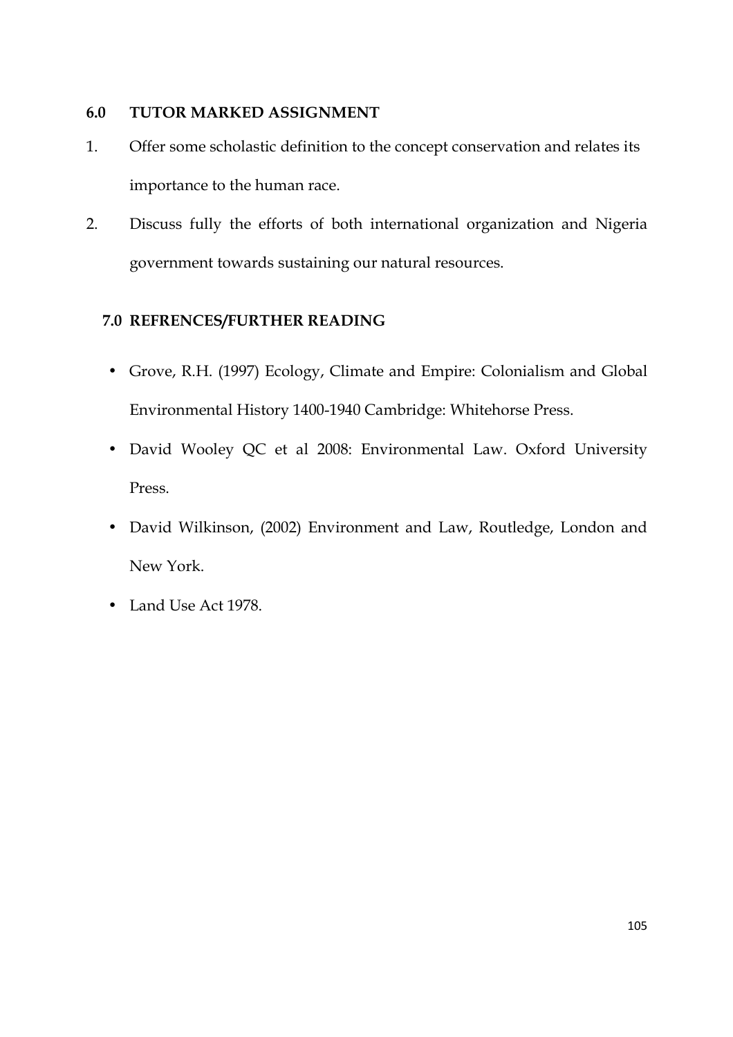## **6.0 TUTOR MARKED ASSIGNMENT**

- 1. Offer some scholastic definition to the concept conservation and relates its importance to the human race.
- 2. Discuss fully the efforts of both international organization and Nigeria government towards sustaining our natural resources.

# **7.0 REFRENCES/FURTHER READING**

- Grove, R.H. (1997) Ecology, Climate and Empire: Colonialism and Global Environmental History 1400-1940 Cambridge: Whitehorse Press.
- David Wooley QC et al 2008: Environmental Law. Oxford University Press.
- David Wilkinson, (2002) Environment and Law, Routledge, London and New York.
- Land Use Act 1978.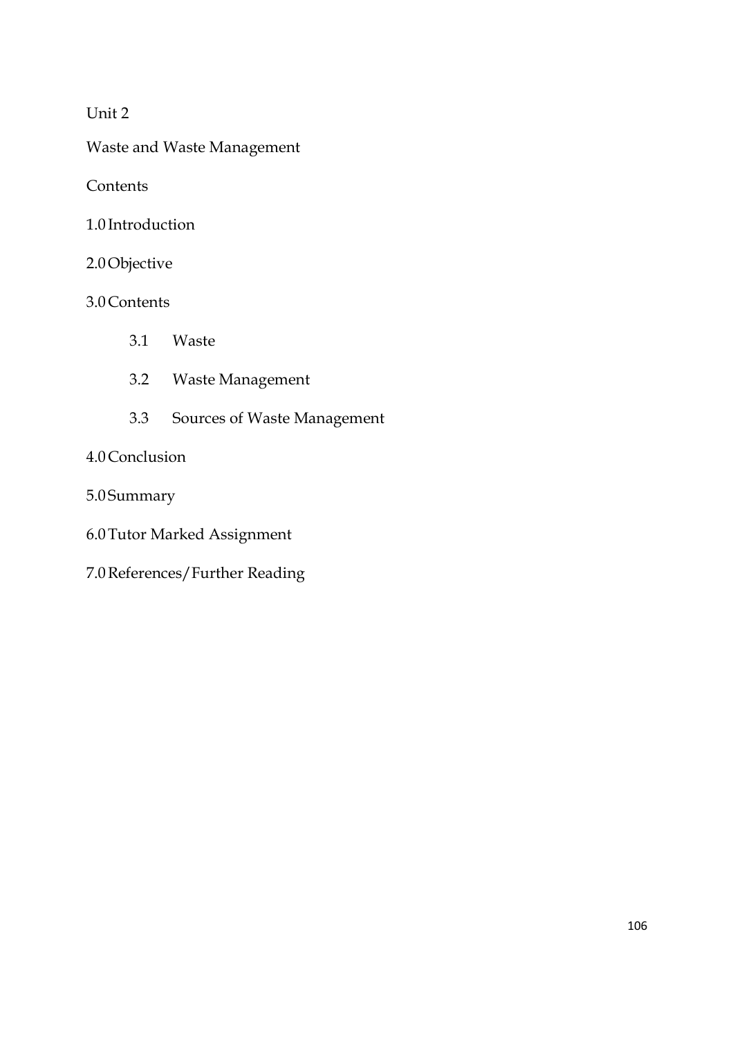# Unit 2

Waste and Waste Management

**Contents** 

1.0 Introduction

# 2.0Objective

# 3.0Contents

- 3.1 Waste
- 3.2 Waste Management
- 3.3 Sources of Waste Management

# 4.0Conclusion

- 5.0 Summary
- 6.0Tutor Marked Assignment
- 7.0References/Further Reading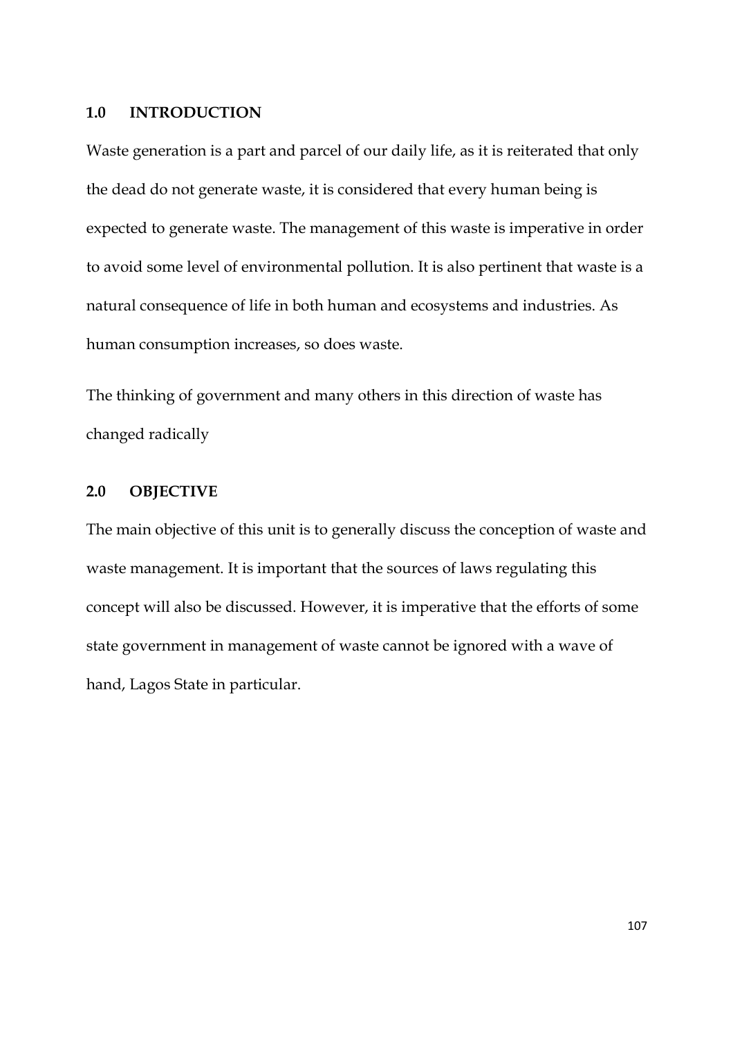### **1.0 INTRODUCTION**

Waste generation is a part and parcel of our daily life, as it is reiterated that only the dead do not generate waste, it is considered that every human being is expected to generate waste. The management of this waste is imperative in order to avoid some level of environmental pollution. It is also pertinent that waste is a natural consequence of life in both human and ecosystems and industries. As human consumption increases, so does waste.

The thinking of government and many others in this direction of waste has changed radically

### **2.0 OBJECTIVE**

The main objective of this unit is to generally discuss the conception of waste and waste management. It is important that the sources of laws regulating this concept will also be discussed. However, it is imperative that the efforts of some state government in management of waste cannot be ignored with a wave of hand, Lagos State in particular.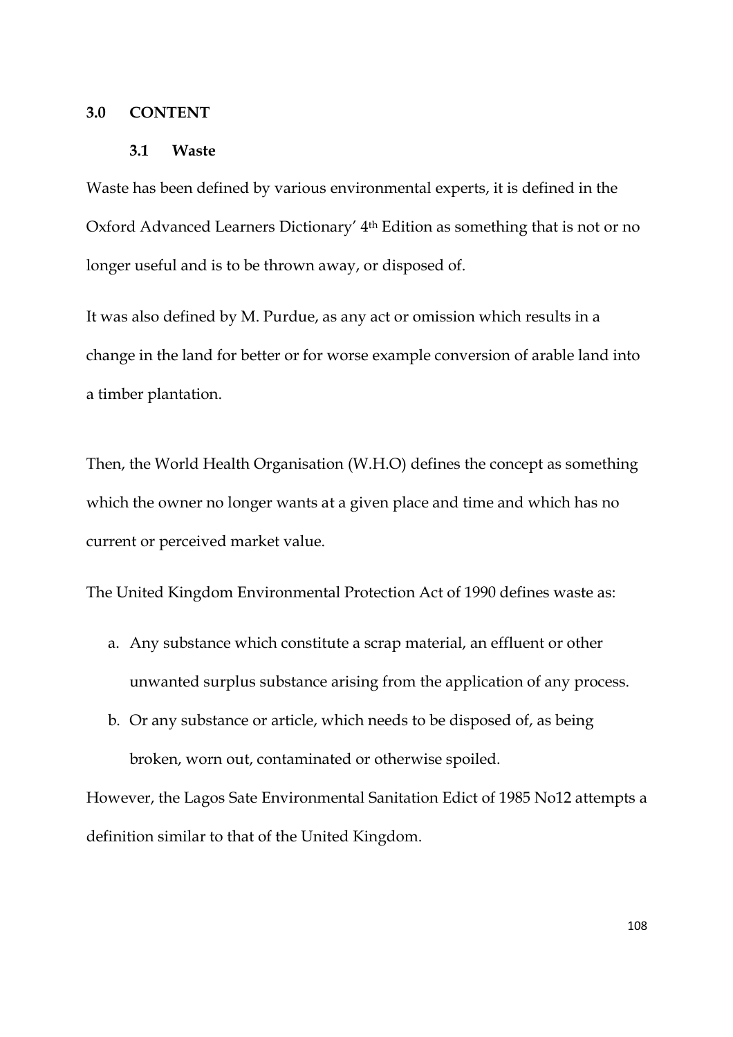### **3.0 CONTENT**

#### **3.1 Waste**

Waste has been defined by various environmental experts, it is defined in the Oxford Advanced Learners Dictionary' 4th Edition as something that is not or no longer useful and is to be thrown away, or disposed of.

It was also defined by M. Purdue, as any act or omission which results in a change in the land for better or for worse example conversion of arable land into a timber plantation.

Then, the World Health Organisation (W.H.O) defines the concept as something which the owner no longer wants at a given place and time and which has no current or perceived market value.

The United Kingdom Environmental Protection Act of 1990 defines waste as:

- a. Any substance which constitute a scrap material, an effluent or other unwanted surplus substance arising from the application of any process.
- b. Or any substance or article, which needs to be disposed of, as being broken, worn out, contaminated or otherwise spoiled.

However, the Lagos Sate Environmental Sanitation Edict of 1985 No12 attempts a definition similar to that of the United Kingdom.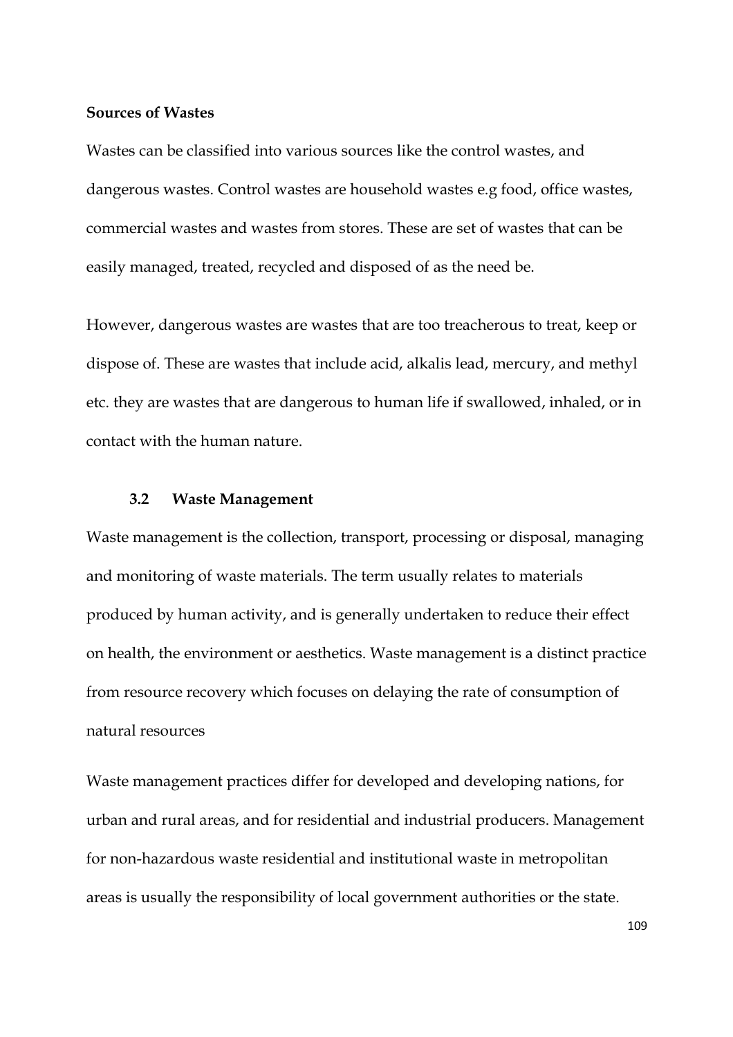### **Sources of Wastes**

Wastes can be classified into various sources like the control wastes, and dangerous wastes. Control wastes are household wastes e.g food, office wastes, commercial wastes and wastes from stores. These are set of wastes that can be easily managed, treated, recycled and disposed of as the need be.

However, dangerous wastes are wastes that are too treacherous to treat, keep or dispose of. These are wastes that include acid, alkalis lead, mercury, and methyl etc. they are wastes that are dangerous to human life if swallowed, inhaled, or in contact with the human nature.

### **3.2 Waste Management**

Waste management is the collection, transport, processing or disposal, managing and monitoring of waste materials. The term usually relates to materials produced by human activity, and is generally undertaken to reduce their effect on health, the environment or aesthetics. Waste management is a distinct practice from resource recovery which focuses on delaying the rate of consumption of natural resources

Waste management practices differ for developed and developing nations, for urban and rural areas, and for residential and industrial producers. Management for non-hazardous waste residential and institutional waste in metropolitan areas is usually the responsibility of local government authorities or the state.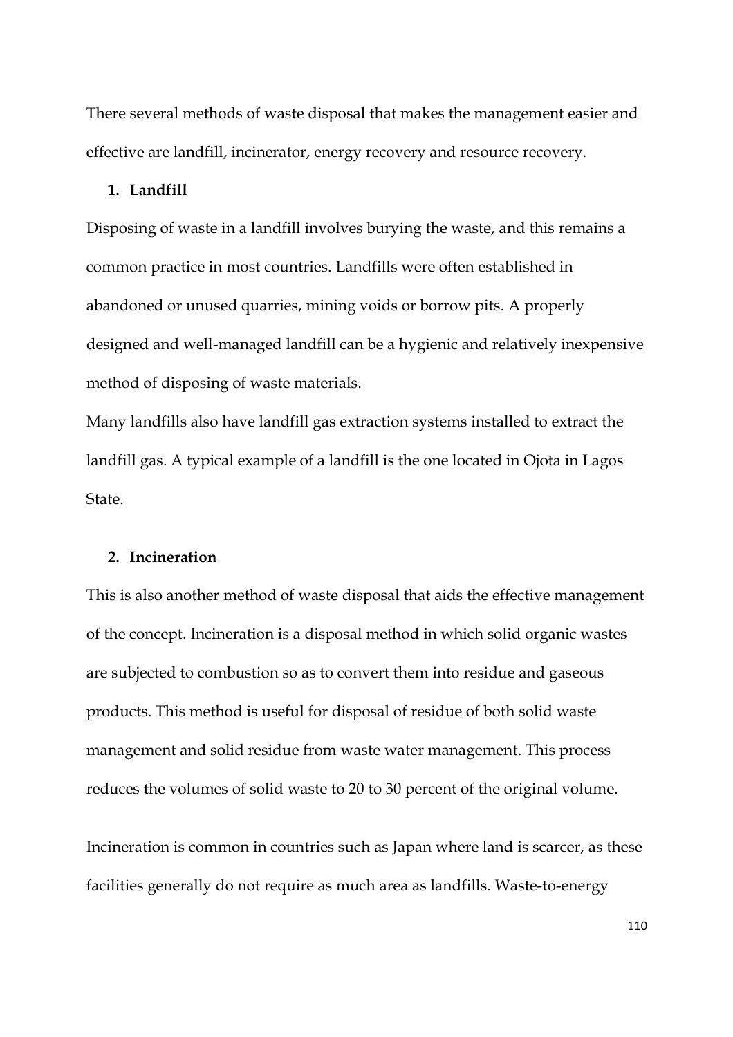There several methods of waste disposal that makes the management easier and effective are landfill, incinerator, energy recovery and resource recovery.

#### **1. Landfill**

Disposing of waste in a landfill involves burying the waste, and this remains a common practice in most countries. Landfills were often established in abandoned or unused quarries, mining voids or borrow pits. A properly designed and well-managed landfill can be a hygienic and relatively inexpensive method of disposing of waste materials.

Many landfills also have landfill gas extraction systems installed to extract the landfill gas. A typical example of a landfill is the one located in Ojota in Lagos State.

### **2. Incineration**

This is also another method of waste disposal that aids the effective management of the concept. Incineration is a disposal method in which solid organic wastes are subjected to combustion so as to convert them into residue and gaseous products. This method is useful for disposal of residue of both solid waste management and solid residue from waste water management. This process reduces the volumes of solid waste to 20 to 30 percent of the original volume.

Incineration is common in countries such as Japan where land is scarcer, as these facilities generally do not require as much area as landfills. Waste-to-energy

110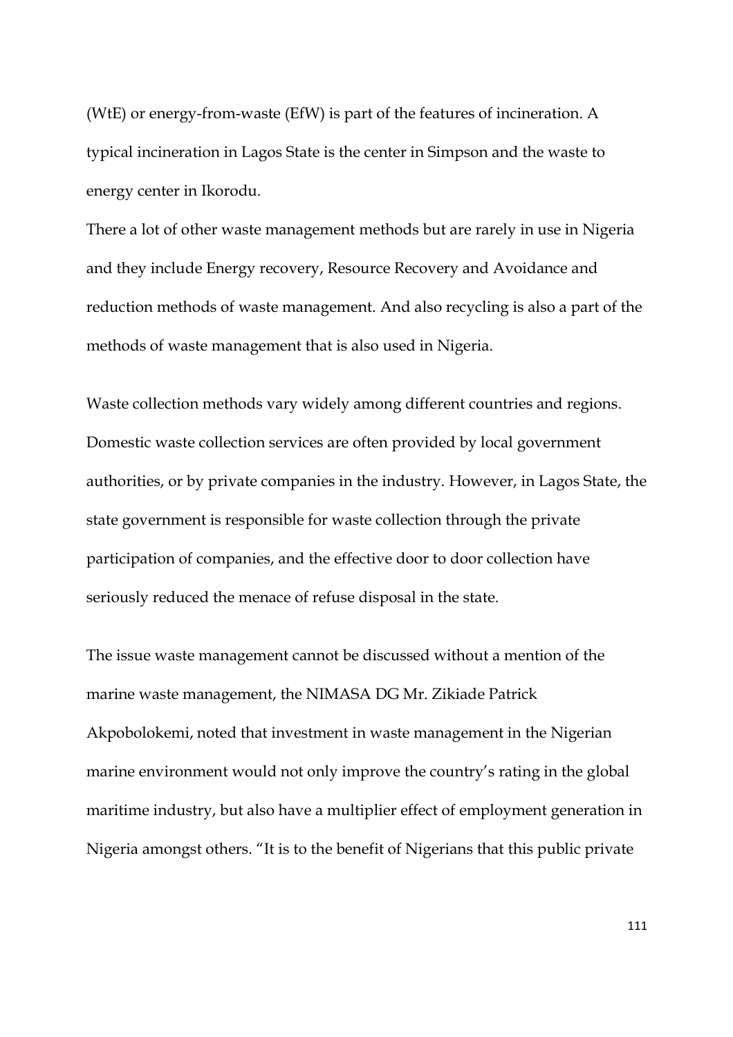(WtE) or energy-from-waste (EfW) is part of the features of incineration. A typical incineration in Lagos State is the center in Simpson and the waste to energy center in Ikorodu.

There a lot of other waste management methods but are rarely in use in Nigeria and they include Energy recovery, Resource Recovery and Avoidance and reduction methods of waste management. And also recycling is also a part of the methods of waste management that is also used in Nigeria.

Waste collection methods vary widely among different countries and regions. Domestic waste collection services are often provided by local government authorities, or by private companies in the industry. However, in Lagos State, the state government is responsible for waste collection through the private participation of companies, and the effective door to door collection have seriously reduced the menace of refuse disposal in the state.

The issue waste management cannot be discussed without a mention of the marine waste management, the NIMASA DG Mr. Zikiade Patrick Akpobolokemi, noted that investment in waste management in the Nigerian marine environment would not only improve the country's rating in the global maritime industry, but also have a multiplier effect of employment generation in Nigeria amongst others. "It is to the benefit of Nigerians that this public private

111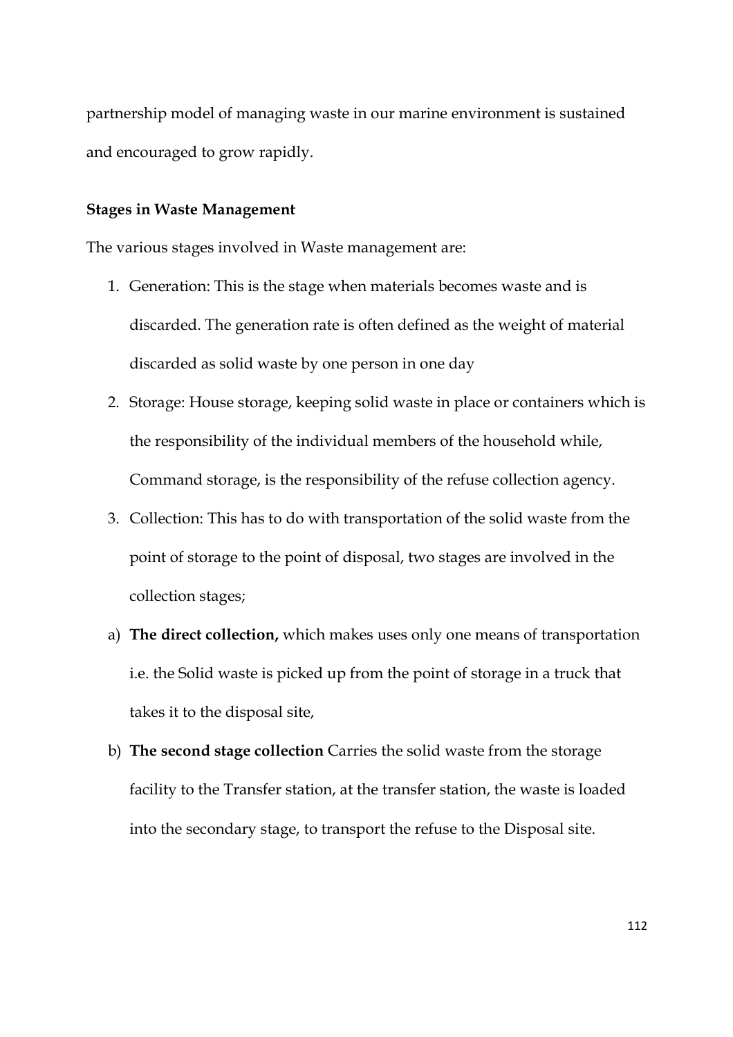partnership model of managing waste in our marine environment is sustained and encouraged to grow rapidly.

## **Stages in Waste Management**

The various stages involved in Waste management are:

- 1. Generation: This is the stage when materials becomes waste and is discarded. The generation rate is often defined as the weight of material discarded as solid waste by one person in one day
- 2. Storage: House storage, keeping solid waste in place or containers which is the responsibility of the individual members of the household while, Command storage, is the responsibility of the refuse collection agency.
- 3. Collection: This has to do with transportation of the solid waste from the point of storage to the point of disposal, two stages are involved in the collection stages;
- a) **The direct collection,** which makes uses only one means of transportation i.e. the Solid waste is picked up from the point of storage in a truck that takes it to the disposal site,
- b) **The second stage collection** Carries the solid waste from the storage facility to the Transfer station, at the transfer station, the waste is loaded into the secondary stage, to transport the refuse to the Disposal site.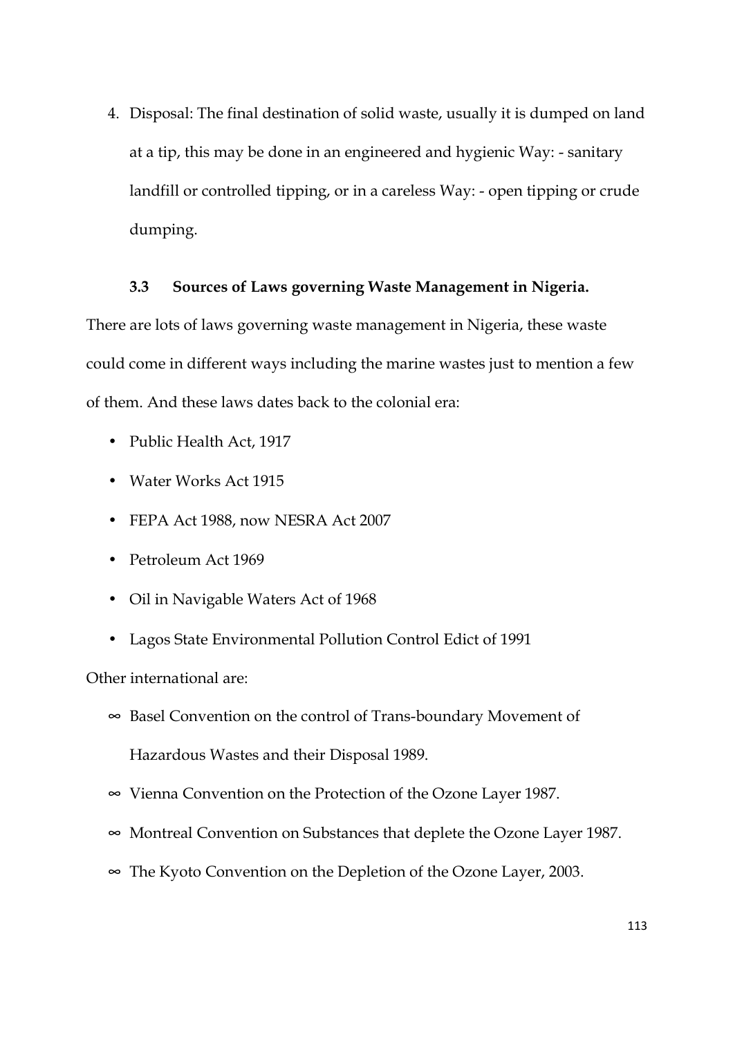4. Disposal: The final destination of solid waste, usually it is dumped on land at a tip, this may be done in an engineered and hygienic Way: - sanitary landfill or controlled tipping, or in a careless Way: - open tipping or crude dumping.

## **3.3 Sources of Laws governing Waste Management in Nigeria.**

There are lots of laws governing waste management in Nigeria, these waste could come in different ways including the marine wastes just to mention a few of them. And these laws dates back to the colonial era:

- Public Health Act, 1917
- Water Works Act 1915
- FEPA Act 1988, now NESRA Act 2007
- Petroleum Act 1969
- Oil in Navigable Waters Act of 1968
- Lagos State Environmental Pollution Control Edict of 1991

Other international are:

- ∞ Basel Convention on the control of Trans-boundary Movement of Hazardous Wastes and their Disposal 1989.
- ∞ Vienna Convention on the Protection of the Ozone Layer 1987.
- ∞ Montreal Convention on Substances that deplete the Ozone Layer 1987.
- ∞ The Kyoto Convention on the Depletion of the Ozone Layer, 2003.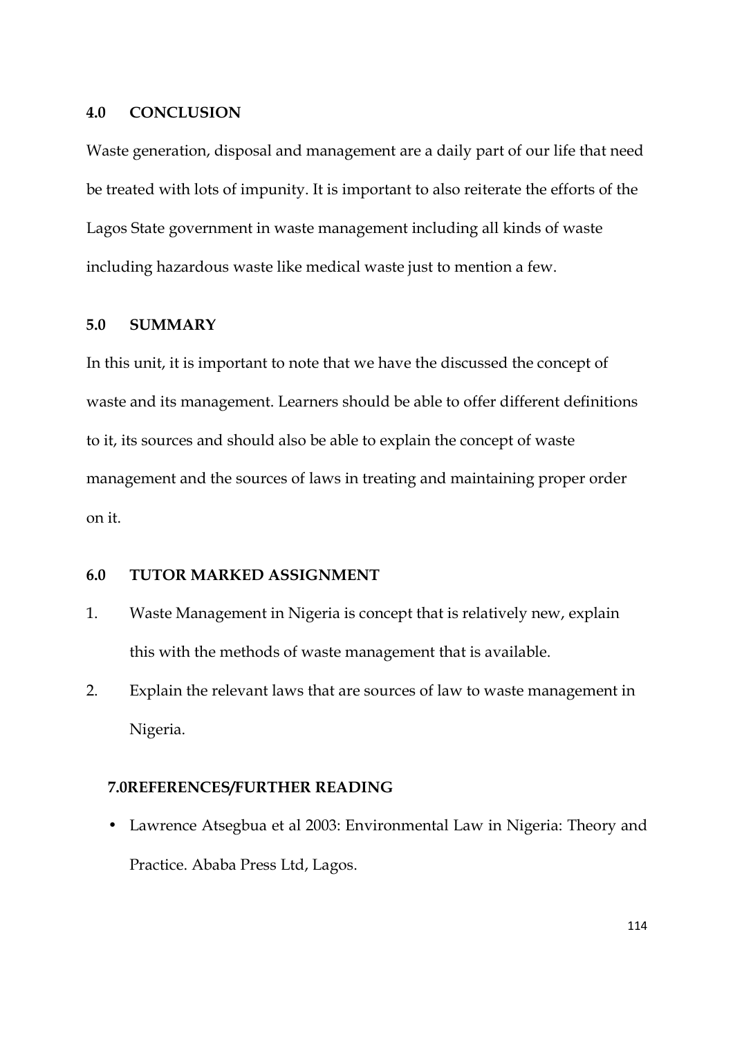#### **4.0 CONCLUSION**

Waste generation, disposal and management are a daily part of our life that need be treated with lots of impunity. It is important to also reiterate the efforts of the Lagos State government in waste management including all kinds of waste including hazardous waste like medical waste just to mention a few.

# **5.0 SUMMARY**

In this unit, it is important to note that we have the discussed the concept of waste and its management. Learners should be able to offer different definitions to it, its sources and should also be able to explain the concept of waste management and the sources of laws in treating and maintaining proper order on it.

# **6.0 TUTOR MARKED ASSIGNMENT**

- 1. Waste Management in Nigeria is concept that is relatively new, explain this with the methods of waste management that is available.
- 2. Explain the relevant laws that are sources of law to waste management in Nigeria.

### **7.0REFERENCES/FURTHER READING**

• Lawrence Atsegbua et al 2003: Environmental Law in Nigeria: Theory and Practice. Ababa Press Ltd, Lagos.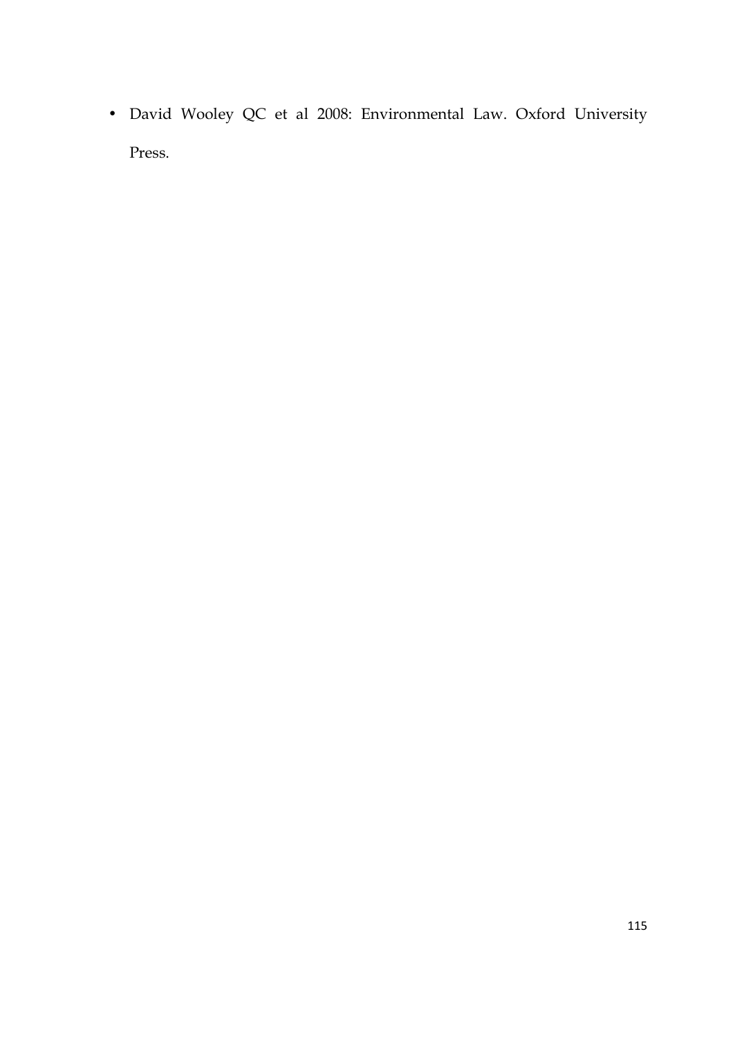• David Wooley QC et al 2008: Environmental Law. Oxford University Press.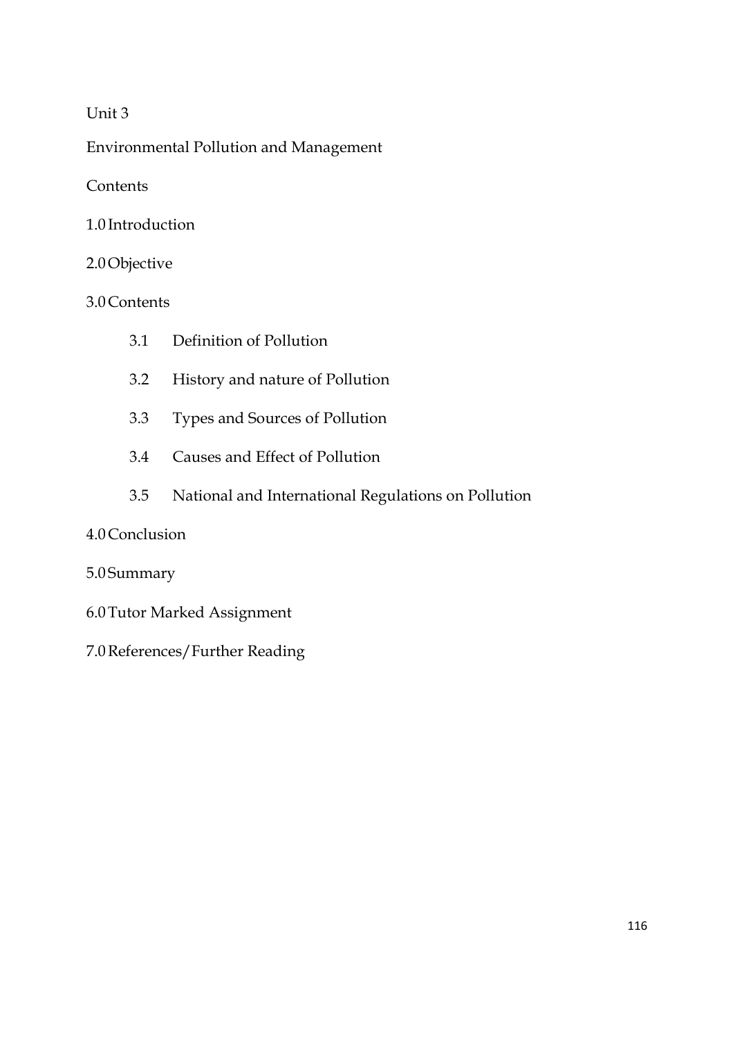# Unit 3

Environmental Pollution and Management

**Contents** 

1.0 Introduction

# 2.0Objective

# 3.0Contents

- 3.1 Definition of Pollution
- 3.2 History and nature of Pollution
- 3.3 Types and Sources of Pollution
- 3.4 Causes and Effect of Pollution
- 3.5 National and International Regulations on Pollution

# 4.0Conclusion

# 5.0 Summary

- 6.0Tutor Marked Assignment
- 7.0References/Further Reading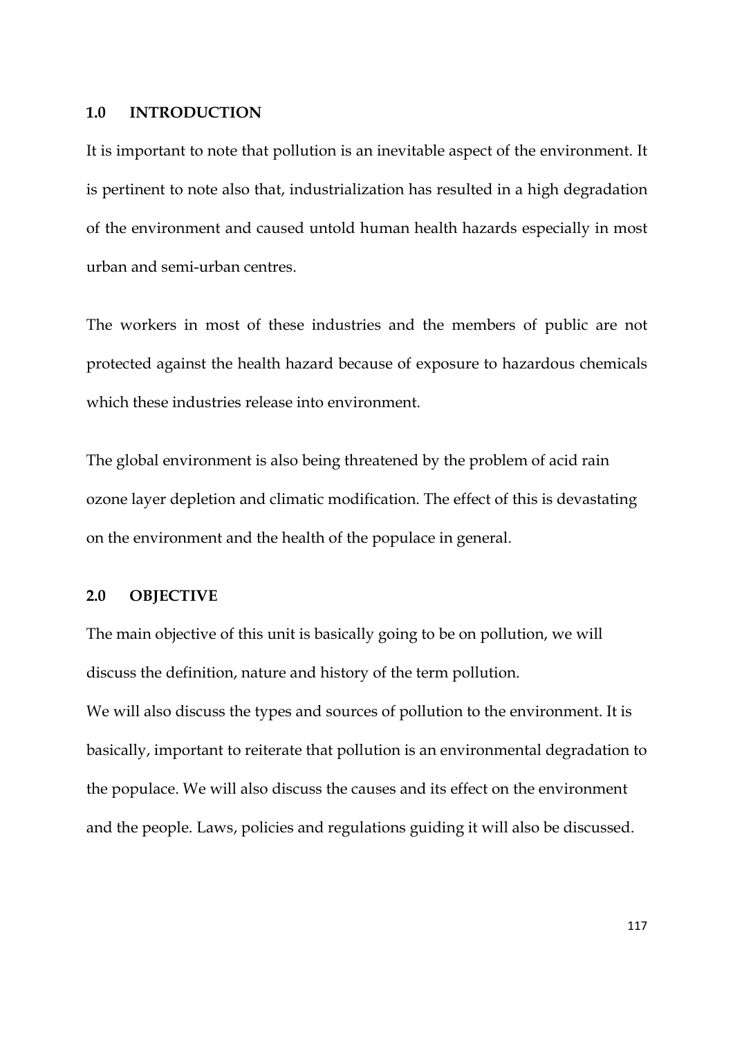### **1.0 INTRODUCTION**

It is important to note that pollution is an inevitable aspect of the environment. It is pertinent to note also that, industrialization has resulted in a high degradation of the environment and caused untold human health hazards especially in most urban and semi-urban centres.

The workers in most of these industries and the members of public are not protected against the health hazard because of exposure to hazardous chemicals which these industries release into environment.

The global environment is also being threatened by the problem of acid rain ozone layer depletion and climatic modification. The effect of this is devastating on the environment and the health of the populace in general.

### **2.0 OBJECTIVE**

The main objective of this unit is basically going to be on pollution, we will discuss the definition, nature and history of the term pollution.

We will also discuss the types and sources of pollution to the environment. It is basically, important to reiterate that pollution is an environmental degradation to the populace. We will also discuss the causes and its effect on the environment and the people. Laws, policies and regulations guiding it will also be discussed.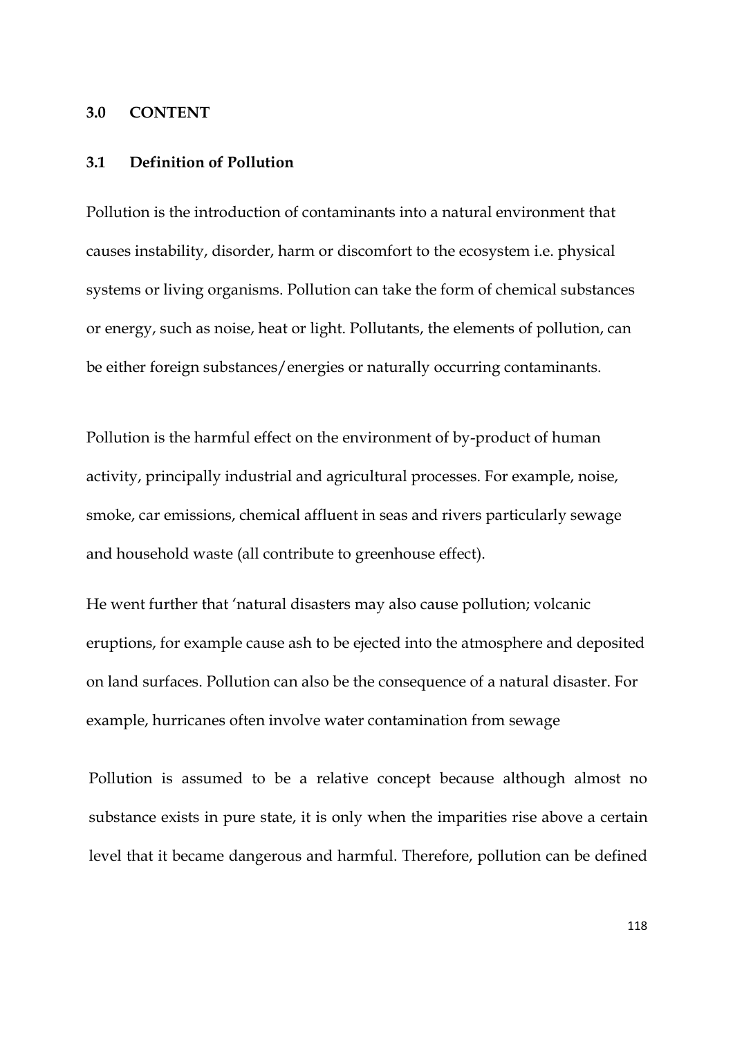### **3.0 CONTENT**

# **3.1 Definition of Pollution**

Pollution is the introduction of contaminants into a natural environment that causes instability, disorder, harm or discomfort to the ecosystem i.e. physical systems or living organisms. Pollution can take the form of chemical substances or energy, such as noise, heat or light. Pollutants, the elements of pollution, can be either foreign substances/energies or naturally occurring contaminants.

Pollution is the harmful effect on the environment of by-product of human activity, principally industrial and agricultural processes. For example, noise, smoke, car emissions, chemical affluent in seas and rivers particularly sewage and household waste (all contribute to greenhouse effect).

He went further that 'natural disasters may also cause pollution; volcanic eruptions, for example cause ash to be ejected into the atmosphere and deposited on land surfaces. Pollution can also be the consequence of a natural disaster. For example, hurricanes often involve water contamination from sewage

Pollution is assumed to be a relative concept because although almost no substance exists in pure state, it is only when the imparities rise above a certain level that it became dangerous and harmful. Therefore, pollution can be defined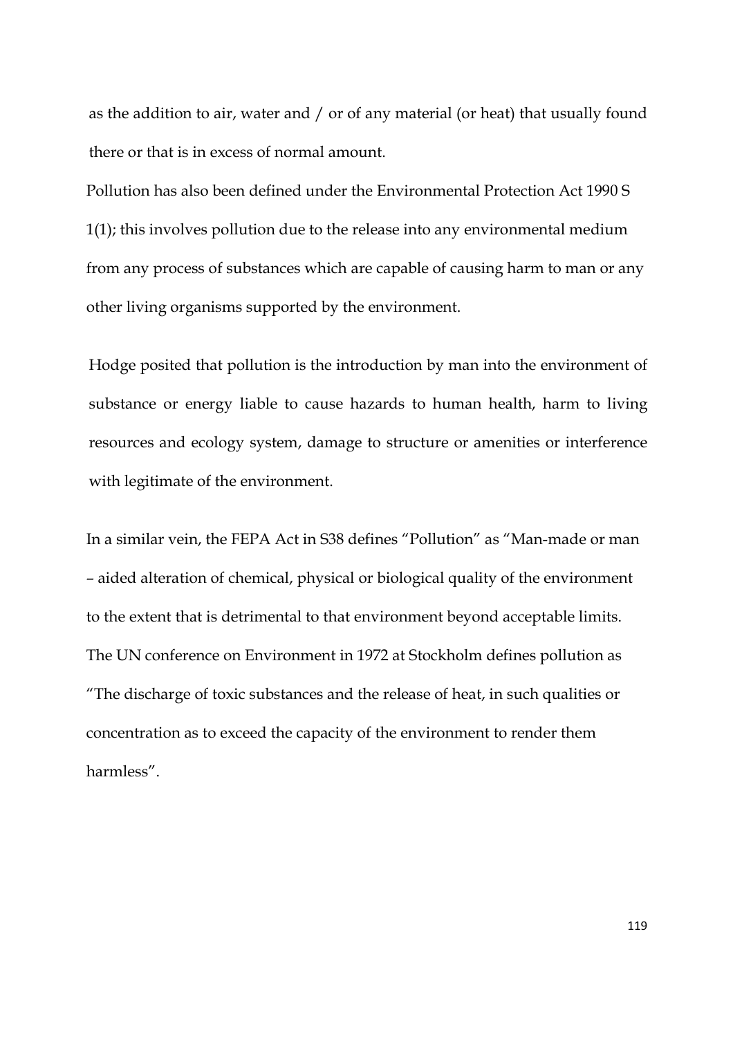as the addition to air, water and / or of any material (or heat) that usually found there or that is in excess of normal amount.

Pollution has also been defined under the Environmental Protection Act 1990 S 1(1); this involves pollution due to the release into any environmental medium from any process of substances which are capable of causing harm to man or any other living organisms supported by the environment.

Hodge posited that pollution is the introduction by man into the environment of substance or energy liable to cause hazards to human health, harm to living resources and ecology system, damage to structure or amenities or interference with legitimate of the environment.

In a similar vein, the FEPA Act in S38 defines "Pollution" as "Man-made or man – aided alteration of chemical, physical or biological quality of the environment to the extent that is detrimental to that environment beyond acceptable limits. The UN conference on Environment in 1972 at Stockholm defines pollution as "The discharge of toxic substances and the release of heat, in such qualities or concentration as to exceed the capacity of the environment to render them harmless".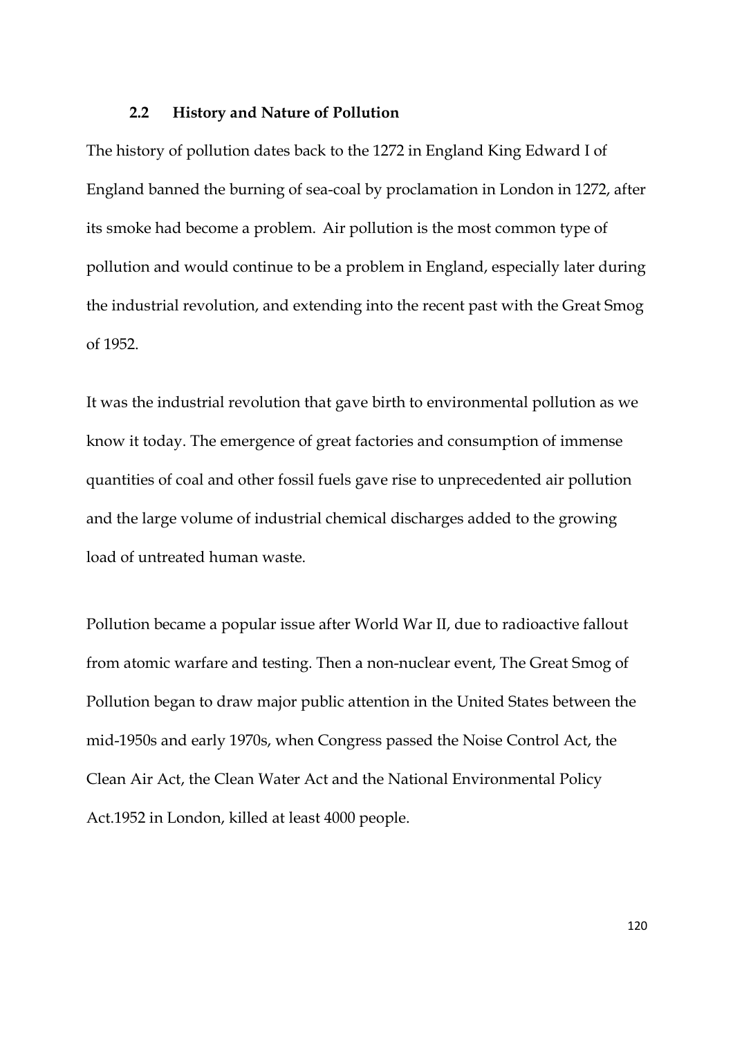#### **2.2 History and Nature of Pollution**

The history of pollution dates back to the 1272 in England King Edward I of England banned the burning of sea-coal by proclamation in London in 1272, after its smoke had become a problem. Air pollution is the most common type of pollution and would continue to be a problem in England, especially later during the industrial revolution, and extending into the recent past with the Great Smog of 1952.

It was the industrial revolution that gave birth to environmental pollution as we know it today. The emergence of great factories and consumption of immense quantities of coal and other fossil fuels gave rise to unprecedented air pollution and the large volume of industrial chemical discharges added to the growing load of untreated human waste.

Pollution became a popular issue after World War II, due to radioactive fallout from atomic warfare and testing. Then a non-nuclear event, The Great Smog of Pollution began to draw major public attention in the United States between the mid-1950s and early 1970s, when Congress passed the Noise Control Act, the Clean Air Act, the Clean Water Act and the National Environmental Policy Act.1952 in London, killed at least 4000 people.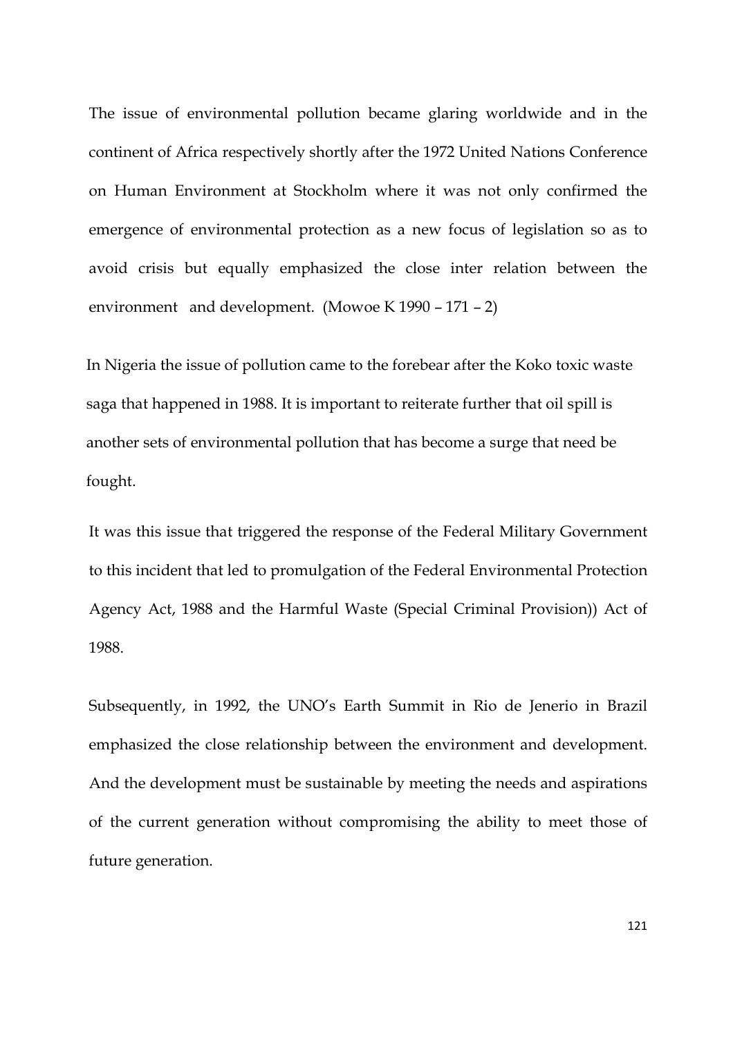The issue of environmental pollution became glaring worldwide and in the continent of Africa respectively shortly after the 1972 United Nations Conference on Human Environment at Stockholm where it was not only confirmed the emergence of environmental protection as a new focus of legislation so as to avoid crisis but equally emphasized the close inter relation between the environment and development. (Mowoe K 1990 – 171 – 2)

In Nigeria the issue of pollution came to the forebear after the Koko toxic waste saga that happened in 1988. It is important to reiterate further that oil spill is another sets of environmental pollution that has become a surge that need be fought.

It was this issue that triggered the response of the Federal Military Government to this incident that led to promulgation of the Federal Environmental Protection Agency Act, 1988 and the Harmful Waste (Special Criminal Provision)) Act of 1988.

Subsequently, in 1992, the UNO's Earth Summit in Rio de Jenerio in Brazil emphasized the close relationship between the environment and development. And the development must be sustainable by meeting the needs and aspirations of the current generation without compromising the ability to meet those of future generation.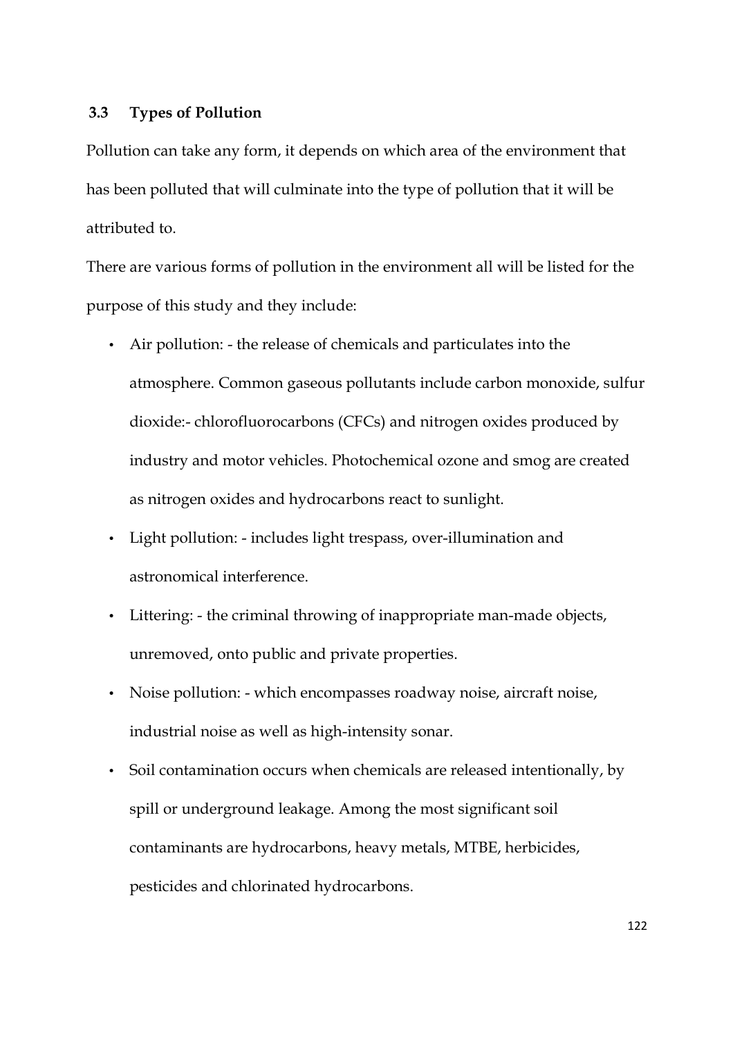# **3.3 Types of Pollution**

Pollution can take any form, it depends on which area of the environment that has been polluted that will culminate into the type of pollution that it will be attributed to.

There are various forms of pollution in the environment all will be listed for the purpose of this study and they include:

- Air pollution: the release of chemicals and particulates into the atmosphere. Common gaseous pollutants include carbon monoxide, sulfur dioxide:- chlorofluorocarbons (CFCs) and nitrogen oxides produced by industry and motor vehicles. Photochemical ozone and smog are created as nitrogen oxides and hydrocarbons react to sunlight.
- Light pollution: includes light trespass, over-illumination and astronomical interference.
- Littering: the criminal throwing of inappropriate man-made objects, unremoved, onto public and private properties.
- Noise pollution: which encompasses roadway noise, aircraft noise, industrial noise as well as high-intensity sonar.
- Soil contamination occurs when chemicals are released intentionally, by spill or underground leakage. Among the most significant soil contaminants are hydrocarbons, heavy metals, MTBE, herbicides, pesticides and chlorinated hydrocarbons.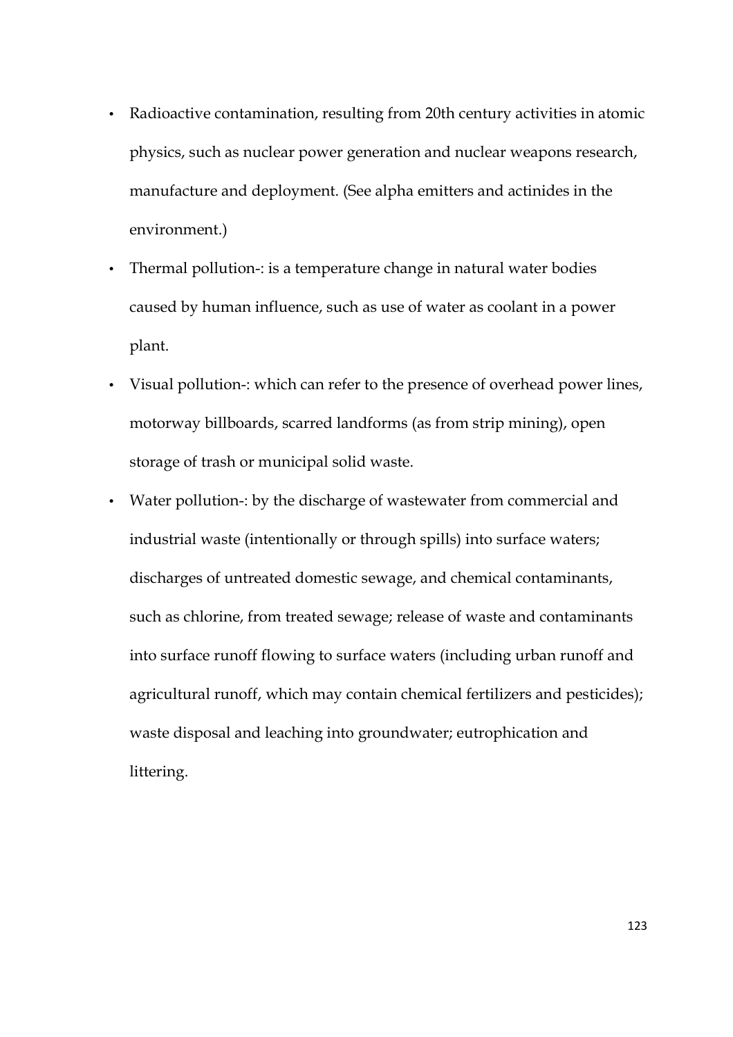- Radioactive contamination, resulting from 20th century activities in atomic physics, such as nuclear power generation and nuclear weapons research, manufacture and deployment. (See alpha emitters and actinides in the environment.)
- Thermal pollution-: is a temperature change in natural water bodies caused by human influence, such as use of water as coolant in a power plant.
- Visual pollution-: which can refer to the presence of overhead power lines, motorway billboards, scarred landforms (as from strip mining), open storage of trash or municipal solid waste.
- Water pollution-: by the discharge of wastewater from commercial and industrial waste (intentionally or through spills) into surface waters; discharges of untreated domestic sewage, and chemical contaminants, such as chlorine, from treated sewage; release of waste and contaminants into surface runoff flowing to surface waters (including urban runoff and agricultural runoff, which may contain chemical fertilizers and pesticides); waste disposal and leaching into groundwater; eutrophication and littering.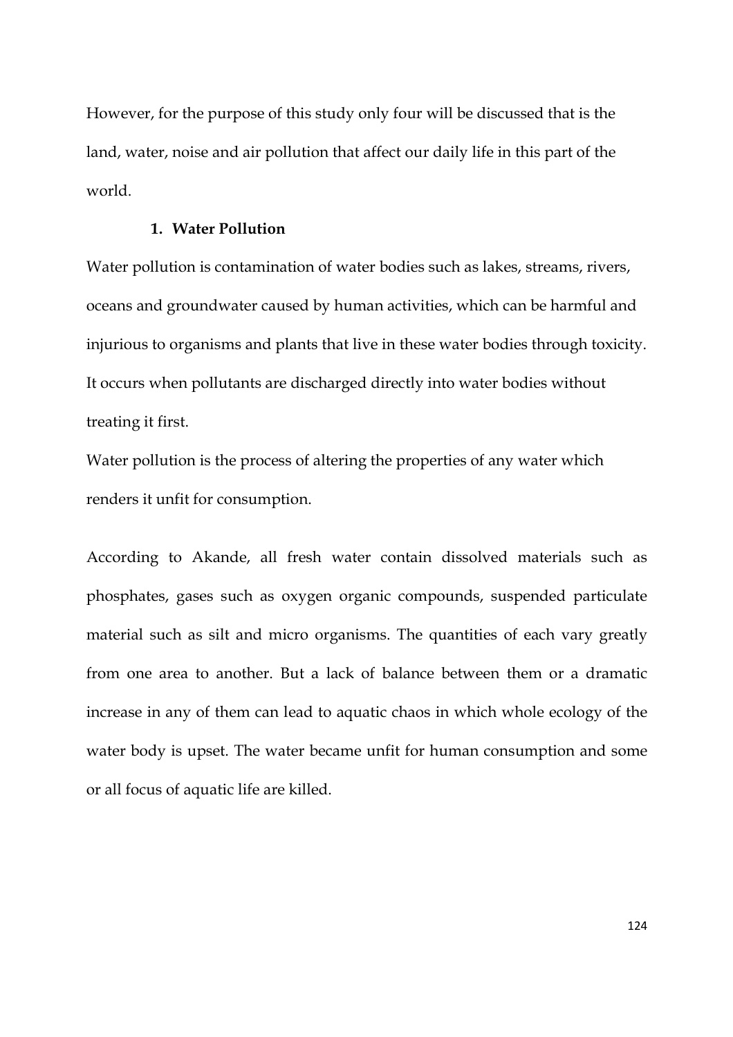However, for the purpose of this study only four will be discussed that is the land, water, noise and air pollution that affect our daily life in this part of the world.

# **1. Water Pollution**

Water pollution is contamination of water bodies such as lakes, streams, rivers, oceans and groundwater caused by human activities, which can be harmful and injurious to organisms and plants that live in these water bodies through toxicity. It occurs when pollutants are discharged directly into water bodies without treating it first.

Water pollution is the process of altering the properties of any water which renders it unfit for consumption.

According to Akande, all fresh water contain dissolved materials such as phosphates, gases such as oxygen organic compounds, suspended particulate material such as silt and micro organisms. The quantities of each vary greatly from one area to another. But a lack of balance between them or a dramatic increase in any of them can lead to aquatic chaos in which whole ecology of the water body is upset. The water became unfit for human consumption and some or all focus of aquatic life are killed.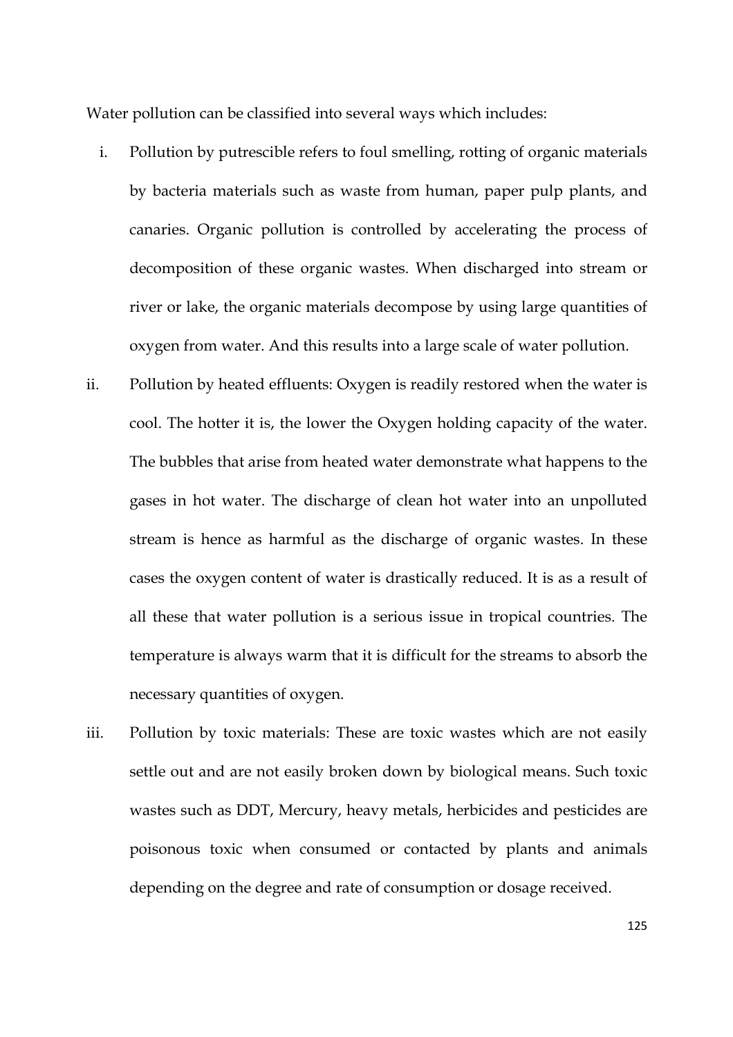Water pollution can be classified into several ways which includes:

- i. Pollution by putrescible refers to foul smelling, rotting of organic materials by bacteria materials such as waste from human, paper pulp plants, and canaries. Organic pollution is controlled by accelerating the process of decomposition of these organic wastes. When discharged into stream or river or lake, the organic materials decompose by using large quantities of oxygen from water. And this results into a large scale of water pollution.
- ii. Pollution by heated effluents: Oxygen is readily restored when the water is cool. The hotter it is, the lower the Oxygen holding capacity of the water. The bubbles that arise from heated water demonstrate what happens to the gases in hot water. The discharge of clean hot water into an unpolluted stream is hence as harmful as the discharge of organic wastes. In these cases the oxygen content of water is drastically reduced. It is as a result of all these that water pollution is a serious issue in tropical countries. The temperature is always warm that it is difficult for the streams to absorb the necessary quantities of oxygen.
- iii. Pollution by toxic materials: These are toxic wastes which are not easily settle out and are not easily broken down by biological means. Such toxic wastes such as DDT, Mercury, heavy metals, herbicides and pesticides are poisonous toxic when consumed or contacted by plants and animals depending on the degree and rate of consumption or dosage received.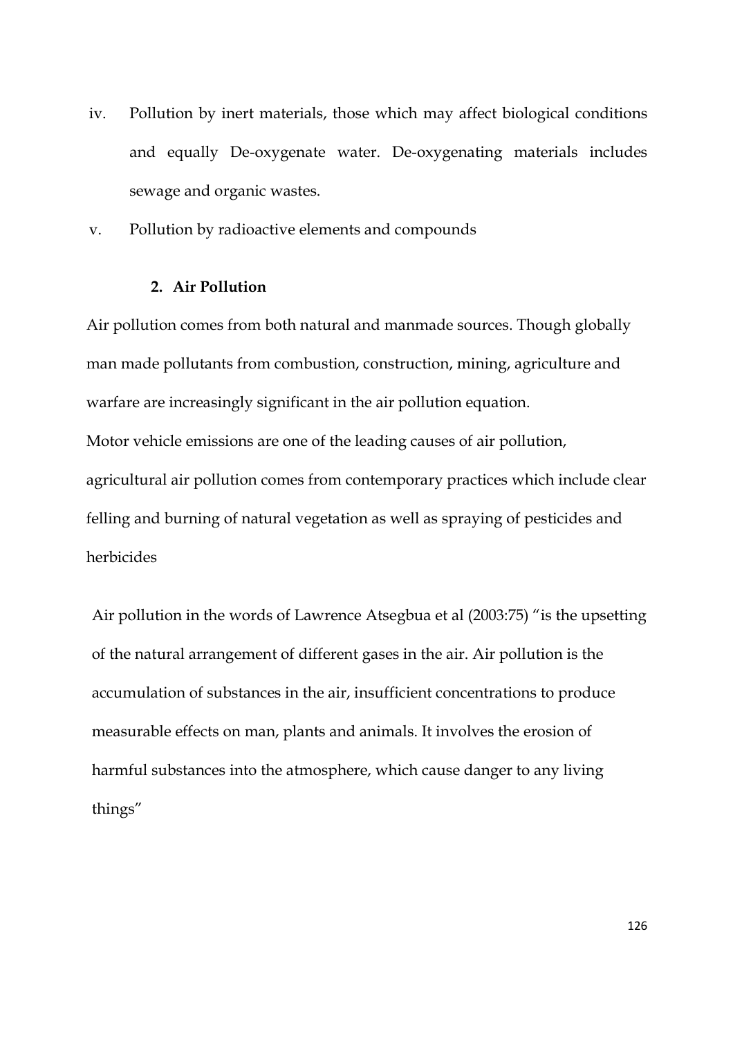- iv. Pollution by inert materials, those which may affect biological conditions and equally De-oxygenate water. De-oxygenating materials includes sewage and organic wastes.
- v. Pollution by radioactive elements and compounds

## **2. Air Pollution**

Air pollution comes from both natural and manmade sources. Though globally man made pollutants from combustion, construction, mining, agriculture and warfare are increasingly significant in the air pollution equation. Motor vehicle emissions are one of the leading causes of air pollution, agricultural air pollution comes from contemporary practices which include clear felling and burning of natural vegetation as well as spraying of pesticides and herbicides

Air pollution in the words of Lawrence Atsegbua et al (2003:75) "is the upsetting of the natural arrangement of different gases in the air. Air pollution is the accumulation of substances in the air, insufficient concentrations to produce measurable effects on man, plants and animals. It involves the erosion of harmful substances into the atmosphere, which cause danger to any living things"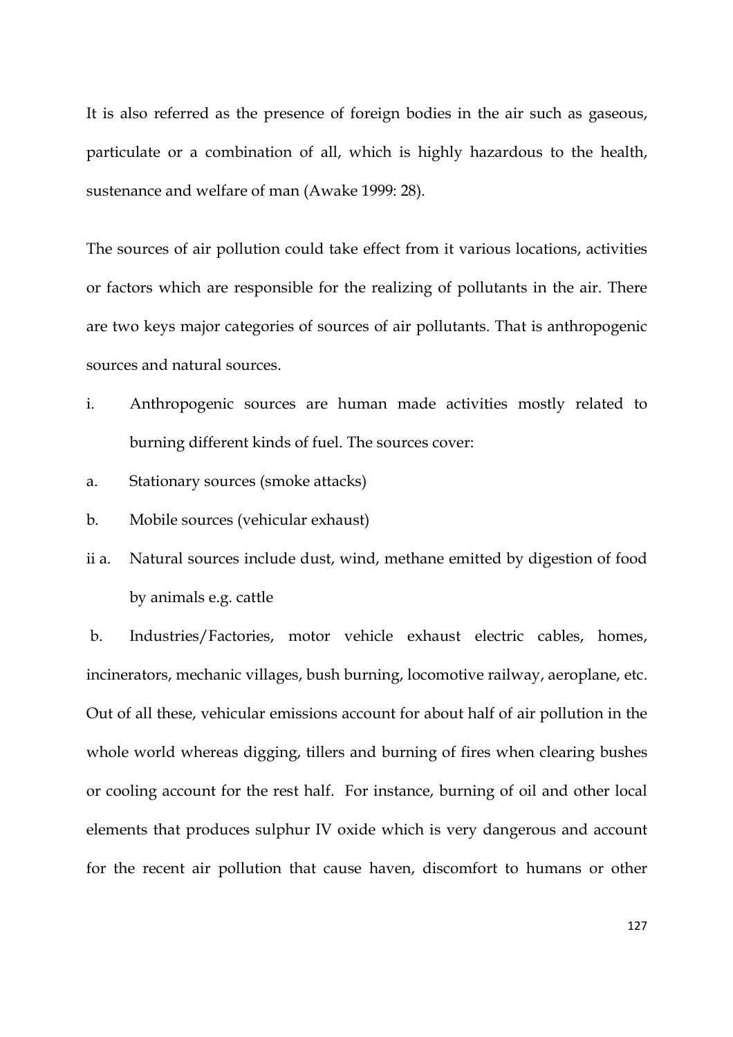It is also referred as the presence of foreign bodies in the air such as gaseous, particulate or a combination of all, which is highly hazardous to the health, sustenance and welfare of man (Awake 1999: 28).

The sources of air pollution could take effect from it various locations, activities or factors which are responsible for the realizing of pollutants in the air. There are two keys major categories of sources of air pollutants. That is anthropogenic sources and natural sources.

- i. Anthropogenic sources are human made activities mostly related to burning different kinds of fuel. The sources cover:
- a. Stationary sources (smoke attacks)
- b. Mobile sources (vehicular exhaust)
- ii a. Natural sources include dust, wind, methane emitted by digestion of food by animals e.g. cattle

 b. Industries/Factories, motor vehicle exhaust electric cables, homes, incinerators, mechanic villages, bush burning, locomotive railway, aeroplane, etc. Out of all these, vehicular emissions account for about half of air pollution in the whole world whereas digging, tillers and burning of fires when clearing bushes or cooling account for the rest half. For instance, burning of oil and other local elements that produces sulphur IV oxide which is very dangerous and account for the recent air pollution that cause haven, discomfort to humans or other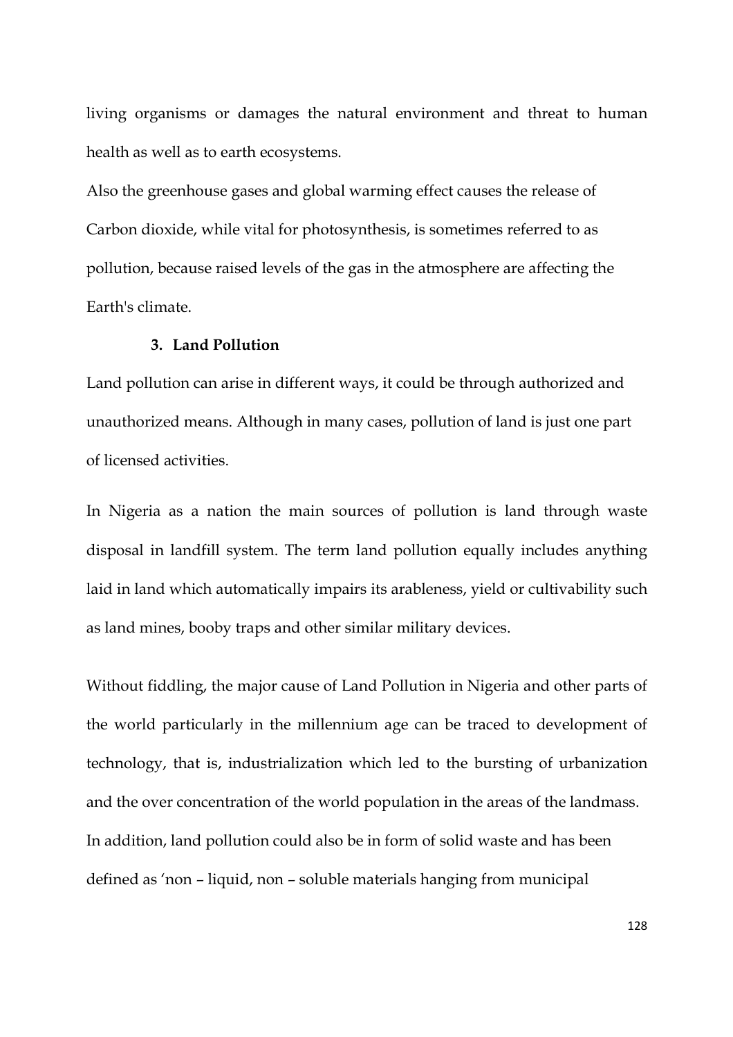living organisms or damages the natural environment and threat to human health as well as to earth ecosystems.

Also the greenhouse gases and global warming effect causes the release of Carbon dioxide, while vital for photosynthesis, is sometimes referred to as pollution, because raised levels of the gas in the atmosphere are affecting the Earth's climate.

# **3. Land Pollution**

Land pollution can arise in different ways, it could be through authorized and unauthorized means. Although in many cases, pollution of land is just one part of licensed activities.

In Nigeria as a nation the main sources of pollution is land through waste disposal in landfill system. The term land pollution equally includes anything laid in land which automatically impairs its arableness, yield or cultivability such as land mines, booby traps and other similar military devices.

Without fiddling, the major cause of Land Pollution in Nigeria and other parts of the world particularly in the millennium age can be traced to development of technology, that is, industrialization which led to the bursting of urbanization and the over concentration of the world population in the areas of the landmass. In addition, land pollution could also be in form of solid waste and has been defined as 'non – liquid, non – soluble materials hanging from municipal

128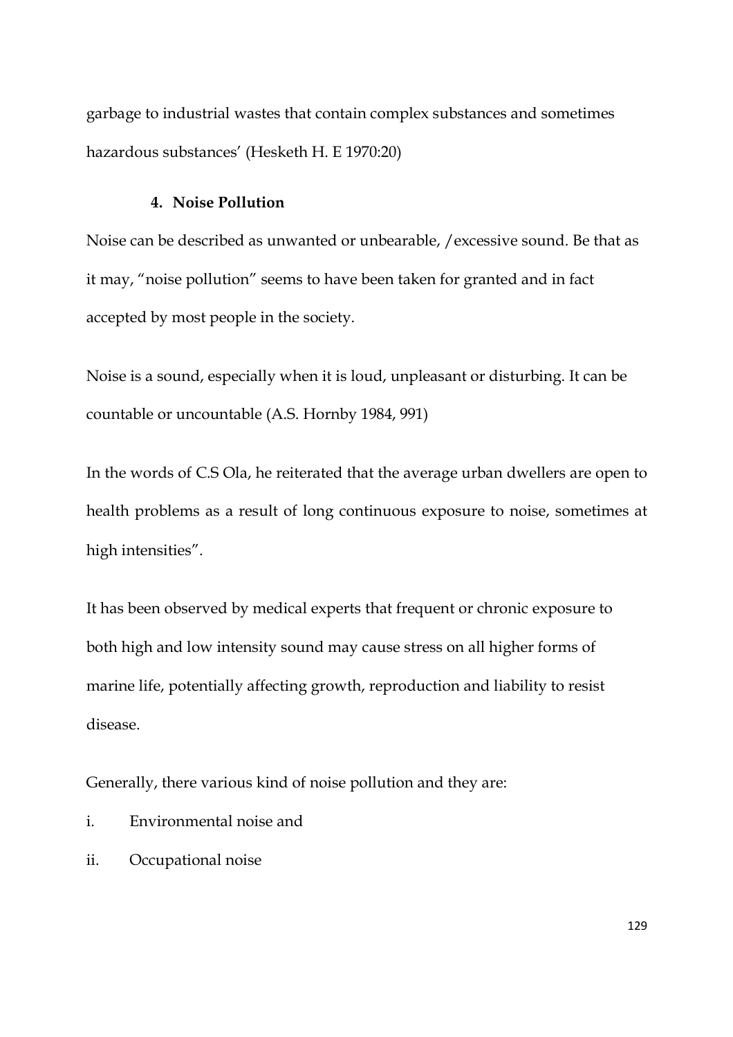garbage to industrial wastes that contain complex substances and sometimes hazardous substances' (Hesketh H. E 1970:20)

# **4. Noise Pollution**

Noise can be described as unwanted or unbearable, /excessive sound. Be that as it may, "noise pollution" seems to have been taken for granted and in fact accepted by most people in the society.

Noise is a sound, especially when it is loud, unpleasant or disturbing. It can be countable or uncountable (A.S. Hornby 1984, 991)

In the words of C.S Ola, he reiterated that the average urban dwellers are open to health problems as a result of long continuous exposure to noise, sometimes at high intensities".

It has been observed by medical experts that frequent or chronic exposure to both high and low intensity sound may cause stress on all higher forms of marine life, potentially affecting growth, reproduction and liability to resist disease.

Generally, there various kind of noise pollution and they are:

- i. Environmental noise and
- ii. Occupational noise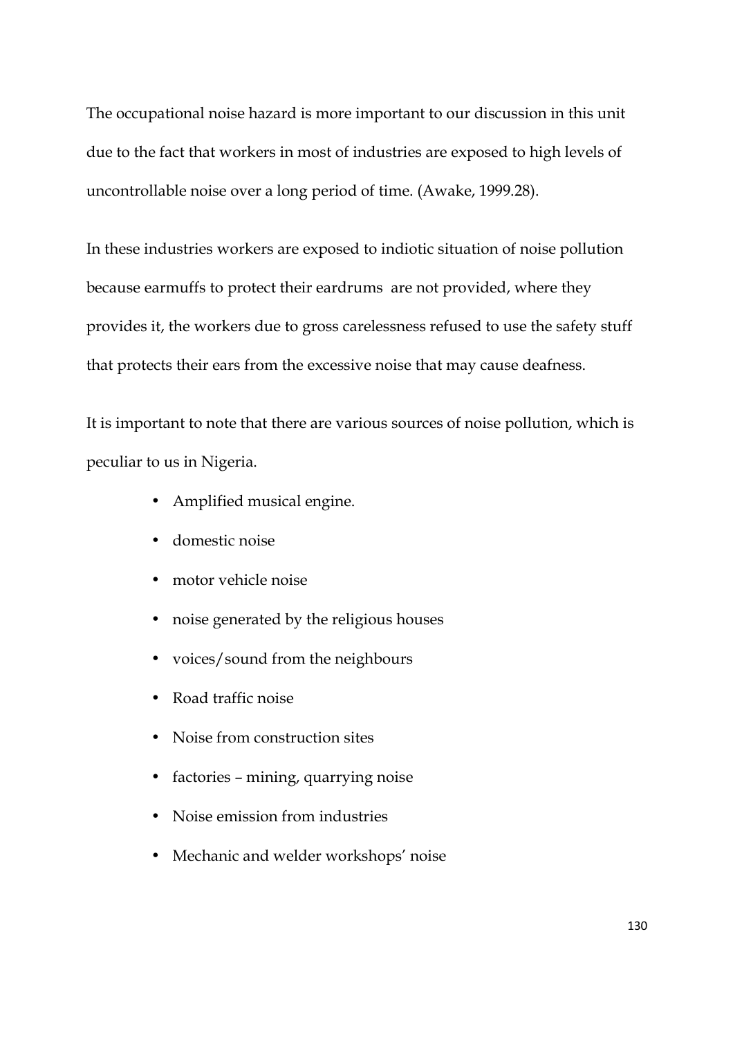The occupational noise hazard is more important to our discussion in this unit due to the fact that workers in most of industries are exposed to high levels of uncontrollable noise over a long period of time. (Awake, 1999.28).

In these industries workers are exposed to indiotic situation of noise pollution because earmuffs to protect their eardrums are not provided, where they provides it, the workers due to gross carelessness refused to use the safety stuff that protects their ears from the excessive noise that may cause deafness.

It is important to note that there are various sources of noise pollution, which is peculiar to us in Nigeria.

- Amplified musical engine.
- domestic noise
- motor vehicle noise
- noise generated by the religious houses
- voices/sound from the neighbours
- Road traffic noise
- Noise from construction sites
- factories mining, quarrying noise
- Noise emission from industries
- Mechanic and welder workshops' noise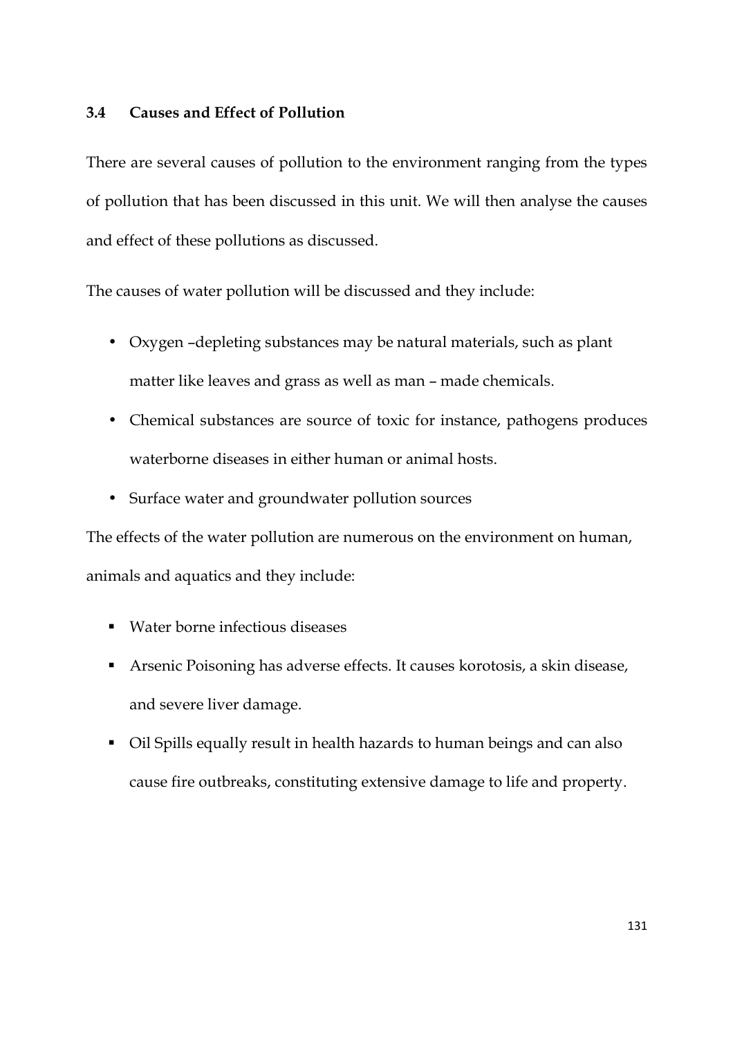# **3.4 Causes and Effect of Pollution**

There are several causes of pollution to the environment ranging from the types of pollution that has been discussed in this unit. We will then analyse the causes and effect of these pollutions as discussed.

The causes of water pollution will be discussed and they include:

- Oxygen –depleting substances may be natural materials, such as plant matter like leaves and grass as well as man – made chemicals.
- Chemical substances are source of toxic for instance, pathogens produces waterborne diseases in either human or animal hosts.
- Surface water and groundwater pollution sources

The effects of the water pollution are numerous on the environment on human, animals and aquatics and they include:

- Water borne infectious diseases
- Arsenic Poisoning has adverse effects. It causes korotosis, a skin disease, and severe liver damage.
- Oil Spills equally result in health hazards to human beings and can also cause fire outbreaks, constituting extensive damage to life and property.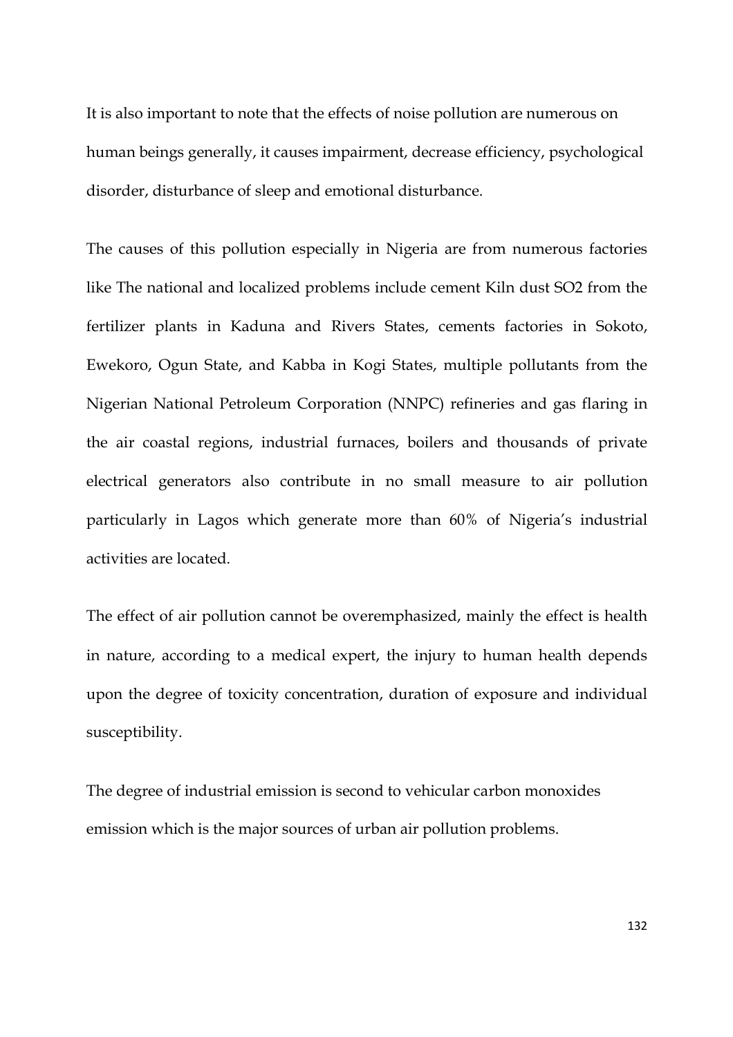It is also important to note that the effects of noise pollution are numerous on human beings generally, it causes impairment, decrease efficiency, psychological disorder, disturbance of sleep and emotional disturbance.

The causes of this pollution especially in Nigeria are from numerous factories like The national and localized problems include cement Kiln dust SO2 from the fertilizer plants in Kaduna and Rivers States, cements factories in Sokoto, Ewekoro, Ogun State, and Kabba in Kogi States, multiple pollutants from the Nigerian National Petroleum Corporation (NNPC) refineries and gas flaring in the air coastal regions, industrial furnaces, boilers and thousands of private electrical generators also contribute in no small measure to air pollution particularly in Lagos which generate more than 60% of Nigeria's industrial activities are located.

The effect of air pollution cannot be overemphasized, mainly the effect is health in nature, according to a medical expert, the injury to human health depends upon the degree of toxicity concentration, duration of exposure and individual susceptibility.

The degree of industrial emission is second to vehicular carbon monoxides emission which is the major sources of urban air pollution problems.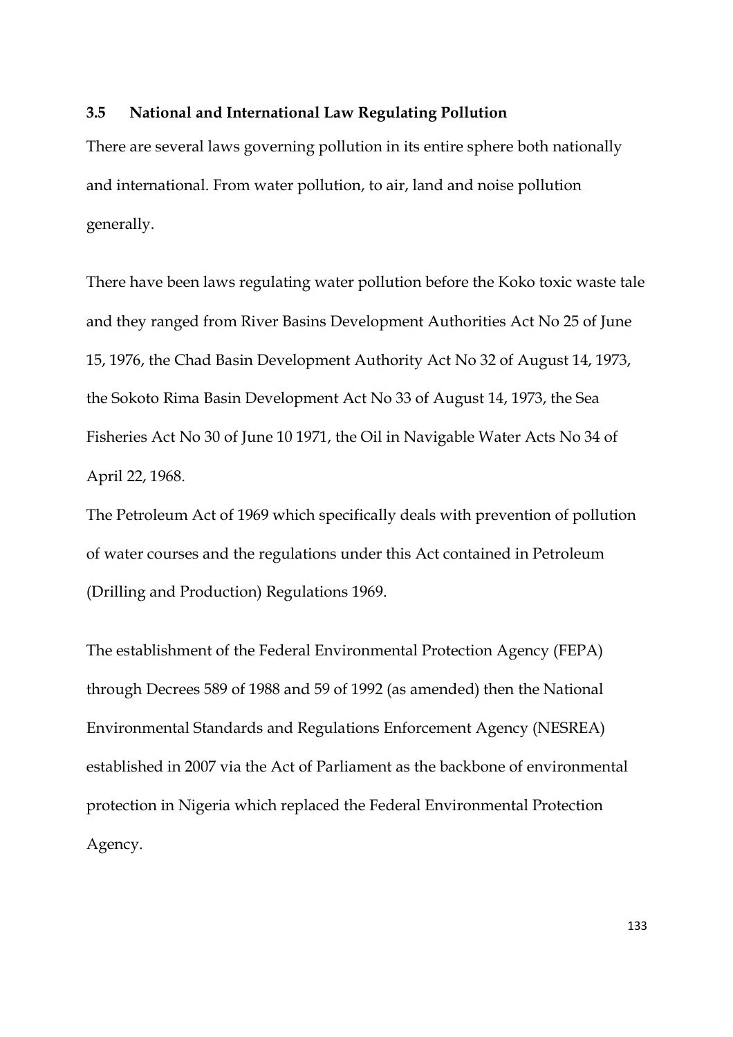# **3.5 National and International Law Regulating Pollution**

There are several laws governing pollution in its entire sphere both nationally and international. From water pollution, to air, land and noise pollution generally.

There have been laws regulating water pollution before the Koko toxic waste tale and they ranged from River Basins Development Authorities Act No 25 of June 15, 1976, the Chad Basin Development Authority Act No 32 of August 14, 1973, the Sokoto Rima Basin Development Act No 33 of August 14, 1973, the Sea Fisheries Act No 30 of June 10 1971, the Oil in Navigable Water Acts No 34 of April 22, 1968.

The Petroleum Act of 1969 which specifically deals with prevention of pollution of water courses and the regulations under this Act contained in Petroleum (Drilling and Production) Regulations 1969.

The establishment of the Federal Environmental Protection Agency (FEPA) through Decrees 589 of 1988 and 59 of 1992 (as amended) then the National Environmental Standards and Regulations Enforcement Agency (NESREA) established in 2007 via the Act of Parliament as the backbone of environmental protection in Nigeria which replaced the Federal Environmental Protection Agency.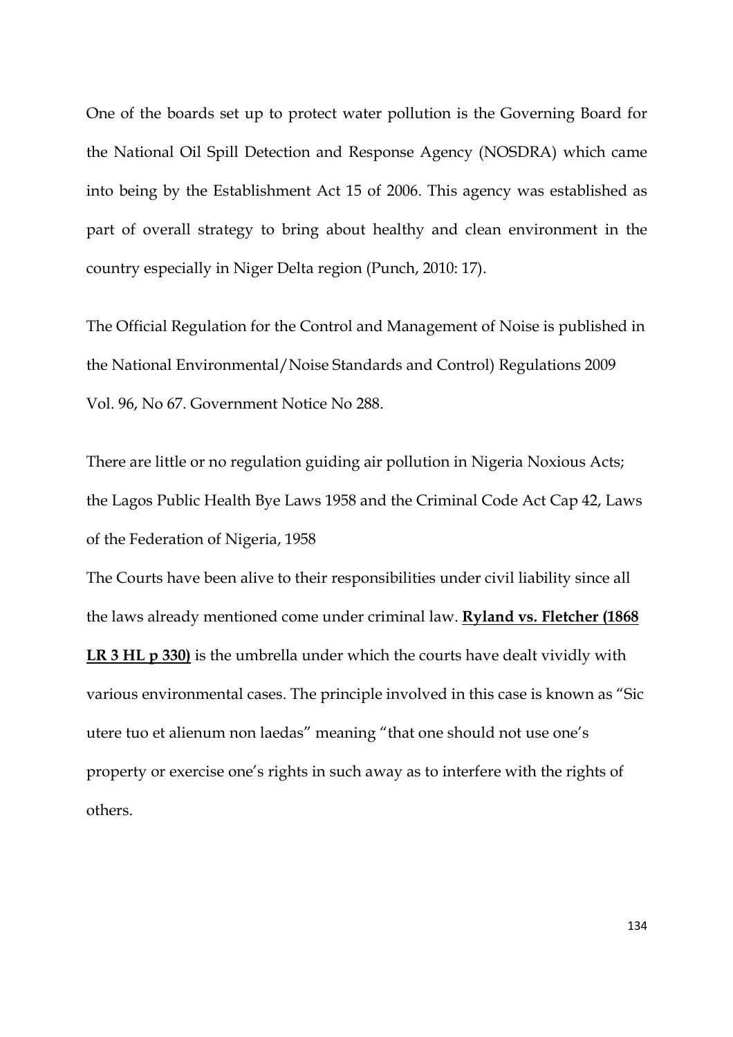One of the boards set up to protect water pollution is the Governing Board for the National Oil Spill Detection and Response Agency (NOSDRA) which came into being by the Establishment Act 15 of 2006. This agency was established as part of overall strategy to bring about healthy and clean environment in the country especially in Niger Delta region (Punch, 2010: 17).

The Official Regulation for the Control and Management of Noise is published in the National Environmental/Noise Standards and Control) Regulations 2009 Vol. 96, No 67. Government Notice No 288.

There are little or no regulation guiding air pollution in Nigeria Noxious Acts; the Lagos Public Health Bye Laws 1958 and the Criminal Code Act Cap 42, Laws of the Federation of Nigeria, 1958

The Courts have been alive to their responsibilities under civil liability since all the laws already mentioned come under criminal law. **Ryland vs. Fletcher (1868** 

**LR 3 HL p 330)** is the umbrella under which the courts have dealt vividly with various environmental cases. The principle involved in this case is known as "Sic utere tuo et alienum non laedas" meaning "that one should not use one's property or exercise one's rights in such away as to interfere with the rights of others.

134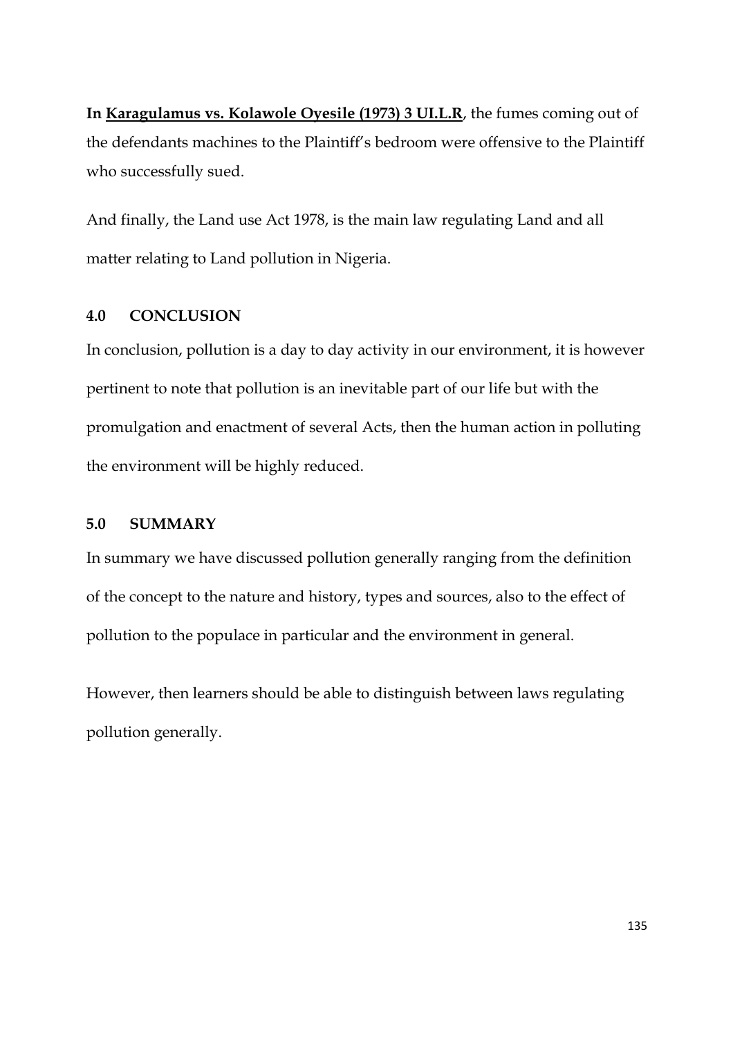**In Karagulamus vs. Kolawole Oyesile (1973) 3 UI.L.R**, the fumes coming out of the defendants machines to the Plaintiff's bedroom were offensive to the Plaintiff who successfully sued.

And finally, the Land use Act 1978, is the main law regulating Land and all matter relating to Land pollution in Nigeria.

# **4.0 CONCLUSION**

In conclusion, pollution is a day to day activity in our environment, it is however pertinent to note that pollution is an inevitable part of our life but with the promulgation and enactment of several Acts, then the human action in polluting the environment will be highly reduced.

# **5.0 SUMMARY**

In summary we have discussed pollution generally ranging from the definition of the concept to the nature and history, types and sources, also to the effect of pollution to the populace in particular and the environment in general.

However, then learners should be able to distinguish between laws regulating pollution generally.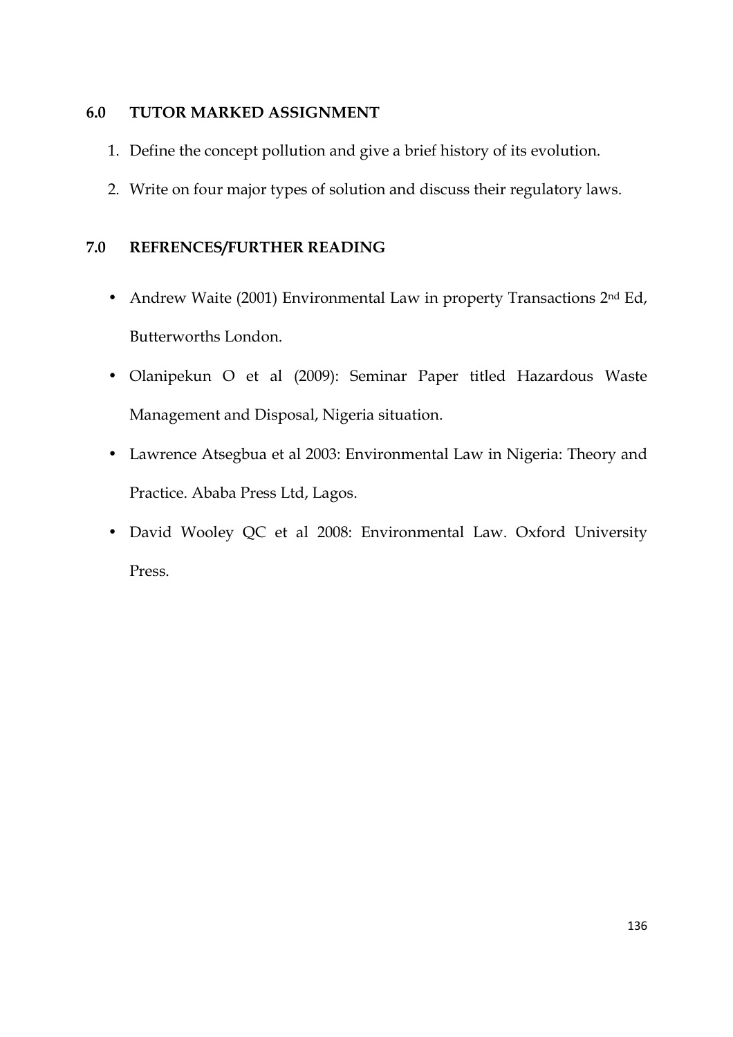# **6.0 TUTOR MARKED ASSIGNMENT**

- 1. Define the concept pollution and give a brief history of its evolution.
- 2. Write on four major types of solution and discuss their regulatory laws.

# **7.0 REFRENCES/FURTHER READING**

- Andrew Waite (2001) Environmental Law in property Transactions 2<sup>nd</sup> Ed, Butterworths London.
- Olanipekun O et al (2009): Seminar Paper titled Hazardous Waste Management and Disposal, Nigeria situation.
- Lawrence Atsegbua et al 2003: Environmental Law in Nigeria: Theory and Practice. Ababa Press Ltd, Lagos.
- David Wooley QC et al 2008: Environmental Law. Oxford University Press.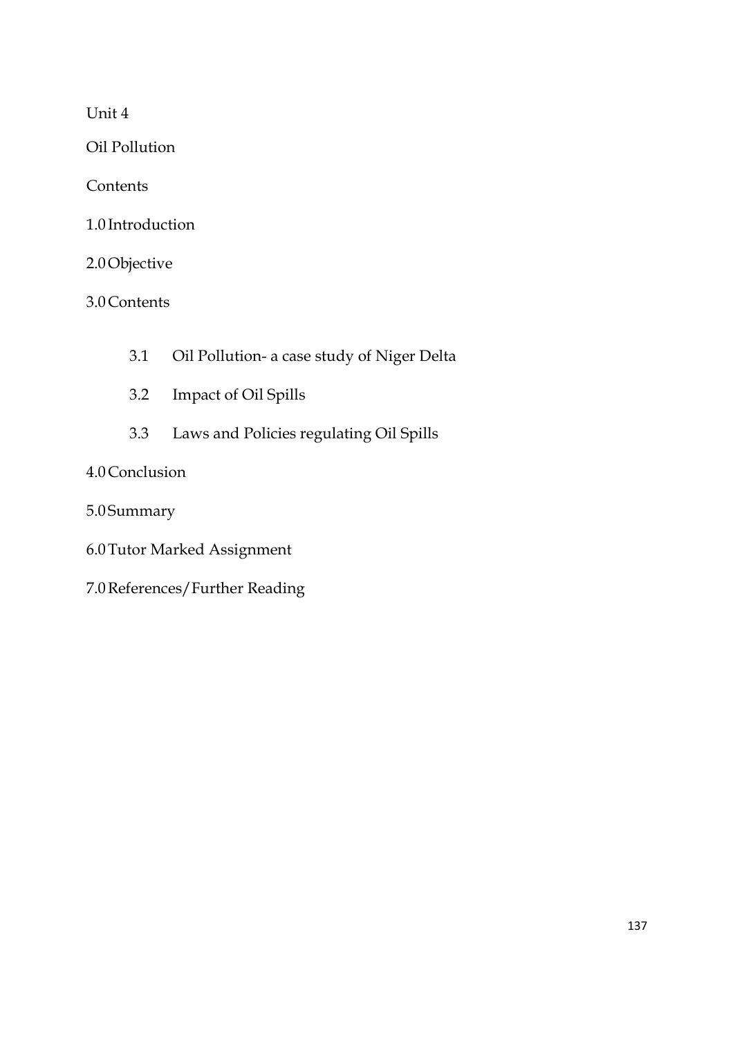Unit 4

Oil Pollution

**Contents** 

1.0 Introduction

2.0Objective

3.0Contents

- 3.1 Oil Pollution- a case study of Niger Delta
- 3.2 Impact of Oil Spills
- 3.3 Laws and Policies regulating Oil Spills

# 4.0Conclusion

5.0 Summary

- 6.0Tutor Marked Assignment
- 7.0References/Further Reading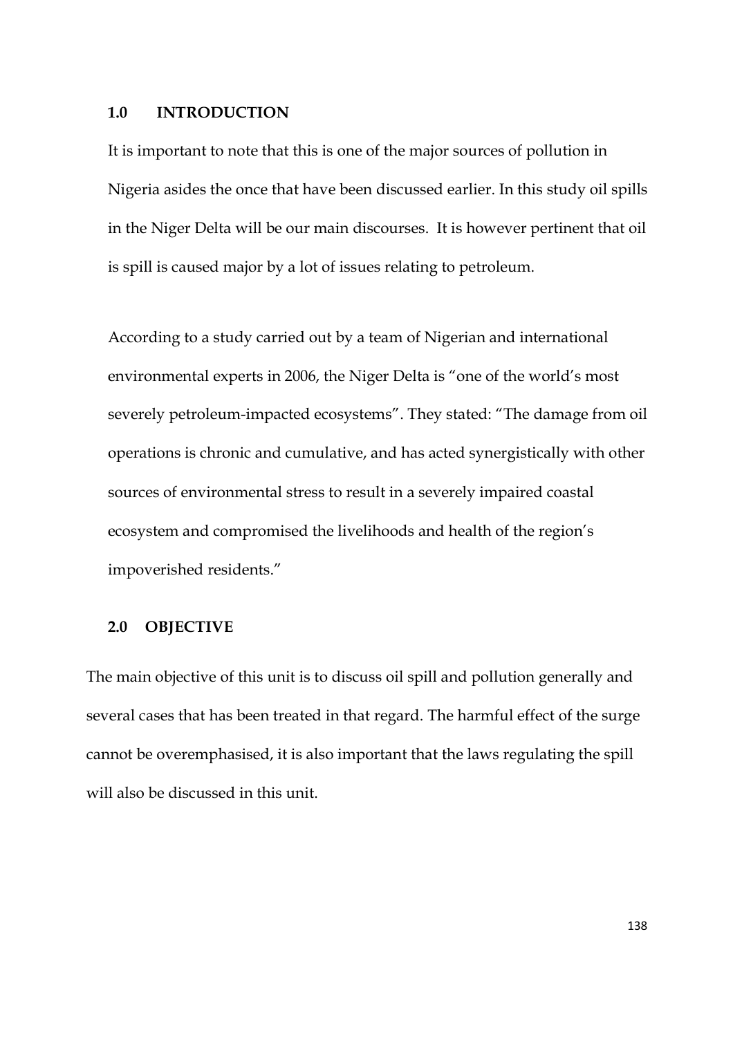### **1.0 INTRODUCTION**

It is important to note that this is one of the major sources of pollution in Nigeria asides the once that have been discussed earlier. In this study oil spills in the Niger Delta will be our main discourses. It is however pertinent that oil is spill is caused major by a lot of issues relating to petroleum.

According to a study carried out by a team of Nigerian and international environmental experts in 2006, the Niger Delta is "one of the world's most severely petroleum-impacted ecosystems". They stated: "The damage from oil operations is chronic and cumulative, and has acted synergistically with other sources of environmental stress to result in a severely impaired coastal ecosystem and compromised the livelihoods and health of the region's impoverished residents."

# **2.0 OBJECTIVE**

The main objective of this unit is to discuss oil spill and pollution generally and several cases that has been treated in that regard. The harmful effect of the surge cannot be overemphasised, it is also important that the laws regulating the spill will also be discussed in this unit.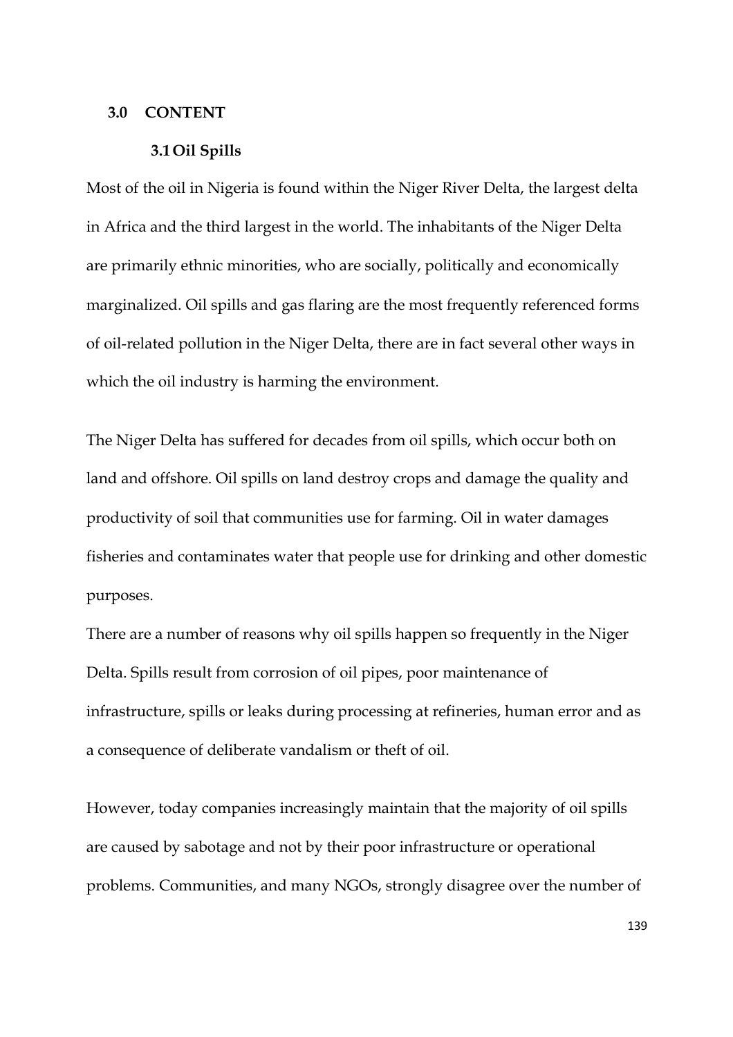### **3.0 CONTENT**

#### **3.1Oil Spills**

Most of the oil in Nigeria is found within the Niger River Delta, the largest delta in Africa and the third largest in the world. The inhabitants of the Niger Delta are primarily ethnic minorities, who are socially, politically and economically marginalized. Oil spills and gas flaring are the most frequently referenced forms of oil-related pollution in the Niger Delta, there are in fact several other ways in which the oil industry is harming the environment.

The Niger Delta has suffered for decades from oil spills, which occur both on land and offshore. Oil spills on land destroy crops and damage the quality and productivity of soil that communities use for farming. Oil in water damages fisheries and contaminates water that people use for drinking and other domestic purposes.

There are a number of reasons why oil spills happen so frequently in the Niger Delta. Spills result from corrosion of oil pipes, poor maintenance of infrastructure, spills or leaks during processing at refineries, human error and as a consequence of deliberate vandalism or theft of oil.

However, today companies increasingly maintain that the majority of oil spills are caused by sabotage and not by their poor infrastructure or operational problems. Communities, and many NGOs, strongly disagree over the number of

139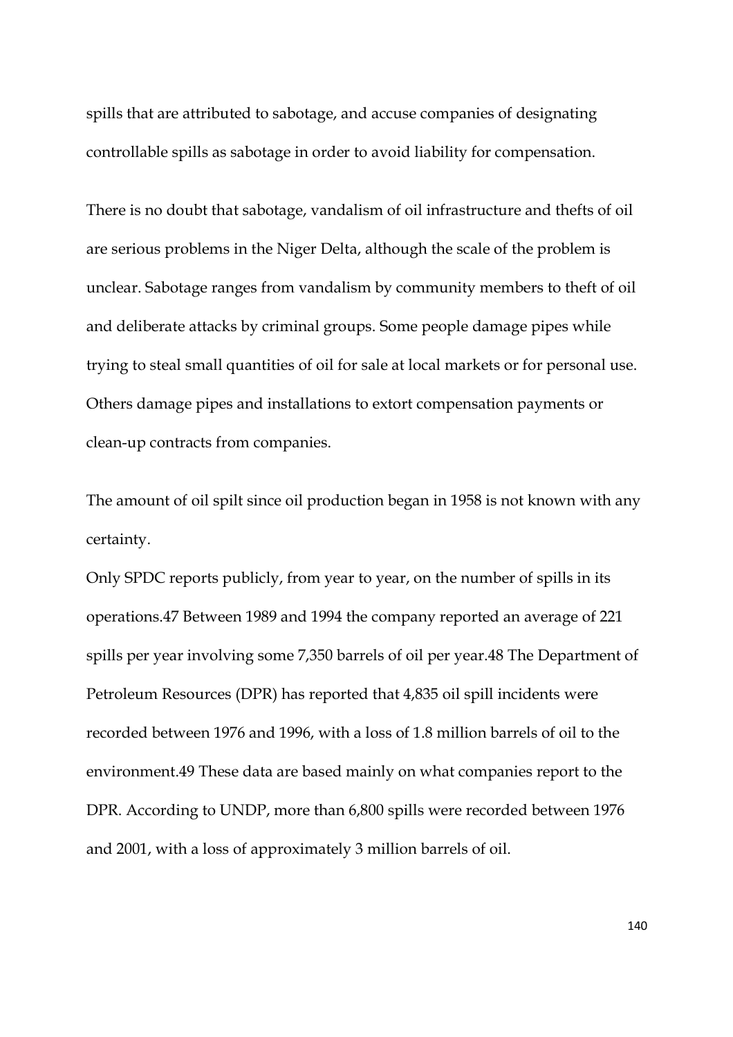spills that are attributed to sabotage, and accuse companies of designating controllable spills as sabotage in order to avoid liability for compensation.

There is no doubt that sabotage, vandalism of oil infrastructure and thefts of oil are serious problems in the Niger Delta, although the scale of the problem is unclear. Sabotage ranges from vandalism by community members to theft of oil and deliberate attacks by criminal groups. Some people damage pipes while trying to steal small quantities of oil for sale at local markets or for personal use. Others damage pipes and installations to extort compensation payments or clean-up contracts from companies.

The amount of oil spilt since oil production began in 1958 is not known with any certainty.

Only SPDC reports publicly, from year to year, on the number of spills in its operations.47 Between 1989 and 1994 the company reported an average of 221 spills per year involving some 7,350 barrels of oil per year.48 The Department of Petroleum Resources (DPR) has reported that 4,835 oil spill incidents were recorded between 1976 and 1996, with a loss of 1.8 million barrels of oil to the environment.49 These data are based mainly on what companies report to the DPR. According to UNDP, more than 6,800 spills were recorded between 1976 and 2001, with a loss of approximately 3 million barrels of oil.

140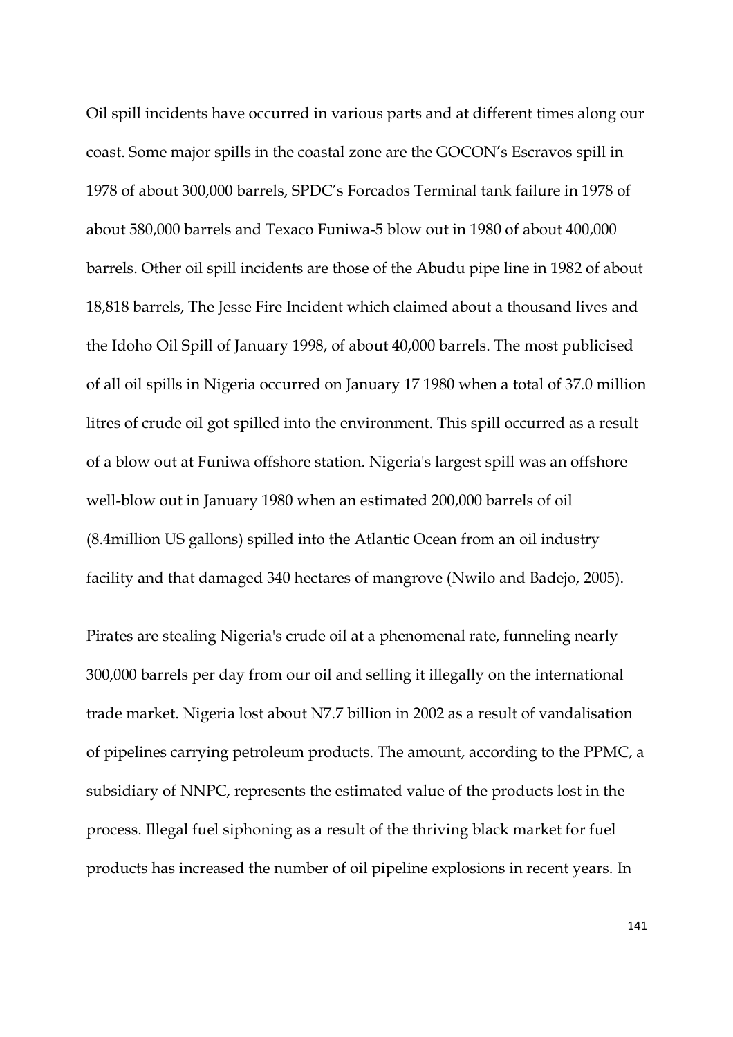Oil spill incidents have occurred in various parts and at different times along our coast. Some major spills in the coastal zone are the GOCON's Escravos spill in 1978 of about 300,000 barrels, SPDC's Forcados Terminal tank failure in 1978 of about 580,000 barrels and Texaco Funiwa-5 blow out in 1980 of about 400,000 barrels. Other oil spill incidents are those of the Abudu pipe line in 1982 of about 18,818 barrels, The Jesse Fire Incident which claimed about a thousand lives and the Idoho Oil Spill of January 1998, of about 40,000 barrels. The most publicised of all oil spills in Nigeria occurred on January 17 1980 when a total of 37.0 million litres of crude oil got spilled into the environment. This spill occurred as a result of a blow out at Funiwa offshore station. Nigeria's largest spill was an offshore well-blow out in January 1980 when an estimated 200,000 barrels of oil (8.4million US gallons) spilled into the Atlantic Ocean from an oil industry facility and that damaged 340 hectares of mangrove (Nwilo and Badejo, 2005).

Pirates are stealing Nigeria's crude oil at a phenomenal rate, funneling nearly 300,000 barrels per day from our oil and selling it illegally on the international trade market. Nigeria lost about N7.7 billion in 2002 as a result of vandalisation of pipelines carrying petroleum products. The amount, according to the PPMC, a subsidiary of NNPC, represents the estimated value of the products lost in the process. Illegal fuel siphoning as a result of the thriving black market for fuel products has increased the number of oil pipeline explosions in recent years. In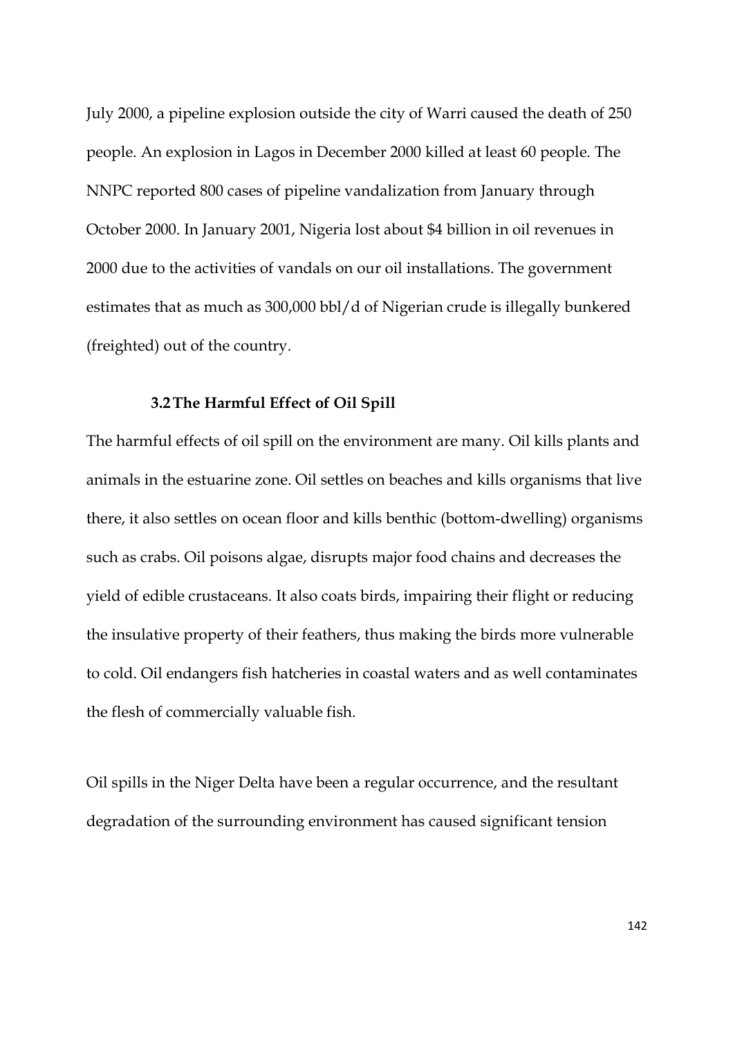July 2000, a pipeline explosion outside the city of Warri caused the death of 250 people. An explosion in Lagos in December 2000 killed at least 60 people. The NNPC reported 800 cases of pipeline vandalization from January through October 2000. In January 2001, Nigeria lost about \$4 billion in oil revenues in 2000 due to the activities of vandals on our oil installations. The government estimates that as much as 300,000 bbl/d of Nigerian crude is illegally bunkered (freighted) out of the country.

### **3.2The Harmful Effect of Oil Spill**

The harmful effects of oil spill on the environment are many. Oil kills plants and animals in the estuarine zone. Oil settles on beaches and kills organisms that live there, it also settles on ocean floor and kills benthic (bottom-dwelling) organisms such as crabs. Oil poisons algae, disrupts major food chains and decreases the yield of edible crustaceans. It also coats birds, impairing their flight or reducing the insulative property of their feathers, thus making the birds more vulnerable to cold. Oil endangers fish hatcheries in coastal waters and as well contaminates the flesh of commercially valuable fish.

Oil spills in the Niger Delta have been a regular occurrence, and the resultant degradation of the surrounding environment has caused significant tension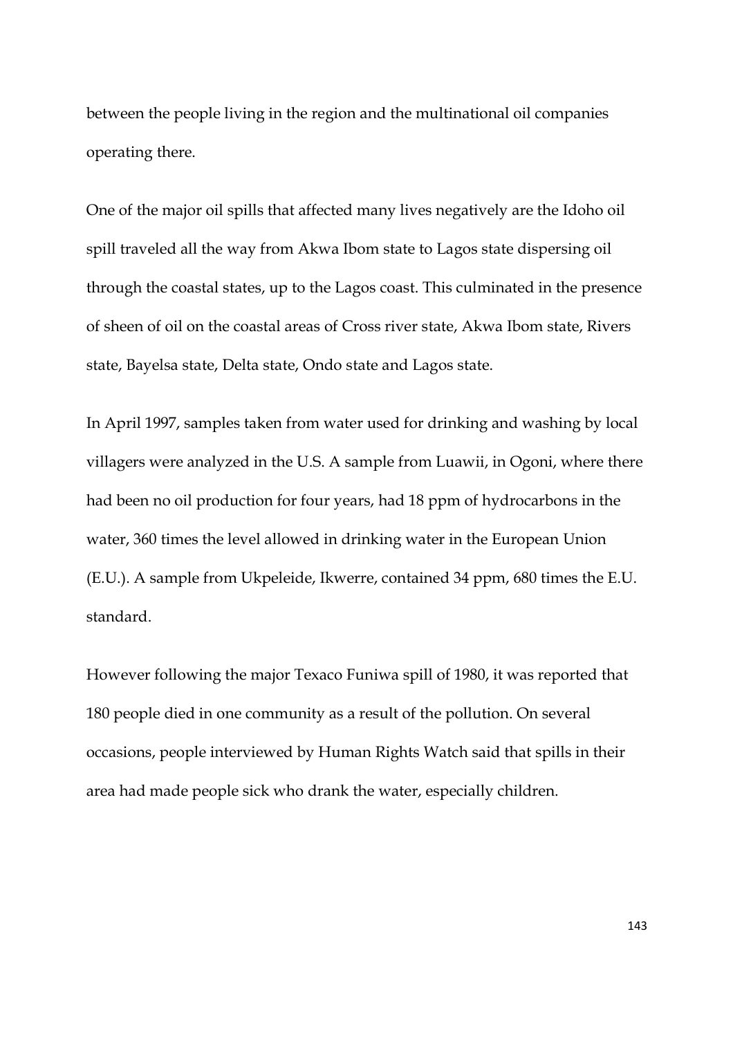between the people living in the region and the multinational oil companies operating there.

One of the major oil spills that affected many lives negatively are the Idoho oil spill traveled all the way from Akwa Ibom state to Lagos state dispersing oil through the coastal states, up to the Lagos coast. This culminated in the presence of sheen of oil on the coastal areas of Cross river state, Akwa Ibom state, Rivers state, Bayelsa state, Delta state, Ondo state and Lagos state.

In April 1997, samples taken from water used for drinking and washing by local villagers were analyzed in the U.S. A sample from Luawii, in Ogoni, where there had been no oil production for four years, had 18 ppm of hydrocarbons in the water, 360 times the level allowed in drinking water in the European Union (E.U.). A sample from Ukpeleide, Ikwerre, contained 34 ppm, 680 times the E.U. standard.

However following the major Texaco Funiwa spill of 1980, it was reported that 180 people died in one community as a result of the pollution. On several occasions, people interviewed by Human Rights Watch said that spills in their area had made people sick who drank the water, especially children.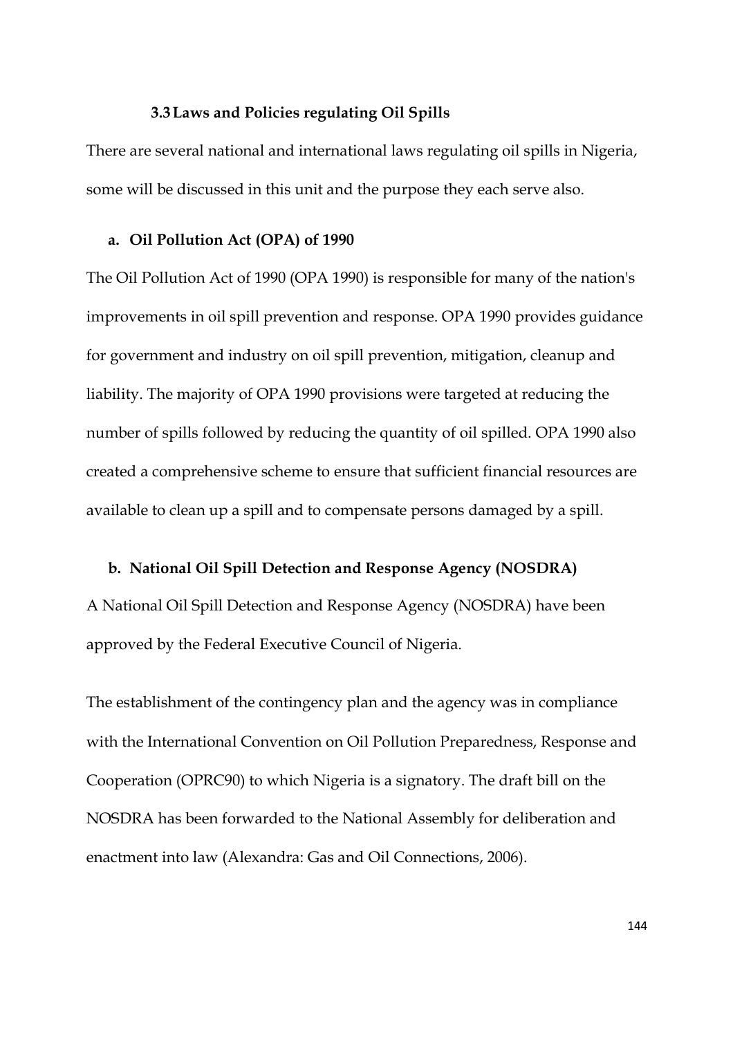#### **3.3Laws and Policies regulating Oil Spills**

There are several national and international laws regulating oil spills in Nigeria, some will be discussed in this unit and the purpose they each serve also.

### **a. Oil Pollution Act (OPA) of 1990**

The Oil Pollution Act of 1990 (OPA 1990) is responsible for many of the nation's improvements in oil spill prevention and response. OPA 1990 provides guidance for government and industry on oil spill prevention, mitigation, cleanup and liability. The majority of OPA 1990 provisions were targeted at reducing the number of spills followed by reducing the quantity of oil spilled. OPA 1990 also created a comprehensive scheme to ensure that sufficient financial resources are available to clean up a spill and to compensate persons damaged by a spill.

## **b. National Oil Spill Detection and Response Agency (NOSDRA)**

A National Oil Spill Detection and Response Agency (NOSDRA) have been approved by the Federal Executive Council of Nigeria.

The establishment of the contingency plan and the agency was in compliance with the International Convention on Oil Pollution Preparedness, Response and Cooperation (OPRC90) to which Nigeria is a signatory. The draft bill on the NOSDRA has been forwarded to the National Assembly for deliberation and enactment into law (Alexandra: Gas and Oil Connections, 2006).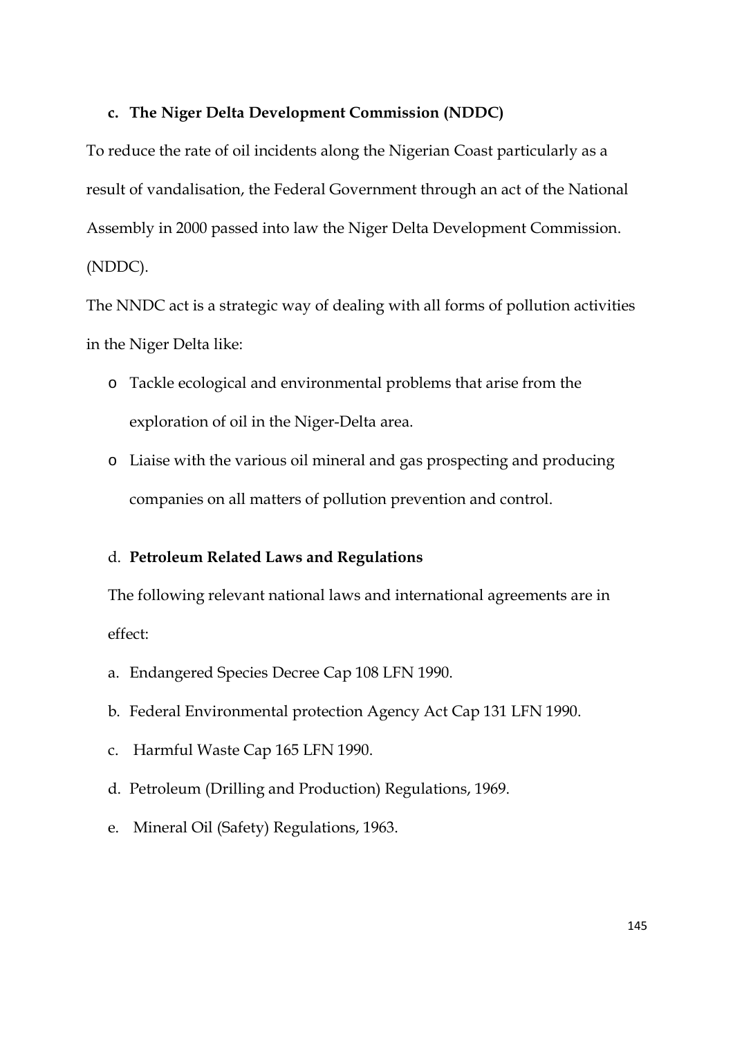# **c. The Niger Delta Development Commission (NDDC)**

To reduce the rate of oil incidents along the Nigerian Coast particularly as a result of vandalisation, the Federal Government through an act of the National Assembly in 2000 passed into law the Niger Delta Development Commission. (NDDC).

The NNDC act is a strategic way of dealing with all forms of pollution activities in the Niger Delta like:

- o Tackle ecological and environmental problems that arise from the exploration of oil in the Niger-Delta area.
- o Liaise with the various oil mineral and gas prospecting and producing companies on all matters of pollution prevention and control.

# d. **Petroleum Related Laws and Regulations**

The following relevant national laws and international agreements are in effect:

- a. Endangered Species Decree Cap 108 LFN 1990.
- b. Federal Environmental protection Agency Act Cap 131 LFN 1990.
- c. Harmful Waste Cap 165 LFN 1990.
- d. Petroleum (Drilling and Production) Regulations, 1969.
- e. Mineral Oil (Safety) Regulations, 1963.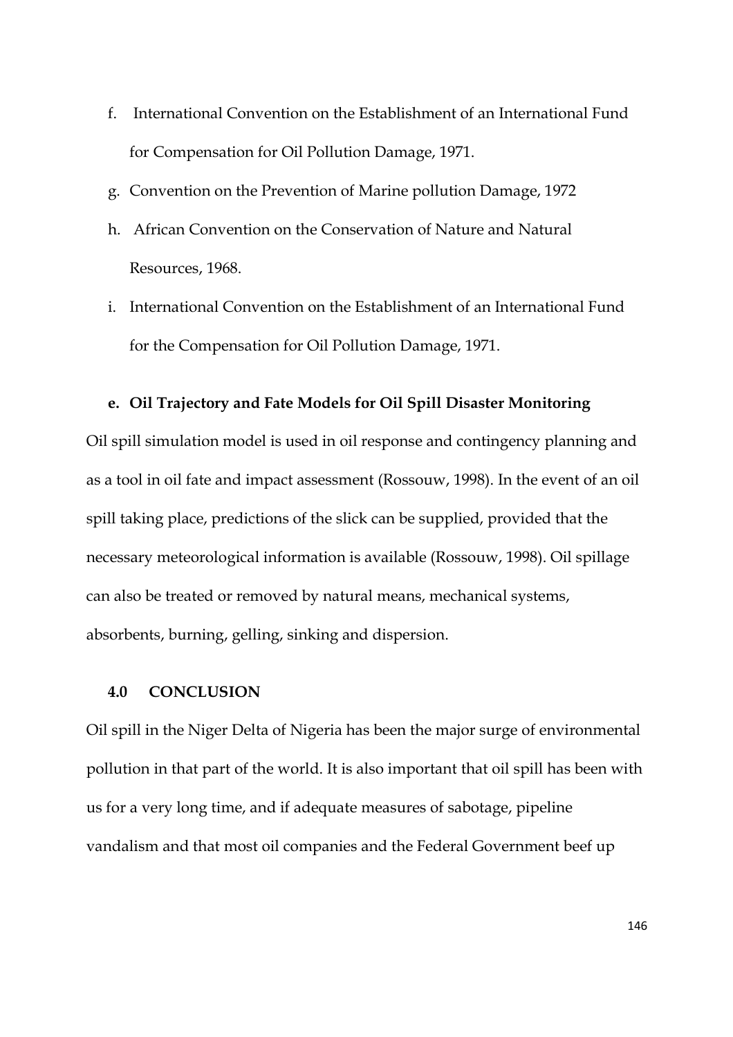- f. International Convention on the Establishment of an International Fund for Compensation for Oil Pollution Damage, 1971.
- g. Convention on the Prevention of Marine pollution Damage, 1972
- h. African Convention on the Conservation of Nature and Natural Resources, 1968.
- i. International Convention on the Establishment of an International Fund for the Compensation for Oil Pollution Damage, 1971.

## **e. Oil Trajectory and Fate Models for Oil Spill Disaster Monitoring**

Oil spill simulation model is used in oil response and contingency planning and as a tool in oil fate and impact assessment (Rossouw, 1998). In the event of an oil spill taking place, predictions of the slick can be supplied, provided that the necessary meteorological information is available (Rossouw, 1998). Oil spillage can also be treated or removed by natural means, mechanical systems, absorbents, burning, gelling, sinking and dispersion.

### **4.0 CONCLUSION**

Oil spill in the Niger Delta of Nigeria has been the major surge of environmental pollution in that part of the world. It is also important that oil spill has been with us for a very long time, and if adequate measures of sabotage, pipeline vandalism and that most oil companies and the Federal Government beef up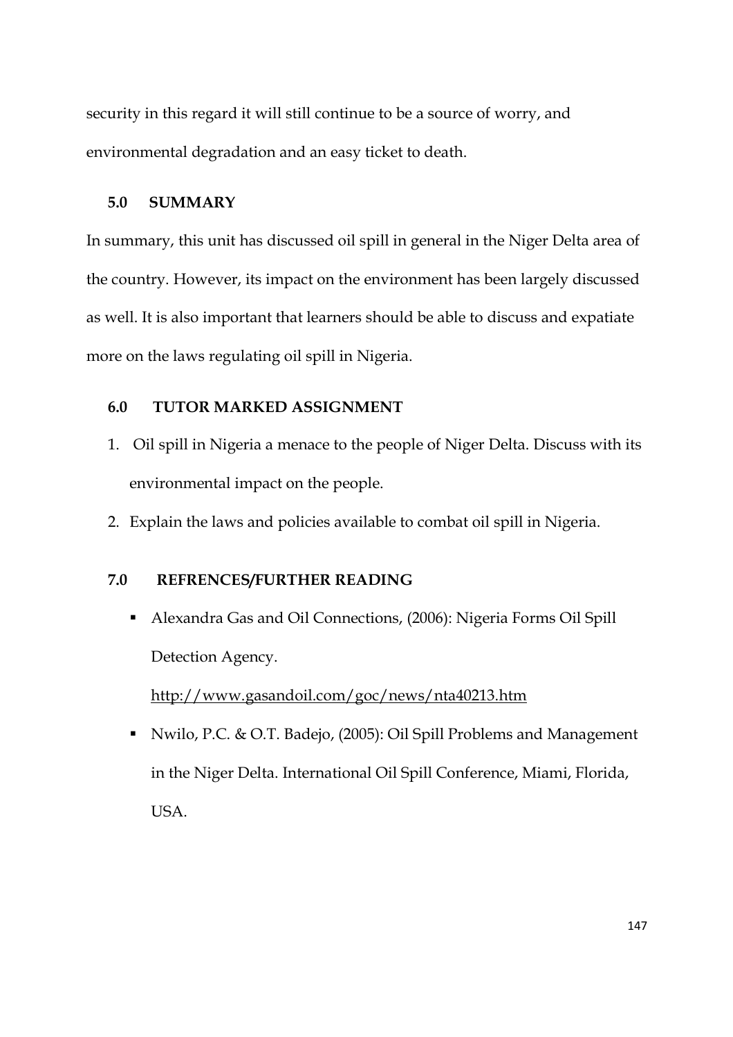security in this regard it will still continue to be a source of worry, and environmental degradation and an easy ticket to death.

# **5.0 SUMMARY**

In summary, this unit has discussed oil spill in general in the Niger Delta area of the country. However, its impact on the environment has been largely discussed as well. It is also important that learners should be able to discuss and expatiate more on the laws regulating oil spill in Nigeria.

# **6.0 TUTOR MARKED ASSIGNMENT**

- 1. Oil spill in Nigeria a menace to the people of Niger Delta. Discuss with its environmental impact on the people.
- 2. Explain the laws and policies available to combat oil spill in Nigeria.

# **7.0 REFRENCES/FURTHER READING**

 Alexandra Gas and Oil Connections, (2006): Nigeria Forms Oil Spill Detection Agency.

http://www.gasandoil.com/goc/news/nta40213.htm

 Nwilo, P.C. & O.T. Badejo, (2005): Oil Spill Problems and Management in the Niger Delta. International Oil Spill Conference, Miami, Florida, USA.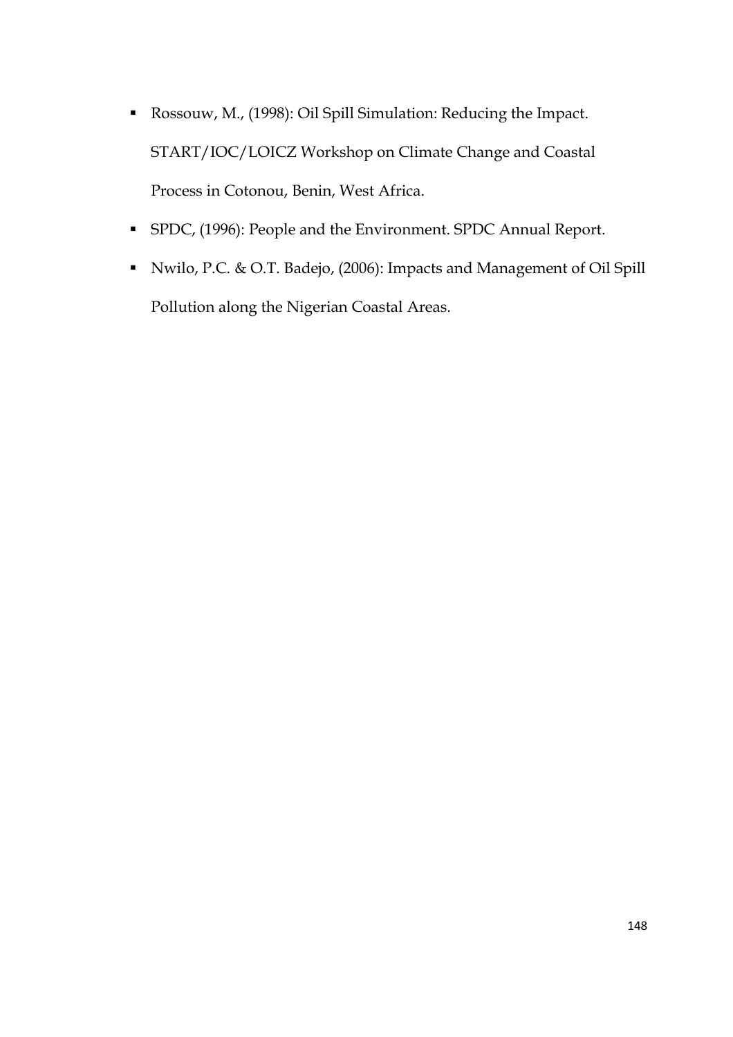- Rossouw, M., (1998): Oil Spill Simulation: Reducing the Impact. START/IOC/LOICZ Workshop on Climate Change and Coastal Process in Cotonou, Benin, West Africa.
- SPDC, (1996): People and the Environment. SPDC Annual Report.
- Nwilo, P.C. & O.T. Badejo, (2006): Impacts and Management of Oil Spill Pollution along the Nigerian Coastal Areas.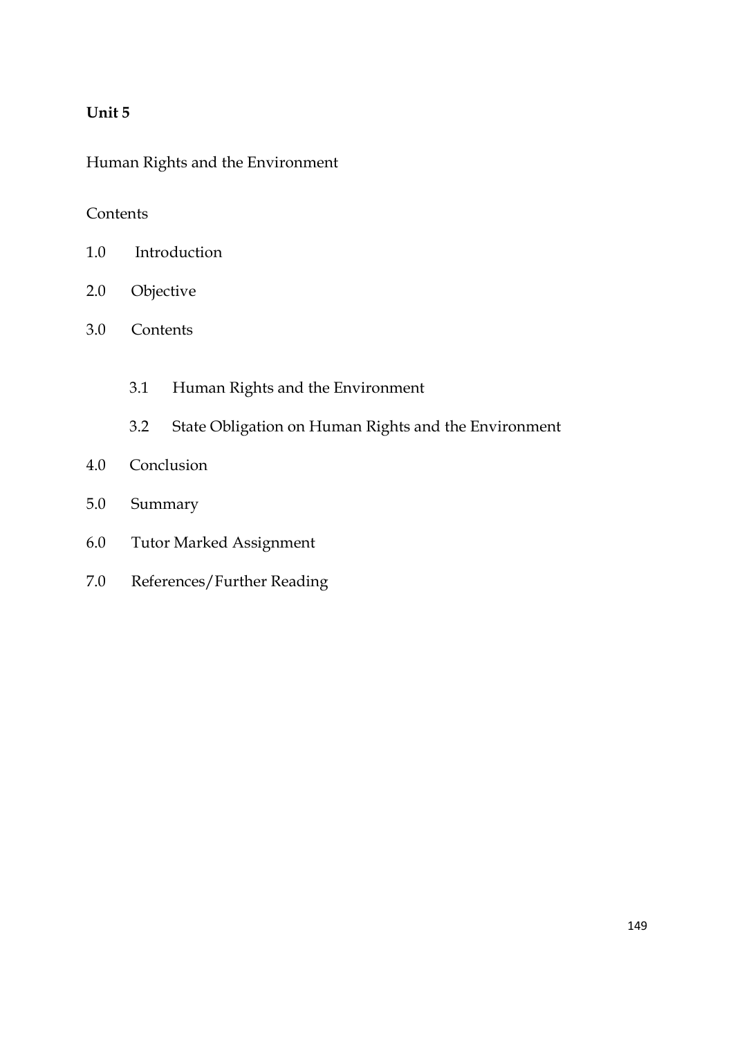# **Unit 5**

Human Rights and the Environment

# Contents

- 1.0 Introduction
- 2.0 Objective
- 3.0 Contents
	- 3.1 Human Rights and the Environment
	- 3.2 State Obligation on Human Rights and the Environment
- 4.0 Conclusion
- 5.0 Summary
- 6.0 Tutor Marked Assignment
- 7.0 References/Further Reading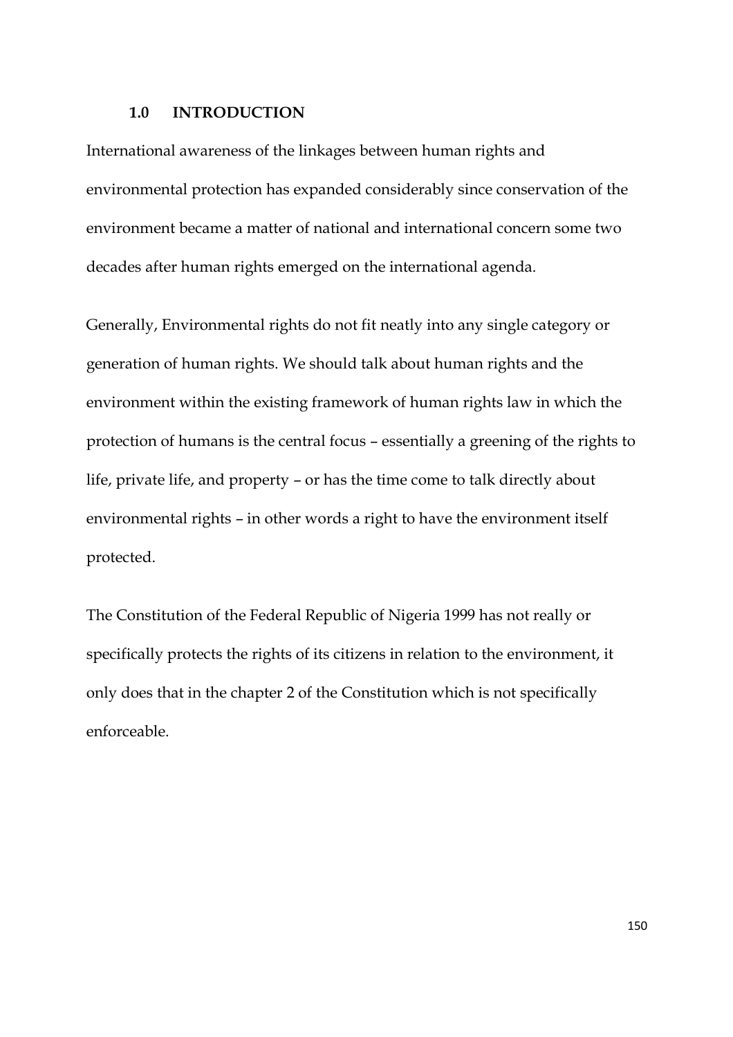### **1.0 INTRODUCTION**

International awareness of the linkages between human rights and environmental protection has expanded considerably since conservation of the environment became a matter of national and international concern some two decades after human rights emerged on the international agenda.

Generally, Environmental rights do not fit neatly into any single category or generation of human rights. We should talk about human rights and the environment within the existing framework of human rights law in which the protection of humans is the central focus – essentially a greening of the rights to life, private life, and property – or has the time come to talk directly about environmental rights – in other words a right to have the environment itself protected.

The Constitution of the Federal Republic of Nigeria 1999 has not really or specifically protects the rights of its citizens in relation to the environment, it only does that in the chapter 2 of the Constitution which is not specifically enforceable.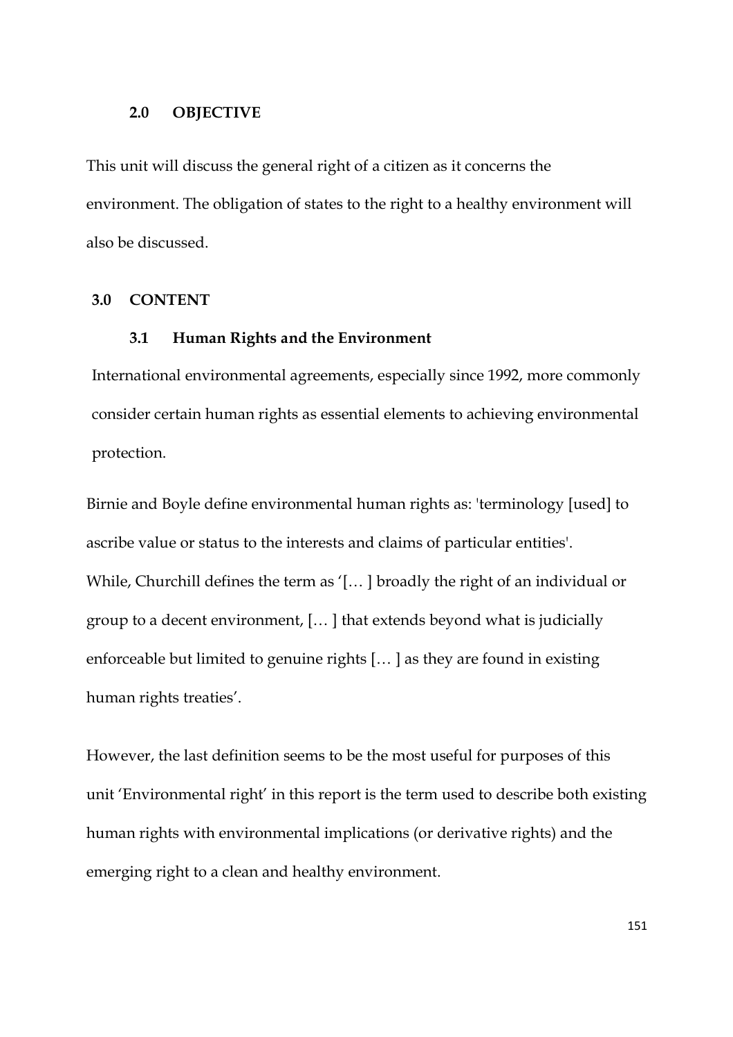#### **2.0 OBJECTIVE**

This unit will discuss the general right of a citizen as it concerns the environment. The obligation of states to the right to a healthy environment will also be discussed.

## **3.0 CONTENT**

## **3.1 Human Rights and the Environment**

International environmental agreements, especially since 1992, more commonly consider certain human rights as essential elements to achieving environmental protection.

Birnie and Boyle define environmental human rights as: 'terminology [used] to ascribe value or status to the interests and claims of particular entities'. While, Churchill defines the term as '[… ] broadly the right of an individual or group to a decent environment, [… ] that extends beyond what is judicially enforceable but limited to genuine rights [… ] as they are found in existing human rights treaties'.

However, the last definition seems to be the most useful for purposes of this unit 'Environmental right' in this report is the term used to describe both existing human rights with environmental implications (or derivative rights) and the emerging right to a clean and healthy environment.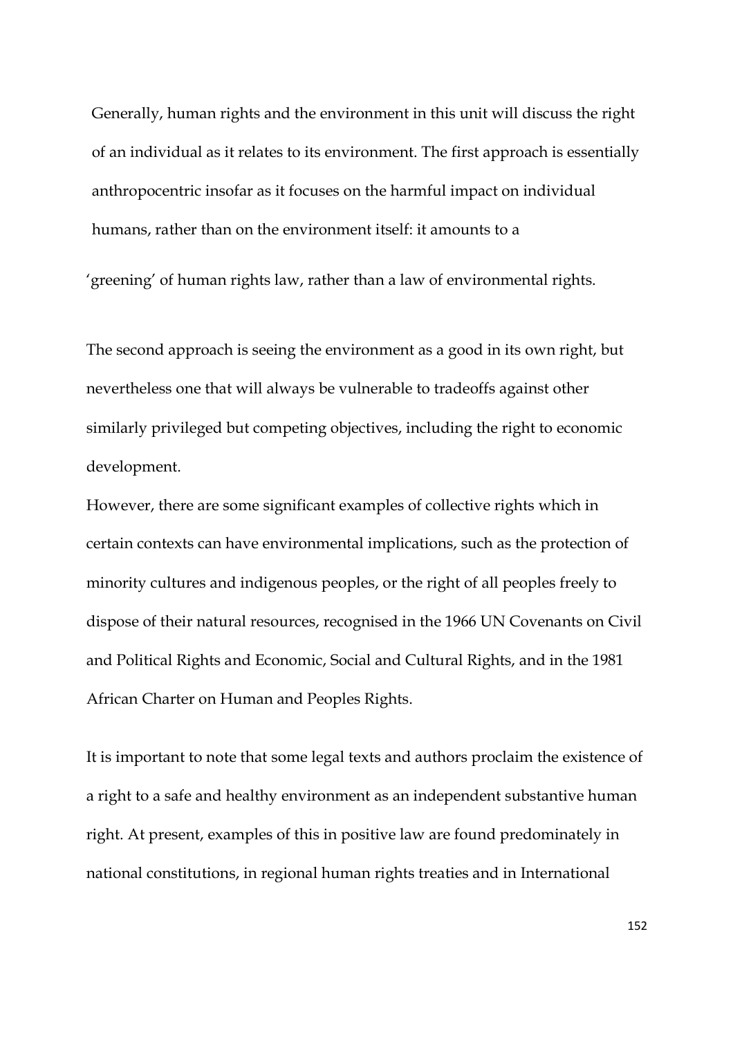Generally, human rights and the environment in this unit will discuss the right of an individual as it relates to its environment. The first approach is essentially anthropocentric insofar as it focuses on the harmful impact on individual humans, rather than on the environment itself: it amounts to a

'greening' of human rights law, rather than a law of environmental rights.

The second approach is seeing the environment as a good in its own right, but nevertheless one that will always be vulnerable to tradeoffs against other similarly privileged but competing objectives, including the right to economic development.

However, there are some significant examples of collective rights which in certain contexts can have environmental implications, such as the protection of minority cultures and indigenous peoples, or the right of all peoples freely to dispose of their natural resources, recognised in the 1966 UN Covenants on Civil and Political Rights and Economic, Social and Cultural Rights, and in the 1981 African Charter on Human and Peoples Rights.

It is important to note that some legal texts and authors proclaim the existence of a right to a safe and healthy environment as an independent substantive human right. At present, examples of this in positive law are found predominately in national constitutions, in regional human rights treaties and in International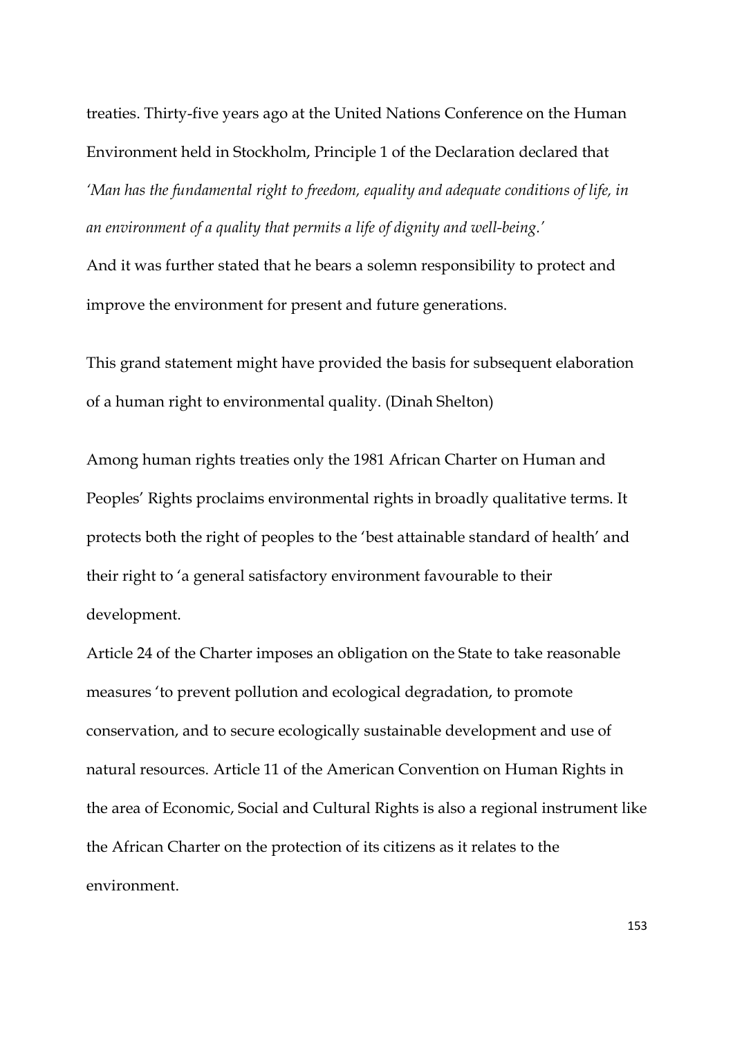treaties. Thirty-five years ago at the United Nations Conference on the Human Environment held in Stockholm, Principle 1 of the Declaration declared that *'Man has the fundamental right to freedom, equality and adequate conditions of life, in an environment of a quality that permits a life of dignity and well-being.'*

And it was further stated that he bears a solemn responsibility to protect and improve the environment for present and future generations.

This grand statement might have provided the basis for subsequent elaboration of a human right to environmental quality. (Dinah Shelton)

Among human rights treaties only the 1981 African Charter on Human and Peoples' Rights proclaims environmental rights in broadly qualitative terms. It protects both the right of peoples to the 'best attainable standard of health' and their right to 'a general satisfactory environment favourable to their development.

Article 24 of the Charter imposes an obligation on the State to take reasonable measures 'to prevent pollution and ecological degradation, to promote conservation, and to secure ecologically sustainable development and use of natural resources. Article 11 of the American Convention on Human Rights in the area of Economic, Social and Cultural Rights is also a regional instrument like the African Charter on the protection of its citizens as it relates to the environment.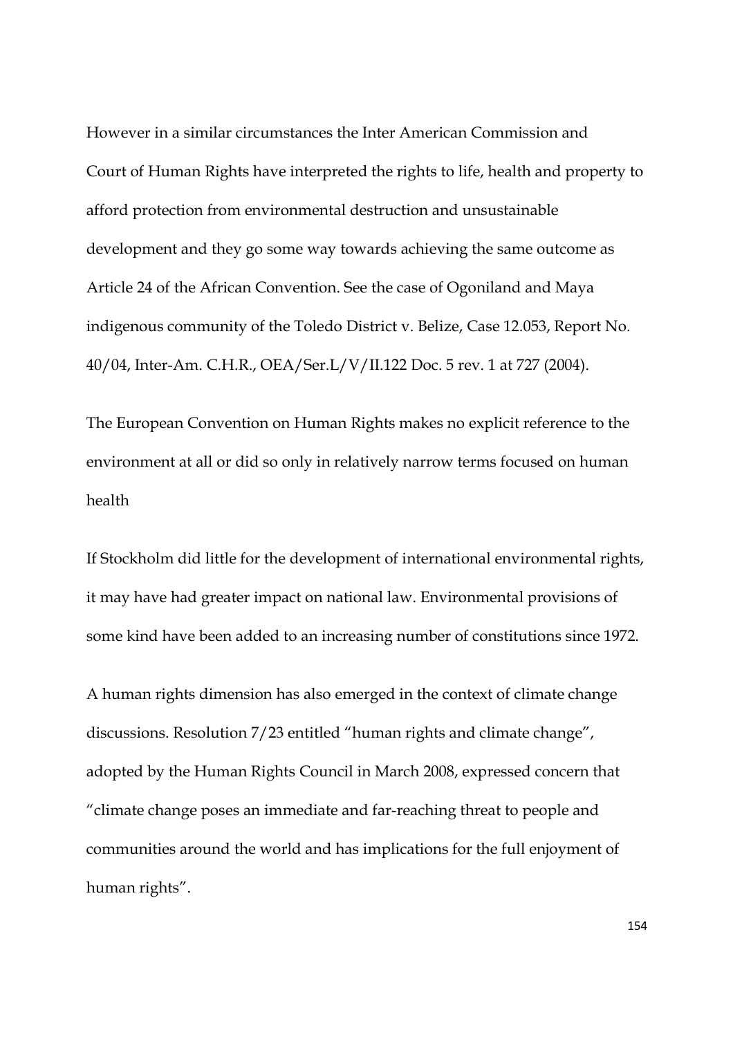However in a similar circumstances the Inter American Commission and Court of Human Rights have interpreted the rights to life, health and property to afford protection from environmental destruction and unsustainable development and they go some way towards achieving the same outcome as Article 24 of the African Convention. See the case of Ogoniland and Maya indigenous community of the Toledo District v. Belize, Case 12.053, Report No. 40/04, Inter-Am. C.H.R., OEA/Ser.L/V/II.122 Doc. 5 rev. 1 at 727 (2004).

The European Convention on Human Rights makes no explicit reference to the environment at all or did so only in relatively narrow terms focused on human health

If Stockholm did little for the development of international environmental rights, it may have had greater impact on national law. Environmental provisions of some kind have been added to an increasing number of constitutions since 1972.

A human rights dimension has also emerged in the context of climate change discussions. Resolution 7/23 entitled "human rights and climate change", adopted by the Human Rights Council in March 2008, expressed concern that "climate change poses an immediate and far-reaching threat to people and communities around the world and has implications for the full enjoyment of human rights".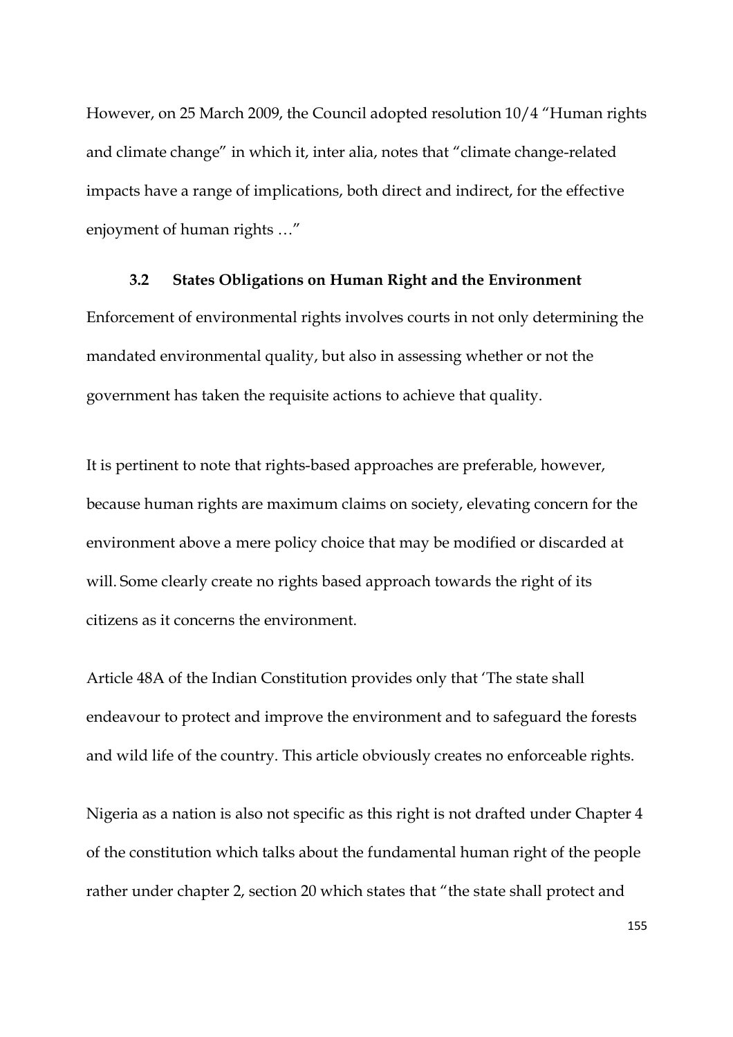However, on 25 March 2009, the Council adopted resolution 10/4 "Human rights and climate change" in which it, inter alia, notes that "climate change-related impacts have a range of implications, both direct and indirect, for the effective enjoyment of human rights …"

### **3.2 States Obligations on Human Right and the Environment**

Enforcement of environmental rights involves courts in not only determining the mandated environmental quality, but also in assessing whether or not the government has taken the requisite actions to achieve that quality.

It is pertinent to note that rights-based approaches are preferable, however, because human rights are maximum claims on society, elevating concern for the environment above a mere policy choice that may be modified or discarded at will. Some clearly create no rights based approach towards the right of its citizens as it concerns the environment.

Article 48A of the Indian Constitution provides only that 'The state shall endeavour to protect and improve the environment and to safeguard the forests and wild life of the country. This article obviously creates no enforceable rights.

Nigeria as a nation is also not specific as this right is not drafted under Chapter 4 of the constitution which talks about the fundamental human right of the people rather under chapter 2, section 20 which states that "the state shall protect and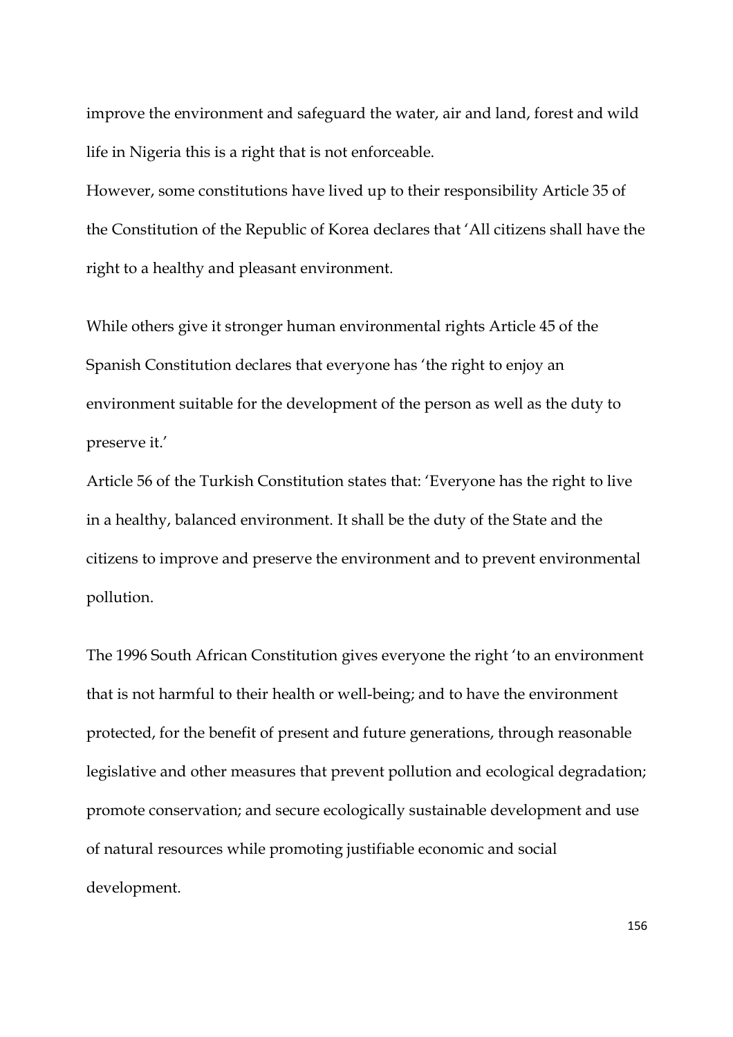improve the environment and safeguard the water, air and land, forest and wild life in Nigeria this is a right that is not enforceable.

However, some constitutions have lived up to their responsibility Article 35 of the Constitution of the Republic of Korea declares that 'All citizens shall have the right to a healthy and pleasant environment.

While others give it stronger human environmental rights Article 45 of the Spanish Constitution declares that everyone has 'the right to enjoy an environment suitable for the development of the person as well as the duty to preserve it.'

Article 56 of the Turkish Constitution states that: 'Everyone has the right to live in a healthy, balanced environment. It shall be the duty of the State and the citizens to improve and preserve the environment and to prevent environmental pollution.

The 1996 South African Constitution gives everyone the right 'to an environment that is not harmful to their health or well-being; and to have the environment protected, for the benefit of present and future generations, through reasonable legislative and other measures that prevent pollution and ecological degradation; promote conservation; and secure ecologically sustainable development and use of natural resources while promoting justifiable economic and social development.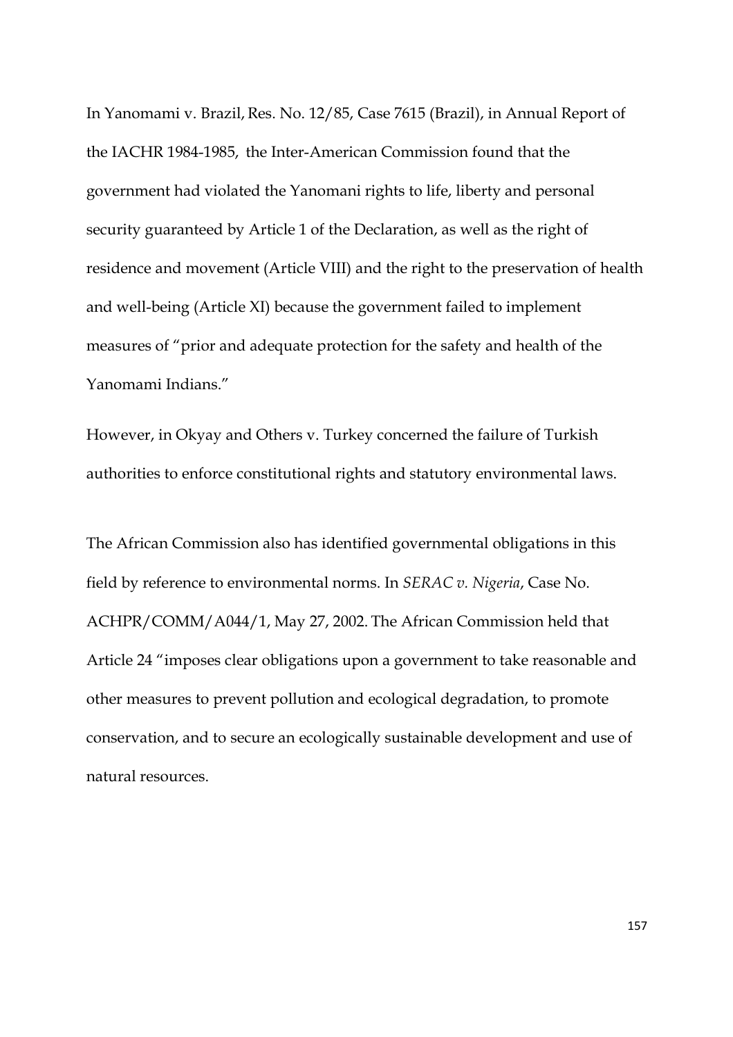In Yanomami v. Brazil, Res. No. 12/85, Case 7615 (Brazil), in Annual Report of the IACHR 1984-1985, the Inter-American Commission found that the government had violated the Yanomani rights to life, liberty and personal security guaranteed by Article 1 of the Declaration, as well as the right of residence and movement (Article VIII) and the right to the preservation of health and well-being (Article XI) because the government failed to implement measures of "prior and adequate protection for the safety and health of the Yanomami Indians."

However, in Okyay and Others v. Turkey concerned the failure of Turkish authorities to enforce constitutional rights and statutory environmental laws.

The African Commission also has identified governmental obligations in this field by reference to environmental norms. In *SERAC v. Nigeria*, Case No. ACHPR/COMM/A044/1, May 27, 2002. The African Commission held that Article 24 "imposes clear obligations upon a government to take reasonable and other measures to prevent pollution and ecological degradation, to promote conservation, and to secure an ecologically sustainable development and use of natural resources.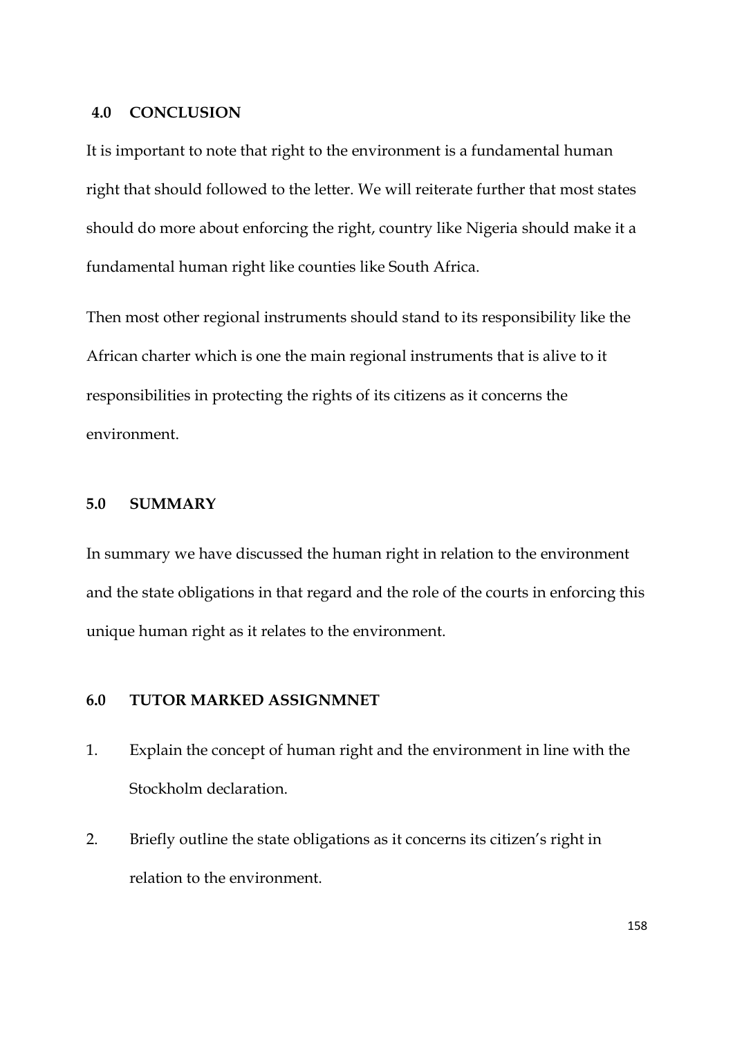### **4.0 CONCLUSION**

It is important to note that right to the environment is a fundamental human right that should followed to the letter. We will reiterate further that most states should do more about enforcing the right, country like Nigeria should make it a fundamental human right like counties like South Africa.

Then most other regional instruments should stand to its responsibility like the African charter which is one the main regional instruments that is alive to it responsibilities in protecting the rights of its citizens as it concerns the environment.

## **5.0 SUMMARY**

In summary we have discussed the human right in relation to the environment and the state obligations in that regard and the role of the courts in enforcing this unique human right as it relates to the environment.

# **6.0 TUTOR MARKED ASSIGNMNET**

- 1. Explain the concept of human right and the environment in line with the Stockholm declaration.
- 2. Briefly outline the state obligations as it concerns its citizen's right in relation to the environment.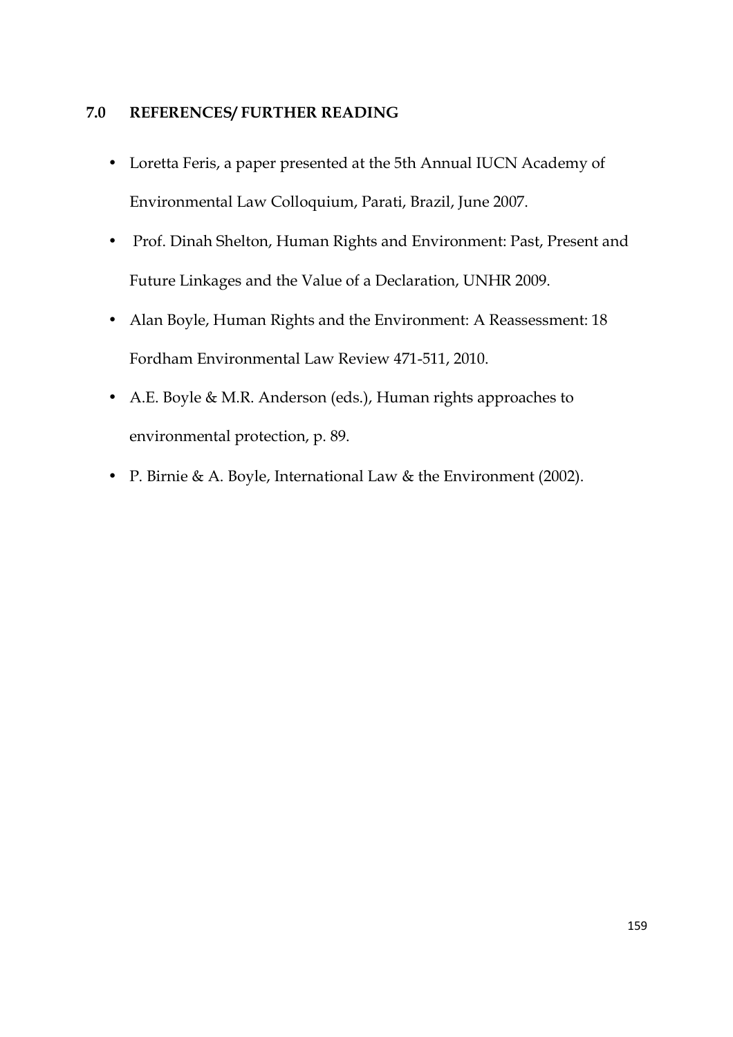# **7.0 REFERENCES/ FURTHER READING**

- Loretta Feris, a paper presented at the 5th Annual IUCN Academy of Environmental Law Colloquium, Parati, Brazil, June 2007.
- Prof. Dinah Shelton, Human Rights and Environment: Past, Present and Future Linkages and the Value of a Declaration, UNHR 2009.
- Alan Boyle, Human Rights and the Environment: A Reassessment: 18 Fordham Environmental Law Review 471-511, 2010.
- A.E. Boyle & M.R. Anderson (eds.), Human rights approaches to environmental protection, p. 89.
- P. Birnie & A. Boyle, International Law & the Environment (2002).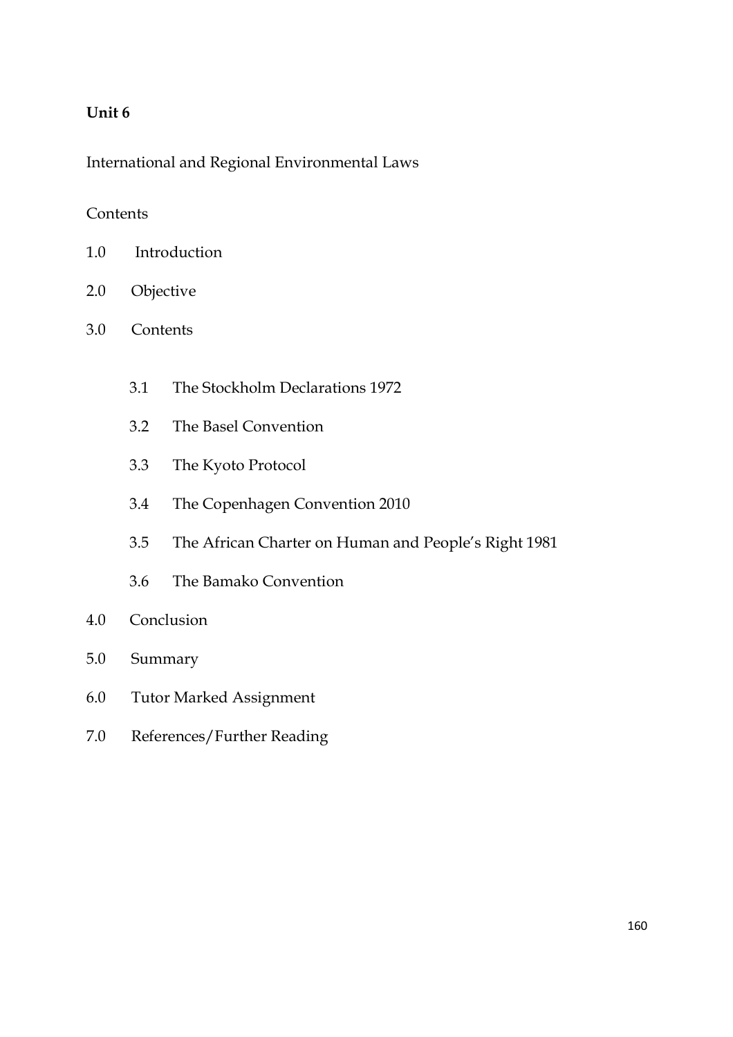# **Unit 6**

International and Regional Environmental Laws

# **Contents**

- 1.0 Introduction
- 2.0 Objective
- 3.0 Contents
	- 3.1 The Stockholm Declarations 1972
	- 3.2 The Basel Convention
	- 3.3 The Kyoto Protocol
	- 3.4 The Copenhagen Convention 2010
	- 3.5 The African Charter on Human and People's Right 1981
	- 3.6 The Bamako Convention
- 4.0 Conclusion
- 5.0 Summary
- 6.0 Tutor Marked Assignment
- 7.0 References/Further Reading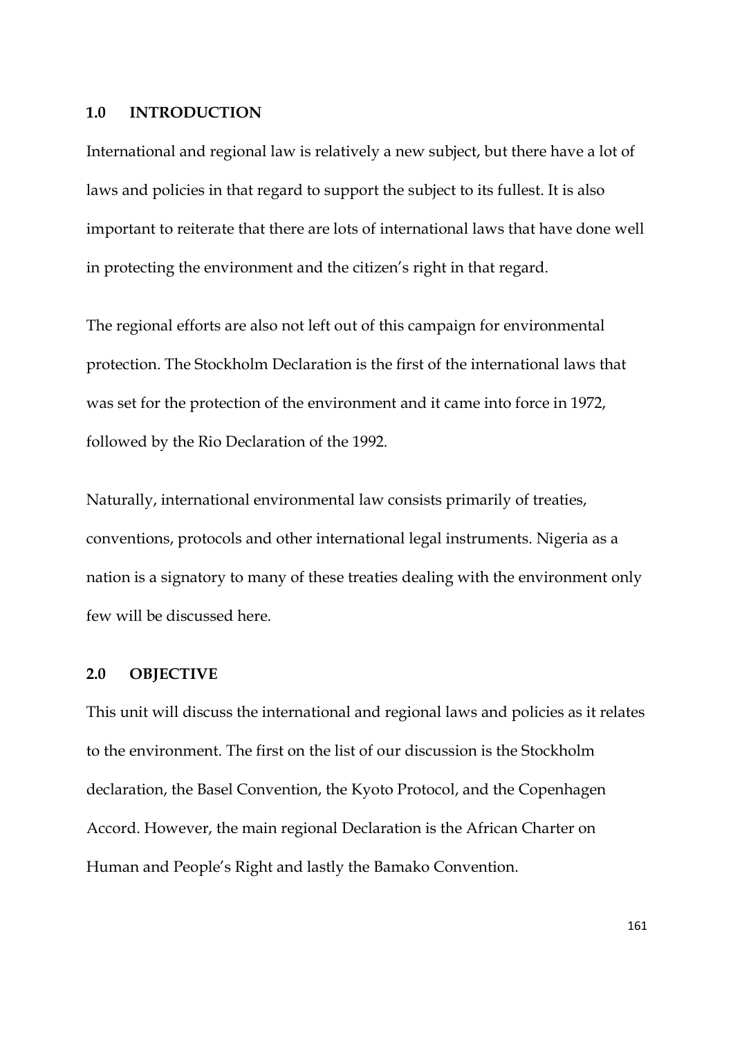### **1.0 INTRODUCTION**

International and regional law is relatively a new subject, but there have a lot of laws and policies in that regard to support the subject to its fullest. It is also important to reiterate that there are lots of international laws that have done well in protecting the environment and the citizen's right in that regard.

The regional efforts are also not left out of this campaign for environmental protection. The Stockholm Declaration is the first of the international laws that was set for the protection of the environment and it came into force in 1972, followed by the Rio Declaration of the 1992.

Naturally, international environmental law consists primarily of treaties, conventions, protocols and other international legal instruments. Nigeria as a nation is a signatory to many of these treaties dealing with the environment only few will be discussed here.

## **2.0 OBJECTIVE**

This unit will discuss the international and regional laws and policies as it relates to the environment. The first on the list of our discussion is the Stockholm declaration, the Basel Convention, the Kyoto Protocol, and the Copenhagen Accord. However, the main regional Declaration is the African Charter on Human and People's Right and lastly the Bamako Convention.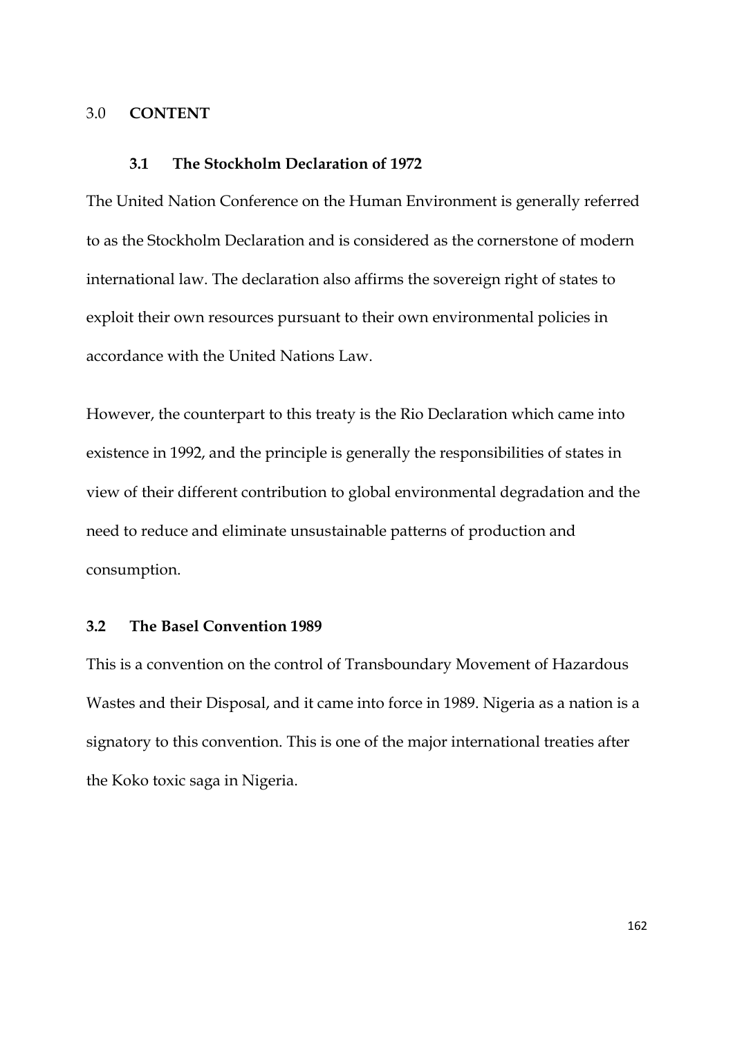### 3.0 **CONTENT**

#### **3.1 The Stockholm Declaration of 1972**

The United Nation Conference on the Human Environment is generally referred to as the Stockholm Declaration and is considered as the cornerstone of modern international law. The declaration also affirms the sovereign right of states to exploit their own resources pursuant to their own environmental policies in accordance with the United Nations Law.

However, the counterpart to this treaty is the Rio Declaration which came into existence in 1992, and the principle is generally the responsibilities of states in view of their different contribution to global environmental degradation and the need to reduce and eliminate unsustainable patterns of production and consumption.

### **3.2 The Basel Convention 1989**

This is a convention on the control of Transboundary Movement of Hazardous Wastes and their Disposal, and it came into force in 1989. Nigeria as a nation is a signatory to this convention. This is one of the major international treaties after the Koko toxic saga in Nigeria.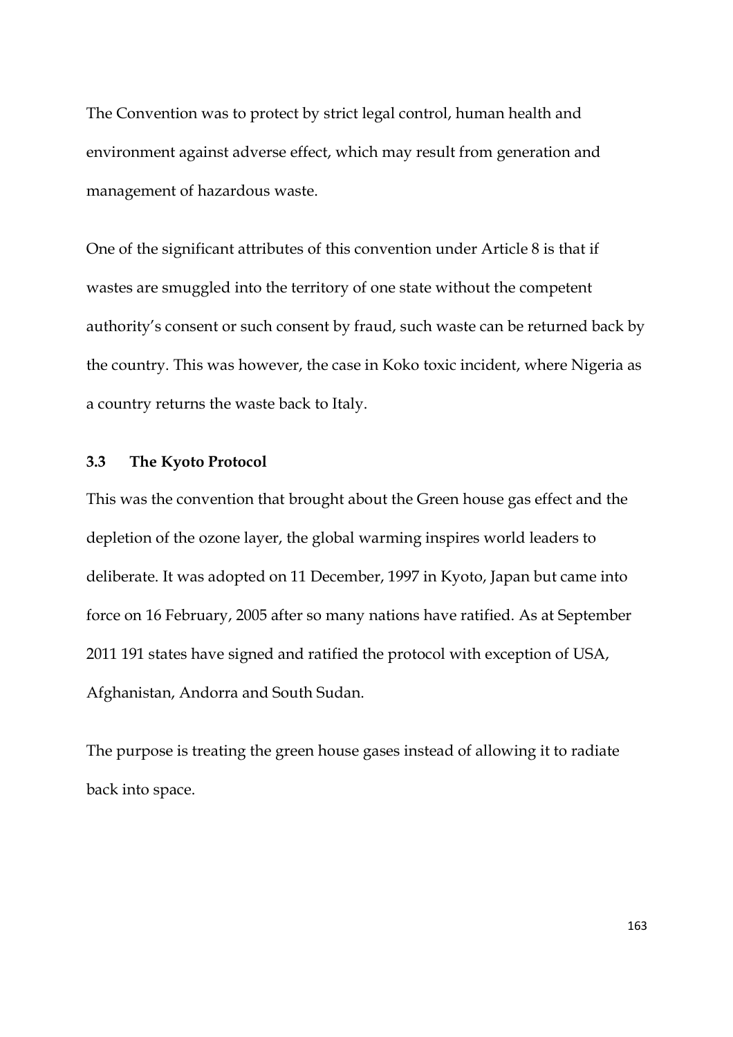The Convention was to protect by strict legal control, human health and environment against adverse effect, which may result from generation and management of hazardous waste.

One of the significant attributes of this convention under Article 8 is that if wastes are smuggled into the territory of one state without the competent authority's consent or such consent by fraud, such waste can be returned back by the country. This was however, the case in Koko toxic incident, where Nigeria as a country returns the waste back to Italy.

## **3.3 The Kyoto Protocol**

This was the convention that brought about the Green house gas effect and the depletion of the ozone layer, the global warming inspires world leaders to deliberate. It was adopted on 11 December, 1997 in Kyoto, Japan but came into force on 16 February, 2005 after so many nations have ratified. As at September 2011 191 states have signed and ratified the protocol with exception of USA, Afghanistan, Andorra and South Sudan.

The purpose is treating the green house gases instead of allowing it to radiate back into space.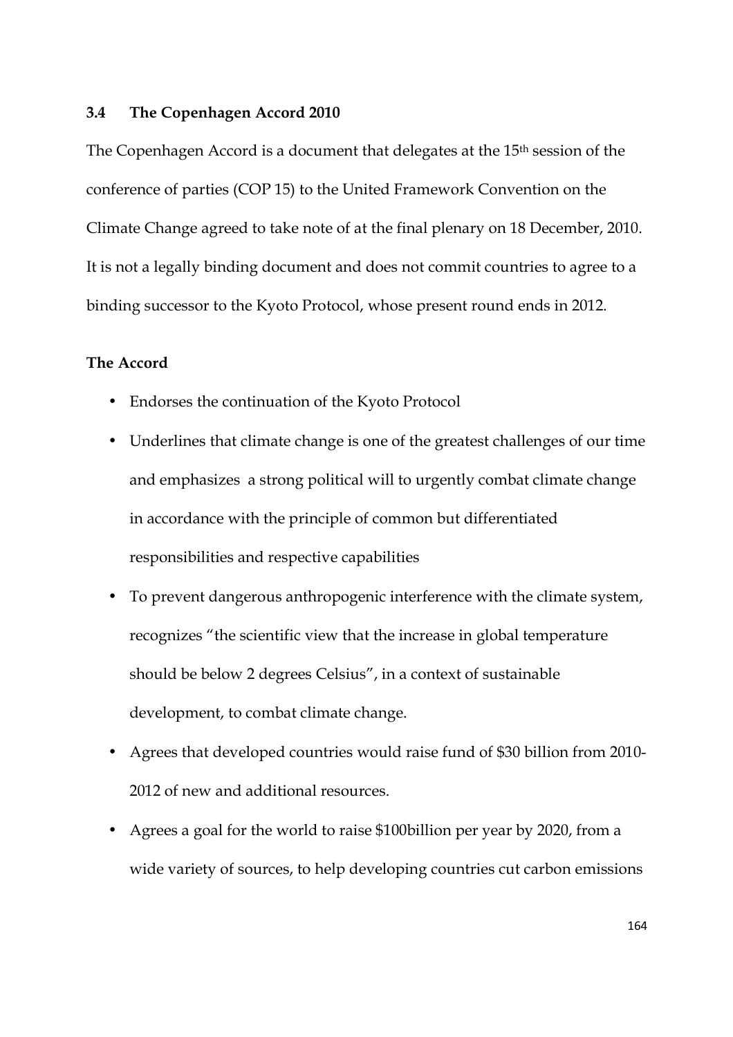### **3.4 The Copenhagen Accord 2010**

The Copenhagen Accord is a document that delegates at the 15th session of the conference of parties (COP 15) to the United Framework Convention on the Climate Change agreed to take note of at the final plenary on 18 December, 2010. It is not a legally binding document and does not commit countries to agree to a binding successor to the Kyoto Protocol, whose present round ends in 2012.

### **The Accord**

- Endorses the continuation of the Kyoto Protocol
- Underlines that climate change is one of the greatest challenges of our time and emphasizes a strong political will to urgently combat climate change in accordance with the principle of common but differentiated responsibilities and respective capabilities
- To prevent dangerous anthropogenic interference with the climate system, recognizes "the scientific view that the increase in global temperature should be below 2 degrees Celsius", in a context of sustainable development, to combat climate change.
- Agrees that developed countries would raise fund of \$30 billion from 2010- 2012 of new and additional resources.
- Agrees a goal for the world to raise \$100billion per year by 2020, from a wide variety of sources, to help developing countries cut carbon emissions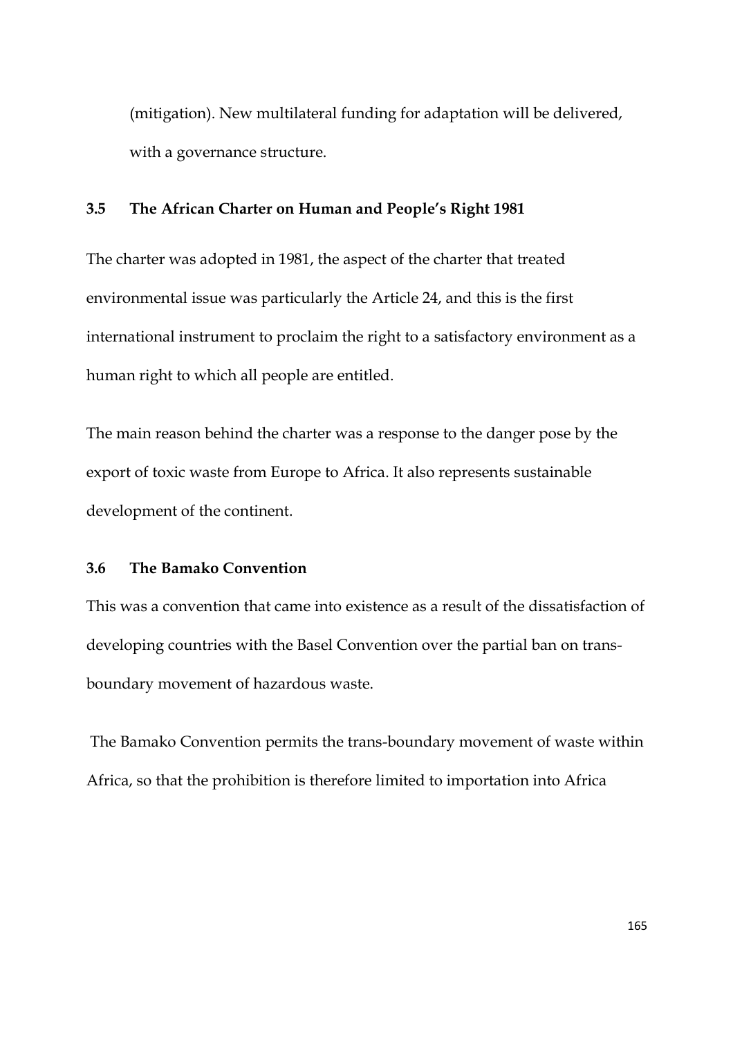(mitigation). New multilateral funding for adaptation will be delivered, with a governance structure.

# **3.5 The African Charter on Human and People's Right 1981**

The charter was adopted in 1981, the aspect of the charter that treated environmental issue was particularly the Article 24, and this is the first international instrument to proclaim the right to a satisfactory environment as a human right to which all people are entitled.

The main reason behind the charter was a response to the danger pose by the export of toxic waste from Europe to Africa. It also represents sustainable development of the continent.

### **3.6 The Bamako Convention**

This was a convention that came into existence as a result of the dissatisfaction of developing countries with the Basel Convention over the partial ban on transboundary movement of hazardous waste.

 The Bamako Convention permits the trans-boundary movement of waste within Africa, so that the prohibition is therefore limited to importation into Africa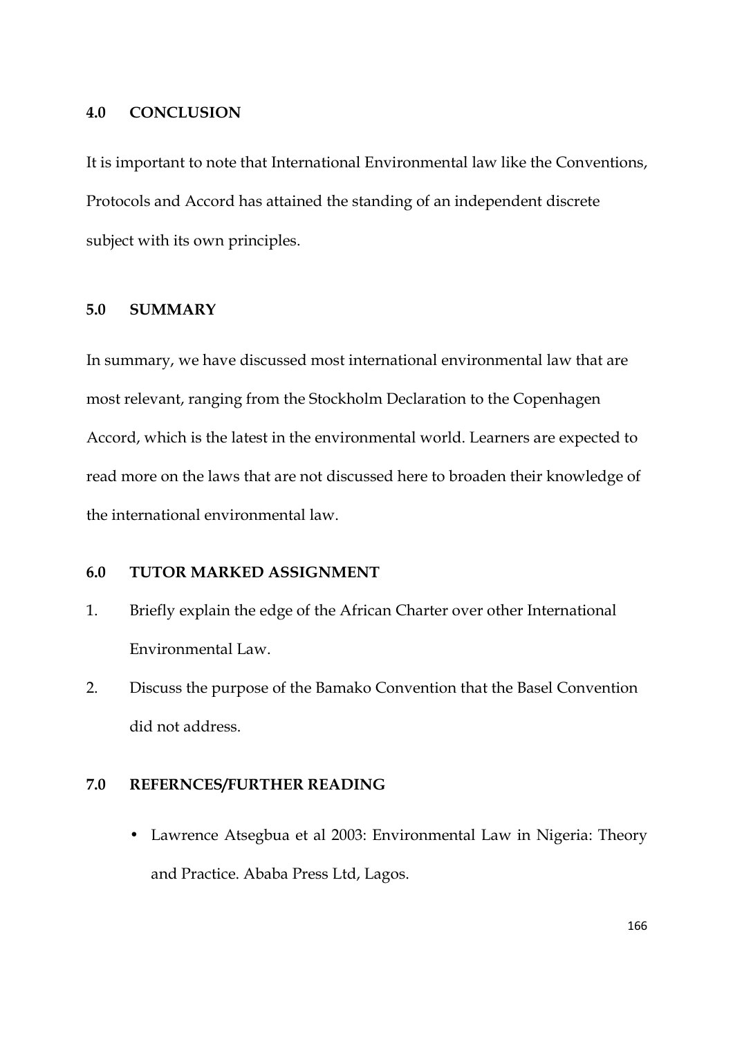### **4.0 CONCLUSION**

It is important to note that International Environmental law like the Conventions, Protocols and Accord has attained the standing of an independent discrete subject with its own principles.

## **5.0 SUMMARY**

In summary, we have discussed most international environmental law that are most relevant, ranging from the Stockholm Declaration to the Copenhagen Accord, which is the latest in the environmental world. Learners are expected to read more on the laws that are not discussed here to broaden their knowledge of the international environmental law.

## **6.0 TUTOR MARKED ASSIGNMENT**

- 1. Briefly explain the edge of the African Charter over other International Environmental Law.
- 2. Discuss the purpose of the Bamako Convention that the Basel Convention did not address.

# **7.0 REFERNCES/FURTHER READING**

• Lawrence Atsegbua et al 2003: Environmental Law in Nigeria: Theory and Practice. Ababa Press Ltd, Lagos.